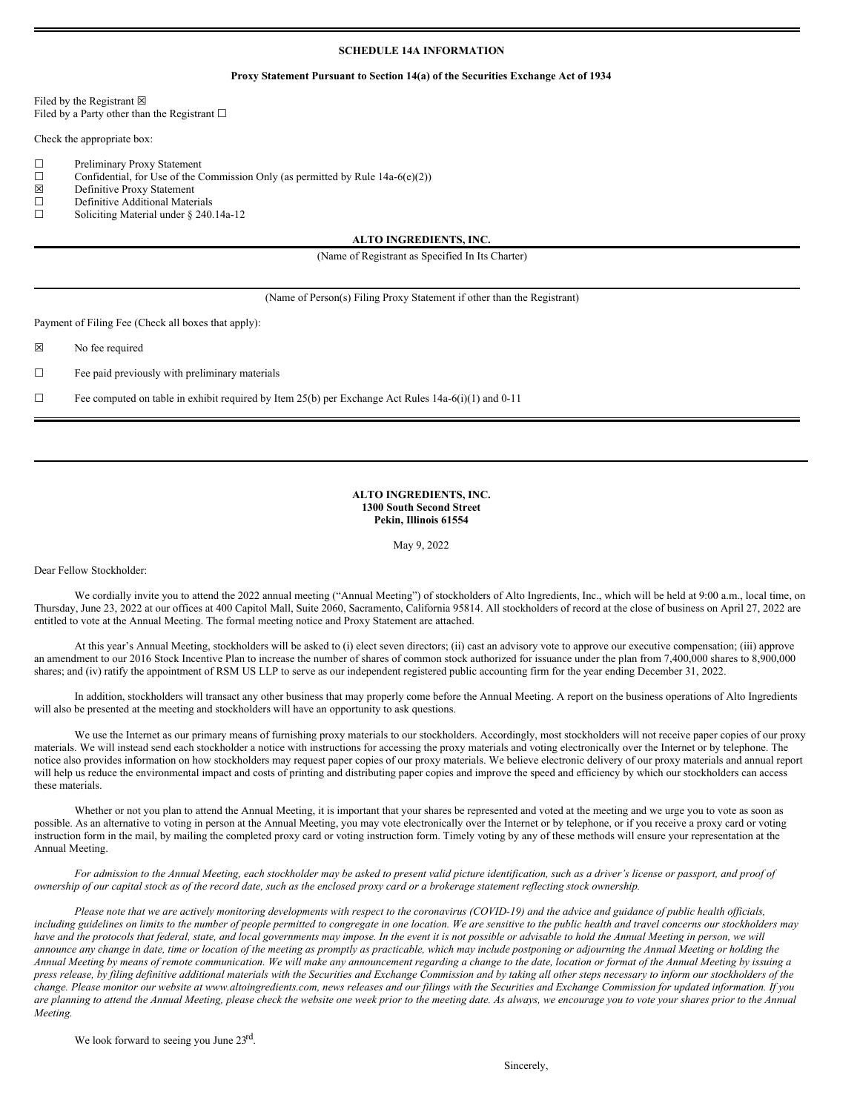# **SCHEDULE 14A INFORMATION**

### **Proxy Statement Pursuant to Section 14(a) of the Securities Exchange Act of 1934**

Filed by the Registrant  $\boxtimes$ Filed by a Party other than the Registrant  $□$ 

Check the appropriate box:

- ☐ Preliminary Proxy Statement
- $\Box$  Confidential, for Use of the Commission Only (as permitted by Rule 14a-6(e)(2))
- ☒ Definitive Proxy Statement

 $\Box$  Definitive Additional Materials<br> $\Box$  Soliciting Material under § 240.

Soliciting Material under § 240.14a-12

**ALTO INGREDIENTS, INC.**

(Name of Registrant as Specified In Its Charter)

(Name of Person(s) Filing Proxy Statement if other than the Registrant)

Payment of Filing Fee (Check all boxes that apply):

☒ No fee required

 $\Box$  Fee paid previously with preliminary materials

 $\Box$  Fee computed on table in exhibit required by Item 25(b) per Exchange Act Rules 14a-6(i)(1) and 0-11

# **ALTO INGREDIENTS, INC. 1300 South Second Street Pekin, Illinois 61554**

May 9, 2022

Dear Fellow Stockholder:

We cordially invite you to attend the 2022 annual meeting ("Annual Meeting") of stockholders of Alto Ingredients, Inc., which will be held at 9:00 a.m., local time, on Thursday, June 23, 2022 at our offices at 400 Capitol Mall, Suite 2060, Sacramento, California 95814. All stockholders of record at the close of business on April 27, 2022 are entitled to vote at the Annual Meeting. The formal meeting notice and Proxy Statement are attached.

At this year's Annual Meeting, stockholders will be asked to (i) elect seven directors; (ii) cast an advisory vote to approve our executive compensation; (iii) approve an amendment to our 2016 Stock Incentive Plan to increase the number of shares of common stock authorized for issuance under the plan from 7,400,000 shares to 8,900,000 shares; and (iv) ratify the appointment of RSM US LLP to serve as our independent registered public accounting firm for the year ending December 31, 2022.

In addition, stockholders will transact any other business that may properly come before the Annual Meeting. A report on the business operations of Alto Ingredients will also be presented at the meeting and stockholders will have an opportunity to ask questions.

We use the Internet as our primary means of furnishing proxy materials to our stockholders. Accordingly, most stockholders will not receive paper copies of our proxy materials. We will instead send each stockholder a notice with instructions for accessing the proxy materials and voting electronically over the Internet or by telephone. The notice also provides information on how stockholders may request paper copies of our proxy materials. We believe electronic delivery of our proxy materials and annual report will help us reduce the environmental impact and costs of printing and distributing paper copies and improve the speed and efficiency by which our stockholders can access these materials.

Whether or not you plan to attend the Annual Meeting, it is important that your shares be represented and voted at the meeting and we urge you to vote as soon as possible. As an alternative to voting in person at the Annual Meeting, you may vote electronically over the Internet or by telephone, or if you receive a proxy card or voting instruction form in the mail, by mailing the completed proxy card or voting instruction form. Timely voting by any of these methods will ensure your representation at the Annual Meeting.

For admission to the Annual Meeting, each stockholder may be asked to present valid picture identification, such as a driver's license or passport, and proof of ownership of our capital stock as of the record date, such as the enclosed proxy card or a brokerage statement reflecting stock ownership.

Please note that we are actively monitoring developments with respect to the coronavirus (COVID-19) and the advice and guidance of public health officials, including guidelines on limits to the number of people permitted to congregate in one location. We are sensitive to the public health and travel concerns our stockholders may have and the protocols that federal, state, and local governments may impose. In the event it is not possible or advisable to hold the Annual Meeting in person, we will announce any change in date, time or location of the meeting as promptly as practicable, which may include postponing or adjourning the Annual Meeting or holding the Annual Meeting by means of remote communication. We will make any announcement regarding a change to the date, location or format of the Annual Meeting by issuing a press release, by filing definitive additional materials with the Securities and Exchange Commission and by taking all other steps necessary to inform our stockholders of the .<br>change. Please monitor our website at www.altoingredients.com, news releases and our filings with the Securities and Exchange Commission for updated information. If you are planning to attend the Annual Meeting, please check the website one week prior to the meeting date. As always, we encourage you to vote your shares prior to the Annual *Meeting.*

We look forward to seeing you June 23rd.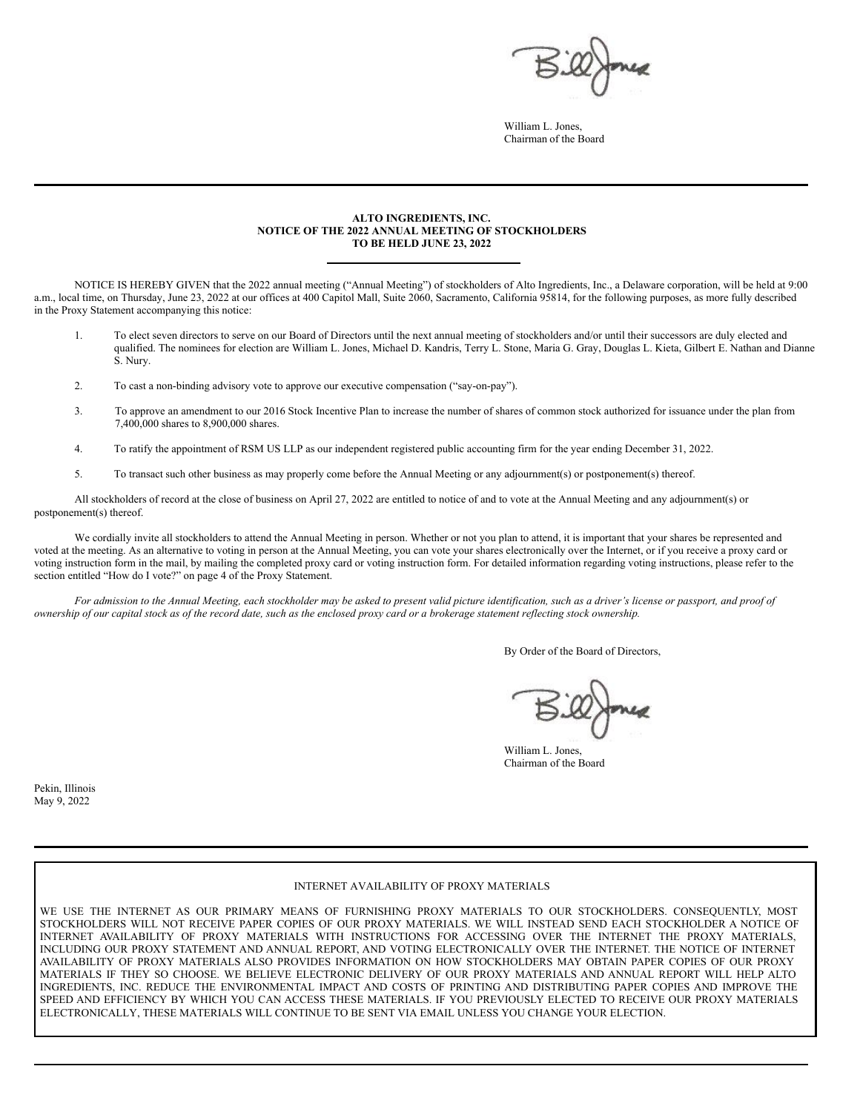William L. Jones, Chairman of the Board

# **ALTO INGREDIENTS, INC. NOTICE OF THE 2022 ANNUAL MEETING OF STOCKHOLDERS TO BE HELD JUNE 23, 2022**

NOTICE IS HEREBY GIVEN that the 2022 annual meeting ("Annual Meeting") of stockholders of Alto Ingredients, Inc., a Delaware corporation, will be held at 9:00 a.m., local time, on Thursday, June 23, 2022 at our offices at 400 Capitol Mall, Suite 2060, Sacramento, California 95814, for the following purposes, as more fully described in the Proxy Statement accompanying this notice:

- 1. To elect seven directors to serve on our Board of Directors until the next annual meeting of stockholders and/or until their successors are duly elected and qualified. The nominees for election are William L. Jones, Michael D. Kandris, Terry L. Stone, Maria G. Gray, Douglas L. Kieta, Gilbert E. Nathan and Dianne S. Nury.
- 2. To cast a non-binding advisory vote to approve our executive compensation ("say-on-pay").
- 3. To approve an amendment to our 2016 Stock Incentive Plan to increase the number of shares of common stock authorized for issuance under the plan from 7,400,000 shares to 8,900,000 shares.
- 4. To ratify the appointment of RSM US LLP as our independent registered public accounting firm for the year ending December 31, 2022.
- 5. To transact such other business as may properly come before the Annual Meeting or any adjournment(s) or postponement(s) thereof.

All stockholders of record at the close of business on April 27, 2022 are entitled to notice of and to vote at the Annual Meeting and any adjournment(s) or postponement(s) thereof.

We cordially invite all stockholders to attend the Annual Meeting in person. Whether or not you plan to attend, it is important that your shares be represented and voted at the meeting. As an alternative to voting in person at the Annual Meeting, you can vote your shares electronically over the Internet, or if you receive a proxy card or voting instruction form in the mail, by mailing the completed proxy card or voting instruction form. For detailed information regarding voting instructions, please refer to the section entitled "How do I vote?" on page 4 of the Proxy Statement.

For admission to the Annual Meeting, each stockholder may be asked to present valid picture identification, such as a driver's license or passport, and proof of ownership of our capital stock as of the record date, such as the enclosed proxy card or a brokerage statement reflecting stock ownership.

By Order of the Board of Directors,

William L. Jones Chairman of the Board

Pekin, Illinois May 9, 2022

## INTERNET AVAILABILITY OF PROXY MATERIALS

WE USE THE INTERNET AS OUR PRIMARY MEANS OF FURNISHING PROXY MATERIALS TO OUR STOCKHOLDERS. CONSEQUENTLY, MOST STOCKHOLDERS WILL NOT RECEIVE PAPER COPIES OF OUR PROXY MATERIALS. WE WILL INSTEAD SEND EACH STOCKHOLDER A NOTICE OF INTERNET AVAILABILITY OF PROXY MATERIALS WITH INSTRUCTIONS FOR ACCESSING OVER THE INTERNET THE PROXY MATERIALS, INCLUDING OUR PROXY STATEMENT AND ANNUAL REPORT, AND VOTING ELECTRONICALLY OVER THE INTERNET. THE NOTICE OF INTERNET AVAILABILITY OF PROXY MATERIALS ALSO PROVIDES INFORMATION ON HOW STOCKHOLDERS MAY OBTAIN PAPER COPIES OF OUR PROXY MATERIALS IF THEY SO CHOOSE. WE BELIEVE ELECTRONIC DELIVERY OF OUR PROXY MATERIALS AND ANNUAL REPORT WILL HELP ALTO INGREDIENTS, INC. REDUCE THE ENVIRONMENTAL IMPACT AND COSTS OF PRINTING AND DISTRIBUTING PAPER COPIES AND IMPROVE THE SPEED AND EFFICIENCY BY WHICH YOU CAN ACCESS THESE MATERIALS. IF YOU PREVIOUSLY ELECTED TO RECEIVE OUR PROXY MATERIALS ELECTRONICALLY, THESE MATERIALS WILL CONTINUE TO BE SENT VIA EMAIL UNLESS YOU CHANGE YOUR ELECTION.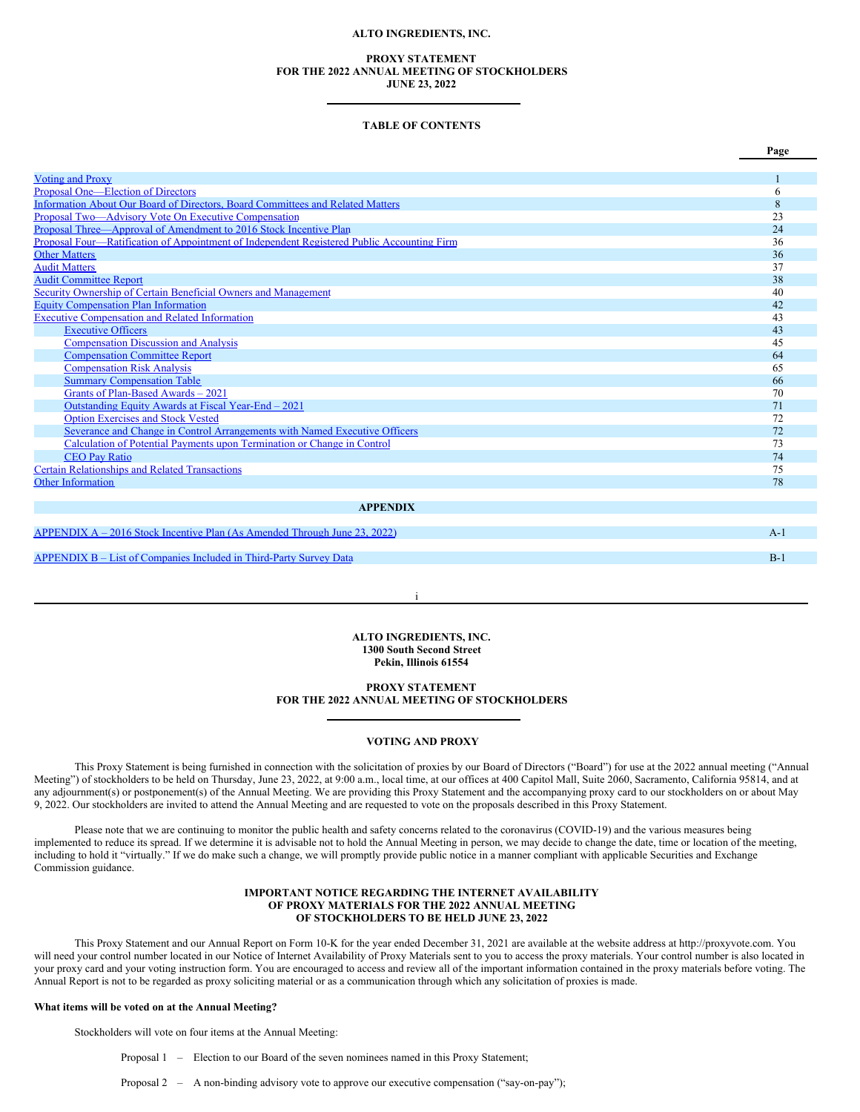# **ALTO INGREDIENTS, INC.**

# **PROXY STATEMENT FOR THE 2022 ANNUAL MEETING OF STOCKHOLDERS JUNE 23, 2022**

## **TABLE OF CONTENTS**

|                                                                                            | Page     |
|--------------------------------------------------------------------------------------------|----------|
| <b>Voting and Proxy</b>                                                                    |          |
| Proposal One—Election of Directors                                                         | h        |
| Information About Our Board of Directors, Board Committees and Related Matters             | 8        |
| Proposal Two—Advisory Vote On Executive Compensation                                       | 23       |
| Proposal Three—Approval of Amendment to 2016 Stock Incentive Plan                          | 24       |
| Proposal Four—Ratification of Appointment of Independent Registered Public Accounting Firm | 36       |
| <b>Other Matters</b>                                                                       | 36       |
| <b>Audit Matters</b>                                                                       | 37       |
| <b>Audit Committee Report</b>                                                              | 38       |
| Security Ownership of Certain Beneficial Owners and Management                             | 40       |
| <b>Equity Compensation Plan Information</b>                                                | 42       |
| <b>Executive Compensation and Related Information</b>                                      | 43       |
| <b>Executive Officers</b>                                                                  | 43       |
| <b>Compensation Discussion and Analysis</b>                                                | 45       |
| <b>Compensation Committee Report</b>                                                       | 64       |
| <b>Compensation Risk Analysis</b>                                                          | 65       |
| <b>Summary Compensation Table</b>                                                          | 66       |
| Grants of Plan-Based Awards - 2021                                                         | 70       |
| Outstanding Equity Awards at Fiscal Year-End - 2021                                        | 71       |
| <b>Option Exercises and Stock Vested</b>                                                   | 72       |
| Severance and Change in Control Arrangements with Named Executive Officers                 | 72       |
| Calculation of Potential Payments upon Termination or Change in Control                    | 73<br>74 |
| <b>CEO</b> Pay Ratio                                                                       |          |
| <b>Certain Relationships and Related Transactions</b><br><b>Other Information</b>          | 75<br>78 |
|                                                                                            |          |
| <b>APPENDIX</b>                                                                            |          |
|                                                                                            |          |
| $APPENDIX A - 2016 Stock Incentive Plan (As Amented Through June 23, 2022)$                | $A-1$    |
|                                                                                            |          |

[APPENDIX](#page-52-0) B – List of Companies Included in Third-Party Survey Data B-1

**ALTO INGREDIENTS, INC. 1300 South Second Street Pekin, Illinois 61554**

i

# **PROXY STATEMENT FOR THE 2022 ANNUAL MEETING OF STOCKHOLDERS**

# <span id="page-2-0"></span>**VOTING AND PROXY**

This Proxy Statement is being furnished in connection with the solicitation of proxies by our Board of Directors ("Board") for use at the 2022 annual meeting ("Annual Meeting") of stockholders to be held on Thursday, June 23, 2022, at 9:00 a.m., local time, at our offices at 400 Capitol Mall, Suite 2060, Sacramento, California 95814, and at any adjournment(s) or postponement(s) of the Annual Meeting. We are providing this Proxy Statement and the accompanying proxy card to our stockholders on or about May 9, 2022. Our stockholders are invited to attend the Annual Meeting and are requested to vote on the proposals described in this Proxy Statement.

Please note that we are continuing to monitor the public health and safety concerns related to the coronavirus (COVID-19) and the various measures being implemented to reduce its spread. If we determine it is advisable not to hold the Annual Meeting in person, we may decide to change the date, time or location of the meeting, including to hold it "virtually." If we do make such a change, we will promptly provide public notice in a manner compliant with applicable Securities and Exchange Commission guidance.

## **IMPORTANT NOTICE REGARDING THE INTERNET AVAILABILITY OF PROXY MATERIALS FOR THE 2022 ANNUAL MEETING OF STOCKHOLDERS TO BE HELD JUNE 23, 2022**

This Proxy Statement and our Annual Report on Form 10-K for the year ended December 31, 2021 are available at the website address at http://proxyvote.com. You will need your control number located in our Notice of Internet Availability of Proxy Materials sent to you to access the proxy materials. Your control number is also located in your proxy card and your voting instruction form. You are encouraged to access and review all of the important information contained in the proxy materials before voting. The Annual Report is not to be regarded as proxy soliciting material or as a communication through which any solicitation of proxies is made.

#### **What items will be voted on at the Annual Meeting?**

Stockholders will vote on four items at the Annual Meeting:

Proposal 1 – Election to our Board of the seven nominees named in this Proxy Statement;

Proposal 2 – A non-binding advisory vote to approve our executive compensation ("say-on-pay");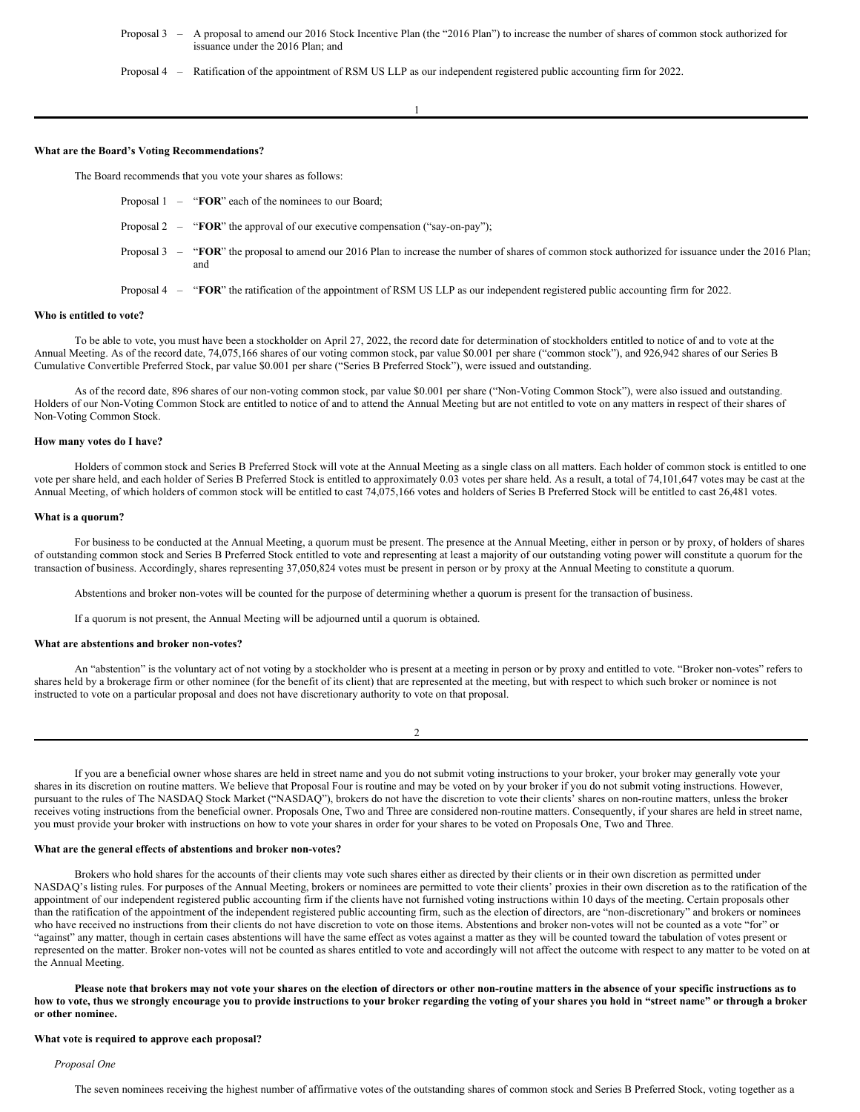Proposal 3 – A proposal to amend our 2016 Stock Incentive Plan (the "2016 Plan") to increase the number of shares of common stock authorized for issuance under the 2016 Plan; and

Proposal 4 – Ratification of the appointment of RSM US LLP as our independent registered public accounting firm for 2022.

1

### **What are the Board's Voting Recommendations?**

The Board recommends that you vote your shares as follows:

- Proposal 1 "**FOR**" each of the nominees to our Board;
- Proposal 2 "**FOR**" the approval of our executive compensation ("say-on-pay");
- Proposal 3 "FOR" the proposal to amend our 2016 Plan to increase the number of shares of common stock authorized for issuance under the 2016 Plan; and
- Proposal 4 "**FOR**" the ratification of the appointment of RSM US LLP as our independent registered public accounting firm for 2022.

## **Who is entitled to vote?**

To be able to vote, you must have been a stockholder on April 27, 2022, the record date for determination of stockholders entitled to notice of and to vote at the Annual Meeting. As of the record date, 74,075,166 shares of our voting common stock, par value \$0.001 per share ("common stock"), and 926,942 shares of our Series B Cumulative Convertible Preferred Stock, par value \$0.001 per share ("Series B Preferred Stock"), were issued and outstanding.

As of the record date, 896 shares of our non-voting common stock, par value \$0.001 per share ("Non-Voting Common Stock"), were also issued and outstanding. Holders of our Non-Voting Common Stock are entitled to notice of and to attend the Annual Meeting but are not entitled to vote on any matters in respect of their shares of Non-Voting Common Stock.

# **How many votes do I have?**

Holders of common stock and Series B Preferred Stock will vote at the Annual Meeting as a single class on all matters. Each holder of common stock is entitled to one vote per share held, and each holder of Series B Preferred Stock is entitled to approximately 0.03 votes per share held. As a result, a total of 74,101,647 votes may be cast at the Annual Meeting, of which holders of common stock will be entitled to cast 74,075,166 votes and holders of Series B Preferred Stock will be entitled to cast 26,481 votes.

### **What is a quorum?**

For business to be conducted at the Annual Meeting, a quorum must be present. The presence at the Annual Meeting, either in person or by proxy, of holders of shares of outstanding common stock and Series B Preferred Stock entitled to vote and representing at least a majority of our outstanding voting power will constitute a quorum for the transaction of business. Accordingly, shares representing 37,050,824 votes must be present in person or by proxy at the Annual Meeting to constitute a quorum.

Abstentions and broker non-votes will be counted for the purpose of determining whether a quorum is present for the transaction of business.

If a quorum is not present, the Annual Meeting will be adjourned until a quorum is obtained.

#### **What are abstentions and broker non-votes?**

An "abstention" is the voluntary act of not voting by a stockholder who is present at a meeting in person or by proxy and entitled to vote. "Broker non-votes" refers to shares held by a brokerage firm or other nominee (for the benefit of its client) that are represented at the meeting, but with respect to which such broker or nominee is not instructed to vote on a particular proposal and does not have discretionary authority to vote on that proposal.

2

If you are a beneficial owner whose shares are held in street name and you do not submit voting instructions to your broker, your broker may generally vote your shares in its discretion on routine matters. We believe that Proposal Four is routine and may be voted on by your broker if you do not submit voting instructions. However, pursuant to the rules of The NASDAQ Stock Market ("NASDAQ"), brokers do not have the discretion to vote their clients' shares on non-routine matters, unless the broker receives voting instructions from the beneficial owner. Proposals One, Two and Three are considered non-routine matters. Consequently, if your shares are held in street name, you must provide your broker with instructions on how to vote your shares in order for your shares to be voted on Proposals One, Two and Three.

# **What are the general effects of abstentions and broker non-votes?**

Brokers who hold shares for the accounts of their clients may vote such shares either as directed by their clients or in their own discretion as permitted under NASDAQ's listing rules. For purposes of the Annual Meeting, brokers or nominees are permitted to vote their clients' proxies in their own discretion as to the ratification of the appointment of our independent registered public accounting firm if the clients have not furnished voting instructions within 10 days of the meeting. Certain proposals other than the ratification of the appointment of the independent registered public accounting firm, such as the election of directors, are "non-discretionary" and brokers or nominees who have received no instructions from their clients do not have discretion to vote on those items. Abstentions and broker non-votes will not be counted as a vote "for" or "against" any matter, though in certain cases abstentions will have the same effect as votes against a matter as they will be counted toward the tabulation of votes present or represented on the matter. Broker non-votes will not be counted as shares entitled to vote and accordingly will not affect the outcome with respect to any matter to be voted on at the Annual Meeting.

Please note that brokers may not vote your shares on the election of directors or other non-routine matters in the absence of your specific instructions as to how to vote, thus we strongly encourage you to provide instructions to your broker regarding the voting of your shares you hold in "street name" or through a broker **or other nominee.**

### **What vote is required to approve each proposal?**

# *Proposal One*

The seven nominees receiving the highest number of affirmative votes of the outstanding shares of common stock and Series B Preferred Stock, voting together as a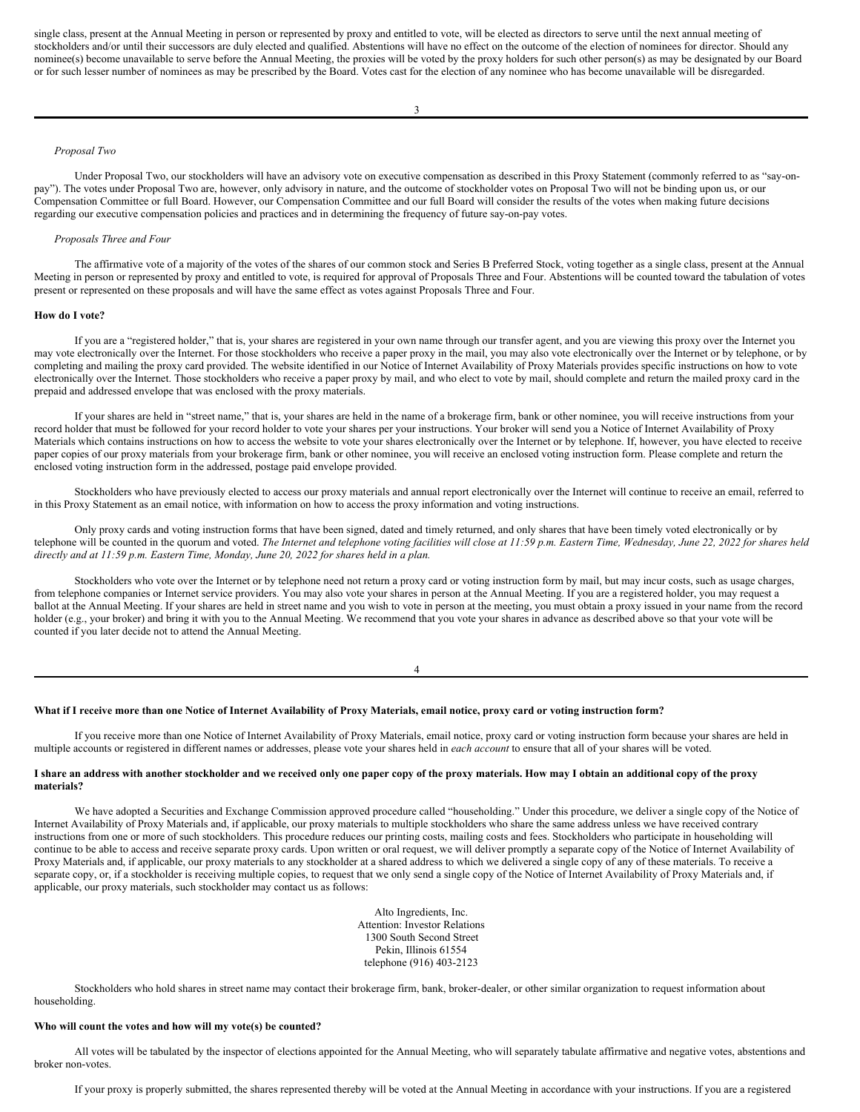single class, present at the Annual Meeting in person or represented by proxy and entitled to vote, will be elected as directors to serve until the next annual meeting of stockholders and/or until their successors are duly elected and qualified. Abstentions will have no effect on the outcome of the election of nominees for director. Should any nominee(s) become unavailable to serve before the Annual Meeting, the proxies will be voted by the proxy holders for such other person(s) as may be designated by our Board or for such lesser number of nominees as may be prescribed by the Board. Votes cast for the election of any nominee who has become unavailable will be disregarded.

# *Proposal Two*

Under Proposal Two, our stockholders will have an advisory vote on executive compensation as described in this Proxy Statement (commonly referred to as "say-onpay"). The votes under Proposal Two are, however, only advisory in nature, and the outcome of stockholder votes on Proposal Two will not be binding upon us, or our Compensation Committee or full Board. However, our Compensation Committee and our full Board will consider the results of the votes when making future decisions regarding our executive compensation policies and practices and in determining the frequency of future say-on-pay votes.

### *Proposals Three and Four*

The affirmative vote of a majority of the votes of the shares of our common stock and Series B Preferred Stock, voting together as a single class, present at the Annual Meeting in person or represented by proxy and entitled to vote, is required for approval of Proposals Three and Four. Abstentions will be counted toward the tabulation of votes present or represented on these proposals and will have the same effect as votes against Proposals Three and Four.

# **How do I vote?**

If you are a "registered holder," that is, your shares are registered in your own name through our transfer agent, and you are viewing this proxy over the Internet you may vote electronically over the Internet. For those stockholders who receive a paper proxy in the mail, you may also vote electronically over the Internet or by telephone, or by completing and mailing the proxy card provided. The website identified in our Notice of Internet Availability of Proxy Materials provides specific instructions on how to vote electronically over the Internet. Those stockholders who receive a paper proxy by mail, and who elect to vote by mail, should complete and return the mailed proxy card in the prepaid and addressed envelope that was enclosed with the proxy materials.

If your shares are held in "street name," that is, your shares are held in the name of a brokerage firm, bank or other nominee, you will receive instructions from your record holder that must be followed for your record holder to vote your shares per your instructions. Your broker will send you a Notice of Internet Availability of Proxy Materials which contains instructions on how to access the website to vote your shares electronically over the Internet or by telephone. If, however, you have elected to receive paper copies of our proxy materials from your brokerage firm, bank or other nominee, you will receive an enclosed voting instruction form. Please complete and return the enclosed voting instruction form in the addressed, postage paid envelope provided.

Stockholders who have previously elected to access our proxy materials and annual report electronically over the Internet will continue to receive an email, referred to in this Proxy Statement as an email notice, with information on how to access the proxy information and voting instructions.

Only proxy cards and voting instruction forms that have been signed, dated and timely returned, and only shares that have been timely voted electronically or by telephone will be counted in the quorum and voted. The Internet and telephone voting facilities will close at 11:59 p.m. Eastern Time, Wednesday, June 22, 2022 for shares held *directly and at 11:59 p.m. Eastern Time, Monday, June 20, 2022 for shares held in a plan.*

Stockholders who vote over the Internet or by telephone need not return a proxy card or voting instruction form by mail, but may incur costs, such as usage charges, from telephone companies or Internet service providers. You may also vote your shares in person at the Annual Meeting. If you are a registered holder, you may request a ballot at the Annual Meeting. If your shares are held in street name and you wish to vote in person at the meeting, you must obtain a proxy issued in your name from the record holder (e.g., your broker) and bring it with you to the Annual Meeting. We recommend that you vote your shares in advance as described above so that your vote will be counted if you later decide not to attend the Annual Meeting.

4

# What if I receive more than one Notice of Internet Availability of Proxy Materials, email notice, proxy card or voting instruction form?

If you receive more than one Notice of Internet Availability of Proxy Materials, email notice, proxy card or voting instruction form because your shares are held in multiple accounts or registered in different names or addresses, please vote your shares held in *each account* to ensure that all of your shares will be voted.

# I share an address with another stockholder and we received only one paper copy of the proxy materials. How may I obtain an additional copy of the proxy **materials?**

We have adopted a Securities and Exchange Commission approved procedure called "householding." Under this procedure, we deliver a single copy of the Notice of Internet Availability of Proxy Materials and, if applicable, our proxy materials to multiple stockholders who share the same address unless we have received contrary instructions from one or more of such stockholders. This procedure reduces our printing costs, mailing costs and fees. Stockholders who participate in householding will continue to be able to access and receive separate proxy cards. Upon written or oral request, we will deliver promptly a separate copy of the Notice of Internet Availability of Proxy Materials and, if applicable, our proxy materials to any stockholder at a shared address to which we delivered a single copy of any of these materials. To receive a separate copy, or, if a stockholder is receiving multiple copies, to request that we only send a single copy of the Notice of Internet Availability of Proxy Materials and, if applicable, our proxy materials, such stockholder may contact us as follows:

> Alto Ingredients, Inc. Attention: Investor Relations 1300 South Second Street Pekin, Illinois 61554 telephone (916) 403-2123

Stockholders who hold shares in street name may contact their brokerage firm, bank, broker-dealer, or other similar organization to request information about householding.

# **Who will count the votes and how will my vote(s) be counted?**

All votes will be tabulated by the inspector of elections appointed for the Annual Meeting, who will separately tabulate affirmative and negative votes, abstentions and broker non-votes.

If your proxy is properly submitted, the shares represented thereby will be voted at the Annual Meeting in accordance with your instructions. If you are a registered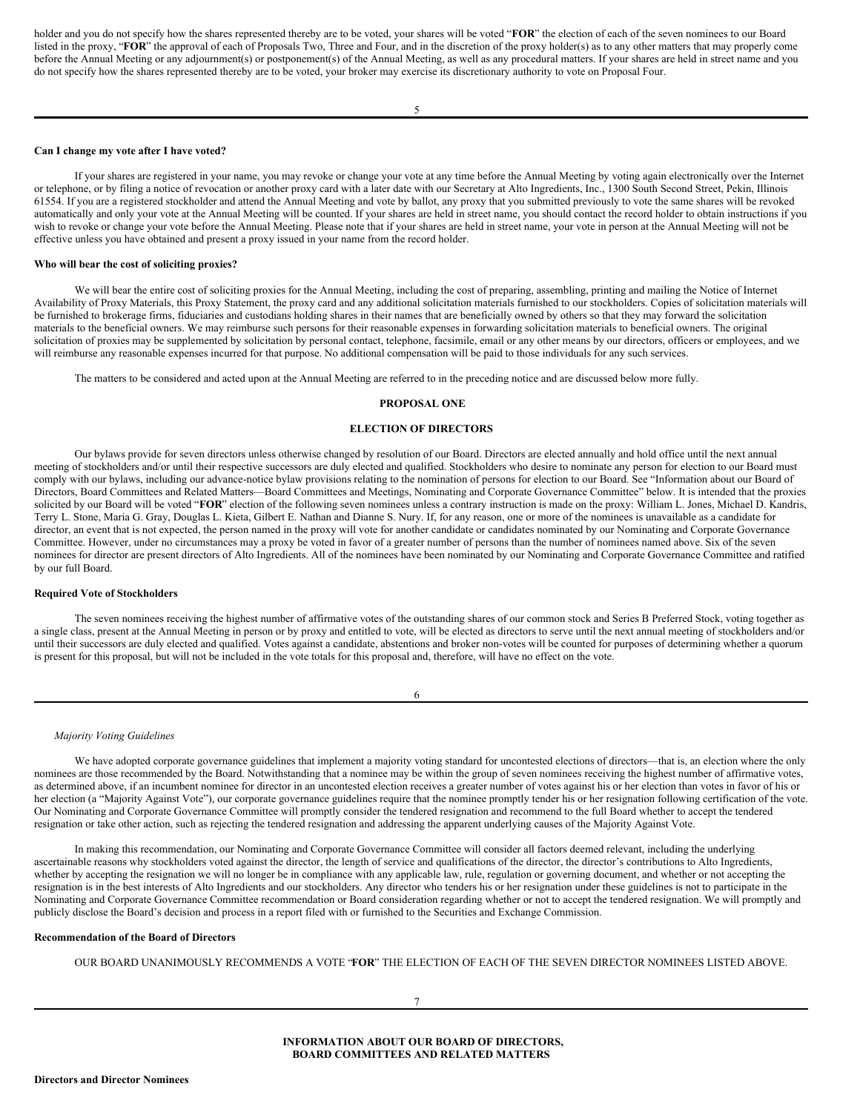holder and you do not specify how the shares represented thereby are to be voted, your shares will be voted "**FOR**" the election of each of the seven nominees to our Board listed in the proxy, "**FOR**" the approval of each of Proposals Two, Three and Four, and in the discretion of the proxy holder(s) as to any other matters that may properly come before the Annual Meeting or any adjournment(s) or postponement(s) of the Annual Meeting, as well as any procedural matters. If your shares are held in street name and you do not specify how the shares represented thereby are to be voted, your broker may exercise its discretionary authority to vote on Proposal Four.

### **Can I change my vote after I have voted?**

If your shares are registered in your name, you may revoke or change your vote at any time before the Annual Meeting by voting again electronically over the Internet or telephone, or by filing a notice of revocation or another proxy card with a later date with our Secretary at Alto Ingredients, Inc., 1300 South Second Street, Pekin, Illinois 61554. If you are a registered stockholder and attend the Annual Meeting and vote by ballot, any proxy that you submitted previously to vote the same shares will be revoked automatically and only your vote at the Annual Meeting will be counted. If your shares are held in street name, you should contact the record holder to obtain instructions if you wish to revoke or change your vote before the Annual Meeting. Please note that if your shares are held in street name, your vote in person at the Annual Meeting will not be effective unless you have obtained and present a proxy issued in your name from the record holder.

### **Who will bear the cost of soliciting proxies?**

We will bear the entire cost of soliciting proxies for the Annual Meeting, including the cost of preparing, assembling, printing and mailing the Notice of Internet Availability of Proxy Materials, this Proxy Statement, the proxy card and any additional solicitation materials furnished to our stockholders. Copies of solicitation materials will be furnished to brokerage firms, fiduciaries and custodians holding shares in their names that are beneficially owned by others so that they may forward the solicitation materials to the beneficial owners. We may reimburse such persons for their reasonable expenses in forwarding solicitation materials to beneficial owners. The original solicitation of proxies may be supplemented by solicitation by personal contact, telephone, facsimile, email or any other means by our directors, officers or employees, and we will reimburse any reasonable expenses incurred for that purpose. No additional compensation will be paid to those individuals for any such services.

The matters to be considered and acted upon at the Annual Meeting are referred to in the preceding notice and are discussed below more fully.

## <span id="page-5-0"></span>**PROPOSAL ONE**

#### **ELECTION OF DIRECTORS**

Our bylaws provide for seven directors unless otherwise changed by resolution of our Board. Directors are elected annually and hold office until the next annual meeting of stockholders and/or until their respective successors are duly elected and qualified. Stockholders who desire to nominate any person for election to our Board must comply with our bylaws, including our advance-notice bylaw provisions relating to the nomination of persons for election to our Board. See "Information about our Board of Directors, Board Committees and Related Matters—Board Committees and Meetings, Nominating and Corporate Governance Committee" below. It is intended that the proxies solicited by our Board will be voted "**FOR**" election of the following seven nominees unless a contrary instruction is made on the proxy: William L. Jones, Michael D. Kandris, Terry L. Stone, Maria G. Gray, Douglas L. Kieta, Gilbert E. Nathan and Dianne S. Nury. If, for any reason, one or more of the nominees is unavailable as a candidate for director, an event that is not expected, the person named in the proxy will vote for another candidate or candidates nominated by our Nominating and Corporate Governance Committee. However, under no circumstances may a proxy be voted in favor of a greater number of persons than the number of nominees named above. Six of the seven nominees for director are present directors of Alto Ingredients. All of the nominees have been nominated by our Nominating and Corporate Governance Committee and ratified by our full Board.

# **Required Vote of Stockholders**

The seven nominees receiving the highest number of affirmative votes of the outstanding shares of our common stock and Series B Preferred Stock, voting together as a single class, present at the Annual Meeting in person or by proxy and entitled to vote, will be elected as directors to serve until the next annual meeting of stockholders and/or until their successors are duly elected and qualified. Votes against a candidate, abstentions and broker non-votes will be counted for purposes of determining whether a quorum is present for this proposal, but will not be included in the vote totals for this proposal and, therefore, will have no effect on the vote.

| ٧<br>I<br>٦<br>۰, |
|-------------------|
|-------------------|

## *Majority Voting Guidelines*

We have adopted corporate governance guidelines that implement a majority voting standard for uncontested elections of directors—that is, an election where the only nominees are those recommended by the Board. Notwithstanding that a nominee may be within the group of seven nominees receiving the highest number of affirmative votes, as determined above, if an incumbent nominee for director in an uncontested election receives a greater number of votes against his or her election than votes in favor of his or her election (a "Majority Against Vote"), our corporate governance guidelines require that the nominee promptly tender his or her resignation following certification of the vote. Our Nominating and Corporate Governance Committee will promptly consider the tendered resignation and recommend to the full Board whether to accept the tendered resignation or take other action, such as rejecting the tendered resignation and addressing the apparent underlying causes of the Majority Against Vote.

In making this recommendation, our Nominating and Corporate Governance Committee will consider all factors deemed relevant, including the underlying ascertainable reasons why stockholders voted against the director, the length of service and qualifications of the director, the director's contributions to Alto Ingredients, whether by accepting the resignation we will no longer be in compliance with any applicable law, rule, regulation or governing document, and whether or not accepting the resignation is in the best interests of Alto Ingredients and our stockholders. Any director who tenders his or her resignation under these guidelines is not to participate in the Nominating and Corporate Governance Committee recommendation or Board consideration regarding whether or not to accept the tendered resignation. We will promptly and publicly disclose the Board's decision and process in a report filed with or furnished to the Securities and Exchange Commission.

## **Recommendation of the Board of Directors**

<span id="page-5-1"></span>OUR BOARD UNANIMOUSLY RECOMMENDS A VOTE "**FOR**" THE ELECTION OF EACH OF THE SEVEN DIRECTOR NOMINEES LISTED ABOVE.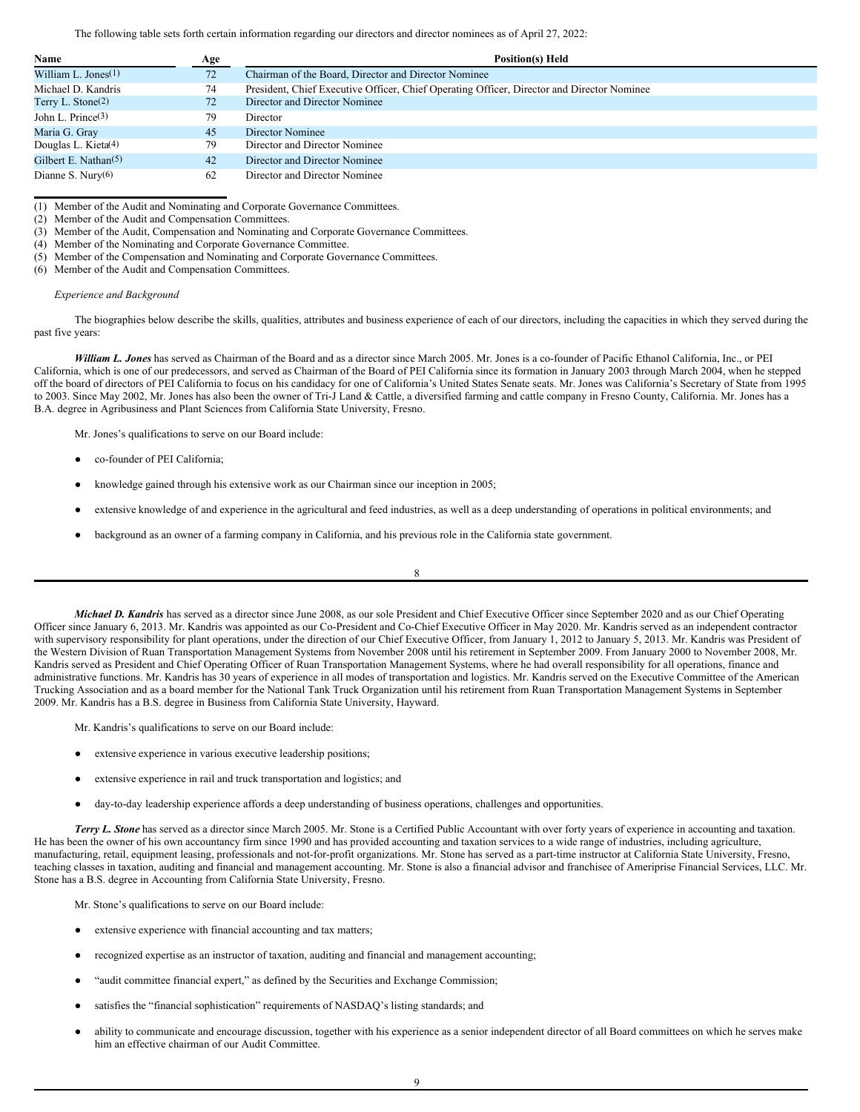The following table sets forth certain information regarding our directors and director nominees as of April 27, 2022:

| Name                            | Age          | Position(s) Held                                                                           |
|---------------------------------|--------------|--------------------------------------------------------------------------------------------|
| William L. Jones $(1)$          | $72^{\circ}$ | Chairman of the Board, Director and Director Nominee                                       |
| Michael D. Kandris              | 74           | President, Chief Executive Officer, Chief Operating Officer, Director and Director Nominee |
| Terry L. Stone <sup>(2)</sup>   | 72           | Director and Director Nominee                                                              |
| John L. Prince $(3)$            | 79           | Director                                                                                   |
| Maria G. Gray                   | 45           | Director Nominee                                                                           |
| Douglas L. Kieta <sup>(4)</sup> | 79           | Director and Director Nominee                                                              |
| Gilbert E. Nathan $(5)$         | 42           | Director and Director Nominee                                                              |
| Dianne S. Nury $(6)$            | 62           | Director and Director Nominee                                                              |

(1) Member of the Audit and Nominating and Corporate Governance Committees.

(2) Member of the Audit and Compensation Committees.

(3) Member of the Audit, Compensation and Nominating and Corporate Governance Committees.

(4) Member of the Nominating and Corporate Governance Committee.

(5) Member of the Compensation and Nominating and Corporate Governance Committees.

(6) Member of the Audit and Compensation Committees.

## *Experience and Background*

The biographies below describe the skills, qualities, attributes and business experience of each of our directors, including the capacities in which they served during the past five years:

*William L. Jones* has served as Chairman of the Board and as a director since March 2005. Mr. Jones is a co-founder of Pacific Ethanol California, Inc., or PEI California, which is one of our predecessors, and served as Chairman of the Board of PEI California since its formation in January 2003 through March 2004, when he stepped off the board of directors of PEI California to focus on his candidacy for one of California's United States Senate seats. Mr. Jones was California's Secretary of State from 1995 to 2003. Since May 2002, Mr. Jones has also been the owner of Tri-J Land & Cattle, a diversified farming and cattle company in Fresno County, California. Mr. Jones has a B.A. degree in Agribusiness and Plant Sciences from California State University, Fresno.

Mr. Jones's qualifications to serve on our Board include:

- co-founder of PEI California;
- knowledge gained through his extensive work as our Chairman since our inception in 2005;
- extensive knowledge of and experience in the agricultural and feed industries, as well as a deep understanding of operations in political environments; and
- background as an owner of a farming company in California, and his previous role in the California state government.

8

*Michael D. Kandris* has served as a director since June 2008, as our sole President and Chief Executive Officer since September 2020 and as our Chief Operating Officer since January 6, 2013. Mr. Kandris was appointed as our Co-President and Co-Chief Executive Officer in May 2020. Mr. Kandris served as an independent contractor with supervisory responsibility for plant operations, under the direction of our Chief Executive Officer, from January 1, 2012 to January 5, 2013. Mr. Kandris was President of the Western Division of Ruan Transportation Management Systems from November 2008 until his retirement in September 2009. From January 2000 to November 2008, Mr. Kandris served as President and Chief Operating Officer of Ruan Transportation Management Systems, where he had overall responsibility for all operations, finance and administrative functions. Mr. Kandris has 30 years of experience in all modes of transportation and logistics. Mr. Kandris served on the Executive Committee of the American Trucking Association and as a board member for the National Tank Truck Organization until his retirement from Ruan Transportation Management Systems in September 2009. Mr. Kandris has a B.S. degree in Business from California State University, Hayward.

Mr. Kandris's qualifications to serve on our Board include:

- extensive experience in various executive leadership positions;
- extensive experience in rail and truck transportation and logistics; and
- day-to-day leadership experience affords a deep understanding of business operations, challenges and opportunities.

*Terry L. Stone* has served as a director since March 2005. Mr. Stone is a Certified Public Accountant with over forty years of experience in accounting and taxation. He has been the owner of his own accountancy firm since 1990 and has provided accounting and taxation services to a wide range of industries, including agriculture, manufacturing, retail, equipment leasing, professionals and not-for-profit organizations. Mr. Stone has served as a part-time instructor at California State University, Fresno, teaching classes in taxation, auditing and financial and management accounting. Mr. Stone is also a financial advisor and franchisee of Ameriprise Financial Services, LLC. Mr. Stone has a B.S. degree in Accounting from California State University, Fresno.

Mr. Stone's qualifications to serve on our Board include:

- extensive experience with financial accounting and tax matters;
- recognized expertise as an instructor of taxation, auditing and financial and management accounting;
- "audit committee financial expert," as defined by the Securities and Exchange Commission;
- satisfies the "financial sophistication" requirements of NASDAQ's listing standards; and
- ability to communicate and encourage discussion, together with his experience as a senior independent director of all Board committees on which he serves make him an effective chairman of our Audit Committee.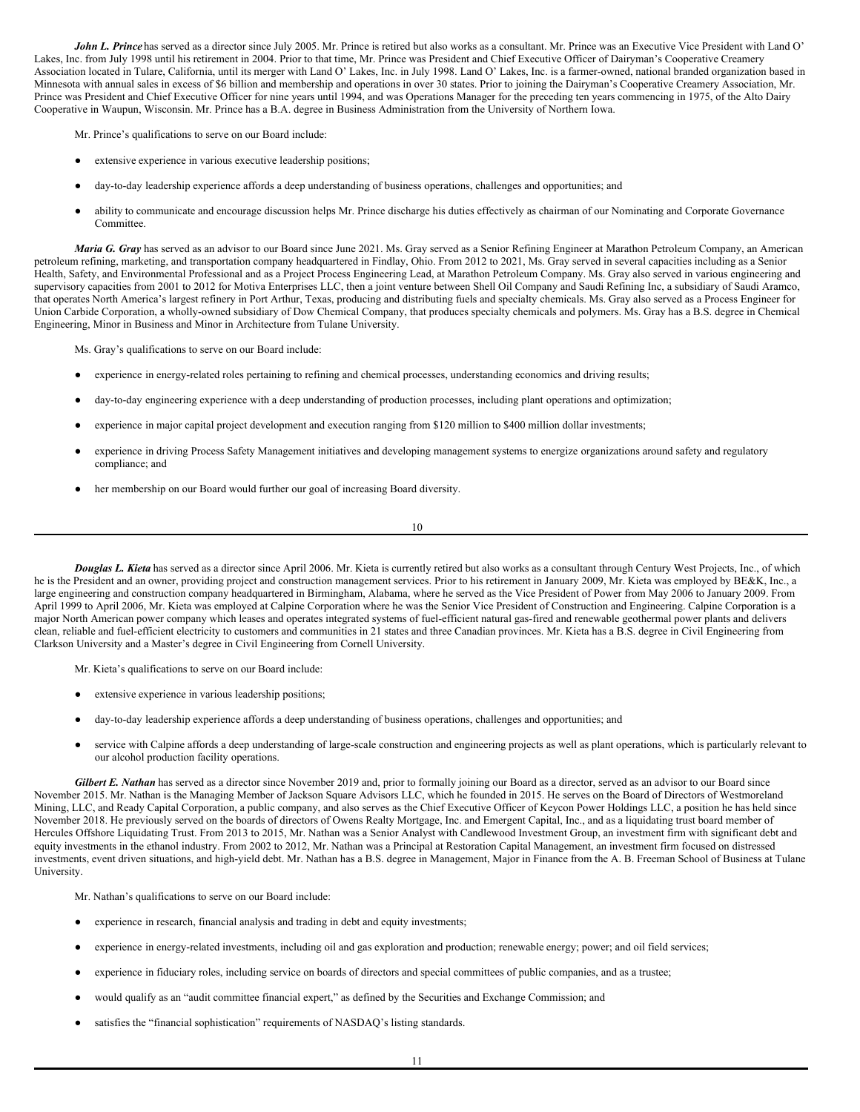*John L. Prince* has served as a director since July 2005. Mr. Prince is retired but also works as a consultant. Mr. Prince was an Executive Vice President with Land O' Lakes, Inc. from July 1998 until his retirement in 2004. Prior to that time, Mr. Prince was President and Chief Executive Officer of Dairyman's Cooperative Creamery Association located in Tulare, California, until its merger with Land O' Lakes, Inc. in July 1998. Land O' Lakes, Inc. is a farmer-owned, national branded organization based in Minnesota with annual sales in excess of \$6 billion and membership and operations in over 30 states. Prior to joining the Dairyman's Cooperative Creamery Association, Mr. Prince was President and Chief Executive Officer for nine years until 1994, and was Operations Manager for the preceding ten years commencing in 1975, of the Alto Dairy Cooperative in Waupun, Wisconsin. Mr. Prince has a B.A. degree in Business Administration from the University of Northern Iowa.

Mr. Prince's qualifications to serve on our Board include:

- extensive experience in various executive leadership positions;
- day-to-day leadership experience affords a deep understanding of business operations, challenges and opportunities; and
- ability to communicate and encourage discussion helps Mr. Prince discharge his duties effectively as chairman of our Nominating and Corporate Governance Committee.

*Maria G. Gray* has served as an advisor to our Board since June 2021. Ms. Gray served as a Senior Refining Engineer at Marathon Petroleum Company, an American petroleum refining, marketing, and transportation company headquartered in Findlay, Ohio. From 2012 to 2021, Ms. Gray served in several capacities including as a Senior Health, Safety, and Environmental Professional and as a Project Process Engineering Lead, at Marathon Petroleum Company. Ms. Gray also served in various engineering and supervisory capacities from 2001 to 2012 for Motiva Enterprises LLC, then a joint venture between Shell Oil Company and Saudi Refining Inc, a subsidiary of Saudi Aramco, that operates North America's largest refinery in Port Arthur, Texas, producing and distributing fuels and specialty chemicals. Ms. Gray also served as a Process Engineer for Union Carbide Corporation, a wholly-owned subsidiary of Dow Chemical Company, that produces specialty chemicals and polymers. Ms. Gray has a B.S. degree in Chemical Engineering, Minor in Business and Minor in Architecture from Tulane University.

Ms. Gray's qualifications to serve on our Board include:

- experience in energy-related roles pertaining to refining and chemical processes, understanding economics and driving results;
- day-to-day engineering experience with a deep understanding of production processes, including plant operations and optimization;
- experience in major capital project development and execution ranging from \$120 million to \$400 million dollar investments;
- experience in driving Process Safety Management initiatives and developing management systems to energize organizations around safety and regulatory compliance; and
- her membership on our Board would further our goal of increasing Board diversity.

*Douglas L. Kieta* has served as a director since April 2006. Mr. Kieta is currently retired but also works as a consultant through Century West Projects, Inc., of which he is the President and an owner, providing project and construction management services. Prior to his retirement in January 2009, Mr. Kieta was employed by BE&K, Inc., a large engineering and construction company headquartered in Birmingham, Alabama, where he served as the Vice President of Power from May 2006 to January 2009. From April 1999 to April 2006, Mr. Kieta was employed at Calpine Corporation where he was the Senior Vice President of Construction and Engineering. Calpine Corporation is a major North American power company which leases and operates integrated systems of fuel-efficient natural gas-fired and renewable geothermal power plants and delivers clean, reliable and fuel-efficient electricity to customers and communities in 21 states and three Canadian provinces. Mr. Kieta has a B.S. degree in Civil Engineering from Clarkson University and a Master's degree in Civil Engineering from Cornell University.

Mr. Kieta's qualifications to serve on our Board include:

- extensive experience in various leadership positions;
- day-to-day leadership experience affords a deep understanding of business operations, challenges and opportunities; and
- service with Calpine affords a deep understanding of large-scale construction and engineering projects as well as plant operations, which is particularly relevant to our alcohol production facility operations.

*Gilbert E. Nathan* has served as a director since November 2019 and, prior to formally joining our Board as a director, served as an advisor to our Board since November 2015. Mr. Nathan is the Managing Member of Jackson Square Advisors LLC, which he founded in 2015. He serves on the Board of Directors of Westmoreland Mining, LLC, and Ready Capital Corporation, a public company, and also serves as the Chief Executive Officer of Keycon Power Holdings LLC, a position he has held since November 2018. He previously served on the boards of directors of Owens Realty Mortgage, Inc. and Emergent Capital, Inc., and as a liquidating trust board member of Hercules Offshore Liquidating Trust. From 2013 to 2015, Mr. Nathan was a Senior Analyst with Candlewood Investment Group, an investment firm with significant debt and equity investments in the ethanol industry. From 2002 to 2012, Mr. Nathan was a Principal at Restoration Capital Management, an investment firm focused on distressed investments, event driven situations, and high-yield debt. Mr. Nathan has a B.S. degree in Management, Major in Finance from the A. B. Freeman School of Business at Tulane University.

Mr. Nathan's qualifications to serve on our Board include:

- experience in research, financial analysis and trading in debt and equity investments;
- experience in energy-related investments, including oil and gas exploration and production; renewable energy; power; and oil field services;
- experience in fiduciary roles, including service on boards of directors and special committees of public companies, and as a trustee;
- would qualify as an "audit committee financial expert," as defined by the Securities and Exchange Commission; and
- satisfies the "financial sophistication" requirements of NASDAQ's listing standards.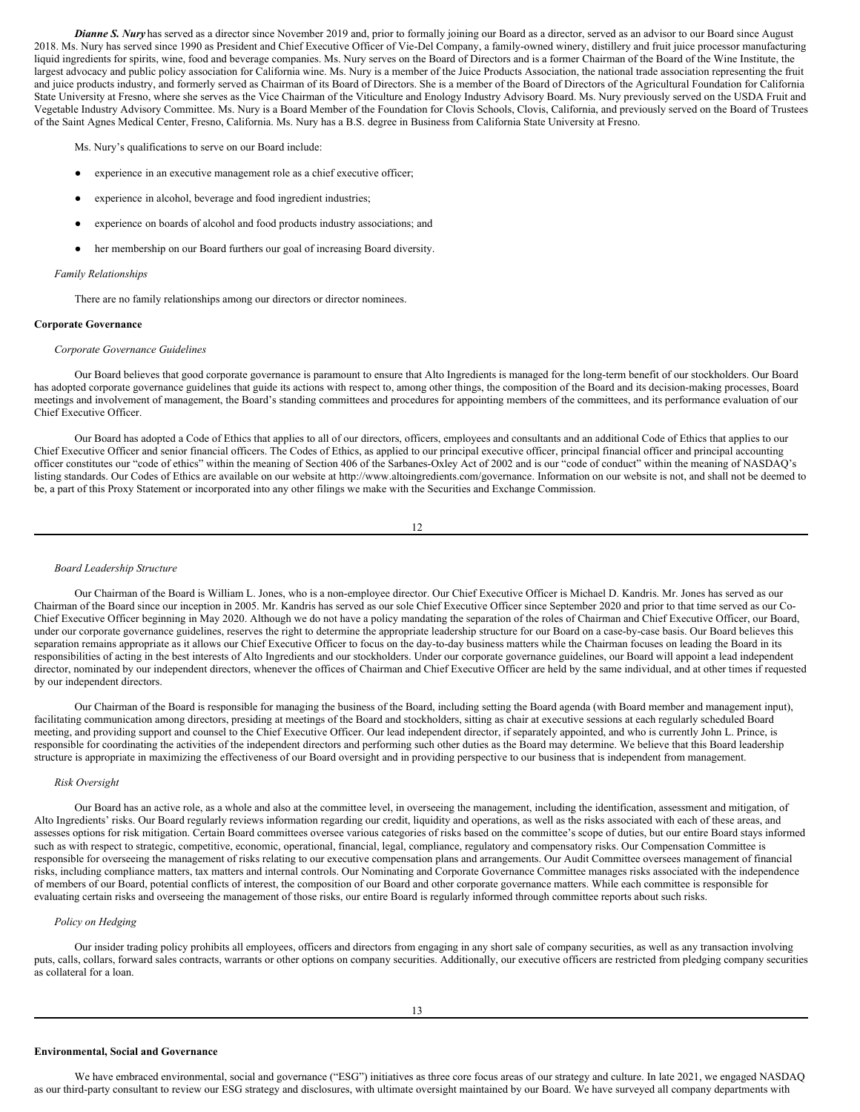*Dianne S. Nury* has served as a director since November 2019 and, prior to formally joining our Board as a director, served as an advisor to our Board since August 2018. Ms. Nury has served since 1990 as President and Chief Executive Officer of Vie-Del Company, a family-owned winery, distillery and fruit juice processor manufacturing liquid ingredients for spirits, wine, food and beverage companies. Ms. Nury serves on the Board of Directors and is a former Chairman of the Board of the Wine Institute, the largest advocacy and public policy association for California wine. Ms. Nury is a member of the Juice Products Association, the national trade association representing the fruit and juice products industry, and formerly served as Chairman of its Board of Directors. She is a member of the Board of Directors of the Agricultural Foundation for California State University at Fresno, where she serves as the Vice Chairman of the Viticulture and Enology Industry Advisory Board. Ms. Nury previously served on the USDA Fruit and Vegetable Industry Advisory Committee. Ms. Nury is a Board Member of the Foundation for Clovis Schools, Clovis, California, and previously served on the Board of Trustees of the Saint Agnes Medical Center, Fresno, California. Ms. Nury has a B.S. degree in Business from California State University at Fresno.

Ms. Nury's qualifications to serve on our Board include:

- experience in an executive management role as a chief executive officer;
- experience in alcohol, beverage and food ingredient industries;
- experience on boards of alcohol and food products industry associations; and
- her membership on our Board furthers our goal of increasing Board diversity.

### *Family Relationships*

There are no family relationships among our directors or director nominees.

### **Corporate Governance**

### *Corporate Governance Guidelines*

Our Board believes that good corporate governance is paramount to ensure that Alto Ingredients is managed for the long-term benefit of our stockholders. Our Board has adopted corporate governance guidelines that guide its actions with respect to, among other things, the composition of the Board and its decision-making processes, Board meetings and involvement of management, the Board's standing committees and procedures for appointing members of the committees, and its performance evaluation of our Chief Executive Officer.

Our Board has adopted a Code of Ethics that applies to all of our directors, officers, employees and consultants and an additional Code of Ethics that applies to our Chief Executive Officer and senior financial officers. The Codes of Ethics, as applied to our principal executive officer, principal financial officer and principal accounting officer constitutes our "code of ethics" within the meaning of Section 406 of the Sarbanes-Oxley Act of 2002 and is our "code of conduct" within the meaning of NASDAQ's listing standards. Our Codes of Ethics are available on our website at http://www.altoingredients.com/governance. Information on our website is not, and shall not be deemed to be, a part of this Proxy Statement or incorporated into any other filings we make with the Securities and Exchange Commission.

12

#### *Board Leadership Structure*

Our Chairman of the Board is William L. Jones, who is a non-employee director. Our Chief Executive Officer is Michael D. Kandris. Mr. Jones has served as our Chairman of the Board since our inception in 2005. Mr. Kandris has served as our sole Chief Executive Officer since September 2020 and prior to that time served as our Co-Chief Executive Officer beginning in May 2020. Although we do not have a policy mandating the separation of the roles of Chairman and Chief Executive Officer, our Board, under our corporate governance guidelines, reserves the right to determine the appropriate leadership structure for our Board on a case-by-case basis. Our Board believes this separation remains appropriate as it allows our Chief Executive Officer to focus on the day-to-day business matters while the Chairman focuses on leading the Board in its responsibilities of acting in the best interests of Alto Ingredients and our stockholders. Under our corporate governance guidelines, our Board will appoint a lead independent director, nominated by our independent directors, whenever the offices of Chairman and Chief Executive Officer are held by the same individual, and at other times if requested by our independent directors.

Our Chairman of the Board is responsible for managing the business of the Board, including setting the Board agenda (with Board member and management input), facilitating communication among directors, presiding at meetings of the Board and stockholders, sitting as chair at executive sessions at each regularly scheduled Board meeting, and providing support and counsel to the Chief Executive Officer. Our lead independent director, if separately appointed, and who is currently John L. Prince, is responsible for coordinating the activities of the independent directors and performing such other duties as the Board may determine. We believe that this Board leadership structure is appropriate in maximizing the effectiveness of our Board oversight and in providing perspective to our business that is independent from management.

# *Risk Oversight*

Our Board has an active role, as a whole and also at the committee level, in overseeing the management, including the identification, assessment and mitigation, of Alto Ingredients' risks. Our Board regularly reviews information regarding our credit, liquidity and operations, as well as the risks associated with each of these areas, and assesses options for risk mitigation. Certain Board committees oversee various categories of risks based on the committee's scope of duties, but our entire Board stays informed such as with respect to strategic, competitive, economic, operational, financial, legal, compliance, regulatory and compensatory risks. Our Compensation Committee is responsible for overseeing the management of risks relating to our executive compensation plans and arrangements. Our Audit Committee oversees management of financial risks, including compliance matters, tax matters and internal controls. Our Nominating and Corporate Governance Committee manages risks associated with the independence of members of our Board, potential conflicts of interest, the composition of our Board and other corporate governance matters. While each committee is responsible for evaluating certain risks and overseeing the management of those risks, our entire Board is regularly informed through committee reports about such risks.

## *Policy on Hedging*

Our insider trading policy prohibits all employees, officers and directors from engaging in any short sale of company securities, as well as any transaction involving puts, calls, collars, forward sales contracts, warrants or other options on company securities. Additionally, our executive officers are restricted from pledging company securities as collateral for a loan.

### **Environmental, Social and Governance**

We have embraced environmental, social and governance ("ESG") initiatives as three core focus areas of our strategy and culture. In late 2021, we engaged NASDAQ as our third-party consultant to review our ESG strategy and disclosures, with ultimate oversight maintained by our Board. We have surveyed all company departments with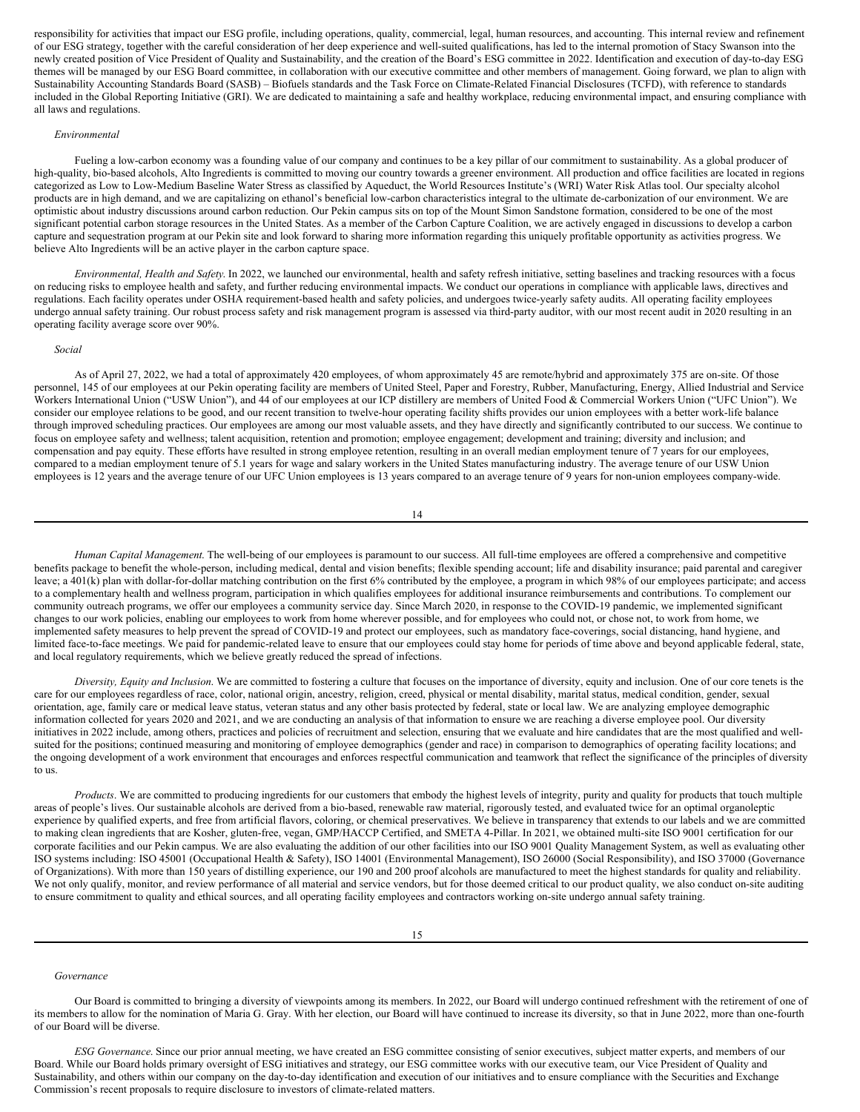responsibility for activities that impact our ESG profile, including operations, quality, commercial, legal, human resources, and accounting. This internal review and refinement of our ESG strategy, together with the careful consideration of her deep experience and well-suited qualifications, has led to the internal promotion of Stacy Swanson into the newly created position of Vice President of Quality and Sustainability, and the creation of the Board's ESG committee in 2022. Identification and execution of day-to-day ESG themes will be managed by our ESG Board committee, in collaboration with our executive committee and other members of management. Going forward, we plan to align with Sustainability Accounting Standards Board (SASB) – Biofuels standards and the Task Force on Climate-Related Financial Disclosures (TCFD), with reference to standards included in the Global Reporting Initiative (GRI). We are dedicated to maintaining a safe and healthy workplace, reducing environmental impact, and ensuring compliance with all laws and regulations.

## *Environmental*

Fueling a low-carbon economy was a founding value of our company and continues to be a key pillar of our commitment to sustainability. As a global producer of high-quality, bio-based alcohols, Alto Ingredients is committed to moving our country towards a greener environment. All production and office facilities are located in regions categorized as Low to Low-Medium Baseline Water Stress as classified by Aqueduct, the World Resources Institute's (WRI) Water Risk Atlas tool. Our specialty alcohol products are in high demand, and we are capitalizing on ethanol's beneficial low-carbon characteristics integral to the ultimate de-carbonization of our environment. We are optimistic about industry discussions around carbon reduction. Our Pekin campus sits on top of the Mount Simon Sandstone formation, considered to be one of the most significant potential carbon storage resources in the United States. As a member of the Carbon Capture Coalition, we are actively engaged in discussions to develop a carbon capture and sequestration program at our Pekin site and look forward to sharing more information regarding this uniquely profitable opportunity as activities progress. We believe Alto Ingredients will be an active player in the carbon capture space.

*Environmental, Health and Safety*. In 2022, we launched our environmental, health and safety refresh initiative, setting baselines and tracking resources with a focus on reducing risks to employee health and safety, and further reducing environmental impacts. We conduct our operations in compliance with applicable laws, directives and regulations. Each facility operates under OSHA requirement-based health and safety policies, and undergoes twice-yearly safety audits. All operating facility employees undergo annual safety training. Our robust process safety and risk management program is assessed via third-party auditor, with our most recent audit in 2020 resulting in an operating facility average score over 90%.

#### *Social*

As of April 27, 2022, we had a total of approximately 420 employees, of whom approximately 45 are remote/hybrid and approximately 375 are on-site. Of those personnel, 145 of our employees at our Pekin operating facility are members of United Steel, Paper and Forestry, Rubber, Manufacturing, Energy, Allied Industrial and Service Workers International Union ("USW Union"), and 44 of our employees at our ICP distillery are members of United Food & Commercial Workers Union ("UFC Union"). We consider our employee relations to be good, and our recent transition to twelve-hour operating facility shifts provides our union employees with a better work-life balance through improved scheduling practices. Our employees are among our most valuable assets, and they have directly and significantly contributed to our success. We continue to focus on employee safety and wellness; talent acquisition, retention and promotion; employee engagement; development and training; diversity and inclusion; and compensation and pay equity. These efforts have resulted in strong employee retention, resulting in an overall median employment tenure of 7 years for our employees, compared to a median employment tenure of 5.1 years for wage and salary workers in the United States manufacturing industry. The average tenure of our USW Union employees is 12 years and the average tenure of our UFC Union employees is 13 years compared to an average tenure of 9 years for non-union employees company-wide.

14

*Human Capital Management*. The well-being of our employees is paramount to our success. All full-time employees are offered a comprehensive and competitive benefits package to benefit the whole-person, including medical, dental and vision benefits; flexible spending account; life and disability insurance; paid parental and caregiver leave; a 401(k) plan with dollar-for-dollar matching contribution on the first 6% contributed by the employee, a program in which 98% of our employees participate; and access to a complementary health and wellness program, participation in which qualifies employees for additional insurance reimbursements and contributions. To complement our community outreach programs, we offer our employees a community service day. Since March 2020, in response to the COVID-19 pandemic, we implemented significant changes to our work policies, enabling our employees to work from home wherever possible, and for employees who could not, or chose not, to work from home, we implemented safety measures to help prevent the spread of COVID-19 and protect our employees, such as mandatory face-coverings, social distancing, hand hygiene, and limited face-to-face meetings. We paid for pandemic-related leave to ensure that our employees could stay home for periods of time above and beyond applicable federal, state, and local regulatory requirements, which we believe greatly reduced the spread of infections.

*Diversity, Equity and Inclusion*. We are committed to fostering a culture that focuses on the importance of diversity, equity and inclusion. One of our core tenets is the care for our employees regardless of race, color, national origin, ancestry, religion, creed, physical or mental disability, marital status, medical condition, gender, sexual orientation, age, family care or medical leave status, veteran status and any other basis protected by federal, state or local law. We are analyzing employee demographic information collected for years 2020 and 2021, and we are conducting an analysis of that information to ensure we are reaching a diverse employee pool. Our diversity initiatives in 2022 include, among others, practices and policies of recruitment and selection, ensuring that we evaluate and hire candidates that are the most qualified and wellsuited for the positions; continued measuring and monitoring of employee demographics (gender and race) in comparison to demographics of operating facility locations; and the ongoing development of a work environment that encourages and enforces respectful communication and teamwork that reflect the significance of the principles of diversity to us.

*Products*. We are committed to producing ingredients for our customers that embody the highest levels of integrity, purity and quality for products that touch multiple areas of people's lives. Our sustainable alcohols are derived from a bio-based, renewable raw material, rigorously tested, and evaluated twice for an optimal organoleptic experience by qualified experts, and free from artificial flavors, coloring, or chemical preservatives. We believe in transparency that extends to our labels and we are committed to making clean ingredients that are Kosher, gluten-free, vegan, GMP/HACCP Certified, and SMETA 4-Pillar. In 2021, we obtained multi-site ISO 9001 certification for our corporate facilities and our Pekin campus. We are also evaluating the addition of our other facilities into our ISO 9001 Quality Management System, as well as evaluating other ISO systems including: ISO 45001 (Occupational Health & Safety), ISO 14001 (Environmental Management), ISO 26000 (Social Responsibility), and ISO 37000 (Governance of Organizations). With more than 150 years of distilling experience, our 190 and 200 proof alcohols are manufactured to meet the highest standards for quality and reliability. We not only qualify, monitor, and review performance of all material and service vendors, but for those deemed critical to our product quality, we also conduct on-site auditing to ensure commitment to quality and ethical sources, and all operating facility employees and contractors working on-site undergo annual safety training.

*Governance*

Our Board is committed to bringing a diversity of viewpoints among its members. In 2022, our Board will undergo continued refreshment with the retirement of one of its members to allow for the nomination of Maria G. Gray. With her election, our Board will have continued to increase its diversity, so that in June 2022, more than one-fourth of our Board will be diverse.

*ESG Governance*. Since our prior annual meeting, we have created an ESG committee consisting of senior executives, subject matter experts, and members of our Board. While our Board holds primary oversight of ESG initiatives and strategy, our ESG committee works with our executive team, our Vice President of Quality and Sustainability, and others within our company on the day-to-day identification and execution of our initiatives and to ensure compliance with the Securities and Exchange Commission's recent proposals to require disclosure to investors of climate-related matters.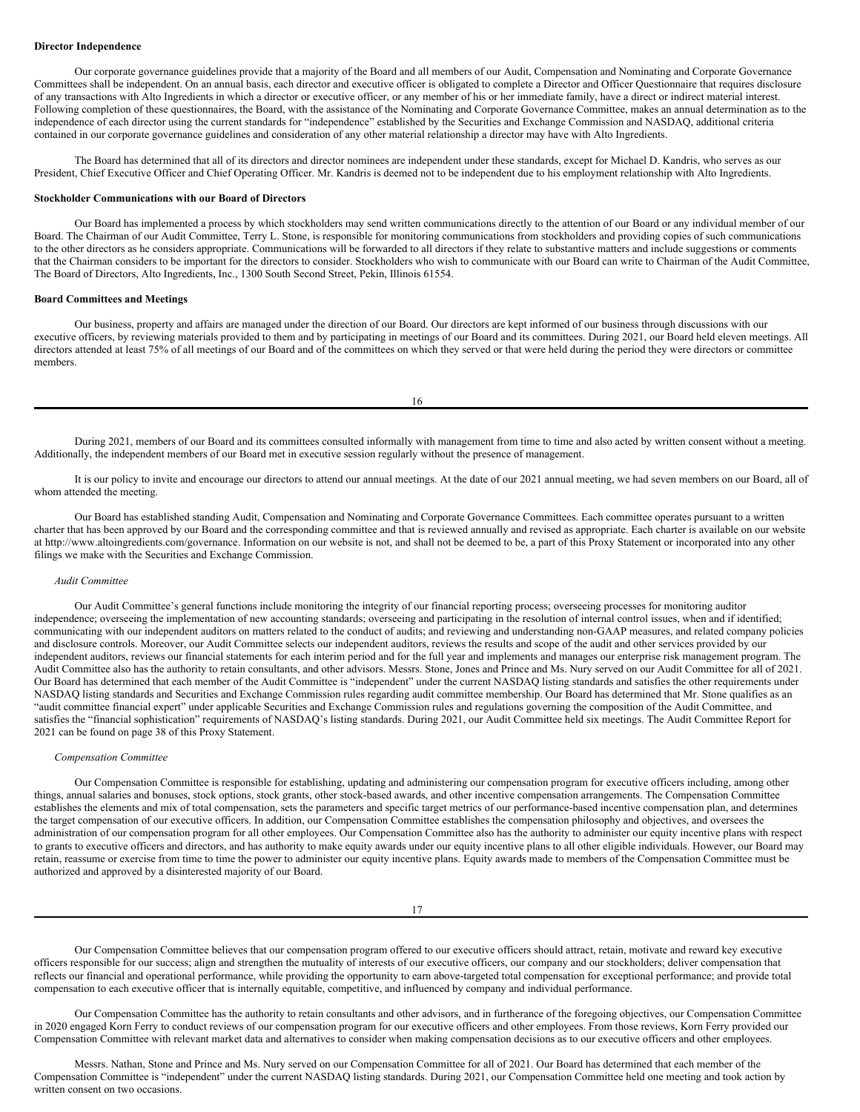## **Director Independence**

Our corporate governance guidelines provide that a majority of the Board and all members of our Audit, Compensation and Nominating and Corporate Governance Committees shall be independent. On an annual basis, each director and executive officer is obligated to complete a Director and Officer Questionnaire that requires disclosure of any transactions with Alto Ingredients in which a director or executive officer, or any member of his or her immediate family, have a direct or indirect material interest. Following completion of these questionnaires, the Board, with the assistance of the Nominating and Corporate Governance Committee, makes an annual determination as to the independence of each director using the current standards for "independence" established by the Securities and Exchange Commission and NASDAQ, additional criteria contained in our corporate governance guidelines and consideration of any other material relationship a director may have with Alto Ingredients.

The Board has determined that all of its directors and director nominees are independent under these standards, except for Michael D. Kandris, who serves as our President, Chief Executive Officer and Chief Operating Officer. Mr. Kandris is deemed not to be independent due to his employment relationship with Alto Ingredients.

## **Stockholder Communications with our Board of Directors**

Our Board has implemented a process by which stockholders may send written communications directly to the attention of our Board or any individual member of our Board. The Chairman of our Audit Committee, Terry L. Stone, is responsible for monitoring communications from stockholders and providing copies of such communications to the other directors as he considers appropriate. Communications will be forwarded to all directors if they relate to substantive matters and include suggestions or comments that the Chairman considers to be important for the directors to consider. Stockholders who wish to communicate with our Board can write to Chairman of the Audit Committee, The Board of Directors, Alto Ingredients, Inc., 1300 South Second Street, Pekin, Illinois 61554.

# **Board Committees and Meetings**

Our business, property and affairs are managed under the direction of our Board. Our directors are kept informed of our business through discussions with our executive officers, by reviewing materials provided to them and by participating in meetings of our Board and its committees. During 2021, our Board held eleven meetings. All directors attended at least 75% of all meetings of our Board and of the committees on which they served or that were held during the period they were directors or committee members.

16

During 2021, members of our Board and its committees consulted informally with management from time to time and also acted by written consent without a meeting. Additionally, the independent members of our Board met in executive session regularly without the presence of management.

It is our policy to invite and encourage our directors to attend our annual meetings. At the date of our 2021 annual meeting, we had seven members on our Board, all of whom attended the meeting.

Our Board has established standing Audit, Compensation and Nominating and Corporate Governance Committees. Each committee operates pursuant to a written charter that has been approved by our Board and the corresponding committee and that is reviewed annually and revised as appropriate. Each charter is available on our website at http://www.altoingredients.com/governance. Information on our website is not, and shall not be deemed to be, a part of this Proxy Statement or incorporated into any other filings we make with the Securities and Exchange Commission.

### *Audit Committee*

Our Audit Committee's general functions include monitoring the integrity of our financial reporting process; overseeing processes for monitoring auditor independence; overseeing the implementation of new accounting standards; overseeing and participating in the resolution of internal control issues, when and if identified; communicating with our independent auditors on matters related to the conduct of audits; and reviewing and understanding non-GAAP measures, and related company policies and disclosure controls. Moreover, our Audit Committee selects our independent auditors, reviews the results and scope of the audit and other services provided by our independent auditors, reviews our financial statements for each interim period and for the full year and implements and manages our enterprise risk management program. The Audit Committee also has the authority to retain consultants, and other advisors. Messrs. Stone, Jones and Prince and Ms. Nury served on our Audit Committee for all of 2021. Our Board has determined that each member of the Audit Committee is "independent" under the current NASDAQ listing standards and satisfies the other requirements under NASDAQ listing standards and Securities and Exchange Commission rules regarding audit committee membership. Our Board has determined that Mr. Stone qualifies as an "audit committee financial expert" under applicable Securities and Exchange Commission rules and regulations governing the composition of the Audit Committee, and satisfies the "financial sophistication" requirements of NASDAQ's listing standards. During 2021, our Audit Committee held six meetings. The Audit Committee Report for 2021 can be found on page 38 of this Proxy Statement.

### *Compensation Committee*

Our Compensation Committee is responsible for establishing, updating and administering our compensation program for executive officers including, among other things, annual salaries and bonuses, stock options, stock grants, other stock-based awards, and other incentive compensation arrangements. The Compensation Committee establishes the elements and mix of total compensation, sets the parameters and specific target metrics of our performance-based incentive compensation plan, and determines the target compensation of our executive officers. In addition, our Compensation Committee establishes the compensation philosophy and objectives, and oversees the administration of our compensation program for all other employees. Our Compensation Committee also has the authority to administer our equity incentive plans with respect to grants to executive officers and directors, and has authority to make equity awards under our equity incentive plans to all other eligible individuals. However, our Board may retain, reassume or exercise from time to time the power to administer our equity incentive plans. Equity awards made to members of the Compensation Committee must be authorized and approved by a disinterested majority of our Board.

Our Compensation Committee believes that our compensation program offered to our executive officers should attract, retain, motivate and reward key executive officers responsible for our success; align and strengthen the mutuality of interests of our executive officers, our company and our stockholders; deliver compensation that reflects our financial and operational performance, while providing the opportunity to earn above-targeted total compensation for exceptional performance; and provide total compensation to each executive officer that is internally equitable, competitive, and influenced by company and individual performance.

Our Compensation Committee has the authority to retain consultants and other advisors, and in furtherance of the foregoing objectives, our Compensation Committee in 2020 engaged Korn Ferry to conduct reviews of our compensation program for our executive officers and other employees. From those reviews, Korn Ferry provided our Compensation Committee with relevant market data and alternatives to consider when making compensation decisions as to our executive officers and other employees.

Messrs. Nathan, Stone and Prince and Ms. Nury served on our Compensation Committee for all of 2021. Our Board has determined that each member of the Compensation Committee is "independent" under the current NASDAQ listing standards. During 2021, our Compensation Committee held one meeting and took action by written consent on two occasions.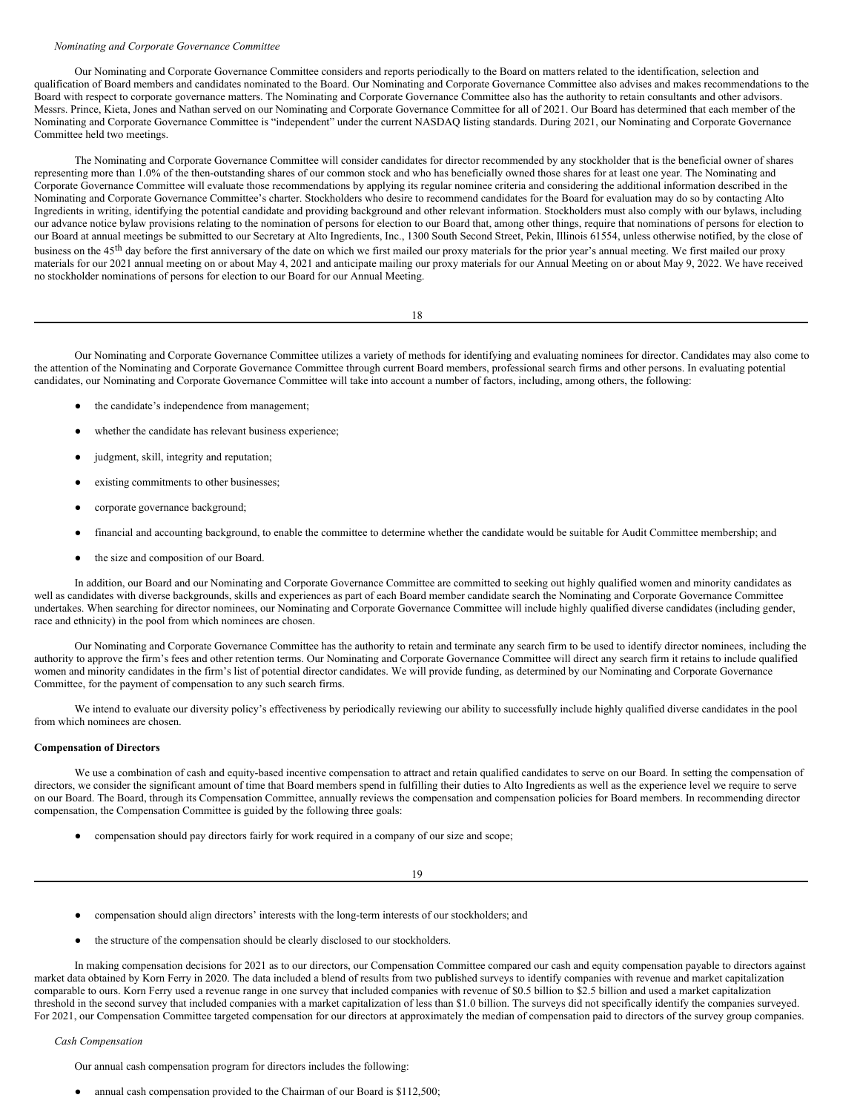### *Nominating and Corporate Governance Committee*

Our Nominating and Corporate Governance Committee considers and reports periodically to the Board on matters related to the identification, selection and qualification of Board members and candidates nominated to the Board. Our Nominating and Corporate Governance Committee also advises and makes recommendations to the Board with respect to corporate governance matters. The Nominating and Corporate Governance Committee also has the authority to retain consultants and other advisors. Messrs. Prince, Kieta, Jones and Nathan served on our Nominating and Corporate Governance Committee for all of 2021. Our Board has determined that each member of the Nominating and Corporate Governance Committee is "independent" under the current NASDAQ listing standards. During 2021, our Nominating and Corporate Governance Committee held two meetings.

The Nominating and Corporate Governance Committee will consider candidates for director recommended by any stockholder that is the beneficial owner of shares representing more than 1.0% of the then-outstanding shares of our common stock and who has beneficially owned those shares for at least one year. The Nominating and Corporate Governance Committee will evaluate those recommendations by applying its regular nominee criteria and considering the additional information described in the Nominating and Corporate Governance Committee's charter. Stockholders who desire to recommend candidates for the Board for evaluation may do so by contacting Alto Ingredients in writing, identifying the potential candidate and providing background and other relevant information. Stockholders must also comply with our bylaws, including our advance notice bylaw provisions relating to the nomination of persons for election to our Board that, among other things, require that nominations of persons for election to our Board at annual meetings be submitted to our Secretary at Alto Ingredients, Inc., 1300 South Second Street, Pekin, Illinois 61554, unless otherwise notified, by the close of business on the 45<sup>th</sup> day before the first anniversary of the date on which we first mailed our proxy materials for the prior year's annual meeting. We first mailed our proxy materials for our 2021 annual meeting on or about May 4, 2021 and anticipate mailing our proxy materials for our Annual Meeting on or about May 9, 2022. We have received no stockholder nominations of persons for election to our Board for our Annual Meeting.

18

Our Nominating and Corporate Governance Committee utilizes a variety of methods for identifying and evaluating nominees for director. Candidates may also come to the attention of the Nominating and Corporate Governance Committee through current Board members, professional search firms and other persons. In evaluating potential candidates, our Nominating and Corporate Governance Committee will take into account a number of factors, including, among others, the following:

- the candidate's independence from management;
- whether the candidate has relevant business experience:
- judgment, skill, integrity and reputation;
- existing commitments to other businesses;
- corporate governance background;
- financial and accounting background, to enable the committee to determine whether the candidate would be suitable for Audit Committee membership; and
- the size and composition of our Board.

In addition, our Board and our Nominating and Corporate Governance Committee are committed to seeking out highly qualified women and minority candidates as well as candidates with diverse backgrounds, skills and experiences as part of each Board member candidate search the Nominating and Corporate Governance Committee undertakes. When searching for director nominees, our Nominating and Corporate Governance Committee will include highly qualified diverse candidates (including gender, race and ethnicity) in the pool from which nominees are chosen.

Our Nominating and Corporate Governance Committee has the authority to retain and terminate any search firm to be used to identify director nominees, including the authority to approve the firm's fees and other retention terms. Our Nominating and Corporate Governance Committee will direct any search firm it retains to include qualified women and minority candidates in the firm's list of potential director candidates. We will provide funding, as determined by our Nominating and Corporate Governance Committee, for the payment of compensation to any such search firms.

We intend to evaluate our diversity policy's effectiveness by periodically reviewing our ability to successfully include highly qualified diverse candidates in the pool from which nominees are chosen.

# **Compensation of Directors**

We use a combination of cash and equity-based incentive compensation to attract and retain qualified candidates to serve on our Board. In setting the compensation of directors, we consider the significant amount of time that Board members spend in fulfilling their duties to Alto Ingredients as well as the experience level we require to serve on our Board. The Board, through its Compensation Committee, annually reviews the compensation and compensation policies for Board members. In recommending director compensation, the Compensation Committee is guided by the following three goals:

● compensation should pay directors fairly for work required in a company of our size and scope;

## 19

- compensation should align directors' interests with the long-term interests of our stockholders; and
- the structure of the compensation should be clearly disclosed to our stockholders.

In making compensation decisions for 2021 as to our directors, our Compensation Committee compared our cash and equity compensation payable to directors against market data obtained by Korn Ferry in 2020. The data included a blend of results from two published surveys to identify companies with revenue and market capitalization comparable to ours. Korn Ferry used a revenue range in one survey that included companies with revenue of \$0.5 billion to \$2.5 billion and used a market capitalization threshold in the second survey that included companies with a market capitalization of less than \$1.0 billion. The surveys did not specifically identify the companies surveyed. For 2021, our Compensation Committee targeted compensation for our directors at approximately the median of compensation paid to directors of the survey group companies.

# *Cash Compensation*

Our annual cash compensation program for directors includes the following:

annual cash compensation provided to the Chairman of our Board is \$112,500;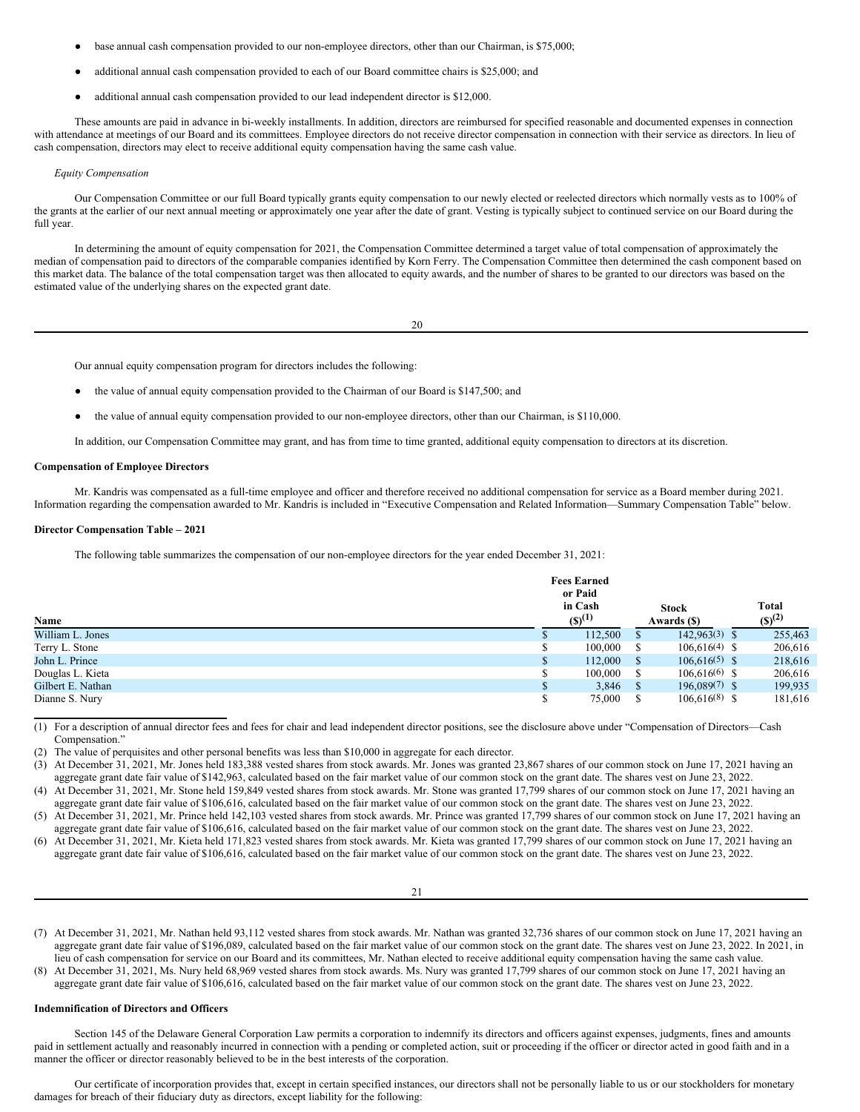- base annual cash compensation provided to our non-employee directors, other than our Chairman, is \$75,000;
- additional annual cash compensation provided to each of our Board committee chairs is \$25,000; and
- additional annual cash compensation provided to our lead independent director is \$12,000.

These amounts are paid in advance in bi-weekly installments. In addition, directors are reimbursed for specified reasonable and documented expenses in connection with attendance at meetings of our Board and its committees. Employee directors do not receive director compensation in connection with their service as directors. In lieu of cash compensation, directors may elect to receive additional equity compensation having the same cash value.

### *Equity Compensation*

Our Compensation Committee or our full Board typically grants equity compensation to our newly elected or reelected directors which normally vests as to 100% of the grants at the earlier of our next annual meeting or approximately one year after the date of grant. Vesting is typically subject to continued service on our Board during the full year.

In determining the amount of equity compensation for 2021, the Compensation Committee determined a target value of total compensation of approximately the median of compensation paid to directors of the comparable companies identified by Korn Ferry. The Compensation Committee then determined the cash component based on this market data. The balance of the total compensation target was then allocated to equity awards, and the number of shares to be granted to our directors was based on the estimated value of the underlying shares on the expected grant date.

20

Our annual equity compensation program for directors includes the following:

- the value of annual equity compensation provided to the Chairman of our Board is \$147,500; and
- the value of annual equity compensation provided to our non-employee directors, other than our Chairman, is \$110,000.

In addition, our Compensation Committee may grant, and has from time to time granted, additional equity compensation to directors at its discretion.

# **Compensation of Employee Directors**

Mr. Kandris was compensated as a full-time employee and officer and therefore received no additional compensation for service as a Board member during 2021. Information regarding the compensation awarded to Mr. Kandris is included in "Executive Compensation and Related Information—Summary Compensation Table" below.

# **Director Compensation Table – 2021**

The following table summarizes the compensation of our non-employee directors for the year ended December 31, 2021:

|                   | <b>Fees Earned</b> |              |     |                 |              |
|-------------------|--------------------|--------------|-----|-----------------|--------------|
|                   |                    | or Paid      |     |                 |              |
|                   |                    | in Cash      |     | <b>Stock</b>    | <b>Total</b> |
| Name              |                    | $(S)^{(1)}$  |     | Awards (\$)     | $(S)^{(2)}$  |
| William L. Jones  |                    | 112,500      |     | $142,963(3)$ \$ | 255,463      |
| Terry L. Stone    |                    | $100,000$ \$ |     | $106.616(4)$ \$ | 206,616      |
| John L. Prince    |                    | 112,000      | - S | $106.616(5)$ \$ | 218,616      |
| Douglas L. Kieta  |                    | $100,000$ \$ |     | $106.616(6)$ \$ | 206,616      |
| Gilbert E. Nathan |                    | $3,846$ \$   |     | $196.089(7)$ \$ | 199,935      |
| Dianne S. Nury    |                    | 75,000       |     | $106,616(8)$ \$ | 181,616      |

(1) For a description of annual director fees and fees for chair and lead independent director positions, see the disclosure above under "Compensation of Directors—Cash Compensation."

(2) The value of perquisites and other personal benefits was less than \$10,000 in aggregate for each director.

(3) At December 31, 2021, Mr. Jones held 183,388 vested shares from stock awards. Mr. Jones was granted 23,867 shares of our common stock on June 17, 2021 having an aggregate grant date fair value of \$142,963, calculated based on the fair market value of our common stock on the grant date. The shares vest on June 23, 2022. (4) At December 31, 2021, Mr. Stone held 159,849 vested shares from stock awards. Mr. Stone was granted 17,799 shares of our common stock on June 17, 2021 having an

aggregate grant date fair value of \$106,616, calculated based on the fair market value of our common stock on the grant date. The shares vest on June 23, 2022.

(5) At December 31, 2021, Mr. Prince held 142,103 vested shares from stock awards. Mr. Prince was granted 17,799 shares of our common stock on June 17, 2021 having an aggregate grant date fair value of \$106,616, calculated based on the fair market value of our common stock on the grant date. The shares vest on June 23, 2022.

(6) At December 31, 2021, Mr. Kieta held 171,823 vested shares from stock awards. Mr. Kieta was granted 17,799 shares of our common stock on June 17, 2021 having an aggregate grant date fair value of \$106,616, calculated based on the fair market value of our common stock on the grant date. The shares vest on June 23, 2022.

21

- (7) At December 31, 2021, Mr. Nathan held 93,112 vested shares from stock awards. Mr. Nathan was granted 32,736 shares of our common stock on June 17, 2021 having an aggregate grant date fair value of \$196,089, calculated based on the fair market value of our common stock on the grant date. The shares vest on June 23, 2022. In 2021, in lieu of cash compensation for service on our Board and its committees, Mr. Nathan elected to receive additional equity compensation having the same cash value.
- (8) At December 31, 2021, Ms. Nury held 68,969 vested shares from stock awards. Ms. Nury was granted 17,799 shares of our common stock on June 17, 2021 having an aggregate grant date fair value of \$106,616, calculated based on the fair market value of our common stock on the grant date. The shares vest on June 23, 2022.

### **Indemnification of Directors and Officers**

Section 145 of the Delaware General Corporation Law permits a corporation to indemnify its directors and officers against expenses, judgments, fines and amounts paid in settlement actually and reasonably incurred in connection with a pending or completed action, suit or proceeding if the officer or director acted in good faith and in a manner the officer or director reasonably believed to be in the best interests of the corporation.

Our certificate of incorporation provides that, except in certain specified instances, our directors shall not be personally liable to us or our stockholders for monetary damages for breach of their fiduciary duty as directors, except liability for the following: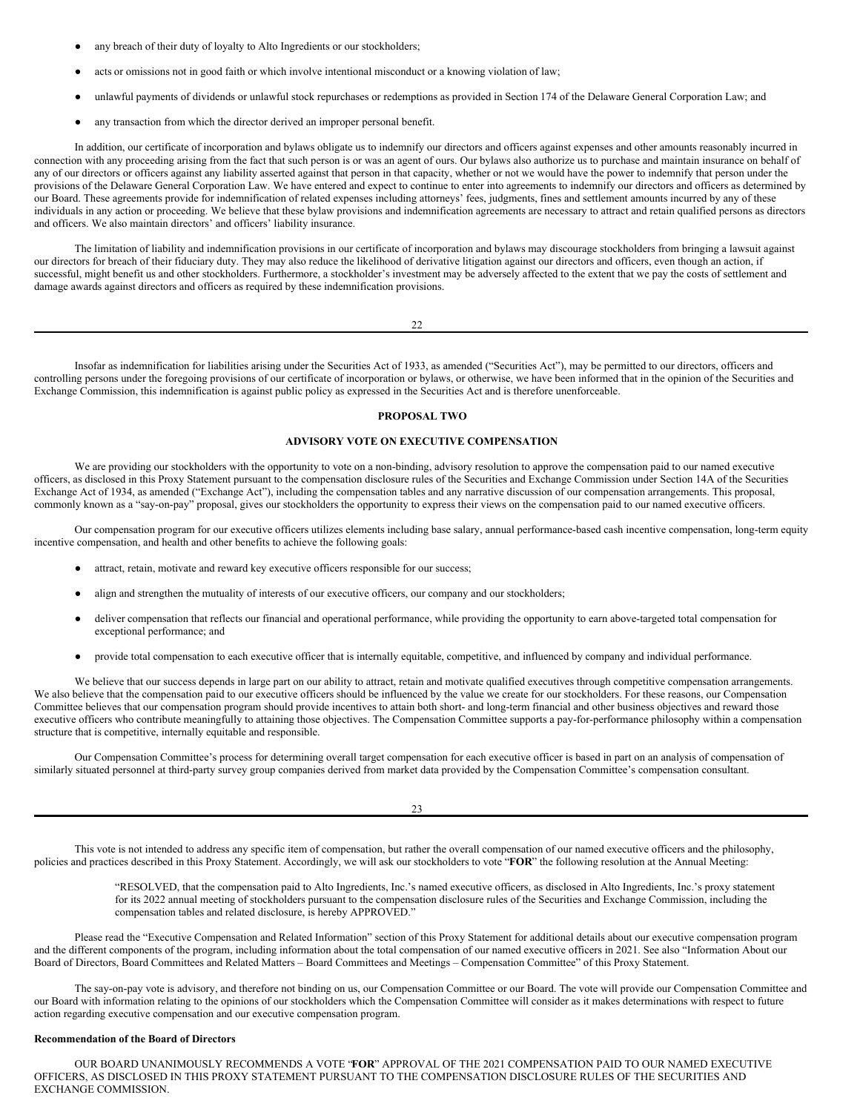- any breach of their duty of loyalty to Alto Ingredients or our stockholders;
- acts or omissions not in good faith or which involve intentional misconduct or a knowing violation of law;
- unlawful payments of dividends or unlawful stock repurchases or redemptions as provided in Section 174 of the Delaware General Corporation Law; and
- any transaction from which the director derived an improper personal benefit.

In addition, our certificate of incorporation and bylaws obligate us to indemnify our directors and officers against expenses and other amounts reasonably incurred in connection with any proceeding arising from the fact that such person is or was an agent of ours. Our bylaws also authorize us to purchase and maintain insurance on behalf of any of our directors or officers against any liability asserted against that person in that capacity, whether or not we would have the power to indemnify that person under the provisions of the Delaware General Corporation Law. We have entered and expect to continue to enter into agreements to indemnify our directors and officers as determined by our Board. These agreements provide for indemnification of related expenses including attorneys' fees, judgments, fines and settlement amounts incurred by any of these individuals in any action or proceeding. We believe that these bylaw provisions and indemnification agreements are necessary to attract and retain qualified persons as directors and officers. We also maintain directors' and officers' liability insurance.

The limitation of liability and indemnification provisions in our certificate of incorporation and bylaws may discourage stockholders from bringing a lawsuit against our directors for breach of their fiduciary duty. They may also reduce the likelihood of derivative litigation against our directors and officers, even though an action, if successful, might benefit us and other stockholders. Furthermore, a stockholder's investment may be adversely affected to the extent that we pay the costs of settlement and damage awards against directors and officers as required by these indemnification provisions.

| -- |
|----|
|    |

Insofar as indemnification for liabilities arising under the Securities Act of 1933, as amended ("Securities Act"), may be permitted to our directors, officers and controlling persons under the foregoing provisions of our certificate of incorporation or bylaws, or otherwise, we have been informed that in the opinion of the Securities and Exchange Commission, this indemnification is against public policy as expressed in the Securities Act and is therefore unenforceable.

# <span id="page-13-0"></span>**PROPOSAL TWO**

# **ADVISORY VOTE ON EXECUTIVE COMPENSATION**

We are providing our stockholders with the opportunity to vote on a non-binding, advisory resolution to approve the compensation paid to our named executive officers, as disclosed in this Proxy Statement pursuant to the compensation disclosure rules of the Securities and Exchange Commission under Section 14A of the Securities Exchange Act of 1934, as amended ("Exchange Act"), including the compensation tables and any narrative discussion of our compensation arrangements. This proposal, commonly known as a "say-on-pay" proposal, gives our stockholders the opportunity to express their views on the compensation paid to our named executive officers.

Our compensation program for our executive officers utilizes elements including base salary, annual performance-based cash incentive compensation, long-term equity incentive compensation, and health and other benefits to achieve the following goals:

- attract, retain, motivate and reward key executive officers responsible for our success;
- align and strengthen the mutuality of interests of our executive officers, our company and our stockholders;
- deliver compensation that reflects our financial and operational performance, while providing the opportunity to earn above-targeted total compensation for exceptional performance; and
- provide total compensation to each executive officer that is internally equitable, competitive, and influenced by company and individual performance.

We believe that our success depends in large part on our ability to attract, retain and motivate qualified executives through competitive compensation arrangements. We also believe that the compensation paid to our executive officers should be influenced by the value we create for our stockholders. For these reasons, our Compensation Committee believes that our compensation program should provide incentives to attain both short- and long-term financial and other business objectives and reward those executive officers who contribute meaningfully to attaining those objectives. The Compensation Committee supports a pay-for-performance philosophy within a compensation structure that is competitive, internally equitable and responsible.

Our Compensation Committee's process for determining overall target compensation for each executive officer is based in part on an analysis of compensation of similarly situated personnel at third-party survey group companies derived from market data provided by the Compensation Committee's compensation consultant.

23

This vote is not intended to address any specific item of compensation, but rather the overall compensation of our named executive officers and the philosophy, policies and practices described in this Proxy Statement. Accordingly, we will ask our stockholders to vote "**FOR**" the following resolution at the Annual Meeting:

> "RESOLVED, that the compensation paid to Alto Ingredients, Inc.'s named executive officers, as disclosed in Alto Ingredients, Inc.'s proxy statement for its 2022 annual meeting of stockholders pursuant to the compensation disclosure rules of the Securities and Exchange Commission, including the compensation tables and related disclosure, is hereby APPROVED."

Please read the "Executive Compensation and Related Information" section of this Proxy Statement for additional details about our executive compensation program and the different components of the program, including information about the total compensation of our named executive officers in 2021. See also "Information About our Board of Directors, Board Committees and Related Matters – Board Committees and Meetings – Compensation Committee" of this Proxy Statement.

The say-on-pay vote is advisory, and therefore not binding on us, our Compensation Committee or our Board. The vote will provide our Compensation Committee and our Board with information relating to the opinions of our stockholders which the Compensation Committee will consider as it makes determinations with respect to future action regarding executive compensation and our executive compensation program.

# **Recommendation of the Board of Directors**

OUR BOARD UNANIMOUSLY RECOMMENDS A VOTE "**FOR**" APPROVAL OF THE 2021 COMPENSATION PAID TO OUR NAMED EXECUTIVE OFFICERS, AS DISCLOSED IN THIS PROXY STATEMENT PURSUANT TO THE COMPENSATION DISCLOSURE RULES OF THE SECURITIES AND EXCHANGE COMMISSION.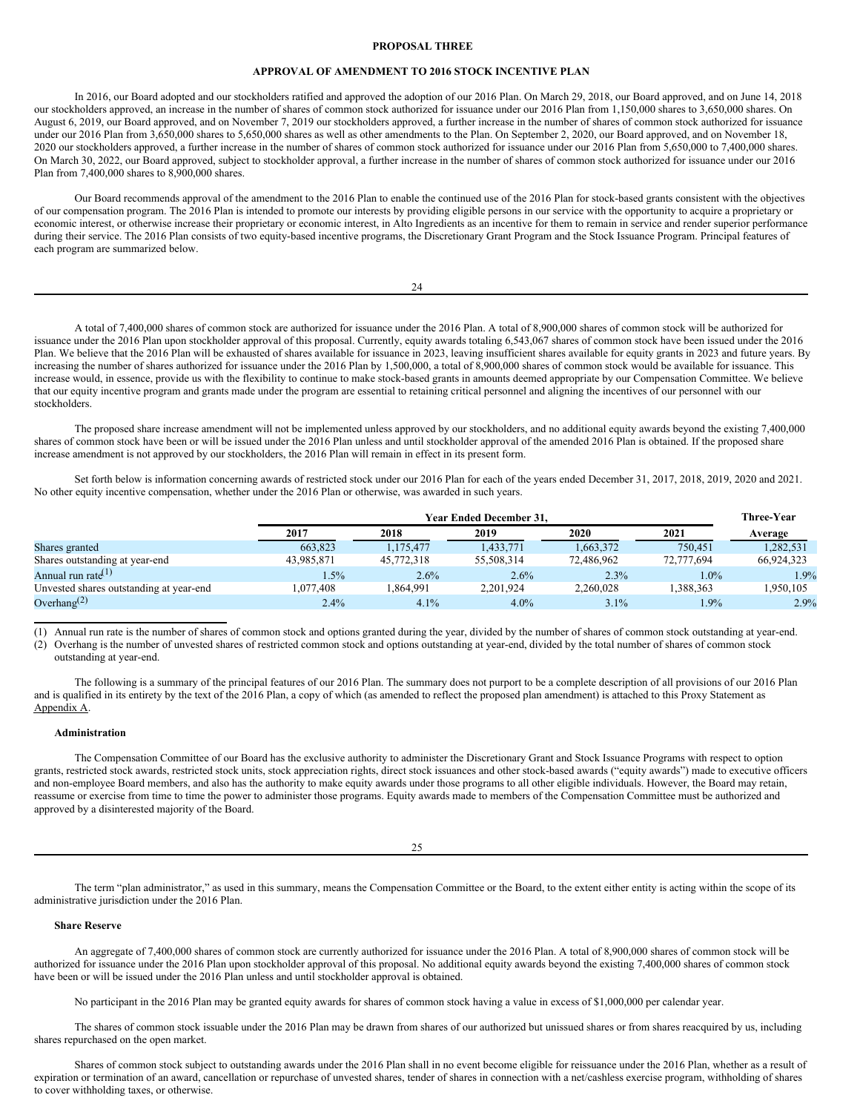## <span id="page-14-0"></span>**PROPOSAL THREE**

# **APPROVAL OF AMENDMENT TO 2016 STOCK INCENTIVE PLAN**

In 2016, our Board adopted and our stockholders ratified and approved the adoption of our 2016 Plan. On March 29, 2018, our Board approved, and on June 14, 2018 our stockholders approved, an increase in the number of shares of common stock authorized for issuance under our 2016 Plan from 1,150,000 shares to 3,650,000 shares. On August 6, 2019, our Board approved, and on November 7, 2019 our stockholders approved, a further increase in the number of shares of common stock authorized for issuance under our 2016 Plan from 3,650,000 shares to 5,650,000 shares as well as other amendments to the Plan. On September 2, 2020, our Board approved, and on November 18, 2020 our stockholders approved, a further increase in the number of shares of common stock authorized for issuance under our 2016 Plan from 5,650,000 to 7,400,000 shares. On March 30, 2022, our Board approved, subject to stockholder approval, a further increase in the number of shares of common stock authorized for issuance under our 2016 Plan from 7,400,000 shares to 8,900,000 shares.

Our Board recommends approval of the amendment to the 2016 Plan to enable the continued use of the 2016 Plan for stock-based grants consistent with the objectives of our compensation program. The 2016 Plan is intended to promote our interests by providing eligible persons in our service with the opportunity to acquire a proprietary or economic interest, or otherwise increase their proprietary or economic interest, in Alto Ingredients as an incentive for them to remain in service and render superior performance during their service. The 2016 Plan consists of two equity-based incentive programs, the Discretionary Grant Program and the Stock Issuance Program. Principal features of each program are summarized below.

| - |
|---|
|   |
|   |

A total of 7,400,000 shares of common stock are authorized for issuance under the 2016 Plan. A total of 8,900,000 shares of common stock will be authorized for issuance under the 2016 Plan upon stockholder approval of this proposal. Currently, equity awards totaling 6,543,067 shares of common stock have been issued under the 2016 Plan. We believe that the 2016 Plan will be exhausted of shares available for issuance in 2023, leaving insufficient shares available for equity grants in 2023 and future years. By increasing the number of shares authorized for issuance under the 2016 Plan by 1,500,000, a total of 8,900,000 shares of common stock would be available for issuance. This increase would, in essence, provide us with the flexibility to continue to make stock-based grants in amounts deemed appropriate by our Compensation Committee. We believe that our equity incentive program and grants made under the program are essential to retaining critical personnel and aligning the incentives of our personnel with our stockholders.

The proposed share increase amendment will not be implemented unless approved by our stockholders, and no additional equity awards beyond the existing 7,400,000 shares of common stock have been or will be issued under the 2016 Plan unless and until stockholder approval of the amended 2016 Plan is obtained. If the proposed share increase amendment is not approved by our stockholders, the 2016 Plan will remain in effect in its present form.

Set forth below is information concerning awards of restricted stock under our 2016 Plan for each of the years ended December 31, 2017, 2018, 2019, 2020 and 2021. No other equity incentive compensation, whether under the 2016 Plan or otherwise, was awarded in such years.

|                                         | <b>Year Ended December 31.</b> |            |            |            | <b>Three-Year</b> |            |
|-----------------------------------------|--------------------------------|------------|------------|------------|-------------------|------------|
|                                         | 2017                           | 2018       | 2019       | 2020       | 2021              | Average    |
| Shares granted                          | 663.823                        | 1.175.477  | 1,433,771  | 1.663.372  | 750.451           | 1,282,531  |
| Shares outstanding at year-end          | 43.985.871                     | 45,772,318 | 55.508.314 | 72,486,962 | 72,777,694        | 66,924,323 |
| Annual run rate <sup>(1)</sup>          | 1.5%                           | 2.6%       | 2.6%       | 2.3%       | $1.0\%$           | 1.9%       |
| Unvested shares outstanding at year-end | 1.077.408                      | 1.864.991  | 2.201.924  | 2,260,028  | .388.363          | .950.105   |
| Overhang <sup>(2)</sup>                 | 2.4%                           | 4.1%       | 4.0%       | 3.1%       | 1.9%              | 2.9%       |

(1) Annual run rate is the number of shares of common stock and options granted during the year, divided by the number of shares of common stock outstanding at year-end. (2) Overhang is the number of unvested shares of restricted common stock and options outstanding at year-end, divided by the total number of shares of common stock

outstanding at year-end.

The following is a summary of the principal features of our 2016 Plan. The summary does not purport to be a complete description of all provisions of our 2016 Plan and is qualified in its entirety by the text of the 2016 Plan, a copy of which (as amended to reflect the proposed plan amendment) is attached to this Proxy Statement as Appendix A.

## **Administration**

The Compensation Committee of our Board has the exclusive authority to administer the Discretionary Grant and Stock Issuance Programs with respect to option grants, restricted stock awards, restricted stock units, stock appreciation rights, direct stock issuances and other stock-based awards ("equity awards") made to executive officers and non-employee Board members, and also has the authority to make equity awards under those programs to all other eligible individuals. However, the Board may retain, reassume or exercise from time to time the power to administer those programs. Equity awards made to members of the Compensation Committee must be authorized and approved by a disinterested majority of the Board.

 $25$ 

The term "plan administrator," as used in this summary, means the Compensation Committee or the Board, to the extent either entity is acting within the scope of its administrative jurisdiction under the 2016 Plan.

# **Share Reserve**

An aggregate of 7,400,000 shares of common stock are currently authorized for issuance under the 2016 Plan. A total of 8,900,000 shares of common stock will be authorized for issuance under the 2016 Plan upon stockholder approval of this proposal. No additional equity awards beyond the existing 7,400,000 shares of common stock have been or will be issued under the 2016 Plan unless and until stockholder approval is obtained.

No participant in the 2016 Plan may be granted equity awards for shares of common stock having a value in excess of \$1,000,000 per calendar year.

The shares of common stock issuable under the 2016 Plan may be drawn from shares of our authorized but unissued shares or from shares reacquired by us, including shares repurchased on the open market.

Shares of common stock subject to outstanding awards under the 2016 Plan shall in no event become eligible for reissuance under the 2016 Plan, whether as a result of expiration or termination of an award, cancellation or repurchase of unvested shares, tender of shares in connection with a net/cashless exercise program, withholding of shares to cover withholding taxes, or otherwise.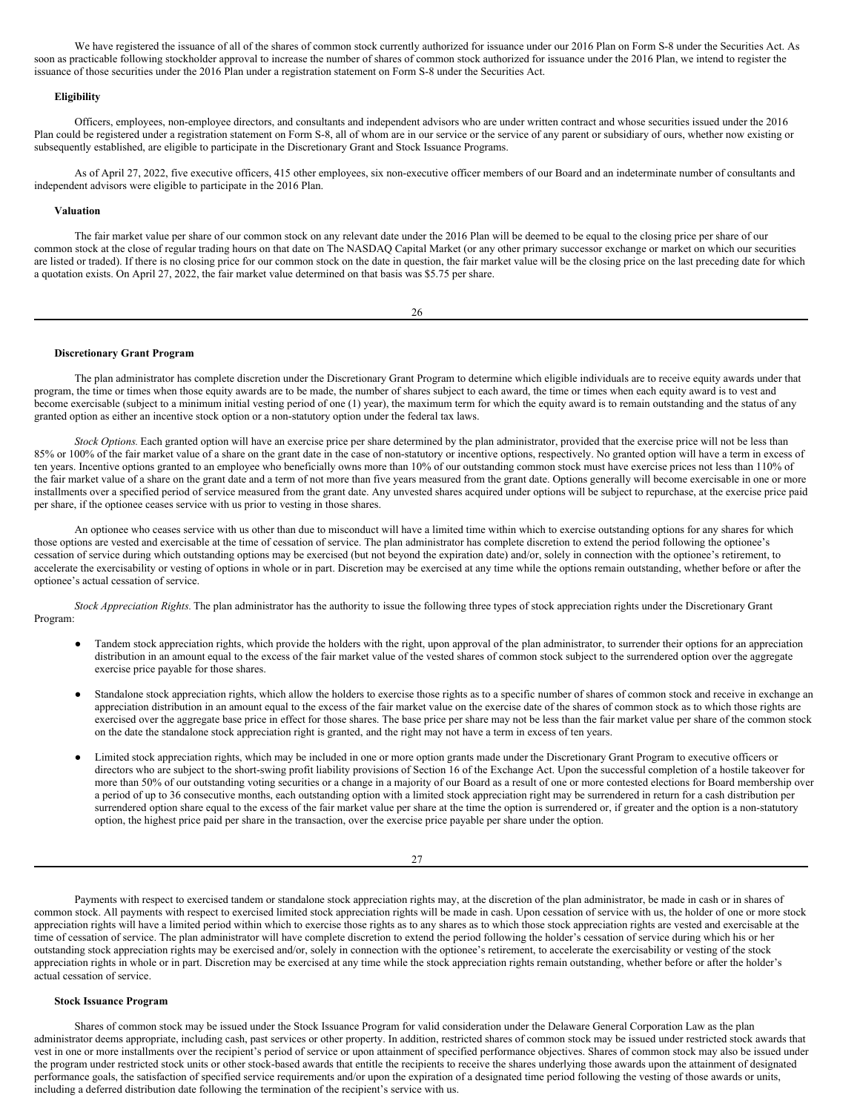We have registered the issuance of all of the shares of common stock currently authorized for issuance under our 2016 Plan on Form S-8 under the Securities Act. As soon as practicable following stockholder approval to increase the number of shares of common stock authorized for issuance under the 2016 Plan, we intend to register the issuance of those securities under the 2016 Plan under a registration statement on Form S-8 under the Securities Act.

## **Eligibility**

Officers, employees, non-employee directors, and consultants and independent advisors who are under written contract and whose securities issued under the 2016 Plan could be registered under a registration statement on Form S-8, all of whom are in our service or the service of any parent or subsidiary of ours, whether now existing or subsequently established, are eligible to participate in the Discretionary Grant and Stock Issuance Programs.

As of April 27, 2022, five executive officers, 415 other employees, six non-executive officer members of our Board and an indeterminate number of consultants and independent advisors were eligible to participate in the 2016 Plan.

### **Valuation**

The fair market value per share of our common stock on any relevant date under the 2016 Plan will be deemed to be equal to the closing price per share of our common stock at the close of regular trading hours on that date on The NASDAQ Capital Market (or any other primary successor exchange or market on which our securities are listed or traded). If there is no closing price for our common stock on the date in question, the fair market value will be the closing price on the last preceding date for which a quotation exists. On April 27, 2022, the fair market value determined on that basis was \$5.75 per share.

26

### **Discretionary Grant Program**

The plan administrator has complete discretion under the Discretionary Grant Program to determine which eligible individuals are to receive equity awards under that program, the time or times when those equity awards are to be made, the number of shares subject to each award, the time or times when each equity award is to vest and become exercisable (subject to a minimum initial vesting period of one (1) year), the maximum term for which the equity award is to remain outstanding and the status of any granted option as either an incentive stock option or a non-statutory option under the federal tax laws.

*Stock Options.* Each granted option will have an exercise price per share determined by the plan administrator, provided that the exercise price will not be less than 85% or 100% of the fair market value of a share on the grant date in the case of non-statutory or incentive options, respectively. No granted option will have a term in excess of ten years. Incentive options granted to an employee who beneficially owns more than 10% of our outstanding common stock must have exercise prices not less than 110% of the fair market value of a share on the grant date and a term of not more than five years measured from the grant date. Options generally will become exercisable in one or more installments over a specified period of service measured from the grant date. Any unvested shares acquired under options will be subject to repurchase, at the exercise price paid per share, if the optionee ceases service with us prior to vesting in those shares.

An optionee who ceases service with us other than due to misconduct will have a limited time within which to exercise outstanding options for any shares for which those options are vested and exercisable at the time of cessation of service. The plan administrator has complete discretion to extend the period following the optionee's cessation of service during which outstanding options may be exercised (but not beyond the expiration date) and/or, solely in connection with the optionee's retirement, to accelerate the exercisability or vesting of options in whole or in part. Discretion may be exercised at any time while the options remain outstanding, whether before or after the optionee's actual cessation of service.

*Stock Appreciation Rights.* The plan administrator has the authority to issue the following three types of stock appreciation rights under the Discretionary Grant Program:

- Tandem stock appreciation rights, which provide the holders with the right, upon approval of the plan administrator, to surrender their options for an appreciation distribution in an amount equal to the excess of the fair market value of the vested shares of common stock subject to the surrendered option over the aggregate exercise price payable for those shares.
- Standalone stock appreciation rights, which allow the holders to exercise those rights as to a specific number of shares of common stock and receive in exchange an appreciation distribution in an amount equal to the excess of the fair market value on the exercise date of the shares of common stock as to which those rights are exercised over the aggregate base price in effect for those shares. The base price per share may not be less than the fair market value per share of the common stock on the date the standalone stock appreciation right is granted, and the right may not have a term in excess of ten years.
- Limited stock appreciation rights, which may be included in one or more option grants made under the Discretionary Grant Program to executive officers or directors who are subject to the short-swing profit liability provisions of Section 16 of the Exchange Act. Upon the successful completion of a hostile takeover for more than 50% of our outstanding voting securities or a change in a majority of our Board as a result of one or more contested elections for Board membership over a period of up to 36 consecutive months, each outstanding option with a limited stock appreciation right may be surrendered in return for a cash distribution per surrendered option share equal to the excess of the fair market value per share at the time the option is surrendered or, if greater and the option is a non-statutory option, the highest price paid per share in the transaction, over the exercise price payable per share under the option.

27

Payments with respect to exercised tandem or standalone stock appreciation rights may, at the discretion of the plan administrator, be made in cash or in shares of common stock. All payments with respect to exercised limited stock appreciation rights will be made in cash. Upon cessation of service with us, the holder of one or more stock appreciation rights will have a limited period within which to exercise those rights as to any shares as to which those stock appreciation rights are vested and exercisable at the time of cessation of service. The plan administrator will have complete discretion to extend the period following the holder's cessation of service during which his or her outstanding stock appreciation rights may be exercised and/or, solely in connection with the optionee's retirement, to accelerate the exercisability or vesting of the stock appreciation rights in whole or in part. Discretion may be exercised at any time while the stock appreciation rights remain outstanding, whether before or after the holder's actual cessation of service.

### **Stock Issuance Program**

Shares of common stock may be issued under the Stock Issuance Program for valid consideration under the Delaware General Corporation Law as the plan administrator deems appropriate, including cash, past services or other property. In addition, restricted shares of common stock may be issued under restricted stock awards that vest in one or more installments over the recipient's period of service or upon attainment of specified performance objectives. Shares of common stock may also be issued under the program under restricted stock units or other stock-based awards that entitle the recipients to receive the shares underlying those awards upon the attainment of designated performance goals, the satisfaction of specified service requirements and/or upon the expiration of a designated time period following the vesting of those awards or units, including a deferred distribution date following the termination of the recipient's service with us.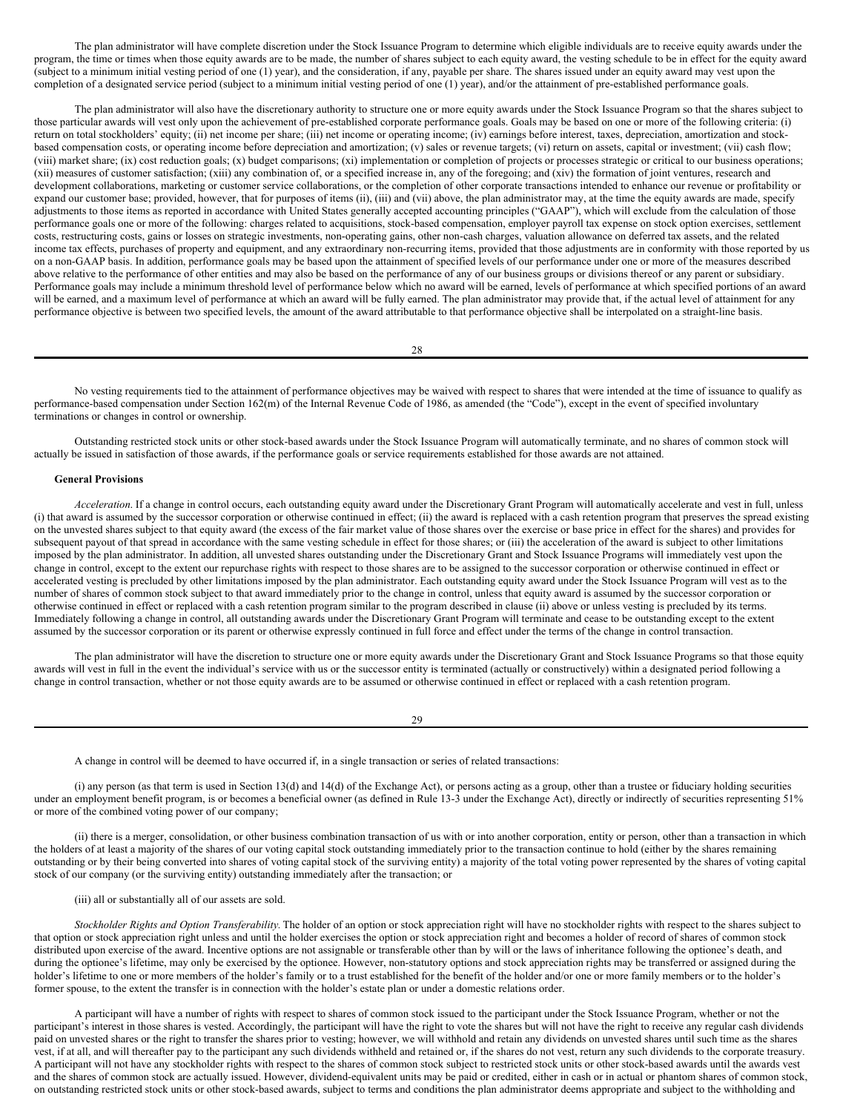The plan administrator will have complete discretion under the Stock Issuance Program to determine which eligible individuals are to receive equity awards under the program, the time or times when those equity awards are to be made, the number of shares subject to each equity award, the vesting schedule to be in effect for the equity award (subject to a minimum initial vesting period of one (1) year), and the consideration, if any, payable per share. The shares issued under an equity award may vest upon the completion of a designated service period (subject to a minimum initial vesting period of one (1) year), and/or the attainment of pre-established performance goals.

The plan administrator will also have the discretionary authority to structure one or more equity awards under the Stock Issuance Program so that the shares subject to those particular awards will vest only upon the achievement of pre-established corporate performance goals. Goals may be based on one or more of the following criteria: (i) return on total stockholders' equity; (ii) net income per share; (iii) net income or operating income; (iv) earnings before interest, taxes, depreciation, amortization and stockbased compensation costs, or operating income before depreciation and amortization; (v) sales or revenue targets; (vi) return on assets, capital or investment; (vii) cash flow; (viii) market share; (ix) cost reduction goals; (x) budget comparisons; (xi) implementation or completion of projects or processes strategic or critical to our business operations; (xii) measures of customer satisfaction; (xiii) any combination of, or a specified increase in, any of the foregoing; and (xiv) the formation of joint ventures, research and development collaborations, marketing or customer service collaborations, or the completion of other corporate transactions intended to enhance our revenue or profitability or expand our customer base; provided, however, that for purposes of items (ii), (iii) and (vii) above, the plan administrator may, at the time the equity awards are made, specify adjustments to those items as reported in accordance with United States generally accepted accounting principles ("GAAP"), which will exclude from the calculation of those performance goals one or more of the following: charges related to acquisitions, stock-based compensation, employer payroll tax expense on stock option exercises, settlement costs, restructuring costs, gains or losses on strategic investments, non-operating gains, other non-cash charges, valuation allowance on deferred tax assets, and the related income tax effects, purchases of property and equipment, and any extraordinary non-recurring items, provided that those adjustments are in conformity with those reported by us on a non-GAAP basis. In addition, performance goals may be based upon the attainment of specified levels of our performance under one or more of the measures described above relative to the performance of other entities and may also be based on the performance of any of our business groups or divisions thereof or any parent or subsidiary. Performance goals may include a minimum threshold level of performance below which no award will be earned, levels of performance at which specified portions of an award will be earned, and a maximum level of performance at which an award will be fully earned. The plan administrator may provide that, if the actual level of attainment for any performance objective is between two specified levels, the amount of the award attributable to that performance objective shall be interpolated on a straight-line basis.

28

No vesting requirements tied to the attainment of performance objectives may be waived with respect to shares that were intended at the time of issuance to qualify as performance-based compensation under Section 162(m) of the Internal Revenue Code of 1986, as amended (the "Code"), except in the event of specified involuntary terminations or changes in control or ownership.

Outstanding restricted stock units or other stock-based awards under the Stock Issuance Program will automatically terminate, and no shares of common stock will actually be issued in satisfaction of those awards, if the performance goals or service requirements established for those awards are not attained.

### **General Provisions**

*Acceleration*. If a change in control occurs, each outstanding equity award under the Discretionary Grant Program will automatically accelerate and vest in full, unless (i) that award is assumed by the successor corporation or otherwise continued in effect; (ii) the award is replaced with a cash retention program that preserves the spread existing on the unvested shares subject to that equity award (the excess of the fair market value of those shares over the exercise or base price in effect for the shares) and provides for subsequent payout of that spread in accordance with the same vesting schedule in effect for those shares; or (iii) the acceleration of the award is subject to other limitations imposed by the plan administrator. In addition, all unvested shares outstanding under the Discretionary Grant and Stock Issuance Programs will immediately vest upon the change in control, except to the extent our repurchase rights with respect to those shares are to be assigned to the successor corporation or otherwise continued in effect or accelerated vesting is precluded by other limitations imposed by the plan administrator. Each outstanding equity award under the Stock Issuance Program will vest as to the number of shares of common stock subject to that award immediately prior to the change in control, unless that equity award is assumed by the successor corporation or otherwise continued in effect or replaced with a cash retention program similar to the program described in clause (ii) above or unless vesting is precluded by its terms. Immediately following a change in control, all outstanding awards under the Discretionary Grant Program will terminate and cease to be outstanding except to the extent assumed by the successor corporation or its parent or otherwise expressly continued in full force and effect under the terms of the change in control transaction.

The plan administrator will have the discretion to structure one or more equity awards under the Discretionary Grant and Stock Issuance Programs so that those equity awards will vest in full in the event the individual's service with us or the successor entity is terminated (actually or constructively) within a designated period following a change in control transaction, whether or not those equity awards are to be assumed or otherwise continued in effect or replaced with a cash retention program.

29

A change in control will be deemed to have occurred if, in a single transaction or series of related transactions:

(i) any person (as that term is used in Section 13(d) and 14(d) of the Exchange Act), or persons acting as a group, other than a trustee or fiduciary holding securities under an employment benefit program, is or becomes a beneficial owner (as defined in Rule 13-3 under the Exchange Act), directly or indirectly of securities representing 51% or more of the combined voting power of our company;

(ii) there is a merger, consolidation, or other business combination transaction of us with or into another corporation, entity or person, other than a transaction in which the holders of at least a majority of the shares of our voting capital stock outstanding immediately prior to the transaction continue to hold (either by the shares remaining outstanding or by their being converted into shares of voting capital stock of the surviving entity) a majority of the total voting power represented by the shares of voting capital stock of our company (or the surviving entity) outstanding immediately after the transaction; or

(iii) all or substantially all of our assets are sold.

*Stockholder Rights and Option Transferability.* The holder of an option or stock appreciation right will have no stockholder rights with respect to the shares subject to that option or stock appreciation right unless and until the holder exercises the option or stock appreciation right and becomes a holder of record of shares of common stock distributed upon exercise of the award. Incentive options are not assignable or transferable other than by will or the laws of inheritance following the optionee's death, and during the optionee's lifetime, may only be exercised by the optionee. However, non-statutory options and stock appreciation rights may be transferred or assigned during the holder's lifetime to one or more members of the holder's family or to a trust established for the benefit of the holder and/or one or more family members or to the holder's former spouse, to the extent the transfer is in connection with the holder's estate plan or under a domestic relations order.

A participant will have a number of rights with respect to shares of common stock issued to the participant under the Stock Issuance Program, whether or not the participant's interest in those shares is vested. Accordingly, the participant will have the right to vote the shares but will not have the right to receive any regular cash dividends paid on unvested shares or the right to transfer the shares prior to vesting; however, we will withhold and retain any dividends on unvested shares until such time as the shares vest, if at all, and will thereafter pay to the participant any such dividends withheld and retained or, if the shares do not vest, return any such dividends to the corporate treasury. A participant will not have any stockholder rights with respect to the shares of common stock subject to restricted stock units or other stock-based awards until the awards vest and the shares of common stock are actually issued. However, dividend-equivalent units may be paid or credited, either in cash or in actual or phantom shares of common stock, on outstanding restricted stock units or other stock-based awards, subject to terms and conditions the plan administrator deems appropriate and subject to the withholding and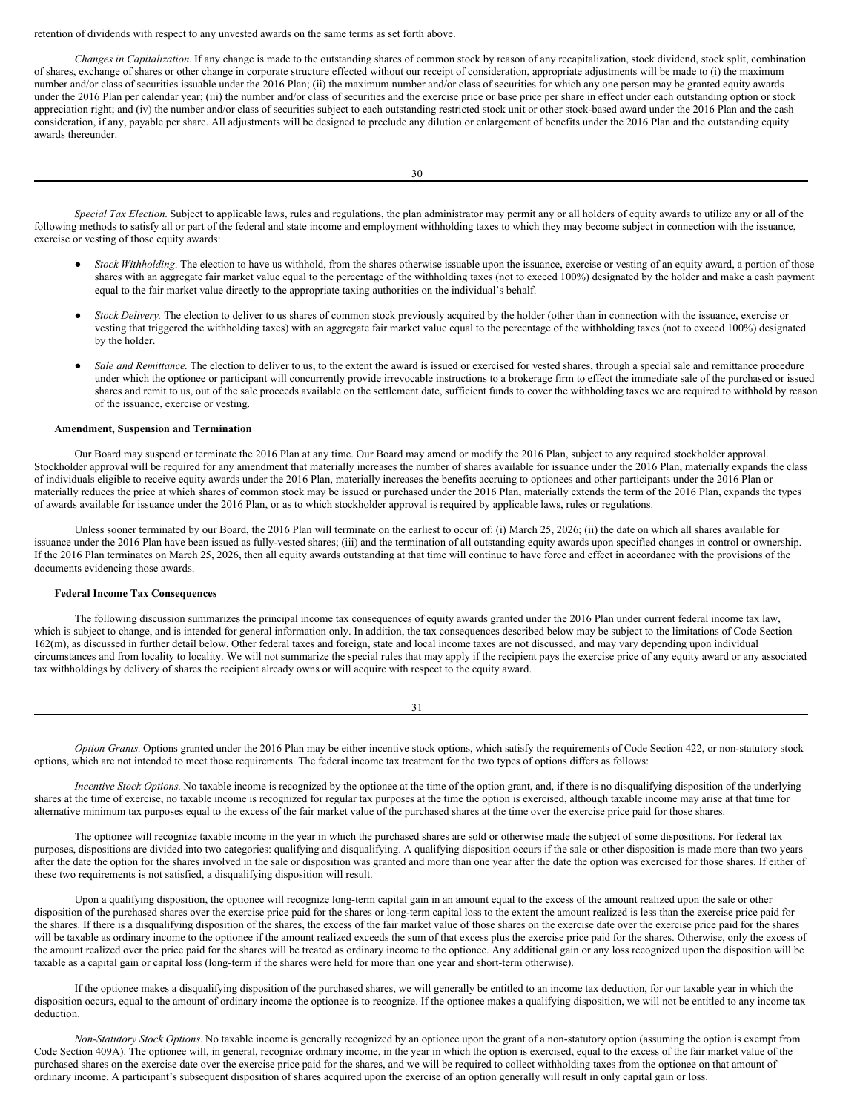retention of dividends with respect to any unvested awards on the same terms as set forth above.

*Changes in Capitalization.* If any change is made to the outstanding shares of common stock by reason of any recapitalization, stock dividend, stock split, combination of shares, exchange of shares or other change in corporate structure effected without our receipt of consideration, appropriate adjustments will be made to (i) the maximum number and/or class of securities issuable under the 2016 Plan; (ii) the maximum number and/or class of securities for which any one person may be granted equity awards under the 2016 Plan per calendar year; (iii) the number and/or class of securities and the exercise price or base price per share in effect under each outstanding option or stock appreciation right; and (iv) the number and/or class of securities subject to each outstanding restricted stock unit or other stock-based award under the 2016 Plan and the cash consideration, if any, payable per share. All adjustments will be designed to preclude any dilution or enlargement of benefits under the 2016 Plan and the outstanding equity awards thereunder.

*Special Tax Election.* Subject to applicable laws, rules and regulations, the plan administrator may permit any or all holders of equity awards to utilize any or all of the following methods to satisfy all or part of the federal and state income and employment withholding taxes to which they may become subject in connection with the issuance, exercise or vesting of those equity awards:

- *Stock Withholding*. The election to have us withhold, from the shares otherwise issuable upon the issuance, exercise or vesting of an equity award, a portion of those shares with an aggregate fair market value equal to the percentage of the withholding taxes (not to exceed 100%) designated by the holder and make a cash payment equal to the fair market value directly to the appropriate taxing authorities on the individual's behalf.
- *Stock Delivery*. The election to deliver to us shares of common stock previously acquired by the holder (other than in connection with the issuance, exercise or vesting that triggered the withholding taxes) with an aggregate fair market value equal to the percentage of the withholding taxes (not to exceed 100%) designated by the holder.
- Sale and Remittance. The election to deliver to us, to the extent the award is issued or exercised for vested shares, through a special sale and remittance procedure under which the optionee or participant will concurrently provide irrevocable instructions to a brokerage firm to effect the immediate sale of the purchased or issued shares and remit to us, out of the sale proceeds available on the settlement date, sufficient funds to cover the withholding taxes we are required to withhold by reason of the issuance, exercise or vesting.

### **Amendment, Suspension and Termination**

Our Board may suspend or terminate the 2016 Plan at any time. Our Board may amend or modify the 2016 Plan, subject to any required stockholder approval. Stockholder approval will be required for any amendment that materially increases the number of shares available for issuance under the 2016 Plan, materially expands the class of individuals eligible to receive equity awards under the 2016 Plan, materially increases the benefits accruing to optionees and other participants under the 2016 Plan or materially reduces the price at which shares of common stock may be issued or purchased under the 2016 Plan, materially extends the term of the 2016 Plan, expands the types of awards available for issuance under the 2016 Plan, or as to which stockholder approval is required by applicable laws, rules or regulations.

Unless sooner terminated by our Board, the 2016 Plan will terminate on the earliest to occur of: (i) March 25, 2026; (ii) the date on which all shares available for issuance under the 2016 Plan have been issued as fully-vested shares; (iii) and the termination of all outstanding equity awards upon specified changes in control or ownership. If the 2016 Plan terminates on March 25, 2026, then all equity awards outstanding at that time will continue to have force and effect in accordance with the provisions of the documents evidencing those awards.

## **Federal Income Tax Consequences**

The following discussion summarizes the principal income tax consequences of equity awards granted under the 2016 Plan under current federal income tax law, which is subject to change, and is intended for general information only. In addition, the tax consequences described below may be subject to the limitations of Code Section 162(m), as discussed in further detail below. Other federal taxes and foreign, state and local income taxes are not discussed, and may vary depending upon individual circumstances and from locality to locality. We will not summarize the special rules that may apply if the recipient pays the exercise price of any equity award or any associated tax withholdings by delivery of shares the recipient already owns or will acquire with respect to the equity award.

31

*Option Grants*. Options granted under the 2016 Plan may be either incentive stock options, which satisfy the requirements of Code Section 422, or non-statutory stock options, which are not intended to meet those requirements. The federal income tax treatment for the two types of options differs as follows:

*Incentive Stock Options.* No taxable income is recognized by the optionee at the time of the option grant, and, if there is no disqualifying disposition of the underlying shares at the time of exercise, no taxable income is recognized for regular tax purposes at the time the option is exercised, although taxable income may arise at that time for alternative minimum tax purposes equal to the excess of the fair market value of the purchased shares at the time over the exercise price paid for those shares.

The optionee will recognize taxable income in the year in which the purchased shares are sold or otherwise made the subject of some dispositions. For federal tax purposes, dispositions are divided into two categories: qualifying and disqualifying. A qualifying disposition occurs if the sale or other disposition is made more than two years after the date the option for the shares involved in the sale or disposition was granted and more than one year after the date the option was exercised for those shares. If either of these two requirements is not satisfied, a disqualifying disposition will result.

Upon a qualifying disposition, the optionee will recognize long-term capital gain in an amount equal to the excess of the amount realized upon the sale or other disposition of the purchased shares over the exercise price paid for the shares or long-term capital loss to the extent the amount realized is less than the exercise price paid for the shares. If there is a disqualifying disposition of the shares, the excess of the fair market value of those shares on the exercise date over the exercise price paid for the shares will be taxable as ordinary income to the optionee if the amount realized exceeds the sum of that excess plus the exercise price paid for the shares. Otherwise, only the excess of the amount realized over the price paid for the shares will be treated as ordinary income to the optionee. Any additional gain or any loss recognized upon the disposition will be taxable as a capital gain or capital loss (long-term if the shares were held for more than one year and short-term otherwise).

If the optionee makes a disqualifying disposition of the purchased shares, we will generally be entitled to an income tax deduction, for our taxable year in which the disposition occurs, equal to the amount of ordinary income the optionee is to recognize. If the optionee makes a qualifying disposition, we will not be entitled to any income tax deduction.

*Non-Statutory Stock Options.* No taxable income is generally recognized by an optionee upon the grant of a non-statutory option (assuming the option is exempt from Code Section 409A). The optionee will, in general, recognize ordinary income, in the year in which the option is exercised, equal to the excess of the fair market value of the purchased shares on the exercise date over the exercise price paid for the shares, and we will be required to collect withholding taxes from the optionee on that amount of ordinary income. A participant's subsequent disposition of shares acquired upon the exercise of an option generally will result in only capital gain or loss.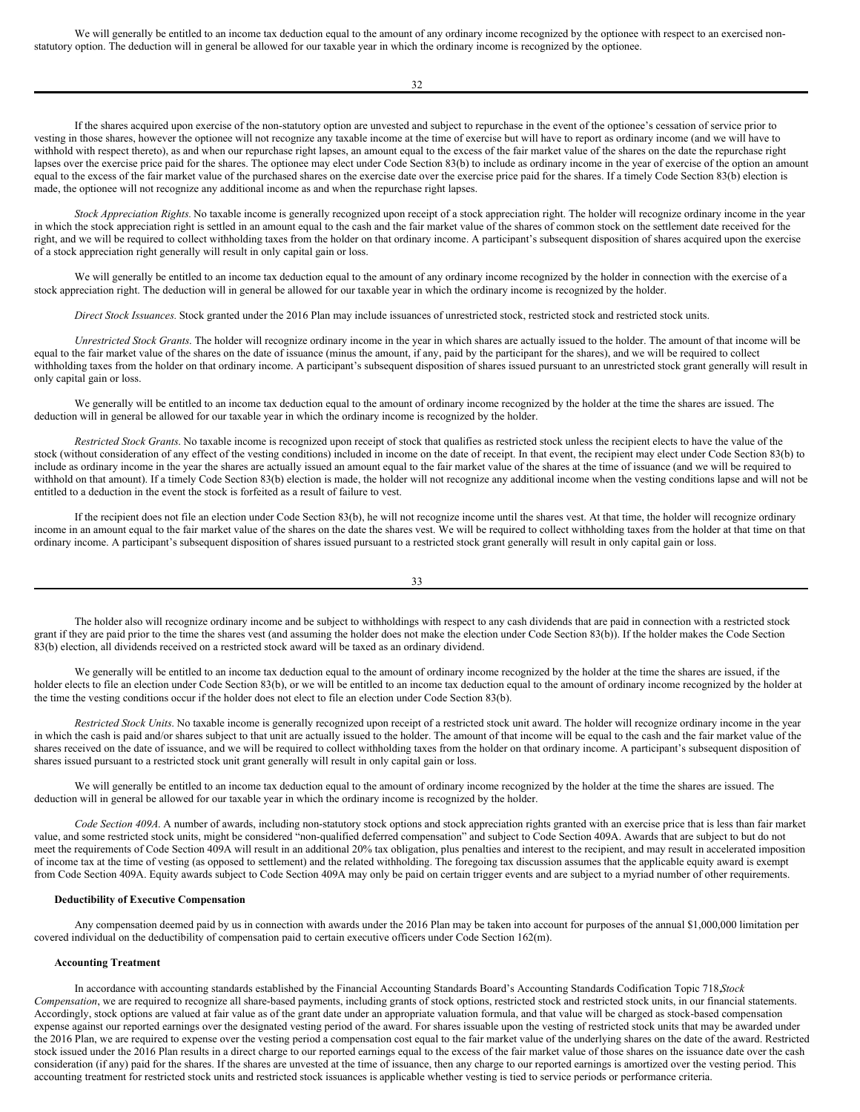We will generally be entitled to an income tax deduction equal to the amount of any ordinary income recognized by the optionee with respect to an exercised nonstatutory option. The deduction will in general be allowed for our taxable year in which the ordinary income is recognized by the optionee.

32

If the shares acquired upon exercise of the non-statutory option are unvested and subject to repurchase in the event of the optionee's cessation of service prior to vesting in those shares, however the optionee will not recognize any taxable income at the time of exercise but will have to report as ordinary income (and we will have to withhold with respect thereto), as and when our repurchase right lapses, an amount equal to the excess of the fair market value of the shares on the date the repurchase right lapses over the exercise price paid for the shares. The optionee may elect under Code Section 83(b) to include as ordinary income in the year of exercise of the option an amount equal to the excess of the fair market value of the purchased shares on the exercise date over the exercise price paid for the shares. If a timely Code Section 83(b) election is made, the optionee will not recognize any additional income as and when the repurchase right lapses.

*Stock Appreciation Rights.* No taxable income is generally recognized upon receipt of a stock appreciation right. The holder will recognize ordinary income in the year in which the stock appreciation right is settled in an amount equal to the cash and the fair market value of the shares of common stock on the settlement date received for the right, and we will be required to collect withholding taxes from the holder on that ordinary income. A participant's subsequent disposition of shares acquired upon the exercise of a stock appreciation right generally will result in only capital gain or loss.

We will generally be entitled to an income tax deduction equal to the amount of any ordinary income recognized by the holder in connection with the exercise of a stock appreciation right. The deduction will in general be allowed for our taxable year in which the ordinary income is recognized by the holder.

*Direct Stock Issuances.* Stock granted under the 2016 Plan may include issuances of unrestricted stock, restricted stock and restricted stock units.

*Unrestricted Stock Grants*. The holder will recognize ordinary income in the year in which shares are actually issued to the holder. The amount of that income will be equal to the fair market value of the shares on the date of issuance (minus the amount, if any, paid by the participant for the shares), and we will be required to collect withholding taxes from the holder on that ordinary income. A participant's subsequent disposition of shares issued pursuant to an unrestricted stock grant generally will result in only capital gain or loss.

We generally will be entitled to an income tax deduction equal to the amount of ordinary income recognized by the holder at the time the shares are issued. The deduction will in general be allowed for our taxable year in which the ordinary income is recognized by the holder.

*Restricted Stock Grants*. No taxable income is recognized upon receipt of stock that qualifies as restricted stock unless the recipient elects to have the value of the stock (without consideration of any effect of the vesting conditions) included in income on the date of receipt. In that event, the recipient may elect under Code Section 83(b) to include as ordinary income in the year the shares are actually issued an amount equal to the fair market value of the shares at the time of issuance (and we will be required to withhold on that amount). If a timely Code Section 83(b) election is made, the holder will not recognize any additional income when the vesting conditions lapse and will not be entitled to a deduction in the event the stock is forfeited as a result of failure to vest.

If the recipient does not file an election under Code Section 83(b), he will not recognize income until the shares vest. At that time, the holder will recognize ordinary income in an amount equal to the fair market value of the shares on the date the shares vest. We will be required to collect withholding taxes from the holder at that time on that ordinary income. A participant's subsequent disposition of shares issued pursuant to a restricted stock grant generally will result in only capital gain or loss.

33

The holder also will recognize ordinary income and be subject to withholdings with respect to any cash dividends that are paid in connection with a restricted stock grant if they are paid prior to the time the shares vest (and assuming the holder does not make the election under Code Section 83(b)). If the holder makes the Code Section 83(b) election, all dividends received on a restricted stock award will be taxed as an ordinary dividend.

We generally will be entitled to an income tax deduction equal to the amount of ordinary income recognized by the holder at the time the shares are issued, if the holder elects to file an election under Code Section 83(b), or we will be entitled to an income tax deduction equal to the amount of ordinary income recognized by the holder at the time the vesting conditions occur if the holder does not elect to file an election under Code Section 83(b).

*Restricted Stock Units*. No taxable income is generally recognized upon receipt of a restricted stock unit award. The holder will recognize ordinary income in the year in which the cash is paid and/or shares subject to that unit are actually issued to the holder. The amount of that income will be equal to the cash and the fair market value of the shares received on the date of issuance, and we will be required to collect withholding taxes from the holder on that ordinary income. A participant's subsequent disposition of shares issued pursuant to a restricted stock unit grant generally will result in only capital gain or loss.

We will generally be entitled to an income tax deduction equal to the amount of ordinary income recognized by the holder at the time the shares are issued. The deduction will in general be allowed for our taxable year in which the ordinary income is recognized by the holder.

*Code Section 409A*. A number of awards, including non-statutory stock options and stock appreciation rights granted with an exercise price that is less than fair market value, and some restricted stock units, might be considered "non-qualified deferred compensation" and subject to Code Section 409A. Awards that are subject to but do not meet the requirements of Code Section 409A will result in an additional 20% tax obligation, plus penalties and interest to the recipient, and may result in accelerated imposition of income tax at the time of vesting (as opposed to settlement) and the related withholding. The foregoing tax discussion assumes that the applicable equity award is exempt from Code Section 409A. Equity awards subject to Code Section 409A may only be paid on certain trigger events and are subject to a myriad number of other requirements.

## **Deductibility of Executive Compensation**

Any compensation deemed paid by us in connection with awards under the 2016 Plan may be taken into account for purposes of the annual \$1,000,000 limitation per covered individual on the deductibility of compensation paid to certain executive officers under Code Section 162(m).

# **Accounting Treatment**

In accordance with accounting standards established by the Financial Accounting Standards Board's Accounting Standards Codification Topic 718,*Stock Compensation*, we are required to recognize all share-based payments, including grants of stock options, restricted stock and restricted stock units, in our financial statements. Accordingly, stock options are valued at fair value as of the grant date under an appropriate valuation formula, and that value will be charged as stock-based compensation expense against our reported earnings over the designated vesting period of the award. For shares issuable upon the vesting of restricted stock units that may be awarded under the 2016 Plan, we are required to expense over the vesting period a compensation cost equal to the fair market value of the underlying shares on the date of the award. Restricted stock issued under the 2016 Plan results in a direct charge to our reported earnings equal to the excess of the fair market value of those shares on the issuance date over the cash consideration (if any) paid for the shares. If the shares are unvested at the time of issuance, then any charge to our reported earnings is amortized over the vesting period. This accounting treatment for restricted stock units and restricted stock issuances is applicable whether vesting is tied to service periods or performance criteria.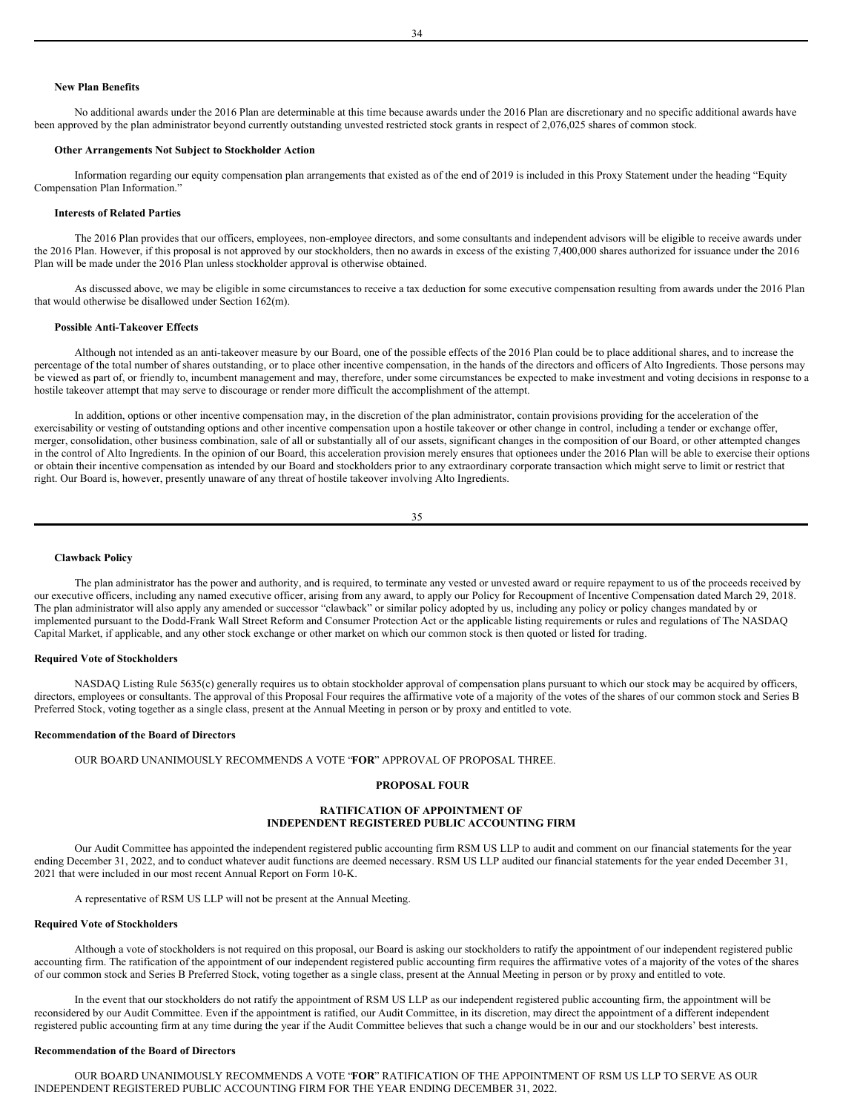# **New Plan Benefits**

No additional awards under the 2016 Plan are determinable at this time because awards under the 2016 Plan are discretionary and no specific additional awards have been approved by the plan administrator beyond currently outstanding unvested restricted stock grants in respect of 2,076,025 shares of common stock.

### **Other Arrangements Not Subject to Stockholder Action**

Information regarding our equity compensation plan arrangements that existed as of the end of 2019 is included in this Proxy Statement under the heading "Equity Compensation Plan Information."

## **Interests of Related Parties**

The 2016 Plan provides that our officers, employees, non-employee directors, and some consultants and independent advisors will be eligible to receive awards under the 2016 Plan. However, if this proposal is not approved by our stockholders, then no awards in excess of the existing 7,400,000 shares authorized for issuance under the 2016 Plan will be made under the 2016 Plan unless stockholder approval is otherwise obtained.

As discussed above, we may be eligible in some circumstances to receive a tax deduction for some executive compensation resulting from awards under the 2016 Plan that would otherwise be disallowed under Section 162(m).

## **Possible Anti-Takeover Effects**

Although not intended as an anti-takeover measure by our Board, one of the possible effects of the 2016 Plan could be to place additional shares, and to increase the percentage of the total number of shares outstanding, or to place other incentive compensation, in the hands of the directors and officers of Alto Ingredients. Those persons may be viewed as part of, or friendly to, incumbent management and may, therefore, under some circumstances be expected to make investment and voting decisions in response to a hostile takeover attempt that may serve to discourage or render more difficult the accomplishment of the attempt.

In addition, options or other incentive compensation may, in the discretion of the plan administrator, contain provisions providing for the acceleration of the exercisability or vesting of outstanding options and other incentive compensation upon a hostile takeover or other change in control, including a tender or exchange offer, merger, consolidation, other business combination, sale of all or substantially all of our assets, significant changes in the composition of our Board, or other attempted changes in the control of Alto Ingredients. In the opinion of our Board, this acceleration provision merely ensures that optionees under the 2016 Plan will be able to exercise their options or obtain their incentive compensation as intended by our Board and stockholders prior to any extraordinary corporate transaction which might serve to limit or restrict that right. Our Board is, however, presently unaware of any threat of hostile takeover involving Alto Ingredients.

35

#### **Clawback Policy**

The plan administrator has the power and authority, and is required, to terminate any vested or unvested award or require repayment to us of the proceeds received by our executive officers, including any named executive officer, arising from any award, to apply our Policy for Recoupment of Incentive Compensation dated March 29, 2018. The plan administrator will also apply any amended or successor "clawback" or similar policy adopted by us, including any policy or policy changes mandated by or implemented pursuant to the Dodd-Frank Wall Street Reform and Consumer Protection Act or the applicable listing requirements or rules and regulations of The NASDAQ Capital Market, if applicable, and any other stock exchange or other market on which our common stock is then quoted or listed for trading.

### **Required Vote of Stockholders**

NASDAQ Listing Rule 5635(c) generally requires us to obtain stockholder approval of compensation plans pursuant to which our stock may be acquired by officers, directors, employees or consultants. The approval of this Proposal Four requires the affirmative vote of a majority of the votes of the shares of our common stock and Series B Preferred Stock, voting together as a single class, present at the Annual Meeting in person or by proxy and entitled to vote.

# **Recommendation of the Board of Directors**

OUR BOARD UNANIMOUSLY RECOMMENDS A VOTE "**FOR**" APPROVAL OF PROPOSAL THREE.

## <span id="page-19-0"></span>**PROPOSAL FOUR**

# **RATIFICATION OF APPOINTMENT OF INDEPENDENT REGISTERED PUBLIC ACCOUNTING FIRM**

Our Audit Committee has appointed the independent registered public accounting firm RSM US LLP to audit and comment on our financial statements for the year ending December 31, 2022, and to conduct whatever audit functions are deemed necessary. RSM US LLP audited our financial statements for the year ended December 31, 2021 that were included in our most recent Annual Report on Form 10-K.

A representative of RSM US LLP will not be present at the Annual Meeting.

# **Required Vote of Stockholders**

Although a vote of stockholders is not required on this proposal, our Board is asking our stockholders to ratify the appointment of our independent registered public accounting firm. The ratification of the appointment of our independent registered public accounting firm requires the affirmative votes of a majority of the votes of the shares of our common stock and Series B Preferred Stock, voting together as a single class, present at the Annual Meeting in person or by proxy and entitled to vote.

In the event that our stockholders do not ratify the appointment of RSM US LLP as our independent registered public accounting firm, the appointment will be reconsidered by our Audit Committee. Even if the appointment is ratified, our Audit Committee, in its discretion, may direct the appointment of a different independent registered public accounting firm at any time during the year if the Audit Committee believes that such a change would be in our and our stockholders' best interests.

## **Recommendation of the Board of Directors**

OUR BOARD UNANIMOUSLY RECOMMENDS A VOTE "**FOR**" RATIFICATION OF THE APPOINTMENT OF RSM US LLP TO SERVE AS OUR INDEPENDENT REGISTERED PUBLIC ACCOUNTING FIRM FOR THE YEAR ENDING DECEMBER 31, 2022.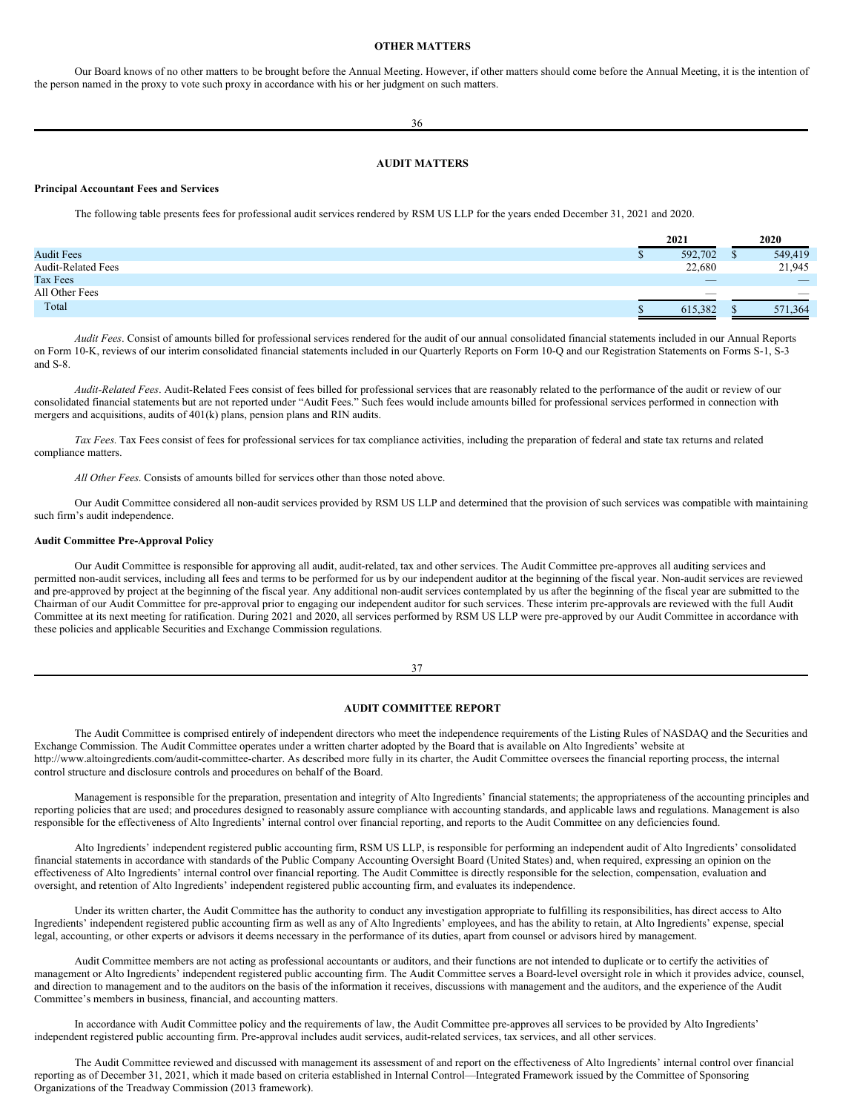# <span id="page-20-0"></span>**OTHER MATTERS**

Our Board knows of no other matters to be brought before the Annual Meeting. However, if other matters should come before the Annual Meeting, it is the intention of the person named in the proxy to vote such proxy in accordance with his or her judgment on such matters.

36

# <span id="page-20-1"></span>**AUDIT MATTERS**

### **Principal Accountant Fees and Services**

The following table presents fees for professional audit services rendered by RSM US LLP for the years ended December 31, 2021 and 2020.

|                           | 2021                     | 2020                     |
|---------------------------|--------------------------|--------------------------|
| <b>Audit Fees</b>         | 592,702                  | 549,419                  |
| <b>Audit-Related Fees</b> | 22,680                   | 21,945                   |
| Tax Fees                  | $\overline{\phantom{a}}$ | $\overline{\phantom{a}}$ |
| All Other Fees            | $\overline{\phantom{a}}$ | $\overline{\phantom{a}}$ |
| Total                     | 615.382                  | 571.364                  |

*Audit Fees*. Consist of amounts billed for professional services rendered for the audit of our annual consolidated financial statements included in our Annual Reports on Form 10-K, reviews of our interim consolidated financial statements included in our Quarterly Reports on Form 10-Q and our Registration Statements on Forms S-1, S-3 and S-8.

*Audit-Related Fees*. Audit-Related Fees consist of fees billed for professional services that are reasonably related to the performance of the audit or review of our consolidated financial statements but are not reported under "Audit Fees." Such fees would include amounts billed for professional services performed in connection with mergers and acquisitions, audits of 401(k) plans, pension plans and RIN audits.

*Tax Fees.* Tax Fees consist of fees for professional services for tax compliance activities, including the preparation of federal and state tax returns and related compliance matters.

*All Other Fees*. Consists of amounts billed for services other than those noted above.

Our Audit Committee considered all non-audit services provided by RSM US LLP and determined that the provision of such services was compatible with maintaining such firm's audit independence.

# **Audit Committee Pre-Approval Policy**

Our Audit Committee is responsible for approving all audit, audit-related, tax and other services. The Audit Committee pre-approves all auditing services and permitted non-audit services, including all fees and terms to be performed for us by our independent auditor at the beginning of the fiscal year. Non-audit services are reviewed and pre-approved by project at the beginning of the fiscal year. Any additional non-audit services contemplated by us after the beginning of the fiscal year are submitted to the Chairman of our Audit Committee for pre-approval prior to engaging our independent auditor for such services. These interim pre-approvals are reviewed with the full Audit Committee at its next meeting for ratification. During 2021 and 2020, all services performed by RSM US LLP were pre-approved by our Audit Committee in accordance with these policies and applicable Securities and Exchange Commission regulations.

## 37

# <span id="page-20-2"></span>**AUDIT COMMITTEE REPORT**

The Audit Committee is comprised entirely of independent directors who meet the independence requirements of the Listing Rules of NASDAQ and the Securities and Exchange Commission. The Audit Committee operates under a written charter adopted by the Board that is available on Alto Ingredients' website at http://www.altoingredients.com/audit-committee-charter. As described more fully in its charter, the Audit Committee oversees the financial reporting process, the internal control structure and disclosure controls and procedures on behalf of the Board.

Management is responsible for the preparation, presentation and integrity of Alto Ingredients' financial statements; the appropriateness of the accounting principles and reporting policies that are used; and procedures designed to reasonably assure compliance with accounting standards, and applicable laws and regulations. Management is also responsible for the effectiveness of Alto Ingredients' internal control over financial reporting, and reports to the Audit Committee on any deficiencies found.

Alto Ingredients' independent registered public accounting firm, RSM US LLP, is responsible for performing an independent audit of Alto Ingredients' consolidated financial statements in accordance with standards of the Public Company Accounting Oversight Board (United States) and, when required, expressing an opinion on the effectiveness of Alto Ingredients' internal control over financial reporting. The Audit Committee is directly responsible for the selection, compensation, evaluation and oversight, and retention of Alto Ingredients' independent registered public accounting firm, and evaluates its independence.

Under its written charter, the Audit Committee has the authority to conduct any investigation appropriate to fulfilling its responsibilities, has direct access to Alto Ingredients' independent registered public accounting firm as well as any of Alto Ingredients' employees, and has the ability to retain, at Alto Ingredients' expense, special legal, accounting, or other experts or advisors it deems necessary in the performance of its duties, apart from counsel or advisors hired by management.

Audit Committee members are not acting as professional accountants or auditors, and their functions are not intended to duplicate or to certify the activities of management or Alto Ingredients' independent registered public accounting firm. The Audit Committee serves a Board-level oversight role in which it provides advice, counsel, and direction to management and to the auditors on the basis of the information it receives, discussions with management and the auditors, and the experience of the Audit Committee's members in business, financial, and accounting matters.

In accordance with Audit Committee policy and the requirements of law, the Audit Committee pre-approves all services to be provided by Alto Ingredients' independent registered public accounting firm. Pre-approval includes audit services, audit-related services, tax services, and all other services.

The Audit Committee reviewed and discussed with management its assessment of and report on the effectiveness of Alto Ingredients' internal control over financial reporting as of December 31, 2021, which it made based on criteria established in Internal Control—Integrated Framework issued by the Committee of Sponsoring Organizations of the Treadway Commission (2013 framework).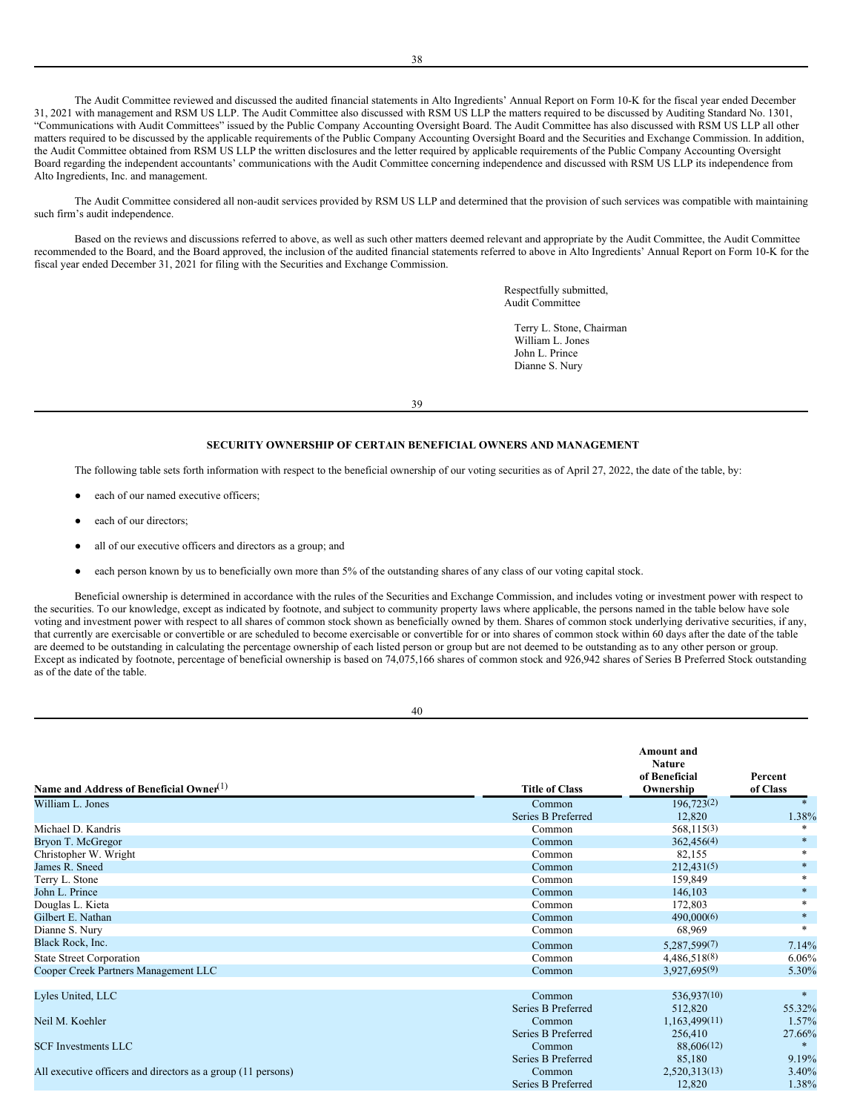The Audit Committee reviewed and discussed the audited financial statements in Alto Ingredients' Annual Report on Form 10-K for the fiscal year ended December 31, 2021 with management and RSM US LLP. The Audit Committee also discussed with RSM US LLP the matters required to be discussed by Auditing Standard No. 1301, "Communications with Audit Committees" issued by the Public Company Accounting Oversight Board. The Audit Committee has also discussed with RSM US LLP all other matters required to be discussed by the applicable requirements of the Public Company Accounting Oversight Board and the Securities and Exchange Commission. In addition, the Audit Committee obtained from RSM US LLP the written disclosures and the letter required by applicable requirements of the Public Company Accounting Oversight Board regarding the independent accountants' communications with the Audit Committee concerning independence and discussed with RSM US LLP its independence from Alto Ingredients, Inc. and management.

The Audit Committee considered all non-audit services provided by RSM US LLP and determined that the provision of such services was compatible with maintaining such firm's audit independence.

Based on the reviews and discussions referred to above, as well as such other matters deemed relevant and appropriate by the Audit Committee, the Audit Committee recommended to the Board, and the Board approved, the inclusion of the audited financial statements referred to above in Alto Ingredients' Annual Report on Form 10-K for the fiscal year ended December 31, 2021 for filing with the Securities and Exchange Commission.

> Respectfully submitted, Audit Committee

Terry L. Stone, Chairman William L. Jones John L. Prince Dianne S. Nury

39

# <span id="page-21-0"></span>**SECURITY OWNERSHIP OF CERTAIN BENEFICIAL OWNERS AND MANAGEMENT**

The following table sets forth information with respect to the beneficial ownership of our voting securities as of April 27, 2022, the date of the table, by:

- each of our named executive officers;
- each of our directors:
- all of our executive officers and directors as a group; and
- each person known by us to beneficially own more than 5% of the outstanding shares of any class of our voting capital stock.

Beneficial ownership is determined in accordance with the rules of the Securities and Exchange Commission, and includes voting or investment power with respect to the securities. To our knowledge, except as indicated by footnote, and subject to community property laws where applicable, the persons named in the table below have sole voting and investment power with respect to all shares of common stock shown as beneficially owned by them. Shares of common stock underlying derivative securities, if any, that currently are exercisable or convertible or are scheduled to become exercisable or convertible for or into shares of common stock within 60 days after the date of the table are deemed to be outstanding in calculating the percentage ownership of each listed person or group but are not deemed to be outstanding as to any other person or group. Except as indicated by footnote, percentage of beneficial ownership is based on 74,075,166 shares of common stock and 926,942 shares of Series B Preferred Stock outstanding as of the date of the table.

| ٦ | I           |
|---|-------------|
|   | ٦<br>×<br>٩ |

| Name and Address of Beneficial Owner <sup>(1)</sup>          | <b>Title of Class</b> | <b>Amount</b> and<br><b>Nature</b><br>of Beneficial<br>Ownership | Percent<br>of Class |
|--------------------------------------------------------------|-----------------------|------------------------------------------------------------------|---------------------|
| William L. Jones                                             | Common                | 196,723(2)                                                       |                     |
|                                                              | Series B Preferred    | 12,820                                                           | 1.38%               |
| Michael D. Kandris                                           | Common                | 568,115(3)                                                       | $*$                 |
| Bryon T. McGregor                                            | Common                | 362,456(4)                                                       | $\ast$              |
| Christopher W. Wright                                        | Common                | 82,155                                                           | $\ast$              |
| James R. Sneed                                               | Common                | 212,431(5)                                                       | $\ast$              |
| Terry L. Stone                                               | Common                | 159,849                                                          |                     |
| John L. Prince                                               | Common                | 146,103                                                          | $\ast$              |
| Douglas L. Kieta                                             | Common                | 172,803                                                          | $*$                 |
| Gilbert E. Nathan                                            | Common                | 490,000(6)                                                       | $\ast$              |
| Dianne S. Nury                                               | Common                | 68,969                                                           | $*$                 |
| Black Rock, Inc.                                             | Common                | 5,287,599(7)                                                     | 7.14%               |
| <b>State Street Corporation</b>                              | Common                | 4,486,518(8)                                                     | 6.06%               |
| Cooper Creek Partners Management LLC                         | Common                | 3,927,695(9)                                                     | 5.30%               |
| Lyles United, LLC                                            | Common                | 536,937(10)                                                      | $\ast$              |
|                                                              | Series B Preferred    | 512,820                                                          | 55.32%              |
| Neil M. Koehler                                              | Common                | 1,163,499(11)                                                    | 1.57%               |
|                                                              | Series B Preferred    | 256,410                                                          | 27.66%              |
| <b>SCF Investments LLC</b>                                   | Common                | 88,606(12)                                                       | $\ast$              |
|                                                              | Series B Preferred    | 85,180                                                           | 9.19%               |
| All executive officers and directors as a group (11 persons) | Common                | 2,520,313(13)                                                    | 3.40%               |
|                                                              | Series B Preferred    | 12.820                                                           | 1.38%               |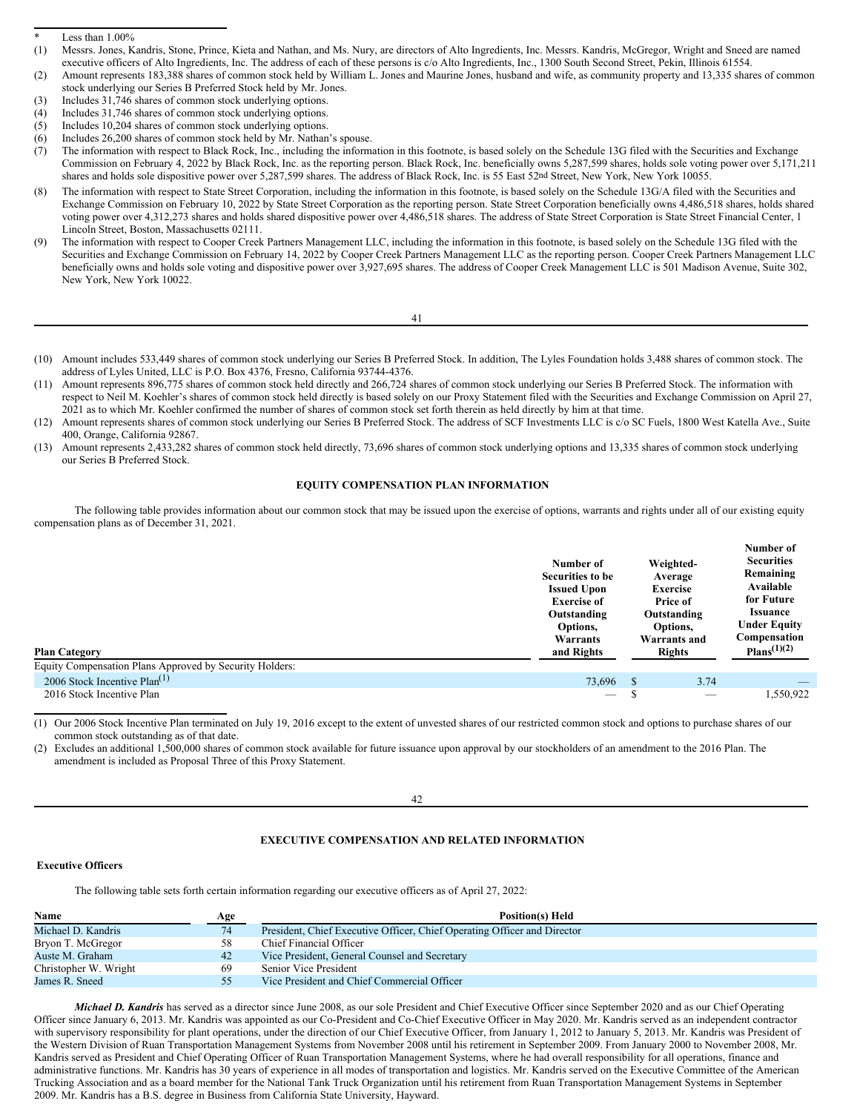- (3) Includes 31,746 shares of common stock underlying options.
- (4) Includes 31,746 shares of common stock underlying options.
- (5) Includes 10,204 shares of common stock underlying options.
- (6) Includes 26,200 shares of common stock held by Mr. Nathan's spouse.

- (8) The information with respect to State Street Corporation, including the information in this footnote, is based solely on the Schedule 13G/A filed with the Securities and Exchange Commission on February 10, 2022 by State Street Corporation as the reporting person. State Street Corporation beneficially owns 4,486,518 shares, holds shared voting power over 4,312,273 shares and holds shared dispositive power over 4,486,518 shares. The address of State Street Corporation is State Street Financial Center, 1 Lincoln Street, Boston, Massachusetts 02111.
- (9) The information with respect to Cooper Creek Partners Management LLC, including the information in this footnote, is based solely on the Schedule 13G filed with the Securities and Exchange Commission on February 14, 2022 by Cooper Creek Partners Management LLC as the reporting person. Cooper Creek Partners Management LLC beneficially owns and holds sole voting and dispositive power over 3,927,695 shares. The address of Cooper Creek Management LLC is 501 Madison Avenue, Suite 302, New York, New York 10022.

- (10) Amount includes 533,449 shares of common stock underlying our Series B Preferred Stock. In addition, The Lyles Foundation holds 3,488 shares of common stock. The address of Lyles United, LLC is P.O. Box 4376, Fresno, California 93744-4376.
- (11) Amount represents 896,775 shares of common stock held directly and 266,724 shares of common stock underlying our Series B Preferred Stock. The information with respect to Neil M. Koehler's shares of common stock held directly is based solely on our Proxy Statement filed with the Securities and Exchange Commission on April 27, 2021 as to which Mr. Koehler confirmed the number of shares of common stock set forth therein as held directly by him at that time.
- (12) Amount represents shares of common stock underlying our Series B Preferred Stock. The address of SCF Investments LLC is c/o SC Fuels, 1800 West Katella Ave., Suite 400, Orange, California 92867.
- (13) Amount represents 2,433,282 shares of common stock held directly, 73,696 shares of common stock underlying options and 13,335 shares of common stock underlying our Series B Preferred Stock.

# <span id="page-22-0"></span>**EQUITY COMPENSATION PLAN INFORMATION**

The following table provides information about our common stock that may be issued upon the exercise of options, warrants and rights under all of our existing equity compensation plans as of December 31, 2021.

| <b>Plan Category</b><br>Equity Compensation Plans Approved by Security Holders: | Number of<br>Securities to be<br><b>Issued Upon</b><br><b>Exercise of</b><br>Outstanding<br>Options,<br>Warrants<br>and Rights | Weighted-<br>Average<br><b>Exercise</b><br>Price of<br>Outstanding<br>Options,<br><b>Warrants and</b><br>Rights | Number of<br><b>Securities</b><br>Remaining<br>Available<br>for Future<br><b>Issuance</b><br><b>Under Equity</b><br>Compensation<br>Plans <sup>(1)(2)</sup> |
|---------------------------------------------------------------------------------|--------------------------------------------------------------------------------------------------------------------------------|-----------------------------------------------------------------------------------------------------------------|-------------------------------------------------------------------------------------------------------------------------------------------------------------|
| 2006 Stock Incentive Plan <sup>(1)</sup>                                        | 73.696                                                                                                                         | 3.74<br>-8                                                                                                      |                                                                                                                                                             |
| 2016 Stock Incentive Plan                                                       | $\hspace{0.1mm}-\hspace{0.1mm}$                                                                                                | $\overline{\phantom{a}}$                                                                                        | 1.550.922                                                                                                                                                   |

(1) Our 2006 Stock Incentive Plan terminated on July 19, 2016 except to the extent of unvested shares of our restricted common stock and options to purchase shares of our common stock outstanding as of that date.

Excludes an additional 1,500,000 shares of common stock available for future issuance upon approval by our stockholders of an amendment to the 2016 Plan. The amendment is included as Proposal Three of this Proxy Statement.

### 42

# <span id="page-22-1"></span>**EXECUTIVE COMPENSATION AND RELATED INFORMATION**

# <span id="page-22-2"></span>**Executive Officers**

The following table sets forth certain information regarding our executive officers as of April 27, 2022:

| Name                  | Age | <b>Position(s) Held</b>                                                  |
|-----------------------|-----|--------------------------------------------------------------------------|
| Michael D. Kandris    | 74  | President, Chief Executive Officer, Chief Operating Officer and Director |
| Bryon T. McGregor     | 58  | Chief Financial Officer                                                  |
| Auste M. Graham       | 42  | Vice President, General Counsel and Secretary                            |
| Christopher W. Wright | 69  | Senior Vice President                                                    |
| James R. Sneed        | 55  | Vice President and Chief Commercial Officer                              |

*Michael D. Kandris* has served as a director since June 2008, as our sole President and Chief Executive Officer since September 2020 and as our Chief Operating Officer since January 6, 2013. Mr. Kandris was appointed as our Co-President and Co-Chief Executive Officer in May 2020. Mr. Kandris served as an independent contractor with supervisory responsibility for plant operations, under the direction of our Chief Executive Officer, from January 1, 2012 to January 5, 2013. Mr. Kandris was President of the Western Division of Ruan Transportation Management Systems from November 2008 until his retirement in September 2009. From January 2000 to November 2008, Mr. Kandris served as President and Chief Operating Officer of Ruan Transportation Management Systems, where he had overall responsibility for all operations, finance and administrative functions. Mr. Kandris has 30 years of experience in all modes of transportation and logistics. Mr. Kandris served on the Executive Committee of the American Trucking Association and as a board member for the National Tank Truck Organization until his retirement from Ruan Transportation Management Systems in September 2009. Mr. Kandris has a B.S. degree in Business from California State University, Hayward.

Less than  $1.00\%$ 

<sup>(1)</sup> Messrs. Jones, Kandris, Stone, Prince, Kieta and Nathan, and Ms. Nury, are directors of Alto Ingredients, Inc. Messrs. Kandris, McGregor, Wright and Sneed are named executive officers of Alto Ingredients, Inc. The address of each of these persons is c/o Alto Ingredients, Inc., 1300 South Second Street, Pekin, Illinois 61554.

<sup>(2)</sup> Amount represents 183,388 shares of common stock held by William L. Jones and Maurine Jones, husband and wife, as community property and 13,335 shares of common stock underlying our Series B Preferred Stock held by Mr. Jones.

<sup>(7)</sup> The information with respect to Black Rock, Inc., including the information in this footnote, is based solely on the Schedule 13G filed with the Securities and Exchange Commission on February 4, 2022 by Black Rock, Inc. as the reporting person. Black Rock, Inc. beneficially owns 5,287,599 shares, holds sole voting power over 5,171,211 shares and holds sole dispositive power over 5,287,599 shares. The address of Black Rock, Inc. is 55 East 52nd Street, New York, New York 10055.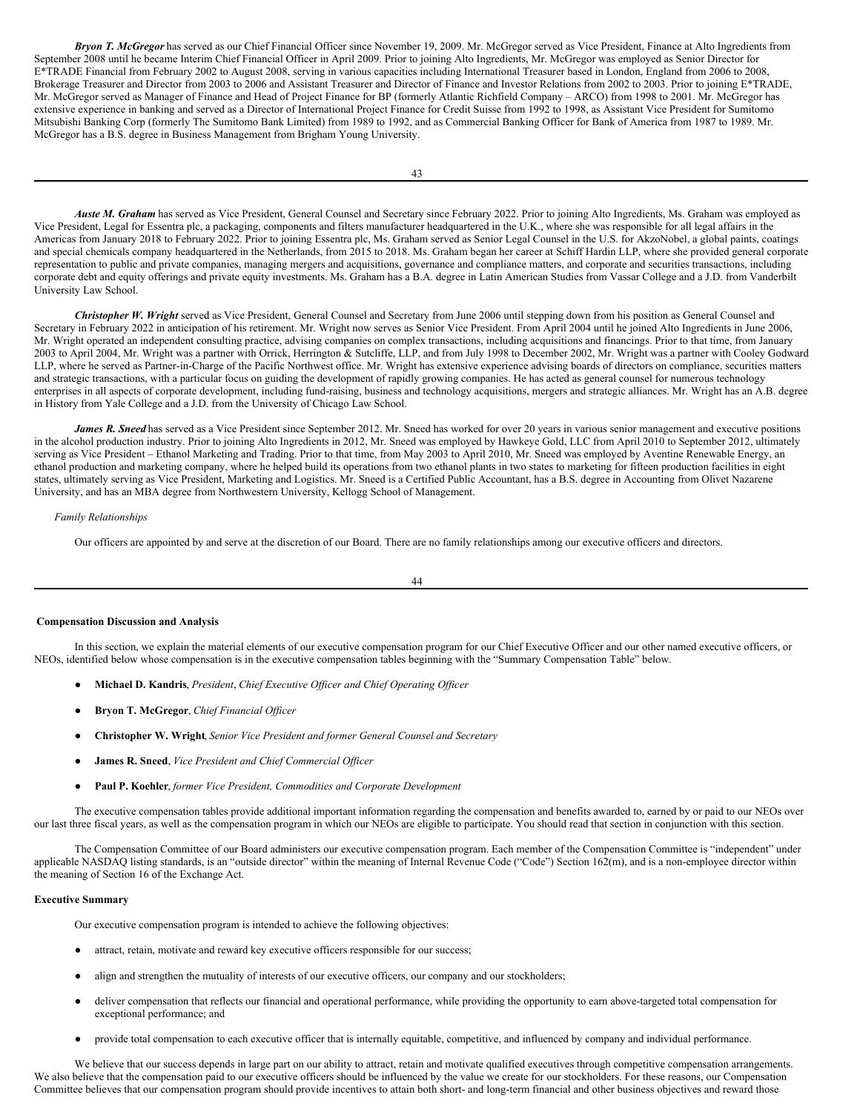*Bryon T. McGregor* has served as our Chief Financial Officer since November 19, 2009. Mr. McGregor served as Vice President, Finance at Alto Ingredients from September 2008 until he became Interim Chief Financial Officer in April 2009. Prior to joining Alto Ingredients, Mr. McGregor was employed as Senior Director for E\*TRADE Financial from February 2002 to August 2008, serving in various capacities including International Treasurer based in London, England from 2006 to 2008, Brokerage Treasurer and Director from 2003 to 2006 and Assistant Treasurer and Director of Finance and Investor Relations from 2002 to 2003. Prior to joining E\*TRADE, Mr. McGregor served as Manager of Finance and Head of Project Finance for BP (formerly Atlantic Richfield Company – ARCO) from 1998 to 2001. Mr. McGregor has extensive experience in banking and served as a Director of International Project Finance for Credit Suisse from 1992 to 1998, as Assistant Vice President for Sumitomo Mitsubishi Banking Corp (formerly The Sumitomo Bank Limited) from 1989 to 1992, and as Commercial Banking Officer for Bank of America from 1987 to 1989. Mr. McGregor has a B.S. degree in Business Management from Brigham Young University.

*Auste M. Graham* has served as Vice President, General Counsel and Secretary since February 2022. Prior to joining Alto Ingredients, Ms. Graham was employed as Vice President, Legal for Essentra plc, a packaging, components and filters manufacturer headquartered in the U.K., where she was responsible for all legal affairs in the Americas from January 2018 to February 2022. Prior to joining Essentra plc, Ms. Graham served as Senior Legal Counsel in the U.S. for AkzoNobel, a global paints, coatings and special chemicals company headquartered in the Netherlands, from 2015 to 2018. Ms. Graham began her career at Schiff Hardin LLP, where she provided general corporate representation to public and private companies, managing mergers and acquisitions, governance and compliance matters, and corporate and securities transactions, including corporate debt and equity offerings and private equity investments. Ms. Graham has a B.A. degree in Latin American Studies from Vassar College and a J.D. from Vanderbilt University Law School.

*Christopher W. Wright* served as Vice President, General Counsel and Secretary from June 2006 until stepping down from his position as General Counsel and Secretary in February 2022 in anticipation of his retirement. Mr. Wright now serves as Senior Vice President. From April 2004 until he joined Alto Ingredients in June 2006, Mr. Wright operated an independent consulting practice, advising companies on complex transactions, including acquisitions and financings. Prior to that time, from January 2003 to April 2004, Mr. Wright was a partner with Orrick, Herrington & Sutcliffe, LLP, and from July 1998 to December 2002, Mr. Wright was a partner with Cooley Godward LLP, where he served as Partner-in-Charge of the Pacific Northwest office. Mr. Wright has extensive experience advising boards of directors on compliance, securities matters and strategic transactions, with a particular focus on guiding the development of rapidly growing companies. He has acted as general counsel for numerous technology enterprises in all aspects of corporate development, including fund-raising, business and technology acquisitions, mergers and strategic alliances. Mr. Wright has an A.B. degree in History from Yale College and a J.D. from the University of Chicago Law School.

*James R. Sneed* has served as a Vice President since September 2012. Mr. Sneed has worked for over 20 years in various senior management and executive positions in the alcohol production industry. Prior to joining Alto Ingredients in 2012, Mr. Sneed was employed by Hawkeye Gold, LLC from April 2010 to September 2012, ultimately serving as Vice President – Ethanol Marketing and Trading. Prior to that time, from May 2003 to April 2010, Mr. Sneed was employed by Aventine Renewable Energy, an ethanol production and marketing company, where he helped build its operations from two ethanol plants in two states to marketing for fifteen production facilities in eight states, ultimately serving as Vice President, Marketing and Logistics. Mr. Sneed is a Certified Public Accountant, has a B.S. degree in Accounting from Olivet Nazarene University, and has an MBA degree from Northwestern University, Kellogg School of Management.

## *Family Relationships*

Our officers are appointed by and serve at the discretion of our Board. There are no family relationships among our executive officers and directors.

44

### <span id="page-23-0"></span>**Compensation Discussion and Analysis**

In this section, we explain the material elements of our executive compensation program for our Chief Executive Officer and our other named executive officers, or NEOs, identified below whose compensation is in the executive compensation tables beginning with the "Summary Compensation Table" below.

- **Michael D. Kandris**, *President*, *Chief Executive Of icer and Chief Operating Of icer*
- **Bryon T. McGregor**, *Chief Financial Of icer*
- **Christopher W. Wright**, *Senior Vice President and former General Counsel and Secretary*
- **James R. Sneed**, *Vice President and Chief Commercial Of icer*
- **Paul P. Koehler**, *former Vice President, Commodities and Corporate Development*

The executive compensation tables provide additional important information regarding the compensation and benefits awarded to, earned by or paid to our NEOs over our last three fiscal years, as well as the compensation program in which our NEOs are eligible to participate. You should read that section in conjunction with this section.

The Compensation Committee of our Board administers our executive compensation program. Each member of the Compensation Committee is "independent" under applicable NASDAQ listing standards, is an "outside director" within the meaning of Internal Revenue Code ("Code") Section 162(m), and is a non-employee director within the meaning of Section 16 of the Exchange Act.

# **Executive Summary**

Our executive compensation program is intended to achieve the following objectives:

- attract, retain, motivate and reward key executive officers responsible for our success;
- align and strengthen the mutuality of interests of our executive officers, our company and our stockholders;
- deliver compensation that reflects our financial and operational performance, while providing the opportunity to earn above-targeted total compensation for exceptional performance; and
- provide total compensation to each executive officer that is internally equitable, competitive, and influenced by company and individual performance.

We believe that our success depends in large part on our ability to attract, retain and motivate qualified executives through competitive compensation arrangements. We also believe that the compensation paid to our executive officers should be influenced by the value we create for our stockholders. For these reasons, our Compensation Committee believes that our compensation program should provide incentives to attain both short- and long-term financial and other business objectives and reward those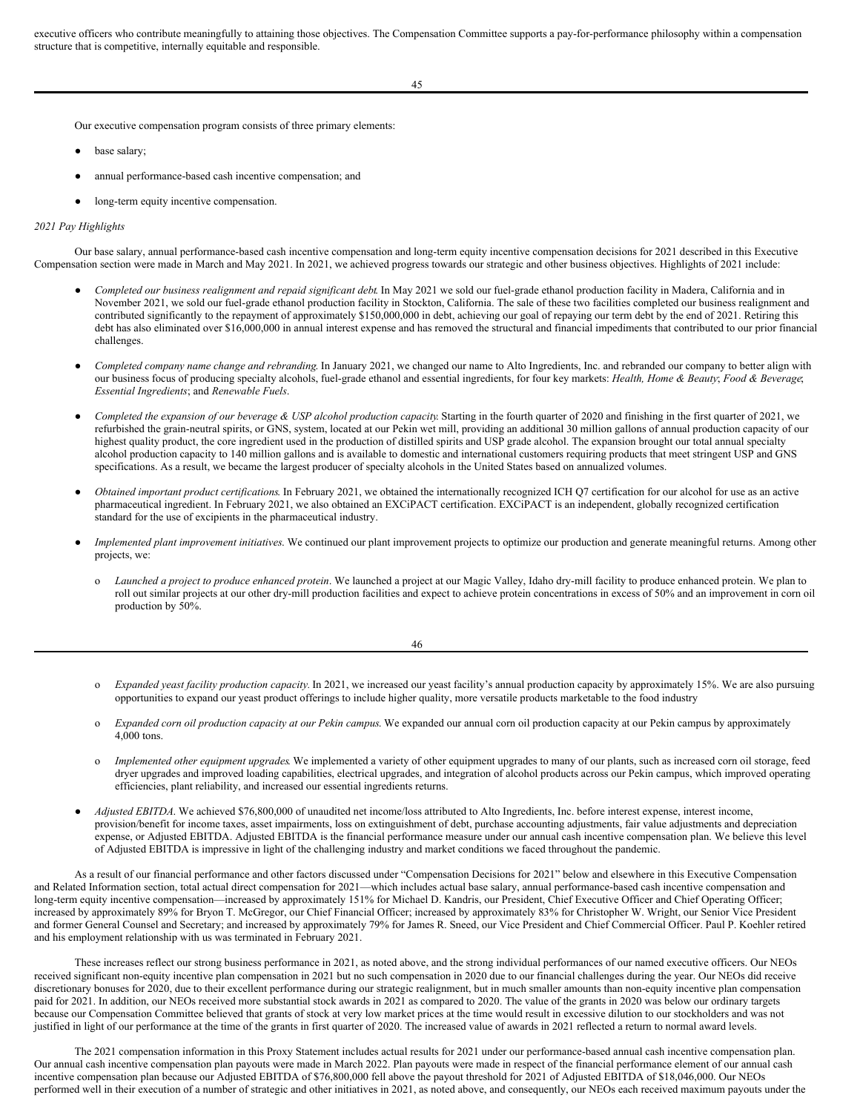executive officers who contribute meaningfully to attaining those objectives. The Compensation Committee supports a pay-for-performance philosophy within a compensation structure that is competitive, internally equitable and responsible.

45

Our executive compensation program consists of three primary elements:

- base salary:
- annual performance-based cash incentive compensation; and
- long-term equity incentive compensation.

## *2021 Pay Highlights*

Our base salary, annual performance-based cash incentive compensation and long-term equity incentive compensation decisions for 2021 described in this Executive Compensation section were made in March and May 2021. In 2021, we achieved progress towards our strategic and other business objectives. Highlights of 2021 include:

- *Completed our business realignment and repaid significant debt*. In May 2021 we sold our fuel-grade ethanol production facility in Madera, California and in November 2021, we sold our fuel-grade ethanol production facility in Stockton, California. The sale of these two facilities completed our business realignment and contributed significantly to the repayment of approximately \$150,000,000 in debt, achieving our goal of repaying our term debt by the end of 2021. Retiring this debt has also eliminated over \$16,000,000 in annual interest expense and has removed the structural and financial impediments that contributed to our prior financial challenges.
- *Completed company name change and rebranding*. In January 2021, we changed our name to Alto Ingredients, Inc. and rebranded our company to better align with our business focus of producing specialty alcohols, fuel-grade ethanol and essential ingredients, for four key markets: *Health, Home & Beauty*; *Food & Beverage*; *Essential Ingredients*; and *Renewable Fuels*.
- Completed the expansion of our beverage & USP alcohol production capacity. Starting in the fourth quarter of 2020 and finishing in the first quarter of 2021, we refurbished the grain-neutral spirits, or GNS, system, located at our Pekin wet mill, providing an additional 30 million gallons of annual production capacity of our highest quality product, the core ingredient used in the production of distilled spirits and USP grade alcohol. The expansion brought our total annual specialty alcohol production capacity to 140 million gallons and is available to domestic and international customers requiring products that meet stringent USP and GNS specifications. As a result, we became the largest producer of specialty alcohols in the United States based on annualized volumes.
- *Obtained important product certifications*. In February 2021, we obtained the internationally recognized ICH Q7 certification for our alcohol for use as an active pharmaceutical ingredient. In February 2021, we also obtained an EXCiPACT certification. EXCiPACT is an independent, globally recognized certification standard for the use of excipients in the pharmaceutical industry.
- *Implemented plant improvement initiatives*. We continued our plant improvement projects to optimize our production and generate meaningful returns. Among other projects, we:
	- o *Launched a project to produce enhanced protein*. We launched a project at our Magic Valley, Idaho dry-mill facility to produce enhanced protein. We plan to roll out similar projects at our other dry-mill production facilities and expect to achieve protein concentrations in excess of 50% and an improvement in corn oil production by 50%.

| I<br>×<br>٧ |
|-------------|
|-------------|

- o *Expanded yeast facility production capacity.* In 2021, we increased our yeast facility's annual production capacity by approximately 15%. We are also pursuing opportunities to expand our yeast product offerings to include higher quality, more versatile products marketable to the food industry
- o *Expanded corn oil production capacity at our Pekin campus*. We expanded our annual corn oil production capacity at our Pekin campus by approximately 4,000 tons.
- o *Implemented other equipment upgrades*. We implemented a variety of other equipment upgrades to many of our plants, such as increased corn oil storage, feed dryer upgrades and improved loading capabilities, electrical upgrades, and integration of alcohol products across our Pekin campus, which improved operating efficiencies, plant reliability, and increased our essential ingredients returns.
- Adjusted EBITDA. We achieved \$76,800,000 of unaudited net income/loss attributed to Alto Ingredients, Inc. before interest expense, interest income, provision/benefit for income taxes, asset impairments, loss on extinguishment of debt, purchase accounting adjustments, fair value adjustments and depreciation expense, or Adjusted EBITDA. Adjusted EBITDA is the financial performance measure under our annual cash incentive compensation plan. We believe this level of Adjusted EBITDA is impressive in light of the challenging industry and market conditions we faced throughout the pandemic.

As a result of our financial performance and other factors discussed under "Compensation Decisions for 2021" below and elsewhere in this Executive Compensation and Related Information section, total actual direct compensation for 2021—which includes actual base salary, annual performance-based cash incentive compensation and long-term equity incentive compensation—increased by approximately 151% for Michael D. Kandris, our President, Chief Executive Officer and Chief Operating Officer; increased by approximately 89% for Bryon T. McGregor, our Chief Financial Officer; increased by approximately 83% for Christopher W. Wright, our Senior Vice President and former General Counsel and Secretary; and increased by approximately 79% for James R. Sneed, our Vice President and Chief Commercial Officer. Paul P. Koehler retired and his employment relationship with us was terminated in February 2021.

These increases reflect our strong business performance in 2021, as noted above, and the strong individual performances of our named executive officers. Our NEOs received significant non-equity incentive plan compensation in 2021 but no such compensation in 2020 due to our financial challenges during the year. Our NEOs did receive discretionary bonuses for 2020, due to their excellent performance during our strategic realignment, but in much smaller amounts than non-equity incentive plan compensation paid for 2021. In addition, our NEOs received more substantial stock awards in 2021 as compared to 2020. The value of the grants in 2020 was below our ordinary targets because our Compensation Committee believed that grants of stock at very low market prices at the time would result in excessive dilution to our stockholders and was not justified in light of our performance at the time of the grants in first quarter of 2020. The increased value of awards in 2021 reflected a return to normal award levels.

The 2021 compensation information in this Proxy Statement includes actual results for 2021 under our performance-based annual cash incentive compensation plan. Our annual cash incentive compensation plan payouts were made in March 2022. Plan payouts were made in respect of the financial performance element of our annual cash incentive compensation plan because our Adjusted EBITDA of \$76,800,000 fell above the payout threshold for 2021 of Adjusted EBITDA of \$18,046,000. Our NEOs performed well in their execution of a number of strategic and other initiatives in 2021, as noted above, and consequently, our NEOs each received maximum payouts under the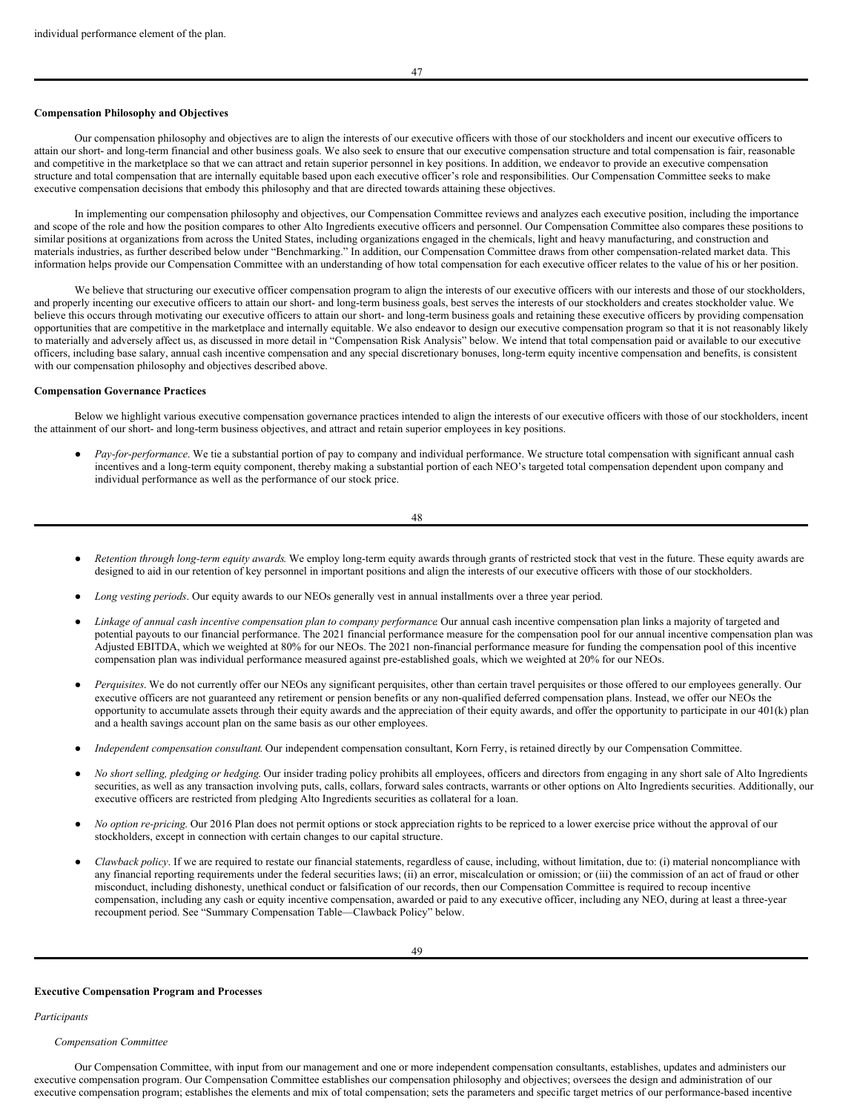# **Compensation Philosophy and Objectives**

Our compensation philosophy and objectives are to align the interests of our executive officers with those of our stockholders and incent our executive officers to attain our short- and long-term financial and other business goals. We also seek to ensure that our executive compensation structure and total compensation is fair, reasonable and competitive in the marketplace so that we can attract and retain superior personnel in key positions. In addition, we endeavor to provide an executive compensation structure and total compensation that are internally equitable based upon each executive officer's role and responsibilities. Our Compensation Committee seeks to make executive compensation decisions that embody this philosophy and that are directed towards attaining these objectives.

In implementing our compensation philosophy and objectives, our Compensation Committee reviews and analyzes each executive position, including the importance and scope of the role and how the position compares to other Alto Ingredients executive officers and personnel. Our Compensation Committee also compares these positions to similar positions at organizations from across the United States, including organizations engaged in the chemicals, light and heavy manufacturing, and construction and materials industries, as further described below under "Benchmarking." In addition, our Compensation Committee draws from other compensation-related market data. This information helps provide our Compensation Committee with an understanding of how total compensation for each executive officer relates to the value of his or her position.

We believe that structuring our executive officer compensation program to align the interests of our executive officers with our interests and those of our stockholders, and properly incenting our executive officers to attain our short- and long-term business goals, best serves the interests of our stockholders and creates stockholder value. We believe this occurs through motivating our executive officers to attain our short- and long-term business goals and retaining these executive officers by providing compensation opportunities that are competitive in the marketplace and internally equitable. We also endeavor to design our executive compensation program so that it is not reasonably likely to materially and adversely affect us, as discussed in more detail in "Compensation Risk Analysis" below. We intend that total compensation paid or available to our executive officers, including base salary, annual cash incentive compensation and any special discretionary bonuses, long-term equity incentive compensation and benefits, is consistent with our compensation philosophy and objectives described above.

### **Compensation Governance Practices**

Below we highlight various executive compensation governance practices intended to align the interests of our executive officers with those of our stockholders, incent the attainment of our short- and long-term business objectives, and attract and retain superior employees in key positions.

Pay-for-performance. We tie a substantial portion of pay to company and individual performance. We structure total compensation with significant annual cash incentives and a long-term equity component, thereby making a substantial portion of each NEO's targeted total compensation dependent upon company and individual performance as well as the performance of our stock price.

- Retention through long-term equity awards. We employ long-term equity awards through grants of restricted stock that vest in the future. These equity awards are designed to aid in our retention of key personnel in important positions and align the interests of our executive officers with those of our stockholders.
- Long vesting periods. Our equity awards to our NEOs generally vest in annual installments over a three year period.
- *Linkage of annual cash incentive compensation plan to company performance*. Our annual cash incentive compensation plan links a majority of targeted and potential payouts to our financial performance. The 2021 financial performance measure for the compensation pool for our annual incentive compensation plan was Adjusted EBITDA, which we weighted at 80% for our NEOs. The 2021 non-financial performance measure for funding the compensation pool of this incentive compensation plan was individual performance measured against pre-established goals, which we weighted at 20% for our NEOs.
- *Perquisites*. We do not currently offer our NEOs any significant perquisites, other than certain travel perquisites or those offered to our employees generally. Our executive officers are not guaranteed any retirement or pension benefits or any non-qualified deferred compensation plans. Instead, we offer our NEOs the opportunity to accumulate assets through their equity awards and the appreciation of their equity awards, and offer the opportunity to participate in our 401(k) plan and a health savings account plan on the same basis as our other employees.
- *Independent compensation consultant*. Our independent compensation consultant, Korn Ferry, is retained directly by our Compensation Committee.
- *No short selling, pledging or hedging*. Our insider trading policy prohibits all employees, officers and directors from engaging in any short sale of Alto Ingredients securities, as well as any transaction involving puts, calls, collars, forward sales contracts, warrants or other options on Alto Ingredients securities. Additionally, our executive officers are restricted from pledging Alto Ingredients securities as collateral for a loan.
- *No option re-pricing*. Our 2016 Plan does not permit options or stock appreciation rights to be repriced to a lower exercise price without the approval of our stockholders, except in connection with certain changes to our capital structure.
- *Clawback policy*. If we are required to restate our financial statements, regardless of cause, including, without limitation, due to: (i) material noncompliance with any financial reporting requirements under the federal securities laws; (ii) an error, miscalculation or omission; or (iii) the commission of an act of fraud or other misconduct, including dishonesty, unethical conduct or falsification of our records, then our Compensation Committee is required to recoup incentive compensation, including any cash or equity incentive compensation, awarded or paid to any executive officer, including any NEO, during at least a three-year recoupment period. See "Summary Compensation Table—Clawback Policy" below.

#### **Executive Compensation Program and Processes**

*Participants*

## *Compensation Committee*

Our Compensation Committee, with input from our management and one or more independent compensation consultants, establishes, updates and administers our executive compensation program. Our Compensation Committee establishes our compensation philosophy and objectives; oversees the design and administration of our executive compensation program; establishes the elements and mix of total compensation; sets the parameters and specific target metrics of our performance-based incentive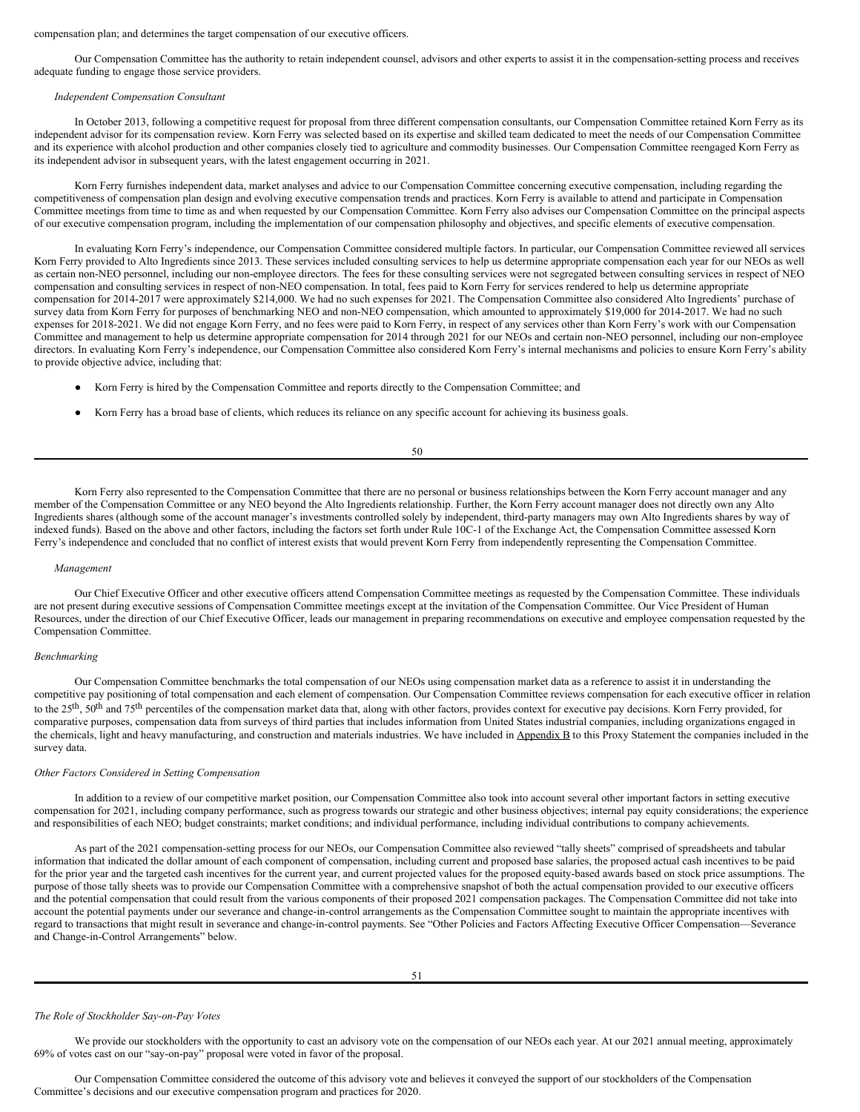### compensation plan; and determines the target compensation of our executive officers.

Our Compensation Committee has the authority to retain independent counsel, advisors and other experts to assist it in the compensation-setting process and receives adequate funding to engage those service providers.

# *Independent Compensation Consultant*

In October 2013, following a competitive request for proposal from three different compensation consultants, our Compensation Committee retained Korn Ferry as its independent advisor for its compensation review. Korn Ferry was selected based on its expertise and skilled team dedicated to meet the needs of our Compensation Committee and its experience with alcohol production and other companies closely tied to agriculture and commodity businesses. Our Compensation Committee reengaged Korn Ferry as its independent advisor in subsequent years, with the latest engagement occurring in 2021.

Korn Ferry furnishes independent data, market analyses and advice to our Compensation Committee concerning executive compensation, including regarding the competitiveness of compensation plan design and evolving executive compensation trends and practices. Korn Ferry is available to attend and participate in Compensation Committee meetings from time to time as and when requested by our Compensation Committee. Korn Ferry also advises our Compensation Committee on the principal aspects of our executive compensation program, including the implementation of our compensation philosophy and objectives, and specific elements of executive compensation.

In evaluating Korn Ferry's independence, our Compensation Committee considered multiple factors. In particular, our Compensation Committee reviewed all services Korn Ferry provided to Alto Ingredients since 2013. These services included consulting services to help us determine appropriate compensation each year for our NEOs as well as certain non-NEO personnel, including our non-employee directors. The fees for these consulting services were not segregated between consulting services in respect of NEO compensation and consulting services in respect of non-NEO compensation. In total, fees paid to Korn Ferry for services rendered to help us determine appropriate compensation for 2014-2017 were approximately \$214,000. We had no such expenses for 2021. The Compensation Committee also considered Alto Ingredients' purchase of survey data from Korn Ferry for purposes of benchmarking NEO and non-NEO compensation, which amounted to approximately \$19,000 for 2014-2017. We had no such expenses for 2018-2021. We did not engage Korn Ferry, and no fees were paid to Korn Ferry, in respect of any services other than Korn Ferry's work with our Compensation Committee and management to help us determine appropriate compensation for 2014 through 2021 for our NEOs and certain non-NEO personnel, including our non-employee directors. In evaluating Korn Ferry's independence, our Compensation Committee also considered Korn Ferry's internal mechanisms and policies to ensure Korn Ferry's ability to provide objective advice, including that:

- Korn Ferry is hired by the Compensation Committee and reports directly to the Compensation Committee; and
- Korn Ferry has a broad base of clients, which reduces its reliance on any specific account for achieving its business goals.

| I<br>I<br>$\sim$ | ٠<br>۰.<br>$\sim$ |
|------------------|-------------------|

Korn Ferry also represented to the Compensation Committee that there are no personal or business relationships between the Korn Ferry account manager and any member of the Compensation Committee or any NEO beyond the Alto Ingredients relationship. Further, the Korn Ferry account manager does not directly own any Alto Ingredients shares (although some of the account manager's investments controlled solely by independent, third-party managers may own Alto Ingredients shares by way of indexed funds). Based on the above and other factors, including the factors set forth under Rule 10C-1 of the Exchange Act, the Compensation Committee assessed Korn Ferry's independence and concluded that no conflict of interest exists that would prevent Korn Ferry from independently representing the Compensation Committee.

### *Management*

Our Chief Executive Officer and other executive officers attend Compensation Committee meetings as requested by the Compensation Committee. These individuals are not present during executive sessions of Compensation Committee meetings except at the invitation of the Compensation Committee. Our Vice President of Human Resources, under the direction of our Chief Executive Officer, leads our management in preparing recommendations on executive and employee compensation requested by the Compensation Committee.

# *Benchmarking*

Our Compensation Committee benchmarks the total compensation of our NEOs using compensation market data as a reference to assist it in understanding the competitive pay positioning of total compensation and each element of compensation. Our Compensation Committee reviews compensation for each executive officer in relation to the 25<sup>th</sup>, 50<sup>th</sup> and 75<sup>th</sup> percentiles of the compensation market data that, along with other factors, provides context for executive pay decisions. Korn Ferry provided, for comparative purposes, compensation data from surveys of third parties that includes information from United States industrial companies, including organizations engaged in the chemicals, light and heavy manufacturing, and construction and materials industries. We have included in Appendix B to this Proxy Statement the companies included in the survey data.

## *Other Factors Considered in Setting Compensation*

In addition to a review of our competitive market position, our Compensation Committee also took into account several other important factors in setting executive compensation for 2021, including company performance, such as progress towards our strategic and other business objectives; internal pay equity considerations; the experience and responsibilities of each NEO; budget constraints; market conditions; and individual performance, including individual contributions to company achievements.

As part of the 2021 compensation-setting process for our NEOs, our Compensation Committee also reviewed "tally sheets" comprised of spreadsheets and tabular information that indicated the dollar amount of each component of compensation, including current and proposed base salaries, the proposed actual cash incentives to be paid for the prior year and the targeted cash incentives for the current year, and current projected values for the proposed equity-based awards based on stock price assumptions. The purpose of those tally sheets was to provide our Compensation Committee with a comprehensive snapshot of both the actual compensation provided to our executive officers and the potential compensation that could result from the various components of their proposed 2021 compensation packages. The Compensation Committee did not take into account the potential payments under our severance and change-in-control arrangements as the Compensation Committee sought to maintain the appropriate incentives with regard to transactions that might result in severance and change-in-control payments. See "Other Policies and Factors Affecting Executive Officer Compensation—Severance and Change-in-Control Arrangements" below.

### *The Role of Stockholder Say-on-Pay Votes*

We provide our stockholders with the opportunity to cast an advisory vote on the compensation of our NEOs each year. At our 2021 annual meeting, approximately 69% of votes cast on our "say-on-pay" proposal were voted in favor of the proposal.

Our Compensation Committee considered the outcome of this advisory vote and believes it conveyed the support of our stockholders of the Compensation Committee's decisions and our executive compensation program and practices for 2020.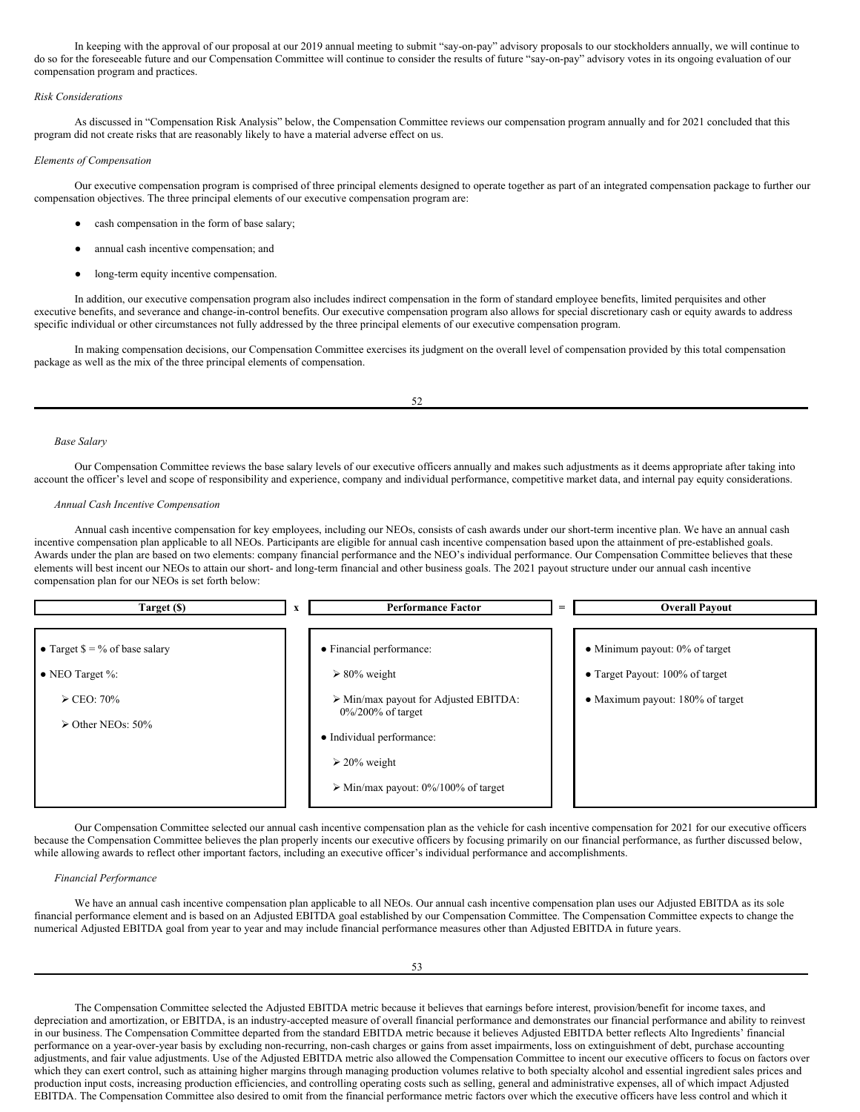In keeping with the approval of our proposal at our 2019 annual meeting to submit "say-on-pay" advisory proposals to our stockholders annually, we will continue to do so for the foreseeable future and our Compensation Committee will continue to consider the results of future "say-on-pay" advisory votes in its ongoing evaluation of our compensation program and practices.

# *Risk Considerations*

As discussed in "Compensation Risk Analysis" below, the Compensation Committee reviews our compensation program annually and for 2021 concluded that this program did not create risks that are reasonably likely to have a material adverse effect on us.

# *Elements of Compensation*

Our executive compensation program is comprised of three principal elements designed to operate together as part of an integrated compensation package to further our compensation objectives. The three principal elements of our executive compensation program are:

- cash compensation in the form of base salary;
- annual cash incentive compensation; and
- long-term equity incentive compensation.

In addition, our executive compensation program also includes indirect compensation in the form of standard employee benefits, limited perquisites and other executive benefits, and severance and change-in-control benefits. Our executive compensation program also allows for special discretionary cash or equity awards to address specific individual or other circumstances not fully addressed by the three principal elements of our executive compensation program.

In making compensation decisions, our Compensation Committee exercises its judgment on the overall level of compensation provided by this total compensation package as well as the mix of the three principal elements of compensation.

#### 52

### *Base Salary*

Our Compensation Committee reviews the base salary levels of our executive officers annually and makes such adjustments as it deems appropriate after taking into account the officer's level and scope of responsibility and experience, company and individual performance, competitive market data, and internal pay equity considerations.

#### *Annual Cash Incentive Compensation*

Annual cash incentive compensation for key employees, including our NEOs, consists of cash awards under our short-term incentive plan. We have an annual cash incentive compensation plan applicable to all NEOs. Participants are eligible for annual cash incentive compensation based upon the attainment of pre-established goals. Awards under the plan are based on two elements: company financial performance and the NEO's individual performance. Our Compensation Committee believes that these elements will best incent our NEOs to attain our short- and long-term financial and other business goals. The 2021 payout structure under our annual cash incentive compensation plan for our NEOs is set forth below:

| Target (\$)                                                                                                                      | X | <b>Performance Factor</b>                                                                                                                                                                                                                | $=$ | <b>Overall Payout</b>                                                                                    |
|----------------------------------------------------------------------------------------------------------------------------------|---|------------------------------------------------------------------------------------------------------------------------------------------------------------------------------------------------------------------------------------------|-----|----------------------------------------------------------------------------------------------------------|
| • Target $\frac{6}{5} = \frac{9}{6}$ of base salary<br>• NEO Target $\%$ :<br>$\ge$ CEO: 70%<br>$\triangleright$ Other NEOs: 50% |   | • Financial performance:<br>$\geq 80\%$ weight<br>$\triangleright$ Min/max payout for Adjusted EBITDA:<br>$0\%/200\%$ of target<br>• Individual performance:<br>$\geq 20\%$ weight<br>$\triangleright$ Min/max payout: 0%/100% of target |     | • Minimum payout: $0\%$ of target<br>• Target Payout: 100% of target<br>• Maximum payout: 180% of target |

Our Compensation Committee selected our annual cash incentive compensation plan as the vehicle for cash incentive compensation for 2021 for our executive officers because the Compensation Committee believes the plan properly incents our executive officers by focusing primarily on our financial performance, as further discussed below, while allowing awards to reflect other important factors, including an executive officer's individual performance and accomplishments.

## *Financial Performance*

We have an annual cash incentive compensation plan applicable to all NEOs. Our annual cash incentive compensation plan uses our Adjusted EBITDA as its sole financial performance element and is based on an Adjusted EBITDA goal established by our Compensation Committee. The Compensation Committee expects to change the numerical Adjusted EBITDA goal from year to year and may include financial performance measures other than Adjusted EBITDA in future years.

The Compensation Committee selected the Adjusted EBITDA metric because it believes that earnings before interest, provision/benefit for income taxes, and depreciation and amortization, or EBITDA, is an industry-accepted measure of overall financial performance and demonstrates our financial performance and ability to reinvest in our business. The Compensation Committee departed from the standard EBITDA metric because it believes Adjusted EBITDA better reflects Alto Ingredients' financial performance on a year-over-year basis by excluding non-recurring, non-cash charges or gains from asset impairments, loss on extinguishment of debt, purchase accounting adjustments, and fair value adjustments. Use of the Adjusted EBITDA metric also allowed the Compensation Committee to incent our executive officers to focus on factors over which they can exert control, such as attaining higher margins through managing production volumes relative to both specialty alcohol and essential ingredient sales prices and production input costs, increasing production efficiencies, and controlling operating costs such as selling, general and administrative expenses, all of which impact Adjusted EBITDA. The Compensation Committee also desired to omit from the financial performance metric factors over which the executive officers have less control and which it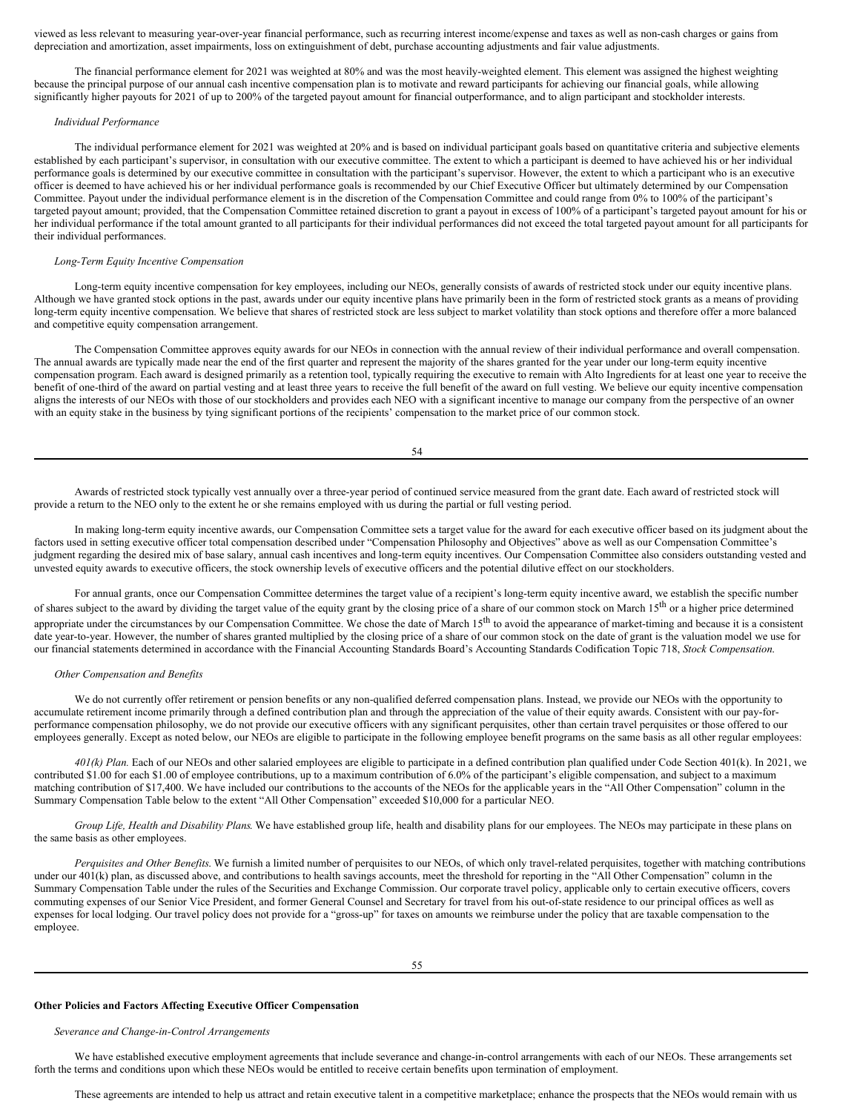viewed as less relevant to measuring year-over-year financial performance, such as recurring interest income/expense and taxes as well as non-cash charges or gains from depreciation and amortization, asset impairments, loss on extinguishment of debt, purchase accounting adjustments and fair value adjustments.

The financial performance element for 2021 was weighted at 80% and was the most heavily-weighted element. This element was assigned the highest weighting because the principal purpose of our annual cash incentive compensation plan is to motivate and reward participants for achieving our financial goals, while allowing significantly higher payouts for 2021 of up to 200% of the targeted payout amount for financial outperformance, and to align participant and stockholder interests.

## *Individual Performance*

The individual performance element for 2021 was weighted at 20% and is based on individual participant goals based on quantitative criteria and subjective elements established by each participant's supervisor, in consultation with our executive committee. The extent to which a participant is deemed to have achieved his or her individual performance goals is determined by our executive committee in consultation with the participant's supervisor. However, the extent to which a participant who is an executive officer is deemed to have achieved his or her individual performance goals is recommended by our Chief Executive Officer but ultimately determined by our Compensation Committee. Payout under the individual performance element is in the discretion of the Compensation Committee and could range from 0% to 100% of the participant's targeted payout amount; provided, that the Compensation Committee retained discretion to grant a payout in excess of 100% of a participant's targeted payout amount for his or her individual performance if the total amount granted to all participants for their individual performances did not exceed the total targeted payout amount for all participants for their individual performances.

# *Long-Term Equity Incentive Compensation*

Long-term equity incentive compensation for key employees, including our NEOs, generally consists of awards of restricted stock under our equity incentive plans. Although we have granted stock options in the past, awards under our equity incentive plans have primarily been in the form of restricted stock grants as a means of providing long-term equity incentive compensation. We believe that shares of restricted stock are less subject to market volatility than stock options and therefore offer a more balanced and competitive equity compensation arrangement.

The Compensation Committee approves equity awards for our NEOs in connection with the annual review of their individual performance and overall compensation. The annual awards are typically made near the end of the first quarter and represent the majority of the shares granted for the year under our long-term equity incentive compensation program. Each award is designed primarily as a retention tool, typically requiring the executive to remain with Alto Ingredients for at least one year to receive the benefit of one-third of the award on partial vesting and at least three years to receive the full benefit of the award on full vesting. We believe our equity incentive compensation aligns the interests of our NEOs with those of our stockholders and provides each NEO with a significant incentive to manage our company from the perspective of an owner with an equity stake in the business by tying significant portions of the recipients' compensation to the market price of our common stock.

54

Awards of restricted stock typically vest annually over a three-year period of continued service measured from the grant date. Each award of restricted stock will provide a return to the NEO only to the extent he or she remains employed with us during the partial or full vesting period.

In making long-term equity incentive awards, our Compensation Committee sets a target value for the award for each executive officer based on its judgment about the factors used in setting executive officer total compensation described under "Compensation Philosophy and Objectives" above as well as our Compensation Committee's judgment regarding the desired mix of base salary, annual cash incentives and long-term equity incentives. Our Compensation Committee also considers outstanding vested and unvested equity awards to executive officers, the stock ownership levels of executive officers and the potential dilutive effect on our stockholders.

For annual grants, once our Compensation Committee determines the target value of a recipient's long-term equity incentive award, we establish the specific number of shares subject to the award by dividing the target value of the equity grant by the closing price of a share of our common stock on March  $15<sup>th</sup>$  or a higher price determined appropriate under the circumstances by our Compensation Committee. We chose the date of March 15<sup>th</sup> to avoid the appearance of market-timing and because it is a consistent date year-to-year. However, the number of shares granted multiplied by the closing price of a share of our common stock on the date of grant is the valuation model we use for our financial statements determined in accordance with the Financial Accounting Standards Board's Accounting Standards Codification Topic 718, *Stock Compensation*.

# *Other Compensation and Benefits*

We do not currently offer retirement or pension benefits or any non-qualified deferred compensation plans. Instead, we provide our NEOs with the opportunity to accumulate retirement income primarily through a defined contribution plan and through the appreciation of the value of their equity awards. Consistent with our pay-forperformance compensation philosophy, we do not provide our executive officers with any significant perquisites, other than certain travel perquisites or those offered to our employees generally. Except as noted below, our NEOs are eligible to participate in the following employee benefit programs on the same basis as all other regular employees:

*401(k) Plan.* Each of our NEOs and other salaried employees are eligible to participate in a defined contribution plan qualified under Code Section 401(k). In 2021, we contributed \$1.00 for each \$1.00 of employee contributions, up to a maximum contribution of 6.0% of the participant's eligible compensation, and subject to a maximum matching contribution of \$17,400. We have included our contributions to the accounts of the NEOs for the applicable years in the "All Other Compensation" column in the Summary Compensation Table below to the extent "All Other Compensation" exceeded \$10,000 for a particular NEO.

*Group Life, Health and Disability Plans*. We have established group life, health and disability plans for our employees. The NEOs may participate in these plans on the same basis as other employees.

*Perquisites and Other Benefits*. We furnish a limited number of perquisites to our NEOs, of which only travel-related perquisites, together with matching contributions under our 401(k) plan, as discussed above, and contributions to health savings accounts, meet the threshold for reporting in the "All Other Compensation" column in the Summary Compensation Table under the rules of the Securities and Exchange Commission. Our corporate travel policy, applicable only to certain executive officers, covers commuting expenses of our Senior Vice President, and former General Counsel and Secretary for travel from his out-of-state residence to our principal offices as well as expenses for local lodging. Our travel policy does not provide for a "gross-up" for taxes on amounts we reimburse under the policy that are taxable compensation to the employee.

# **Other Policies and Factors Affecting Executive Officer Compensation**

# *Severance and Change-in-Control Arrangements*

We have established executive employment agreements that include severance and change-in-control arrangements with each of our NEOs. These arrangements set forth the terms and conditions upon which these NEOs would be entitled to receive certain benefits upon termination of employment.

These agreements are intended to help us attract and retain executive talent in a competitive marketplace; enhance the prospects that the NEOs would remain with us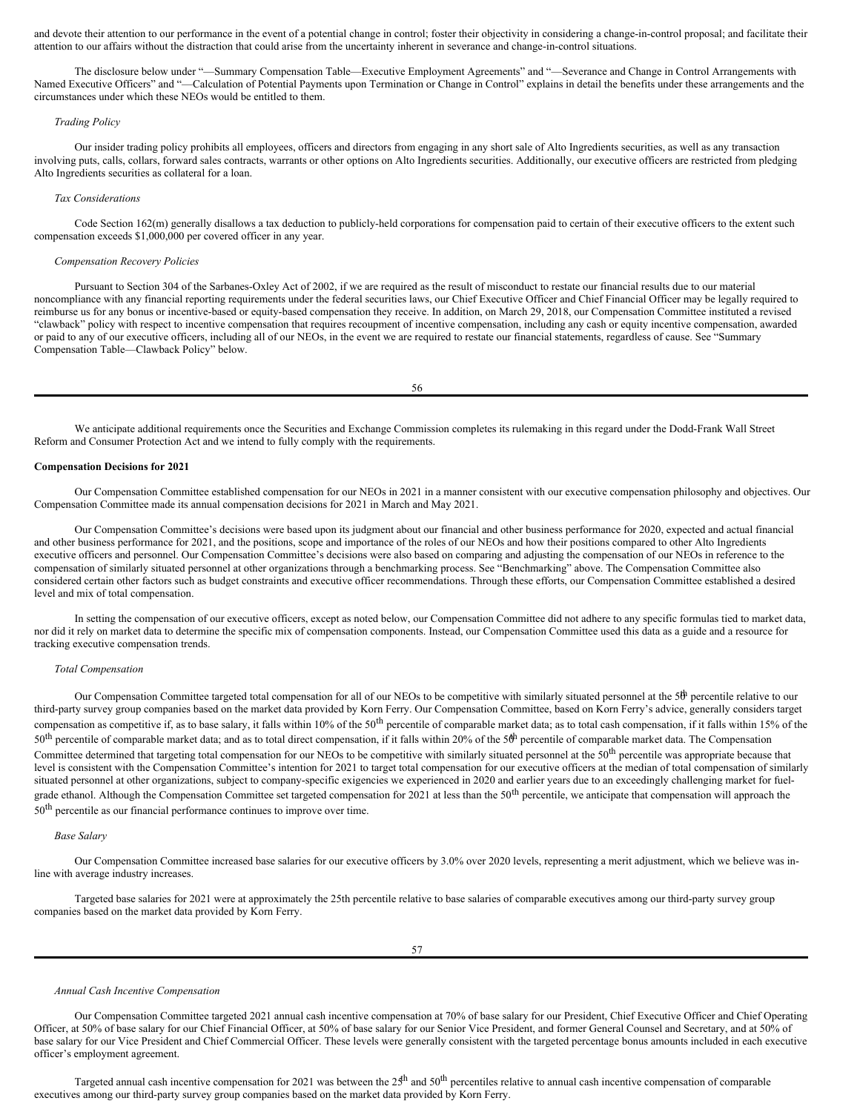and devote their attention to our performance in the event of a potential change in control; foster their objectivity in considering a change-in-control proposal; and facilitate their attention to our affairs without the distraction that could arise from the uncertainty inherent in severance and change-in-control situations.

The disclosure below under "—Summary Compensation Table—Executive Employment Agreements" and "—Severance and Change in Control Arrangements with Named Executive Officers" and "—Calculation of Potential Payments upon Termination or Change in Control" explains in detail the benefits under these arrangements and the circumstances under which these NEOs would be entitled to them.

# *Trading Policy*

Our insider trading policy prohibits all employees, officers and directors from engaging in any short sale of Alto Ingredients securities, as well as any transaction involving puts, calls, collars, forward sales contracts, warrants or other options on Alto Ingredients securities. Additionally, our executive officers are restricted from pledging Alto Ingredients securities as collateral for a loan.

### *Tax Considerations*

Code Section 162(m) generally disallows a tax deduction to publicly-held corporations for compensation paid to certain of their executive officers to the extent such compensation exceeds \$1,000,000 per covered officer in any year.

# *Compensation Recovery Policies*

Pursuant to Section 304 of the Sarbanes-Oxley Act of 2002, if we are required as the result of misconduct to restate our financial results due to our material noncompliance with any financial reporting requirements under the federal securities laws, our Chief Executive Officer and Chief Financial Officer may be legally required to reimburse us for any bonus or incentive-based or equity-based compensation they receive. In addition, on March 29, 2018, our Compensation Committee instituted a revised "clawback" policy with respect to incentive compensation that requires recoupment of incentive compensation, including any cash or equity incentive compensation, awarded or paid to any of our executive officers, including all of our NEOs, in the event we are required to restate our financial statements, regardless of cause. See "Summary Compensation Table—Clawback Policy" below.

56

We anticipate additional requirements once the Securities and Exchange Commission completes its rulemaking in this regard under the Dodd-Frank Wall Street Reform and Consumer Protection Act and we intend to fully comply with the requirements.

### **Compensation Decisions for 2021**

Our Compensation Committee established compensation for our NEOs in 2021 in a manner consistent with our executive compensation philosophy and objectives. Our Compensation Committee made its annual compensation decisions for 2021 in March and May 2021.

Our Compensation Committee's decisions were based upon its judgment about our financial and other business performance for 2020, expected and actual financial and other business performance for 2021, and the positions, scope and importance of the roles of our NEOs and how their positions compared to other Alto Ingredients executive officers and personnel. Our Compensation Committee's decisions were also based on comparing and adjusting the compensation of our NEOs in reference to the compensation of similarly situated personnel at other organizations through a benchmarking process. See "Benchmarking" above. The Compensation Committee also considered certain other factors such as budget constraints and executive officer recommendations. Through these efforts, our Compensation Committee established a desired level and mix of total compensation.

In setting the compensation of our executive officers, except as noted below, our Compensation Committee did not adhere to any specific formulas tied to market data, nor did it rely on market data to determine the specific mix of compensation components. Instead, our Compensation Committee used this data as a guide and a resource for tracking executive compensation trends.

### *Total Compensation*

Our Compensation Committee targeted total compensation for all of our NEOs to be competitive with similarly situated personnel at the  $5^{\text{th}}$  percentile relative to our third-party survey group companies based on the market data provided by Korn Ferry. Our Compensation Committee, based on Korn Ferry's advice, generally considers target compensation as competitive if, as to base salary, it falls within 10% of the 50<sup>th</sup> percentile of comparable market data; as to total cash compensation, if it falls within 15% of the  $50<sup>th</sup>$  percentile of comparable market data; and as to total direct compensation, if it falls within 20% of the  $5<sup>th</sup>$  percentile of comparable market data. The Compensation Committee determined that targeting total compensation for our NEOs to be competitive with similarly situated personnel at the 50<sup>th</sup> percentile was appropriate because that level is consistent with the Compensation Committee's intention for 2021 to target total compensation for our executive officers at the median of total compensation of similarly situated personnel at other organizations, subject to company-specific exigencies we experienced in 2020 and earlier years due to an exceedingly challenging market for fuelgrade ethanol. Although the Compensation Committee set targeted compensation for 2021 at less than the  $50<sup>th</sup>$  percentile, we anticipate that compensation will approach the 50<sup>th</sup> percentile as our financial performance continues to improve over time.

# *Base Salary*

Our Compensation Committee increased base salaries for our executive officers by 3.0% over 2020 levels, representing a merit adjustment, which we believe was inline with average industry increases.

Targeted base salaries for 2021 were at approximately the 25th percentile relative to base salaries of comparable executives among our third-party survey group companies based on the market data provided by Korn Ferry.

#### *Annual Cash Incentive Compensation*

Our Compensation Committee targeted 2021 annual cash incentive compensation at 70% of base salary for our President, Chief Executive Officer and Chief Operating Officer, at 50% of base salary for our Chief Financial Officer, at 50% of base salary for our Senior Vice President, and former General Counsel and Secretary, and at 50% of base salary for our Vice President and Chief Commercial Officer. These levels were generally consistent with the targeted percentage bonus amounts included in each executive officer's employment agreement.

Targeted annual cash incentive compensation for 2021 was between the  $25<sup>th</sup>$  and  $50<sup>th</sup>$  percentiles relative to annual cash incentive compensation of comparable executives among our third-party survey group companies based on the market data provided by Korn Ferry.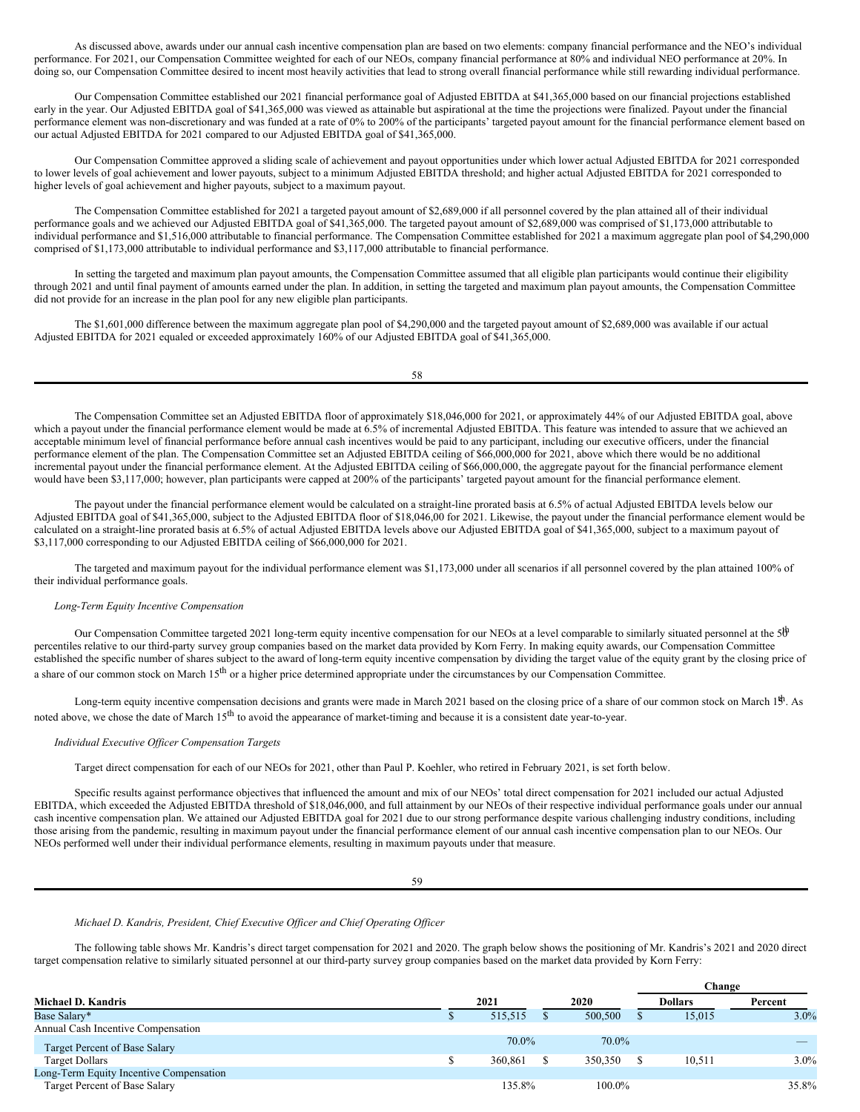As discussed above, awards under our annual cash incentive compensation plan are based on two elements: company financial performance and the NEO's individual performance. For 2021, our Compensation Committee weighted for each of our NEOs, company financial performance at 80% and individual NEO performance at 20%. In doing so, our Compensation Committee desired to incent most heavily activities that lead to strong overall financial performance while still rewarding individual performance.

Our Compensation Committee established our 2021 financial performance goal of Adjusted EBITDA at \$41,365,000 based on our financial projections established early in the year. Our Adjusted EBITDA goal of \$41,365,000 was viewed as attainable but aspirational at the time the projections were finalized. Payout under the financial performance element was non-discretionary and was funded at a rate of 0% to 200% of the participants' targeted payout amount for the financial performance element based on our actual Adjusted EBITDA for 2021 compared to our Adjusted EBITDA goal of \$41,365,000.

Our Compensation Committee approved a sliding scale of achievement and payout opportunities under which lower actual Adjusted EBITDA for 2021 corresponded to lower levels of goal achievement and lower payouts, subject to a minimum Adjusted EBITDA threshold; and higher actual Adjusted EBITDA for 2021 corresponded to higher levels of goal achievement and higher payouts, subject to a maximum payout.

The Compensation Committee established for 2021 a targeted payout amount of \$2,689,000 if all personnel covered by the plan attained all of their individual performance goals and we achieved our Adjusted EBITDA goal of \$41,365,000. The targeted payout amount of \$2,689,000 was comprised of \$1,173,000 attributable to individual performance and \$1,516,000 attributable to financial performance. The Compensation Committee established for 2021 a maximum aggregate plan pool of \$4,290,000 comprised of \$1,173,000 attributable to individual performance and \$3,117,000 attributable to financial performance.

In setting the targeted and maximum plan payout amounts, the Compensation Committee assumed that all eligible plan participants would continue their eligibility through 2021 and until final payment of amounts earned under the plan. In addition, in setting the targeted and maximum plan payout amounts, the Compensation Committee did not provide for an increase in the plan pool for any new eligible plan participants.

The \$1,601,000 difference between the maximum aggregate plan pool of \$4,290,000 and the targeted payout amount of \$2,689,000 was available if our actual Adjusted EBITDA for 2021 equaled or exceeded approximately 160% of our Adjusted EBITDA goal of \$41,365,000.

58

The Compensation Committee set an Adjusted EBITDA floor of approximately \$18,046,000 for 2021, or approximately 44% of our Adjusted EBITDA goal, above which a payout under the financial performance element would be made at 6.5% of incremental Adjusted EBITDA. This feature was intended to assure that we achieved an acceptable minimum level of financial performance before annual cash incentives would be paid to any participant, including our executive officers, under the financial performance element of the plan. The Compensation Committee set an Adjusted EBITDA ceiling of \$66,000,000 for 2021, above which there would be no additional incremental payout under the financial performance element. At the Adjusted EBITDA ceiling of \$66,000,000, the aggregate payout for the financial performance element would have been \$3,117,000; however, plan participants were capped at 200% of the participants' targeted payout amount for the financial performance element.

The payout under the financial performance element would be calculated on a straight-line prorated basis at 6.5% of actual Adjusted EBITDA levels below our Adjusted EBITDA goal of \$41,365,000, subject to the Adjusted EBITDA floor of \$18,046,00 for 2021. Likewise, the payout under the financial performance element would be calculated on a straight-line prorated basis at 6.5% of actual Adjusted EBITDA levels above our Adjusted EBITDA goal of \$41,365,000, subject to a maximum payout of \$3,117,000 corresponding to our Adjusted EBITDA ceiling of \$66,000,000 for 2021.

The targeted and maximum payout for the individual performance element was \$1,173,000 under all scenarios if all personnel covered by the plan attained 100% of their individual performance goals.

# *Long-Term Equity Incentive Compensation*

Our Compensation Committee targeted 2021 long-term equity incentive compensation for our NEOs at a level comparable to similarly situated personnel at the  $50^{\circ}$ percentiles relative to our third-party survey group companies based on the market data provided by Korn Ferry. In making equity awards, our Compensation Committee established the specific number of shares subject to the award of long-term equity incentive compensation by dividing the target value of the equity grant by the closing price of a share of our common stock on March  $15<sup>th</sup>$  or a higher price determined appropriate under the circumstances by our Compensation Committee.

Long-term equity incentive compensation decisions and grants were made in March 2021 based on the closing price of a share of our common stock on March  $1<sup>th</sup>$ . As noted above, we chose the date of March 15<sup>th</sup> to avoid the appearance of market-timing and because it is a consistent date year-to-year.

# *Individual Executive Of icer Compensation Targets*

Target direct compensation for each of our NEOs for 2021, other than Paul P. Koehler, who retired in February 2021, is set forth below.

Specific results against performance objectives that influenced the amount and mix of our NEOs' total direct compensation for 2021 included our actual Adjusted EBITDA, which exceeded the Adjusted EBITDA threshold of \$18,046,000, and full attainment by our NEOs of their respective individual performance goals under our annual cash incentive compensation plan. We attained our Adjusted EBITDA goal for 2021 due to our strong performance despite various challenging industry conditions, including those arising from the pandemic, resulting in maximum payout under the financial performance element of our annual cash incentive compensation plan to our NEOs. Our NEOs performed well under their individual performance elements, resulting in maximum payouts under that measure.

59

# *Michael D. Kandris, President, Chief Executive Of icer and Chief Operating Of icer*

The following table shows Mr. Kandris's direct target compensation for 2021 and 2020. The graph below shows the positioning of Mr. Kandris's 2021 and 2020 direct target compensation relative to similarly situated personnel at our third-party survey group companies based on the market data provided by Korn Ferry:

|                                         |         |         | Change         |         |
|-----------------------------------------|---------|---------|----------------|---------|
| <b>Michael D. Kandris</b>               | 2021    | 2020    | <b>Dollars</b> | Percent |
| Base Salary*                            | 515,515 | 500,500 | 15.015         | $3.0\%$ |
| Annual Cash Incentive Compensation      |         |         |                |         |
| Target Percent of Base Salary           | 70.0%   | 70.0%   |                |         |
| <b>Target Dollars</b>                   | 360,861 | 350,350 | 10.511         | $3.0\%$ |
| Long-Term Equity Incentive Compensation |         |         |                |         |
| Target Percent of Base Salary           | 135.8%  | 100.0%  |                | 35.8%   |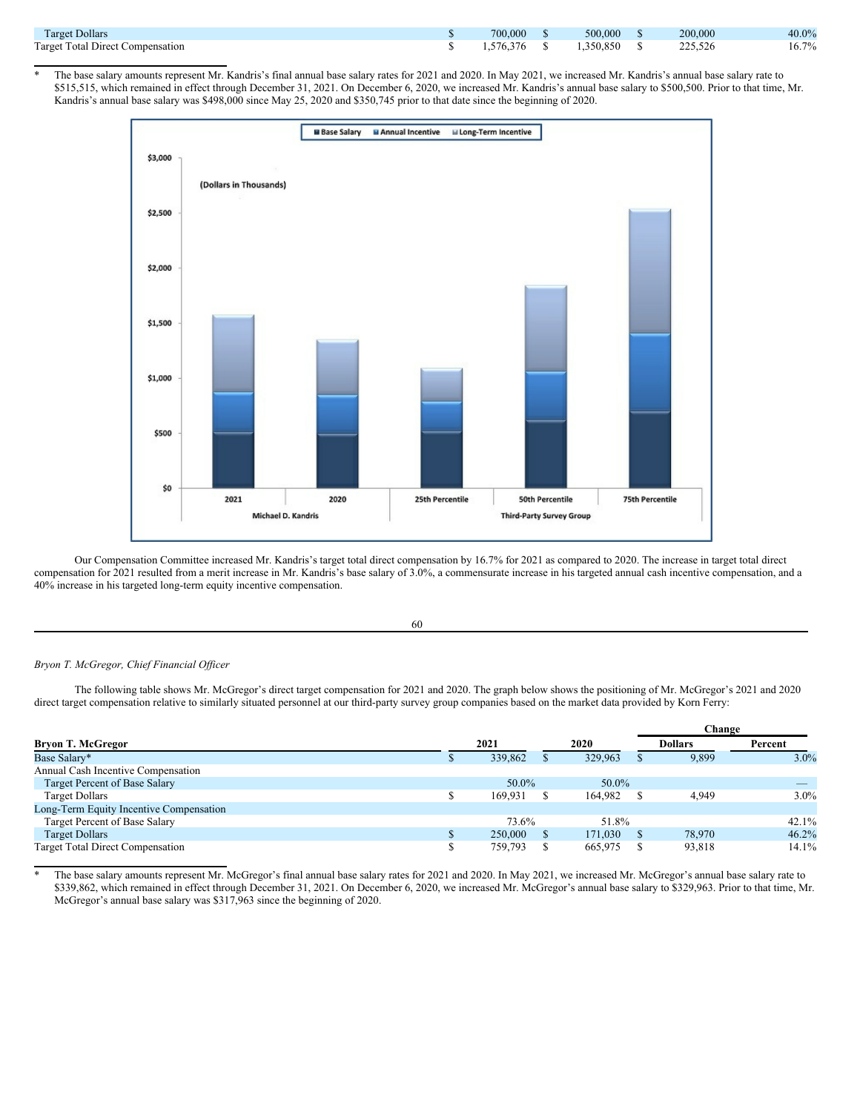| <b>Target Dollars</b>            | 700,000   | 500,000   | 200,000 | 40.0% |
|----------------------------------|-----------|-----------|---------|-------|
| Target Total Direct Compensation | 1.576.376 | 1.350.850 | 225,526 | 16.7% |

The base salary amounts represent Mr. Kandris's final annual base salary rates for 2021 and 2020. In May 2021, we increased Mr. Kandris's annual base salary rate to \$515,515, which remained in effect through December 31, 2021. On December 6, 2020, we increased Mr. Kandris's annual base salary to \$500,500. Prior to that time, Mr. Kandris's annual base salary was \$498,000 since May 25, 2020 and \$350,745 prior to that date since the beginning of 2020.



Our Compensation Committee increased Mr. Kandris's target total direct compensation by 16.7% for 2021 as compared to 2020. The increase in target total direct compensation for 2021 resulted from a merit increase in Mr. Kandris's base salary of 3.0%, a commensurate increase in his targeted annual cash incentive compensation, and a 40% increase in his targeted long-term equity incentive compensation.

60

# *Bryon T. McGregor, Chief Financial Of icer*

The following table shows Mr. McGregor's direct target compensation for 2021 and 2020. The graph below shows the positioning of Mr. McGregor's 2021 and 2020 direct target compensation relative to similarly situated personnel at our third-party survey group companies based on the market data provided by Korn Ferry:

|                                         |         |         | Change         |         |
|-----------------------------------------|---------|---------|----------------|---------|
| <b>Bryon T. McGregor</b>                | 2021    | 2020    | <b>Dollars</b> | Percent |
| Base Salary*                            | 339,862 | 329,963 | 9,899          | $3.0\%$ |
| Annual Cash Incentive Compensation      |         |         |                |         |
| Target Percent of Base Salary           | 50.0%   | 50.0%   |                |         |
| <b>Target Dollars</b>                   | 169.931 | 164,982 | 4.949          | $3.0\%$ |
| Long-Term Equity Incentive Compensation |         |         |                |         |
| Target Percent of Base Salary           | 73.6%   | 51.8%   |                | 42.1%   |
| <b>Target Dollars</b>                   | 250,000 | 171.030 | 78.970         | 46.2%   |
| <b>Target Total Direct Compensation</b> | 759,793 | 665,975 | 93,818         | 14.1%   |

The base salary amounts represent Mr. McGregor's final annual base salary rates for 2021 and 2020. In May 2021, we increased Mr. McGregor's annual base salary rate to \$339,862, which remained in effect through December 31, 2021. On December 6, 2020, we increased Mr. McGregor's annual base salary to \$329,963. Prior to that time, Mr. McGregor's annual base salary was \$317,963 since the beginning of 2020.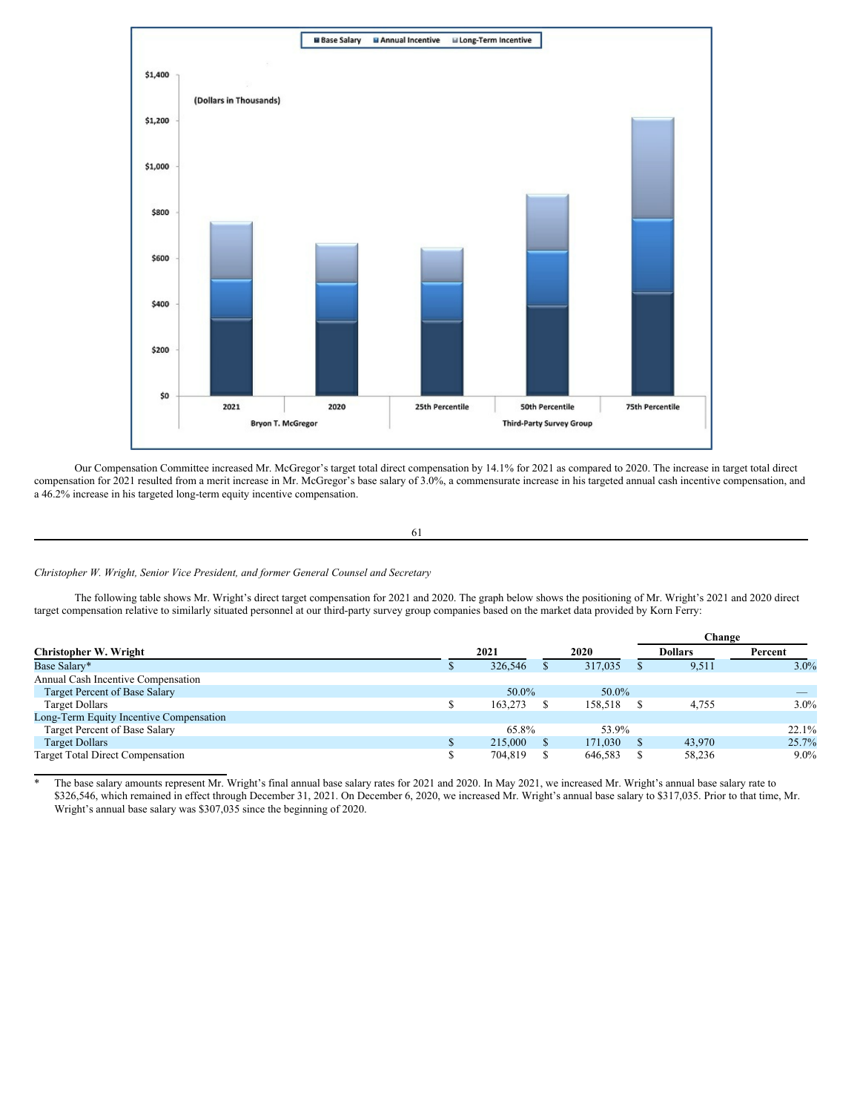

Our Compensation Committee increased Mr. McGregor's target total direct compensation by 14.1% for 2021 as compared to 2020. The increase in target total direct compensation for 2021 resulted from a merit increase in Mr. McGregor's base salary of 3.0%, a commensurate increase in his targeted annual cash incentive compensation, and a 46.2% increase in his targeted long-term equity incentive compensation.

```
61
```
# *Christopher W. Wright, Senior Vice President, and former General Counsel and Secretary*

The following table shows Mr. Wright's direct target compensation for 2021 and 2020. The graph below shows the positioning of Mr. Wright's 2021 and 2020 direct target compensation relative to similarly situated personnel at our third-party survey group companies based on the market data provided by Korn Ferry:

|                                         |         |         | Change         |          |
|-----------------------------------------|---------|---------|----------------|----------|
| <b>Christopher W. Wright</b>            | 2021    | 2020    | <b>Dollars</b> | Percent  |
| Base Salary*                            | 326,546 | 317,035 | 9,511          | $3.0\%$  |
| Annual Cash Incentive Compensation      |         |         |                |          |
| Target Percent of Base Salary           | 50.0%   | 50.0%   |                |          |
| <b>Target Dollars</b>                   | 163,273 | 158.518 | 4.755          | $3.0\%$  |
| Long-Term Equity Incentive Compensation |         |         |                |          |
| Target Percent of Base Salary           | 65.8%   | 53.9%   |                | $22.1\%$ |
| <b>Target Dollars</b>                   | 215,000 | 171.030 | 43,970         | 25.7%    |
| <b>Target Total Direct Compensation</b> | 704,819 | 646,583 | 58,236         | $9.0\%$  |

The base salary amounts represent Mr. Wright's final annual base salary rates for 2021 and 2020. In May 2021, we increased Mr. Wright's annual base salary rate to \$326,546, which remained in effect through December 31, 2021. On December 6, 2020, we increased Mr. Wright's annual base salary to \$317,035. Prior to that time, Mr. Wright's annual base salary was \$307,035 since the beginning of 2020.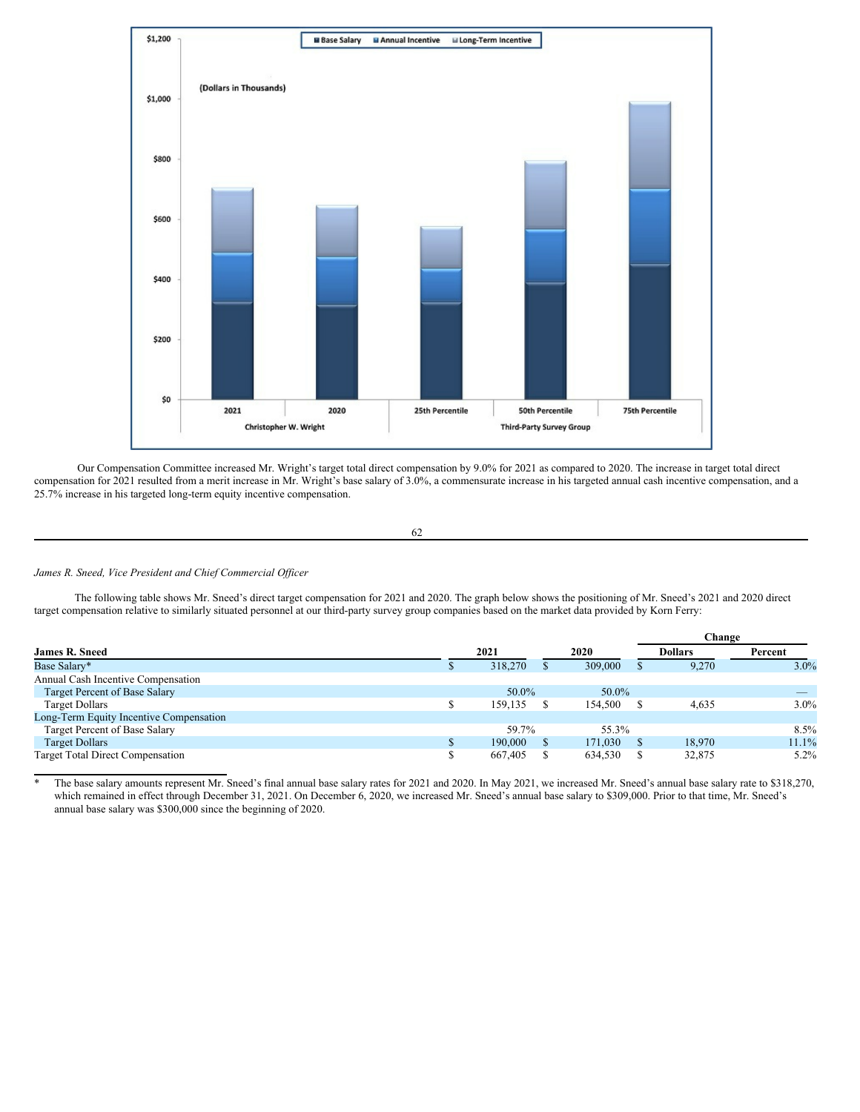

Our Compensation Committee increased Mr. Wright's target total direct compensation by 9.0% for 2021 as compared to 2020. The increase in target total direct compensation for 2021 resulted from a merit increase in Mr. Wright's base salary of 3.0%, a commensurate increase in his targeted annual cash incentive compensation, and a 25.7% increase in his targeted long-term equity incentive compensation.

62

# *James R. Sneed, Vice President and Chief Commercial Of icer*

The following table shows Mr. Sneed's direct target compensation for 2021 and 2020. The graph below shows the positioning of Mr. Sneed's 2021 and 2020 direct target compensation relative to similarly situated personnel at our third-party survey group companies based on the market data provided by Korn Ferry:

|                                         |         |         | Change         |         |
|-----------------------------------------|---------|---------|----------------|---------|
| <b>James R. Sneed</b>                   | 2021    | 2020    | <b>Dollars</b> | Percent |
| Base Salary*                            | 318,270 | 309,000 | 9,270          | $3.0\%$ |
| Annual Cash Incentive Compensation      |         |         |                |         |
| Target Percent of Base Salary           | 50.0%   | 50.0%   |                |         |
| <b>Target Dollars</b>                   | 159,135 | 154,500 | 4,635          | $3.0\%$ |
| Long-Term Equity Incentive Compensation |         |         |                |         |
| Target Percent of Base Salary           | 59.7%   | 55.3%   |                | $8.5\%$ |
| <b>Target Dollars</b>                   | 190,000 | 171.030 | 18.970         | 11.1%   |
| <b>Target Total Direct Compensation</b> | 667,405 | 634,530 | 32,875         | $5.2\%$ |

The base salary amounts represent Mr. Sneed's final annual base salary rates for 2021 and 2020. In May 2021, we increased Mr. Sneed's annual base salary rate to \$318,270, which remained in effect through December 31, 2021. On December 6, 2020, we increased Mr. Sneed's annual base salary to \$309,000. Prior to that time, Mr. Sneed's annual base salary was \$300,000 since the beginning of 2020.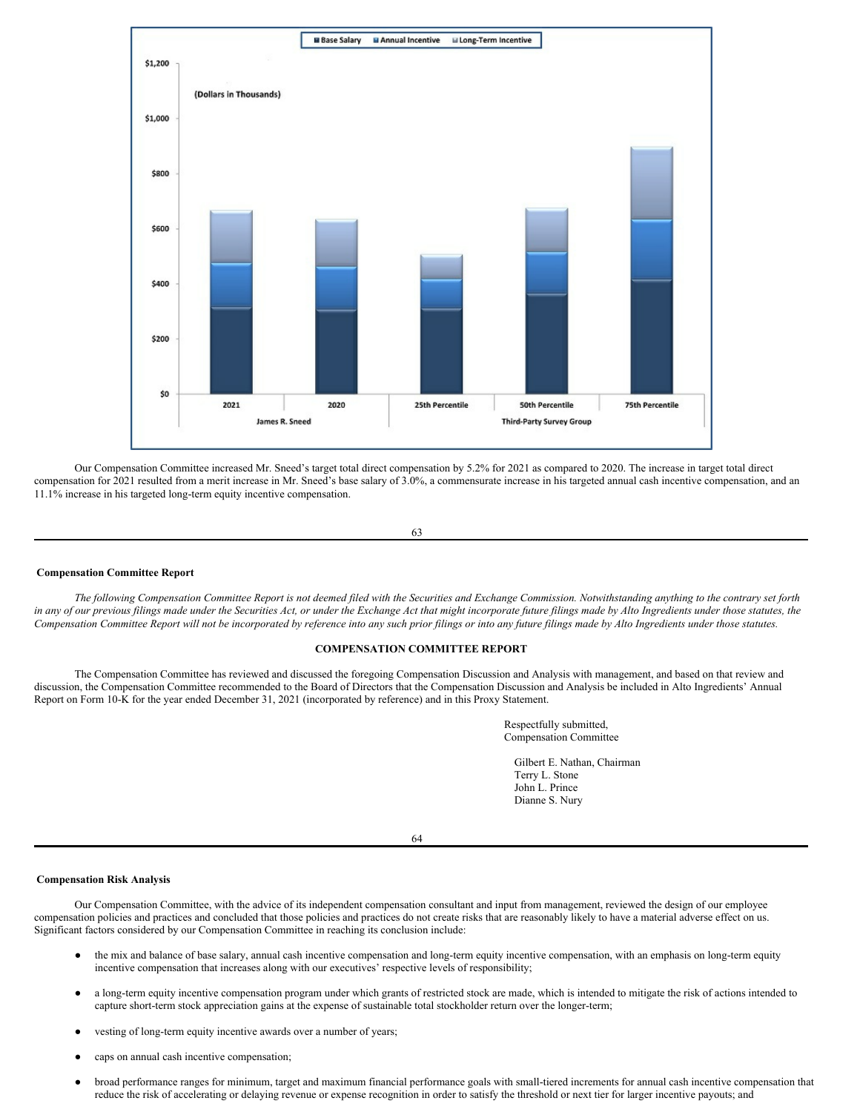

Our Compensation Committee increased Mr. Sneed's target total direct compensation by 5.2% for 2021 as compared to 2020. The increase in target total direct compensation for 2021 resulted from a merit increase in Mr. Sneed's base salary of 3.0%, a commensurate increase in his targeted annual cash incentive compensation, and an 11.1% increase in his targeted long-term equity incentive compensation.



### <span id="page-34-0"></span>**Compensation Committee Report**

The following Compensation Committee Report is not deemed filed with the Securities and Exchange Commission. Notwithstanding anything to the contrary set forth in any of our previous filings made under the Securities Act, or under the Exchange Act that might incorporate future filings made by Alto Ingredients under those statutes, the Compensation Committee Report will not be incorporated by reference into any such prior filings or into any future filings made by Alto Ingredients under those statutes.

# **COMPENSATION COMMITTEE REPORT**

The Compensation Committee has reviewed and discussed the foregoing Compensation Discussion and Analysis with management, and based on that review and discussion, the Compensation Committee recommended to the Board of Directors that the Compensation Discussion and Analysis be included in Alto Ingredients' Annual Report on Form 10-K for the year ended December 31, 2021 (incorporated by reference) and in this Proxy Statement.

> Respectfully submitted, Compensation Committee

Gilbert E. Nathan, Chairman Terry L. Stone John L. Prince Dianne S. Nury

64

### <span id="page-34-1"></span>**Compensation Risk Analysis**

Our Compensation Committee, with the advice of its independent compensation consultant and input from management, reviewed the design of our employee compensation policies and practices and concluded that those policies and practices do not create risks that are reasonably likely to have a material adverse effect on us. Significant factors considered by our Compensation Committee in reaching its conclusion include:

- the mix and balance of base salary, annual cash incentive compensation and long-term equity incentive compensation, with an emphasis on long-term equity incentive compensation that increases along with our executives' respective levels of responsibility;
- a long-term equity incentive compensation program under which grants of restricted stock are made, which is intended to mitigate the risk of actions intended to capture short-term stock appreciation gains at the expense of sustainable total stockholder return over the longer-term;
- vesting of long-term equity incentive awards over a number of years;
- caps on annual cash incentive compensation;
- broad performance ranges for minimum, target and maximum financial performance goals with small-tiered increments for annual cash incentive compensation that reduce the risk of accelerating or delaying revenue or expense recognition in order to satisfy the threshold or next tier for larger incentive payouts; and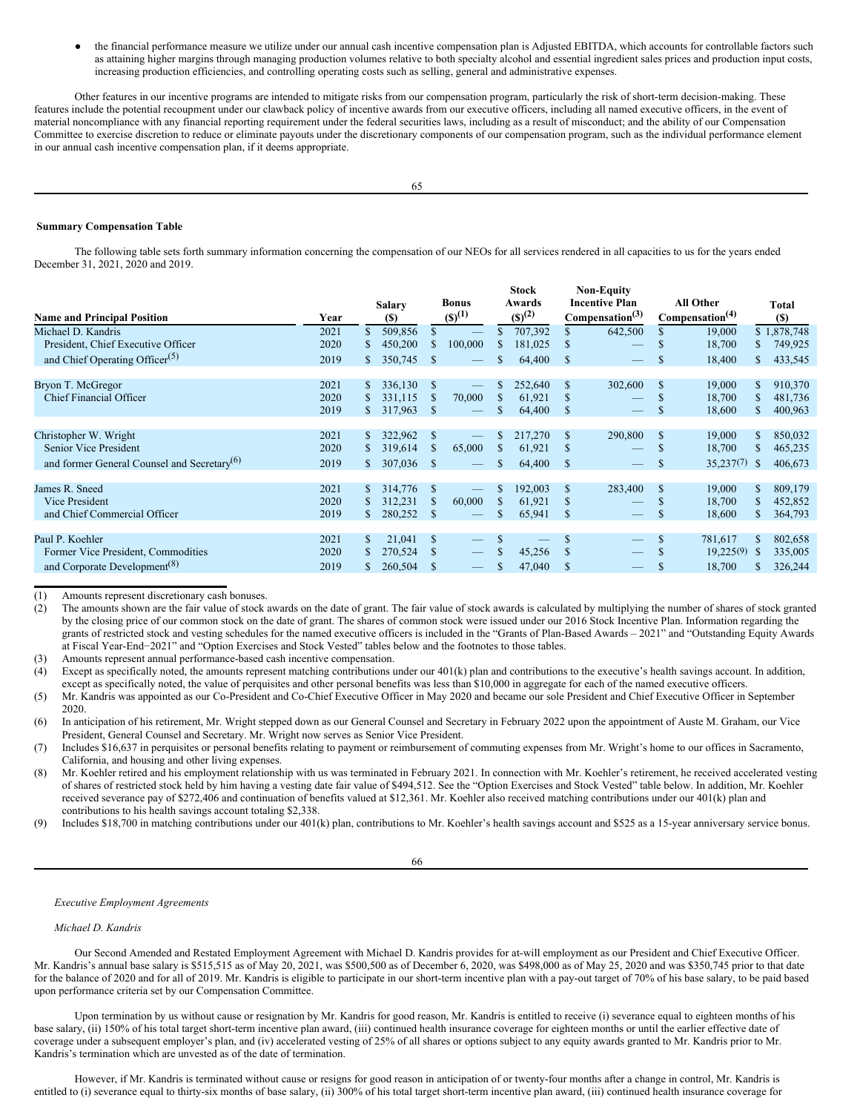● the financial performance measure we utilize under our annual cash incentive compensation plan is Adjusted EBITDA, which accounts for controllable factors such as attaining higher margins through managing production volumes relative to both specialty alcohol and essential ingredient sales prices and production input costs, increasing production efficiencies, and controlling operating costs such as selling, general and administrative expenses.

Other features in our incentive programs are intended to mitigate risks from our compensation program, particularly the risk of short-term decision-making. These features include the potential recoupment under our clawback policy of incentive awards from our executive officers, including all named executive officers, in the event of material noncompliance with any financial reporting requirement under the federal securities laws, including as a result of misconduct; and the ability of our Compensation Committee to exercise discretion to reduce or eliminate payouts under the discretionary components of our compensation program, such as the individual performance element in our annual cash incentive compensation plan, if it deems appropriate.

# <span id="page-35-0"></span>**Summary Compensation Table**

The following table sets forth summary information concerning the compensation of our NEOs for all services rendered in all capacities to us for the years ended December 31, 2021, 2020 and 2019.

| <b>Name and Principal Position</b>                      | Year |    | <b>Salary</b><br>(S) |               | <b>Bonus</b><br>$(S)^{(1)}$           |               | <b>Stock</b><br>Awards<br>$(S)^{(2)}$ |               | <b>Non-Equity</b><br><b>Incentive Plan</b><br>Compensation <sup>(3)</sup> |               | <b>All Other</b><br>Compensation <sup>(4)</sup> |     | Total<br>(S) |
|---------------------------------------------------------|------|----|----------------------|---------------|---------------------------------------|---------------|---------------------------------------|---------------|---------------------------------------------------------------------------|---------------|-------------------------------------------------|-----|--------------|
| Michael D. Kandris                                      | 2021 | \$ | 509,856              | \$            |                                       |               | 707,392                               | \$            | 642,500                                                                   | \$.           | 19,000                                          |     | \$1,878,748  |
| President, Chief Executive Officer                      | 2020 | \$ | 450,200              | S             | 100,000                               |               | 181,025                               | S             |                                                                           | \$            | 18,700                                          | \$  | 749,925      |
| and Chief Operating Officer <sup>(5)</sup>              | 2019 | S. | 350,745              | <sup>\$</sup> |                                       | \$.           | 64,400                                | <sup>\$</sup> |                                                                           | \$            | 18,400                                          | \$  | 433,545      |
| Bryon T. McGregor                                       | 2021 | S. | 336,130              | <sup>\$</sup> |                                       | S             | 252,640                               | \$            | 302,600                                                                   | <sup>\$</sup> | 19,000                                          | \$  | 910,370      |
| <b>Chief Financial Officer</b>                          | 2020 | S. | 331,115              | <sup>\$</sup> | 70,000                                | S             | 61,921                                | \$            |                                                                           | <sup>\$</sup> | 18,700                                          | \$  | 481,736      |
|                                                         | 2019 | S. | 317,963              | <sup>\$</sup> |                                       | \$.           | 64,400                                | S             |                                                                           | S.            | 18,600                                          | \$  | 400,963      |
| Christopher W. Wright                                   | 2021 | S. | 322,962              | S             |                                       |               | 217,270                               | \$            | 290,800                                                                   | <sup>\$</sup> | 19,000                                          |     | 850,032      |
| Senior Vice President                                   | 2020 | S. | 319,614              | <sup>\$</sup> | 65,000                                | S.            | 61,921                                | S             |                                                                           | \$            | 18,700                                          |     | 465,235      |
| and former General Counsel and Secretary <sup>(b)</sup> | 2019 | S. | 307,036              | <sup>S</sup>  |                                       | \$.           | 64,400                                | <sup>\$</sup> |                                                                           | \$.           | 35,237(7)                                       | -S  | 406,673      |
|                                                         |      |    |                      |               |                                       |               |                                       |               |                                                                           |               |                                                 |     |              |
| James R. Sneed                                          | 2021 | S. | 314,776              | S             |                                       |               | 192,003                               | \$            | 283,400                                                                   | <sup>S</sup>  | 19,000                                          | \$. | 809,179      |
| Vice President                                          | 2020 | S. | 312,231              | \$            | 60,000                                |               | 61,921                                | \$            |                                                                           | <sup>\$</sup> | 18,700                                          | \$. | 452,852      |
| and Chief Commercial Officer                            | 2019 | \$ | 280,252              | S             |                                       | \$.           | 65,941                                | \$            |                                                                           | \$            | 18,600                                          | \$. | 364,793      |
|                                                         |      |    |                      |               |                                       |               |                                       |               |                                                                           |               |                                                 |     |              |
| Paul P. Koehler                                         | 2021 | \$ | 21,041               | <sup>\$</sup> |                                       | <sup>\$</sup> |                                       | \$.           |                                                                           | <sup>\$</sup> | 781,617                                         |     | 802,658      |
| Former Vice President, Commodities                      | 2020 | \$ | 270,524              | S             | $\hspace{1.0cm} \rule{1.5cm}{0.15cm}$ | \$            | 45,256                                | S             |                                                                           | \$            | 19,225(9)                                       | -S  | 335,005      |
| and Corporate Development <sup>(8)</sup>                | 2019 | S. | 260,504              | \$            |                                       | \$            | 47,040                                | \$            |                                                                           | \$            | 18,700                                          |     | 326,244      |

(1) Amounts represent discretionary cash bonuses.<br>(2) The amounts shown are the fair value of stock a

The amounts shown are the fair value of stock awards on the date of grant. The fair value of stock awards is calculated by multiplying the number of shares of stock granted by the closing price of our common stock on the date of grant. The shares of common stock were issued under our 2016 Stock Incentive Plan. Information regarding the grants of restricted stock and vesting schedules for the named executive officers is included in the "Grants of Plan-Based Awards – 2021" and "Outstanding Equity Awards at Fiscal Year-End−2021" and "Option Exercises and Stock Vested" tables below and the footnotes to those tables.

(3) Amounts represent annual performance-based cash incentive compensation.

(4) Except as specifically noted, the amounts represent matching contributions under our 401(k) plan and contributions to the executive's health savings account. In addition, except as specifically noted, the value of perquisites and other personal benefits was less than \$10,000 in aggregate for each of the named executive officers.

(5) Mr. Kandris was appointed as our Co-President and Co-Chief Executive Officer in May 2020 and became our sole President and Chief Executive Officer in September 2020.

(6) In anticipation of his retirement, Mr. Wright stepped down as our General Counsel and Secretary in February 2022 upon the appointment of Auste M. Graham, our Vice President, General Counsel and Secretary. Mr. Wright now serves as Senior Vice President.

(7) Includes \$16,637 in perquisites or personal benefits relating to payment or reimbursement of commuting expenses from Mr. Wright's home to our offices in Sacramento, California, and housing and other living expenses.

(8) Mr. Koehler retired and his employment relationship with us was terminated in February 2021. In connection with Mr. Koehler's retirement, he received accelerated vesting of shares of restricted stock held by him having a vesting date fair value of \$494,512. See the "Option Exercises and Stock Vested" table below. In addition, Mr. Koehler received severance pay of \$272,406 and continuation of benefits valued at \$12,361. Mr. Koehler also received matching contributions under our 401(k) plan and contributions to his health savings account totaling \$2,338.

(9) Includes \$18,700 in matching contributions under our 401(k) plan, contributions to Mr. Koehler's health savings account and \$525 as a 15-year anniversary service bonus.

66

*Executive Employment Agreements*

*Michael D. Kandris*

Our Second Amended and Restated Employment Agreement with Michael D. Kandris provides for at-will employment as our President and Chief Executive Officer. Mr. Kandris's annual base salary is \$515,515 as of May 20, 2021, was \$500,500 as of December 6, 2020, was \$498,000 as of May 25, 2020 and was \$350,745 prior to that date for the balance of 2020 and for all of 2019. Mr. Kandris is eligible to participate in our short-term incentive plan with a pay-out target of 70% of his base salary, to be paid based upon performance criteria set by our Compensation Committee.

Upon termination by us without cause or resignation by Mr. Kandris for good reason, Mr. Kandris is entitled to receive (i) severance equal to eighteen months of his base salary, (ii) 150% of his total target short-term incentive plan award, (iii) continued health insurance coverage for eighteen months or until the earlier effective date of coverage under a subsequent employer's plan, and (iv) accelerated vesting of 25% of all shares or options subject to any equity awards granted to Mr. Kandris prior to Mr. Kandris's termination which are unvested as of the date of termination.

However, if Mr. Kandris is terminated without cause or resigns for good reason in anticipation of or twenty-four months after a change in control, Mr. Kandris is entitled to (i) severance equal to thirty-six months of base salary, (ii) 300% of his total target short-term incentive plan award, (iii) continued health insurance coverage for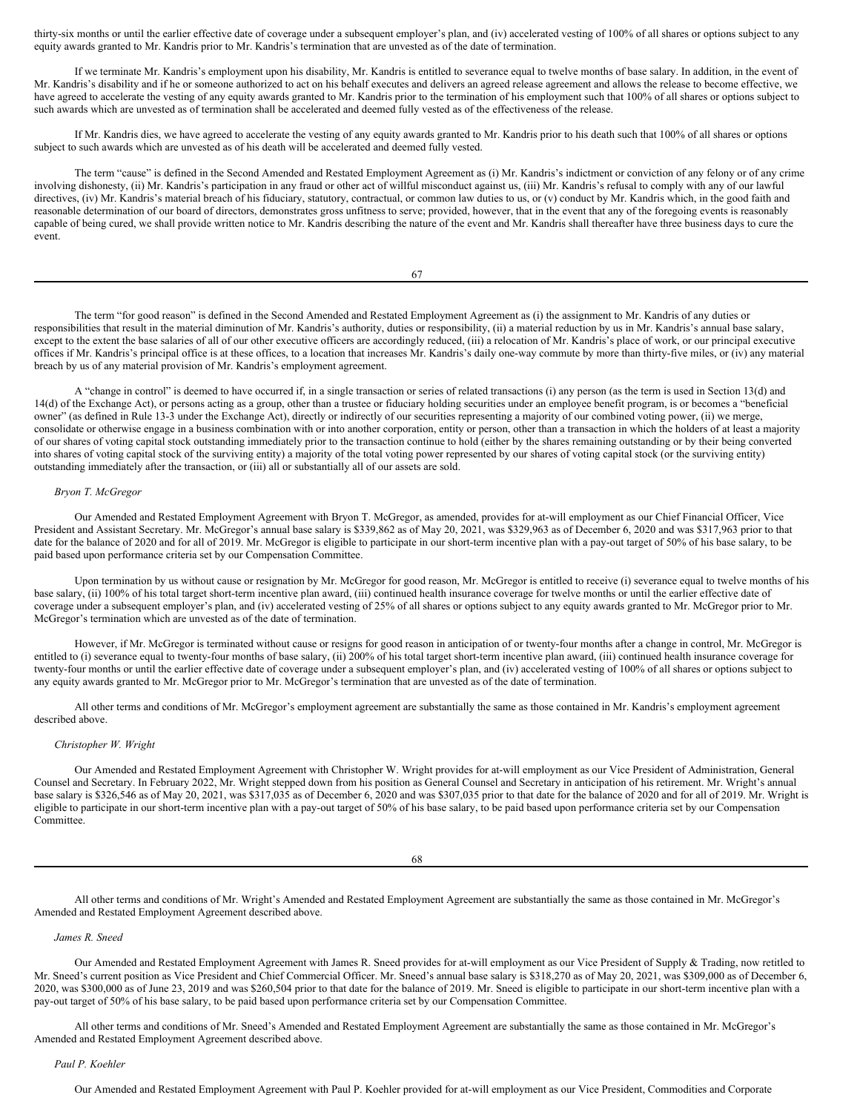thirty-six months or until the earlier effective date of coverage under a subsequent employer's plan, and (iv) accelerated vesting of 100% of all shares or options subject to any equity awards granted to Mr. Kandris prior to Mr. Kandris's termination that are unvested as of the date of termination.

If we terminate Mr. Kandris's employment upon his disability, Mr. Kandris is entitled to severance equal to twelve months of base salary. In addition, in the event of Mr. Kandris's disability and if he or someone authorized to act on his behalf executes and delivers an agreed release agreement and allows the release to become effective, we have agreed to accelerate the vesting of any equity awards granted to Mr. Kandris prior to the termination of his employment such that 100% of all shares or options subject to such awards which are unvested as of termination shall be accelerated and deemed fully vested as of the effectiveness of the release.

If Mr. Kandris dies, we have agreed to accelerate the vesting of any equity awards granted to Mr. Kandris prior to his death such that 100% of all shares or options subject to such awards which are unvested as of his death will be accelerated and deemed fully vested.

The term "cause" is defined in the Second Amended and Restated Employment Agreement as (i) Mr. Kandris's indictment or conviction of any felony or of any crime involving dishonesty, (ii) Mr. Kandris's participation in any fraud or other act of willful misconduct against us, (iii) Mr. Kandris's refusal to comply with any of our lawful directives, (iv) Mr. Kandris's material breach of his fiduciary, statutory, contractual, or common law duties to us, or (v) conduct by Mr. Kandris which, in the good faith and reasonable determination of our board of directors, demonstrates gross unfitness to serve; provided, however, that in the event that any of the foregoing events is reasonably capable of being cured, we shall provide written notice to Mr. Kandris describing the nature of the event and Mr. Kandris shall thereafter have three business days to cure the event.

The term "for good reason" is defined in the Second Amended and Restated Employment Agreement as (i) the assignment to Mr. Kandris of any duties or responsibilities that result in the material diminution of Mr. Kandris's authority, duties or responsibility, (ii) a material reduction by us in Mr. Kandris's annual base salary, except to the extent the base salaries of all of our other executive officers are accordingly reduced, (iii) a relocation of Mr. Kandris's place of work, or our principal executive offices if Mr. Kandris's principal office is at these offices, to a location that increases Mr. Kandris's daily one-way commute by more than thirty-five miles, or (iv) any material breach by us of any material provision of Mr. Kandris's employment agreement.

A "change in control" is deemed to have occurred if, in a single transaction or series of related transactions (i) any person (as the term is used in Section 13(d) and 14(d) of the Exchange Act), or persons acting as a group, other than a trustee or fiduciary holding securities under an employee benefit program, is or becomes a "beneficial owner" (as defined in Rule 13-3 under the Exchange Act), directly or indirectly of our securities representing a majority of our combined voting power, (ii) we merge, consolidate or otherwise engage in a business combination with or into another corporation, entity or person, other than a transaction in which the holders of at least a majority of our shares of voting capital stock outstanding immediately prior to the transaction continue to hold (either by the shares remaining outstanding or by their being converted into shares of voting capital stock of the surviving entity) a majority of the total voting power represented by our shares of voting capital stock (or the surviving entity) outstanding immediately after the transaction, or (iii) all or substantially all of our assets are sold.

# *Bryon T. McGregor*

Our Amended and Restated Employment Agreement with Bryon T. McGregor, as amended, provides for at-will employment as our Chief Financial Officer, Vice President and Assistant Secretary. Mr. McGregor's annual base salary is \$339,862 as of May 20, 2021, was \$329,963 as of December 6, 2020 and was \$317,963 prior to that date for the balance of 2020 and for all of 2019. Mr. McGregor is eligible to participate in our short-term incentive plan with a pay-out target of 50% of his base salary, to be paid based upon performance criteria set by our Compensation Committee.

Upon termination by us without cause or resignation by Mr. McGregor for good reason, Mr. McGregor is entitled to receive (i) severance equal to twelve months of his base salary, (ii) 100% of his total target short-term incentive plan award, (iii) continued health insurance coverage for twelve months or until the earlier effective date of coverage under a subsequent employer's plan, and (iv) accelerated vesting of 25% of all shares or options subject to any equity awards granted to Mr. McGregor prior to Mr. McGregor's termination which are unvested as of the date of termination.

However, if Mr. McGregor is terminated without cause or resigns for good reason in anticipation of or twenty-four months after a change in control, Mr. McGregor is entitled to (i) severance equal to twenty-four months of base salary, (ii) 200% of his total target short-term incentive plan award, (iii) continued health insurance coverage for twenty-four months or until the earlier effective date of coverage under a subsequent employer's plan, and (iv) accelerated vesting of 100% of all shares or options subject to any equity awards granted to Mr. McGregor prior to Mr. McGregor's termination that are unvested as of the date of termination.

All other terms and conditions of Mr. McGregor's employment agreement are substantially the same as those contained in Mr. Kandris's employment agreement described above.

# *Christopher W. Wright*

Our Amended and Restated Employment Agreement with Christopher W. Wright provides for at-will employment as our Vice President of Administration, General Counsel and Secretary. In February 2022, Mr. Wright stepped down from his position as General Counsel and Secretary in anticipation of his retirement. Mr. Wright's annual base salary is \$326,546 as of May 20, 2021, was \$317,035 as of December 6, 2020 and was \$307,035 prior to that date for the balance of 2020 and for all of 2019. Mr. Wright is eligible to participate in our short-term incentive plan with a pay-out target of 50% of his base salary, to be paid based upon performance criteria set by our Compensation Committee.

68

All other terms and conditions of Mr. Wright's Amended and Restated Employment Agreement are substantially the same as those contained in Mr. McGregor's Amended and Restated Employment Agreement described above.

*James R. Sneed*

Our Amended and Restated Employment Agreement with James R. Sneed provides for at-will employment as our Vice President of Supply & Trading, now retitled to Mr. Sneed's current position as Vice President and Chief Commercial Officer. Mr. Sneed's annual base salary is \$318,270 as of May 20, 2021, was \$309,000 as of December 6, 2020, was \$300,000 as of June 23, 2019 and was \$260,504 prior to that date for the balance of 2019. Mr. Sneed is eligible to participate in our short-term incentive plan with a pay-out target of 50% of his base salary, to be paid based upon performance criteria set by our Compensation Committee.

All other terms and conditions of Mr. Sneed's Amended and Restated Employment Agreement are substantially the same as those contained in Mr. McGregor's Amended and Restated Employment Agreement described above.

*Paul P. Koehler*

Our Amended and Restated Employment Agreement with Paul P. Koehler provided for at-will employment as our Vice President, Commodities and Corporate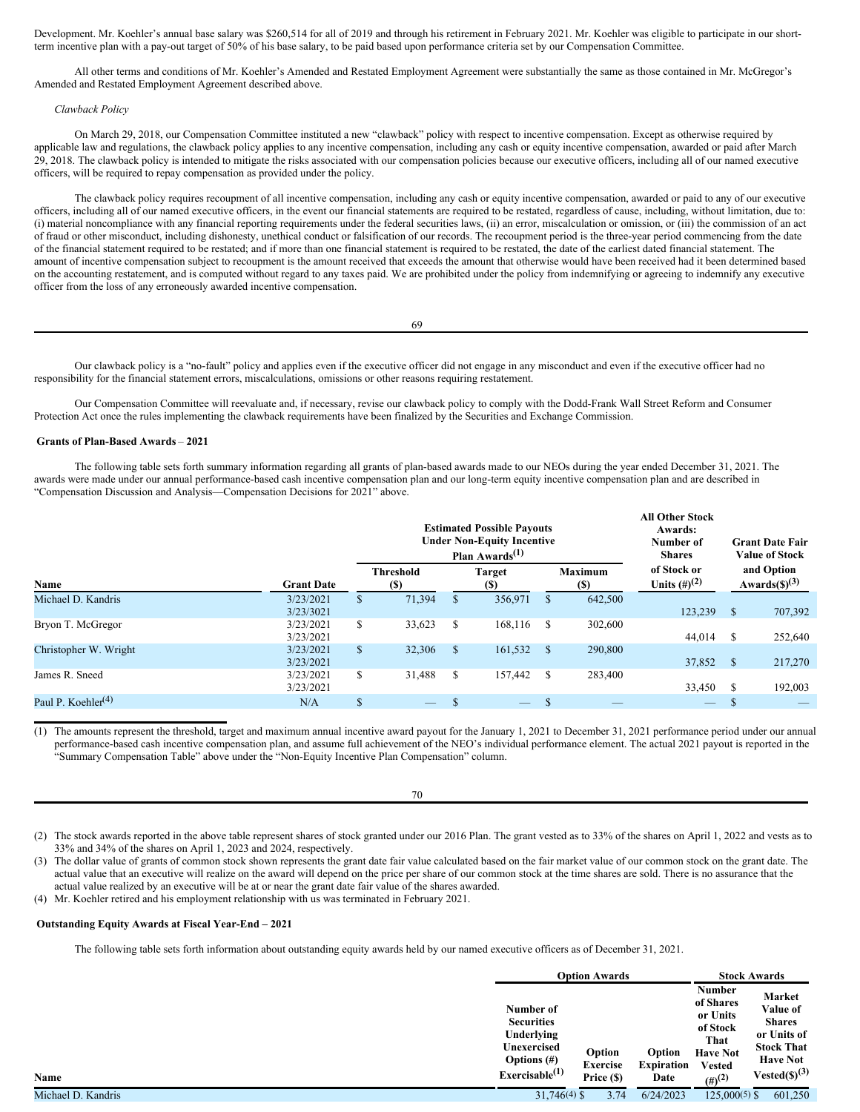Development. Mr. Koehler's annual base salary was \$260,514 for all of 2019 and through his retirement in February 2021. Mr. Koehler was eligible to participate in our shortterm incentive plan with a pay-out target of 50% of his base salary, to be paid based upon performance criteria set by our Compensation Committee.

All other terms and conditions of Mr. Koehler's Amended and Restated Employment Agreement were substantially the same as those contained in Mr. McGregor's Amended and Restated Employment Agreement described above.

## *Clawback Policy*

On March 29, 2018, our Compensation Committee instituted a new "clawback" policy with respect to incentive compensation. Except as otherwise required by applicable law and regulations, the clawback policy applies to any incentive compensation, including any cash or equity incentive compensation, awarded or paid after March 29, 2018. The clawback policy is intended to mitigate the risks associated with our compensation policies because our executive officers, including all of our named executive officers, will be required to repay compensation as provided under the policy.

The clawback policy requires recoupment of all incentive compensation, including any cash or equity incentive compensation, awarded or paid to any of our executive officers, including all of our named executive officers, in the event our financial statements are required to be restated, regardless of cause, including, without limitation, due to: (i) material noncompliance with any financial reporting requirements under the federal securities laws, (ii) an error, miscalculation or omission, or (iii) the commission of an act of fraud or other misconduct, including dishonesty, unethical conduct or falsification of our records. The recoupment period is the three-year period commencing from the date of the financial statement required to be restated; and if more than one financial statement is required to be restated, the date of the earliest dated financial statement. The amount of incentive compensation subject to recoupment is the amount received that exceeds the amount that otherwise would have been received had it been determined based on the accounting restatement, and is computed without regard to any taxes paid. We are prohibited under the policy from indemnifying or agreeing to indemnify any executive officer from the loss of any erroneously awarded incentive compensation.

Our clawback policy is a "no-fault" policy and applies even if the executive officer did not engage in any misconduct and even if the executive officer had no responsibility for the financial statement errors, miscalculations, omissions or other reasons requiring restatement.

Our Compensation Committee will reevaluate and, if necessary, revise our clawback policy to comply with the Dodd-Frank Wall Street Reform and Consumer Protection Act once the rules implementing the clawback requirements have been finalized by the Securities and Exchange Commission.

## <span id="page-37-0"></span>**Grants of Plan-Based Awards** – **2021**

The following table sets forth summary information regarding all grants of plan-based awards made to our NEOs during the year ended December 31, 2021. The awards were made under our annual performance-based cash incentive compensation plan and our long-term equity incentive compensation plan and are described in "Compensation Discussion and Analysis—Compensation Decisions for 2021" above.

|                                             |                        | <b>Estimated Possible Payouts</b><br><b>Under Non-Equity Incentive</b><br>Plan Awards <sup><math>(1)</math></sup> |                         |   |               |   |                               | <b>All Other Stock</b><br>Awards:<br>Number of<br><b>Shares</b> |          | <b>Grant Date Fair</b><br><b>Value of Stock</b> |  |
|---------------------------------------------|------------------------|-------------------------------------------------------------------------------------------------------------------|-------------------------|---|---------------|---|-------------------------------|-----------------------------------------------------------------|----------|-------------------------------------------------|--|
| Name                                        | <b>Grant Date</b>      |                                                                                                                   | <b>Threshold</b><br>(S) |   | Target<br>(S) |   | <b>Maximum</b><br><b>(\$)</b> | of Stock or<br>Units $(\#)^{(2)}$                               |          | and Option<br>Awards $(5)^{(3)}$                |  |
| Michael D. Kandris                          | 3/23/2021<br>3/23/3021 | Эħ.                                                                                                               | 71,394                  |   | 356,971       | S | 642,500                       | 123,239                                                         | - \$     | 707,392                                         |  |
| Bryon T. McGregor                           | 3/23/2021<br>3/23/2021 | \$                                                                                                                | 33,623                  | S | 168.116       | S | 302,600                       | 44,014                                                          | <b>S</b> | 252,640                                         |  |
| Christopher W. Wright                       | 3/23/2021<br>3/23/2021 | $\mathbb{S}$                                                                                                      | 32,306                  | S | 161,532       | S | 290,800                       | 37,852 \$                                                       |          | 217,270                                         |  |
| James R. Sneed                              | 3/23/2021<br>3/23/2021 | S.                                                                                                                | 31,488                  | S | 157,442       | S | 283,400                       | 33,450                                                          |          | 192,003                                         |  |
| Paul P. Koehler <sup><math>(4)</math></sup> | N/A                    |                                                                                                                   |                         |   |               |   |                               |                                                                 |          |                                                 |  |

(1) The amounts represent the threshold, target and maximum annual incentive award payout for the January 1, 2021 to December 31, 2021 performance period under our annual performance-based cash incentive compensation plan, and assume full achievement of the NEO's individual performance element. The actual 2021 payout is reported in the "Summary Compensation Table" above under the "Non-Equity Incentive Plan Compensation" column.

(2) The stock awards reported in the above table represent shares of stock granted under our 2016 Plan. The grant vested as to 33% of the shares on April 1, 2022 and vests as to 33% and 34% of the shares on April 1, 2023 and 2024, respectively.

70

(3) The dollar value of grants of common stock shown represents the grant date fair value calculated based on the fair market value of our common stock on the grant date. The actual value that an executive will realize on the award will depend on the price per share of our common stock at the time shares are sold. There is no assurance that the actual value realized by an executive will be at or near the grant date fair value of the shares awarded.

(4) Mr. Koehler retired and his employment relationship with us was terminated in February 2021.

# <span id="page-37-1"></span>**Outstanding Equity Awards at Fiscal Year-End – 2021**

**Name**

The following table sets forth information about outstanding equity awards held by our named executive officers as of December 31, 2021.

|                    |                                                                                                              |                                         | <b>Option Awards</b> |                                     | <b>Stock Awards</b>                                                                                                    |                                                                                                                                 |
|--------------------|--------------------------------------------------------------------------------------------------------------|-----------------------------------------|----------------------|-------------------------------------|------------------------------------------------------------------------------------------------------------------------|---------------------------------------------------------------------------------------------------------------------------------|
| <b>Name</b>        | Number of<br><b>Securities</b><br>Underlying<br>Unexercised<br>Options $(\#)$<br>Exerciseable <sup>(1)</sup> | Option<br><b>Exercise</b><br>Price (\$) |                      | Option<br><b>Expiration</b><br>Date | <b>Number</b><br>of Shares<br>or Units<br>of Stock<br>That<br><b>Have Not</b><br><b>Vested</b><br>$(4)$ <sup>(2)</sup> | Market<br>Value of<br><b>Shares</b><br>or Units of<br><b>Stock That</b><br><b>Have Not</b><br>Vested( <b>S</b> ) <sup>(3)</sup> |
| Michael D. Kandris | $31,746(4)$ \$                                                                                               |                                         | 3.74                 | 6/24/2023                           | $125,000(5)$ \$                                                                                                        | 601,250                                                                                                                         |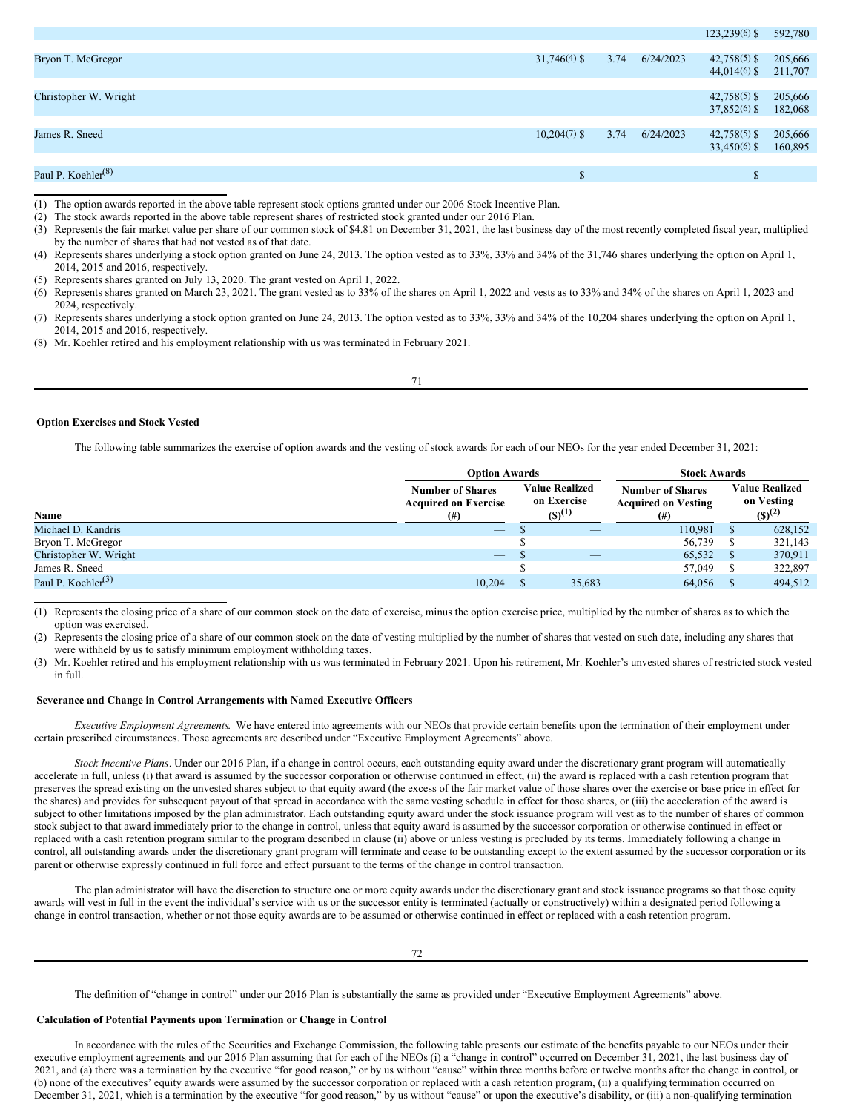|                                |                |                          |                                 | $123,239(6)$ \$               | 592,780                  |
|--------------------------------|----------------|--------------------------|---------------------------------|-------------------------------|--------------------------|
|                                |                |                          |                                 |                               |                          |
| Bryon T. McGregor              | $31,746(4)$ \$ | 3.74                     | 6/24/2023                       | $42,758(5)$ \$                | 205,666                  |
|                                |                |                          |                                 | $44,014(6)$ \$                | 211,707                  |
|                                |                |                          |                                 |                               |                          |
| Christopher W. Wright          |                |                          |                                 | $42,758(5)$ \$                | 205,666                  |
|                                |                |                          |                                 | $37,852(6)$ \$                | 182,068                  |
|                                |                |                          |                                 |                               |                          |
| James R. Sneed                 | $10,204(7)$ \$ | 3.74                     | 6/24/2023                       | $42,758(5)$ \$                | 205,666                  |
|                                |                |                          |                                 | $33,450(6)$ \$                | 160,895                  |
|                                |                |                          |                                 |                               |                          |
| Paul P. Koehler <sup>(8)</sup> | \$             | $\qquad \qquad - \qquad$ | $\hspace{0.1mm}-\hspace{0.1mm}$ | $\overline{\phantom{m}}$<br>ъ | $\overline{\phantom{a}}$ |
|                                |                |                          |                                 |                               |                          |

(1) The option awards reported in the above table represent stock options granted under our 2006 Stock Incentive Plan.

(2) The stock awards reported in the above table represent shares of restricted stock granted under our 2016 Plan.

(3) Represents the fair market value per share of our common stock of \$4.81 on December 31, 2021, the last business day of the most recently completed fiscal year, multiplied by the number of shares that had not vested as of that date.

- (4) Represents shares underlying a stock option granted on June 24, 2013. The option vested as to 33%, 33% and 34% of the 31,746 shares underlying the option on April 1, 2014, 2015 and 2016, respectively.
- (5) Represents shares granted on July 13, 2020. The grant vested on April 1, 2022.

(6) Represents shares granted on March 23, 2021. The grant vested as to 33% of the shares on April 1, 2022 and vests as to 33% and 34% of the shares on April 1, 2023 and 2024, respectively.

(8) Mr. Koehler retired and his employment relationship with us was terminated in February 2021.

### <span id="page-38-0"></span>**Option Exercises and Stock Vested**

The following table summarizes the exercise of option awards and the vesting of stock awards for each of our NEOs for the year ended December 31, 2021:

|                                             | <b>Option Awards</b>                                          |  |                                                     | <b>Stock Awards</b>                                               |  |                                                    |  |
|---------------------------------------------|---------------------------------------------------------------|--|-----------------------------------------------------|-------------------------------------------------------------------|--|----------------------------------------------------|--|
| Name                                        | <b>Number of Shares</b><br><b>Acquired on Exercise</b><br>(#) |  | <b>Value Realized</b><br>on Exercise<br>$(S)^{(1)}$ | <b>Number of Shares</b><br><b>Acquired on Vesting</b><br>$^{(#)}$ |  | <b>Value Realized</b><br>on Vesting<br>$(S)^{(2)}$ |  |
| Michael D. Kandris                          | $\overline{\phantom{a}}$                                      |  |                                                     | 110.981                                                           |  | 628,152                                            |  |
| Bryon T. McGregor                           | $\hspace{0.1mm}-\hspace{0.1mm}$                               |  |                                                     | 56,739                                                            |  | 321,143                                            |  |
| Christopher W. Wright                       | $\hspace{0.1mm}-\hspace{0.1mm}$                               |  |                                                     | 65,532                                                            |  | 370,911                                            |  |
| James R. Sneed                              | $\hspace{0.1mm}-\hspace{0.1mm}$                               |  | __                                                  | 57,049                                                            |  | 322,897                                            |  |
| Paul P. Koehler <sup><math>(3)</math></sup> | 10.204                                                        |  | 35.683                                              | 64,056                                                            |  | 494,512                                            |  |

(1) Represents the closing price of a share of our common stock on the date of exercise, minus the option exercise price, multiplied by the number of shares as to which the option was exercised.

(2) Represents the closing price of a share of our common stock on the date of vesting multiplied by the number of shares that vested on such date, including any shares that were withheld by us to satisfy minimum employment withholding taxes.

(3) Mr. Koehler retired and his employment relationship with us was terminated in February 2021. Upon his retirement, Mr. Koehler's unvested shares of restricted stock vested in full.

### <span id="page-38-1"></span>**Severance and Change in Control Arrangements with Named Executive Officers**

*Executive Employment Agreements*. We have entered into agreements with our NEOs that provide certain benefits upon the termination of their employment under certain prescribed circumstances. Those agreements are described under "Executive Employment Agreements" above.

*Stock Incentive Plans*. Under our 2016 Plan, if a change in control occurs, each outstanding equity award under the discretionary grant program will automatically accelerate in full, unless (i) that award is assumed by the successor corporation or otherwise continued in effect, (ii) the award is replaced with a cash retention program that preserves the spread existing on the unvested shares subject to that equity award (the excess of the fair market value of those shares over the exercise or base price in effect for the shares) and provides for subsequent payout of that spread in accordance with the same vesting schedule in effect for those shares, or (iii) the acceleration of the award is subject to other limitations imposed by the plan administrator. Each outstanding equity award under the stock issuance program will vest as to the number of shares of common stock subject to that award immediately prior to the change in control, unless that equity award is assumed by the successor corporation or otherwise continued in effect or replaced with a cash retention program similar to the program described in clause (ii) above or unless vesting is precluded by its terms. Immediately following a change in control, all outstanding awards under the discretionary grant program will terminate and cease to be outstanding except to the extent assumed by the successor corporation or its parent or otherwise expressly continued in full force and effect pursuant to the terms of the change in control transaction.

The plan administrator will have the discretion to structure one or more equity awards under the discretionary grant and stock issuance programs so that those equity awards will vest in full in the event the individual's service with us or the successor entity is terminated (actually or constructively) within a designated period following a change in control transaction, whether or not those equity awards are to be assumed or otherwise continued in effect or replaced with a cash retention program.

72

The definition of "change in control" under our 2016 Plan is substantially the same as provided under "Executive Employment Agreements" above.

# <span id="page-38-2"></span>**Calculation of Potential Payments upon Termination or Change in Control**

In accordance with the rules of the Securities and Exchange Commission, the following table presents our estimate of the benefits payable to our NEOs under their executive employment agreements and our 2016 Plan assuming that for each of the NEOs (i) a "change in control" occurred on December 31, 2021, the last business day of 2021, and (a) there was a termination by the executive "for good reason," or by us without "cause" within three months before or twelve months after the change in control, or (b) none of the executives' equity awards were assumed by the successor corporation or replaced with a cash retention program, (ii) a qualifying termination occurred on December 31, 2021, which is a termination by the executive "for good reason," by us without "cause" or upon the executive's disability, or (iii) a non-qualifying termination

<sup>(7)</sup> Represents shares underlying a stock option granted on June 24, 2013. The option vested as to 33%, 33% and 34% of the 10,204 shares underlying the option on April 1, 2014, 2015 and 2016, respectively.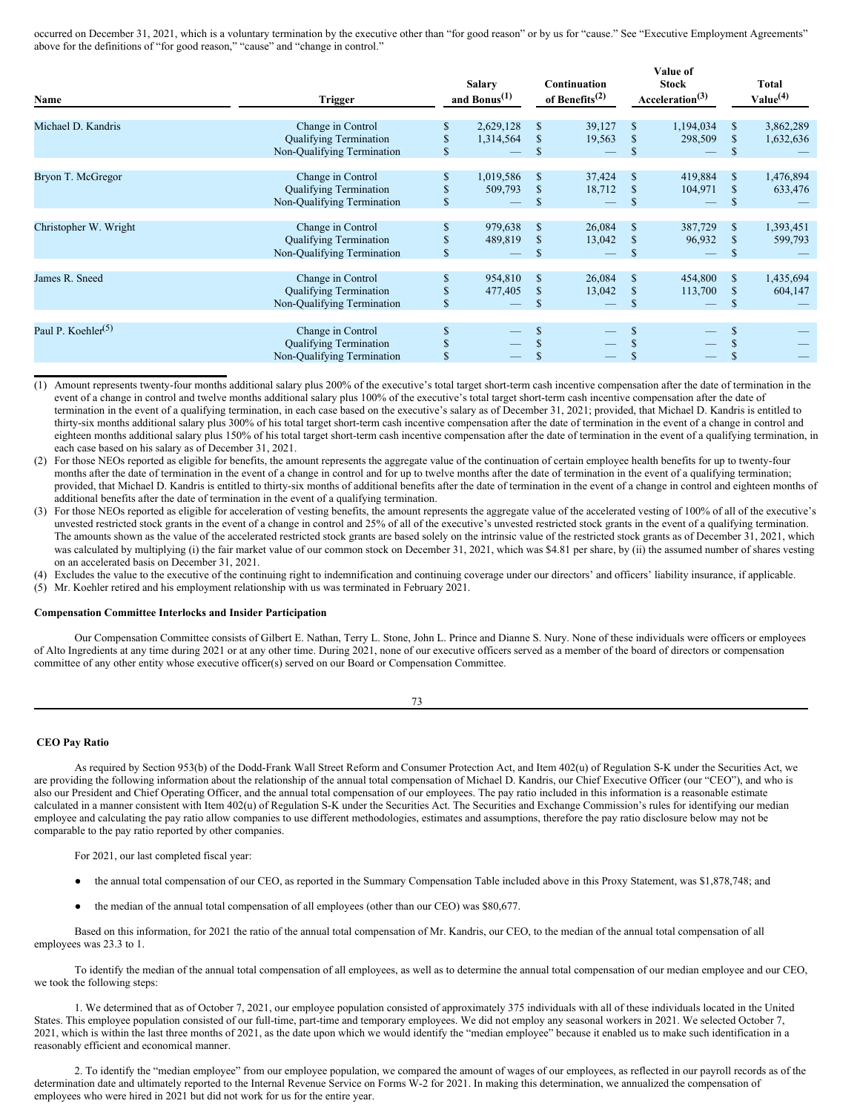occurred on December 31, 2021, which is a voluntary termination by the executive other than "for good reason" or by us for "cause." See "Executive Employment Agreements" above for the definitions of "for good reason," "cause" and "change in control."

**Value of**

| Name                           | <b>Trigger</b>                                                                   | <b>Salary</b><br>and Bonus $(1)$ |               | Continuation<br>of Benefits $^{(2)}$ |                          | value of<br><b>Stock</b><br>Acceleration <sup>(3)</sup> |                | <b>Total</b><br>Value <sup>(4)</sup> |  |
|--------------------------------|----------------------------------------------------------------------------------|----------------------------------|---------------|--------------------------------------|--------------------------|---------------------------------------------------------|----------------|--------------------------------------|--|
| Michael D. Kandris             | Change in Control<br><b>Qualifying Termination</b><br>Non-Qualifying Termination | \$<br>2,629,128<br>1,314,564     | \$<br>S<br>\$ | 39,127<br>19,563                     | S<br>S<br>S              | 1,194,034<br>298,509                                    | \$             | 3,862,289<br>1,632,636               |  |
| Bryon T. McGregor              | Change in Control<br><b>Qualifying Termination</b><br>Non-Oualifying Termination | 1,019,586<br>509,793             | \$<br>\$      | 37,424<br>18,712                     | S<br><sup>\$</sup>       | 419,884<br>104,971                                      | \$<br>\$       | 1,476,894<br>633,476                 |  |
| Christopher W. Wright          | Change in Control<br><b>Qualifying Termination</b><br>Non-Qualifying Termination | \$<br>979,638<br>489,819         | S<br>\$<br>\$ | 26,084<br>13,042                     | \$<br>\$<br>S            | 387,729<br>96,932                                       | \$<br>\$<br>\$ | 1,393,451<br>599,793                 |  |
| James R. Sneed                 | Change in Control<br><b>Oualifying Termination</b><br>Non-Qualifying Termination | \$<br>954,810<br>477,405         | \$<br>\$      | 26,084<br>13,042                     | <sup>\$</sup><br>\$<br>S | 454,800<br>113,700                                      | \$<br>\$       | 1,435,694<br>604,147                 |  |
| Paul P. Koehler <sup>(5)</sup> | Change in Control<br><b>Qualifying Termination</b><br>Non-Qualifying Termination | \$                               | \$.           |                                      | S                        |                                                         |                |                                      |  |

(1) Amount represents twenty-four months additional salary plus 200% of the executive's total target short-term cash incentive compensation after the date of termination in the event of a change in control and twelve months additional salary plus 100% of the executive's total target short-term cash incentive compensation after the date of termination in the event of a qualifying termination, in each case based on the executive's salary as of December 31, 2021; provided, that Michael D. Kandris is entitled to thirty-six months additional salary plus 300% of his total target short-term cash incentive compensation after the date of termination in the event of a change in control and eighteen months additional salary plus 150% of his total target short-term cash incentive compensation after the date of termination in the event of a qualifying termination, in each case based on his salary as of December 31, 2021.

(2) For those NEOs reported as eligible for benefits, the amount represents the aggregate value of the continuation of certain employee health benefits for up to twenty-four months after the date of termination in the event of a change in control and for up to twelve months after the date of termination in the event of a qualifying termination; provided, that Michael D. Kandris is entitled to thirty-six months of additional benefits after the date of termination in the event of a change in control and eighteen months of additional benefits after the date of termination in the event of a qualifying termination.

(3) For those NEOs reported as eligible for acceleration of vesting benefits, the amount represents the aggregate value of the accelerated vesting of 100% of all of the executive's unvested restricted stock grants in the event of a change in control and 25% of all of the executive's unvested restricted stock grants in the event of a qualifying termination. The amounts shown as the value of the accelerated restricted stock grants are based solely on the intrinsic value of the restricted stock grants as of December 31, 2021, which was calculated by multiplying (i) the fair market value of our common stock on December 31, 2021, which was \$4.81 per share, by (ii) the assumed number of shares vesting on an accelerated basis on December 31, 2021.

(4) Excludes the value to the executive of the continuing right to indemnification and continuing coverage under our directors' and officers' liability insurance, if applicable.

(5) Mr. Koehler retired and his employment relationship with us was terminated in February 2021.

## **Compensation Committee Interlocks and Insider Participation**

Our Compensation Committee consists of Gilbert E. Nathan, Terry L. Stone, John L. Prince and Dianne S. Nury. None of these individuals were officers or employees of Alto Ingredients at any time during 2021 or at any other time. During 2021, none of our executive officers served as a member of the board of directors or compensation committee of any other entity whose executive officer(s) served on our Board or Compensation Committee.

73

# <span id="page-39-0"></span>**CEO Pay Ratio**

As required by Section 953(b) of the Dodd-Frank Wall Street Reform and Consumer Protection Act, and Item 402(u) of Regulation S-K under the Securities Act, we are providing the following information about the relationship of the annual total compensation of Michael D. Kandris, our Chief Executive Officer (our "CEO"), and who is also our President and Chief Operating Officer, and the annual total compensation of our employees. The pay ratio included in this information is a reasonable estimate calculated in a manner consistent with Item 402(u) of Regulation S-K under the Securities Act. The Securities and Exchange Commission's rules for identifying our median employee and calculating the pay ratio allow companies to use different methodologies, estimates and assumptions, therefore the pay ratio disclosure below may not be comparable to the pay ratio reported by other companies.

For 2021, our last completed fiscal year:

- the annual total compensation of our CEO, as reported in the Summary Compensation Table included above in this Proxy Statement, was \$1,878,748; and
- the median of the annual total compensation of all employees (other than our CEO) was \$80,677.

Based on this information, for 2021 the ratio of the annual total compensation of Mr. Kandris, our CEO, to the median of the annual total compensation of all employees was 23.3 to 1.

To identify the median of the annual total compensation of all employees, as well as to determine the annual total compensation of our median employee and our CEO, we took the following steps:

1. We determined that as of October 7, 2021, our employee population consisted of approximately 375 individuals with all of these individuals located in the United States. This employee population consisted of our full-time, part-time and temporary employees. We did not employ any seasonal workers in 2021. We selected October 7, 2021, which is within the last three months of 2021, as the date upon which we would identify the "median employee" because it enabled us to make such identification in a reasonably efficient and economical manner.

2. To identify the "median employee" from our employee population, we compared the amount of wages of our employees, as reflected in our payroll records as of the determination date and ultimately reported to the Internal Revenue Service on Forms W-2 for 2021. In making this determination, we annualized the compensation of employees who were hired in 2021 but did not work for us for the entire year.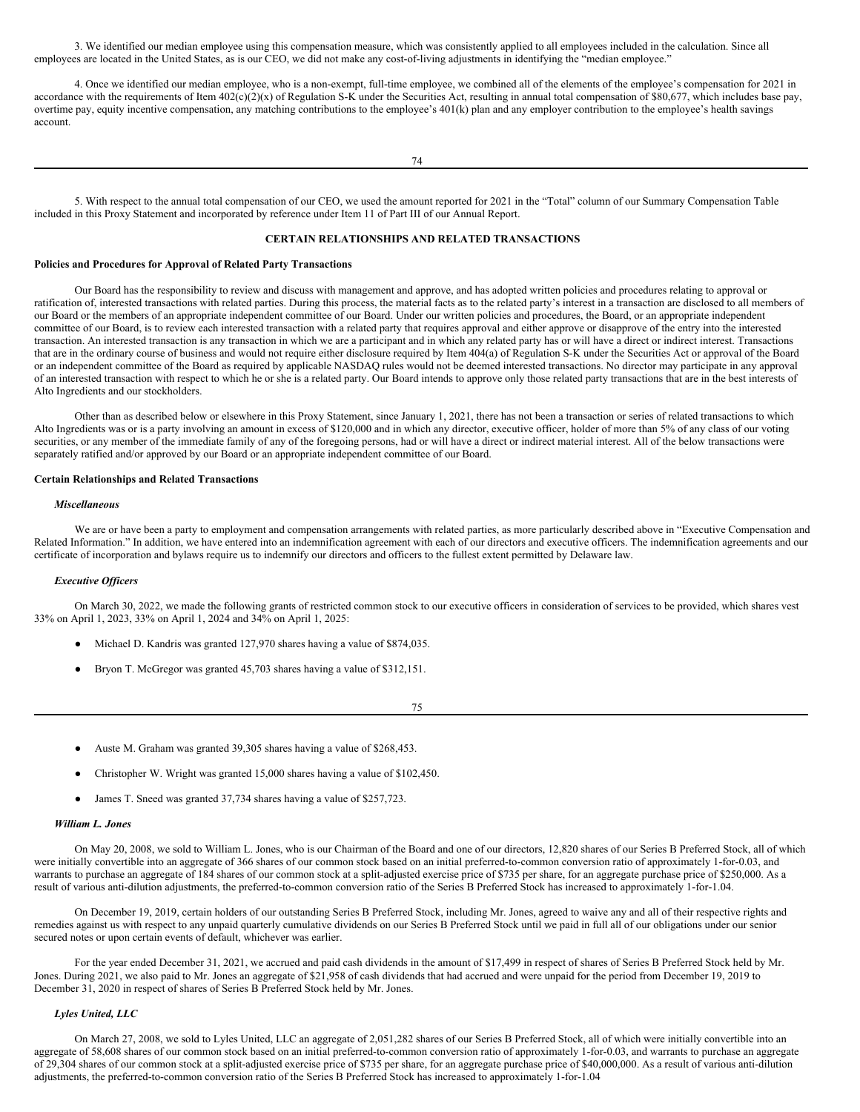3. We identified our median employee using this compensation measure, which was consistently applied to all employees included in the calculation. Since all employees are located in the United States, as is our CEO, we did not make any cost-of-living adjustments in identifying the "median employee."

4. Once we identified our median employee, who is a non-exempt, full-time employee, we combined all of the elements of the employee's compensation for 2021 in accordance with the requirements of Item  $402(c)(2)(x)$  of Regulation S-K under the Securities Act, resulting in annual total compensation of \$80,677, which includes base pay, overtime pay, equity incentive compensation, any matching contributions to the employee's 401(k) plan and any employer contribution to the employee's health savings account.

5. With respect to the annual total compensation of our CEO, we used the amount reported for 2021 in the "Total" column of our Summary Compensation Table included in this Proxy Statement and incorporated by reference under Item 11 of Part III of our Annual Report.

# <span id="page-40-0"></span>**CERTAIN RELATIONSHIPS AND RELATED TRANSACTIONS**

### **Policies and Procedures for Approval of Related Party Transactions**

Our Board has the responsibility to review and discuss with management and approve, and has adopted written policies and procedures relating to approval or ratification of, interested transactions with related parties. During this process, the material facts as to the related party's interest in a transaction are disclosed to all members of our Board or the members of an appropriate independent committee of our Board. Under our written policies and procedures, the Board, or an appropriate independent committee of our Board, is to review each interested transaction with a related party that requires approval and either approve or disapprove of the entry into the interested transaction. An interested transaction is any transaction in which we are a participant and in which any related party has or will have a direct or indirect interest. Transactions that are in the ordinary course of business and would not require either disclosure required by Item 404(a) of Regulation S-K under the Securities Act or approval of the Board or an independent committee of the Board as required by applicable NASDAQ rules would not be deemed interested transactions. No director may participate in any approval of an interested transaction with respect to which he or she is a related party. Our Board intends to approve only those related party transactions that are in the best interests of Alto Ingredients and our stockholders.

Other than as described below or elsewhere in this Proxy Statement, since January 1, 2021, there has not been a transaction or series of related transactions to which Alto Ingredients was or is a party involving an amount in excess of \$120,000 and in which any director, executive officer, holder of more than 5% of any class of our voting securities, or any member of the immediate family of any of the foregoing persons, had or will have a direct or indirect material interest. All of the below transactions were separately ratified and/or approved by our Board or an appropriate independent committee of our Board.

# **Certain Relationships and Related Transactions**

### *Miscellaneous*

We are or have been a party to employment and compensation arrangements with related parties, as more particularly described above in "Executive Compensation and Related Information." In addition, we have entered into an indemnification agreement with each of our directors and executive officers. The indemnification agreements and our certificate of incorporation and bylaws require us to indemnify our directors and officers to the fullest extent permitted by Delaware law.

### *Executive Of icers*

On March 30, 2022, we made the following grants of restricted common stock to our executive officers in consideration of services to be provided, which shares vest 33% on April 1, 2023, 33% on April 1, 2024 and 34% on April 1, 2025:

- Michael D. Kandris was granted 127,970 shares having a value of \$874,035.
- Bryon T. McGregor was granted 45,703 shares having a value of \$312,151.

75

- Auste M. Graham was granted 39,305 shares having a value of \$268,453.
- Christopher W. Wright was granted 15,000 shares having a value of \$102,450.
- James T. Sneed was granted 37,734 shares having a value of \$257,723.

# *William L. Jones*

On May 20, 2008, we sold to William L. Jones, who is our Chairman of the Board and one of our directors, 12,820 shares of our Series B Preferred Stock, all of which were initially convertible into an aggregate of 366 shares of our common stock based on an initial preferred-to-common conversion ratio of approximately 1-for-0.03, and warrants to purchase an aggregate of 184 shares of our common stock at a split-adjusted exercise price of \$735 per share, for an aggregate purchase price of \$250,000. As a result of various anti-dilution adjustments, the preferred-to-common conversion ratio of the Series B Preferred Stock has increased to approximately 1-for-1.04.

On December 19, 2019, certain holders of our outstanding Series B Preferred Stock, including Mr. Jones, agreed to waive any and all of their respective rights and remedies against us with respect to any unpaid quarterly cumulative dividends on our Series B Preferred Stock until we paid in full all of our obligations under our senior secured notes or upon certain events of default, whichever was earlier.

For the year ended December 31, 2021, we accrued and paid cash dividends in the amount of \$17,499 in respect of shares of Series B Preferred Stock held by Mr. Jones. During 2021, we also paid to Mr. Jones an aggregate of \$21,958 of cash dividends that had accrued and were unpaid for the period from December 19, 2019 to December 31, 2020 in respect of shares of Series B Preferred Stock held by Mr. Jones.

# *Lyles United, LLC*

On March 27, 2008, we sold to Lyles United, LLC an aggregate of 2,051,282 shares of our Series B Preferred Stock, all of which were initially convertible into an aggregate of 58,608 shares of our common stock based on an initial preferred-to-common conversion ratio of approximately 1-for-0.03, and warrants to purchase an aggregate of 29,304 shares of our common stock at a split-adjusted exercise price of \$735 per share, for an aggregate purchase price of \$40,000,000. As a result of various anti-dilution adjustments, the preferred-to-common conversion ratio of the Series B Preferred Stock has increased to approximately 1-for-1.04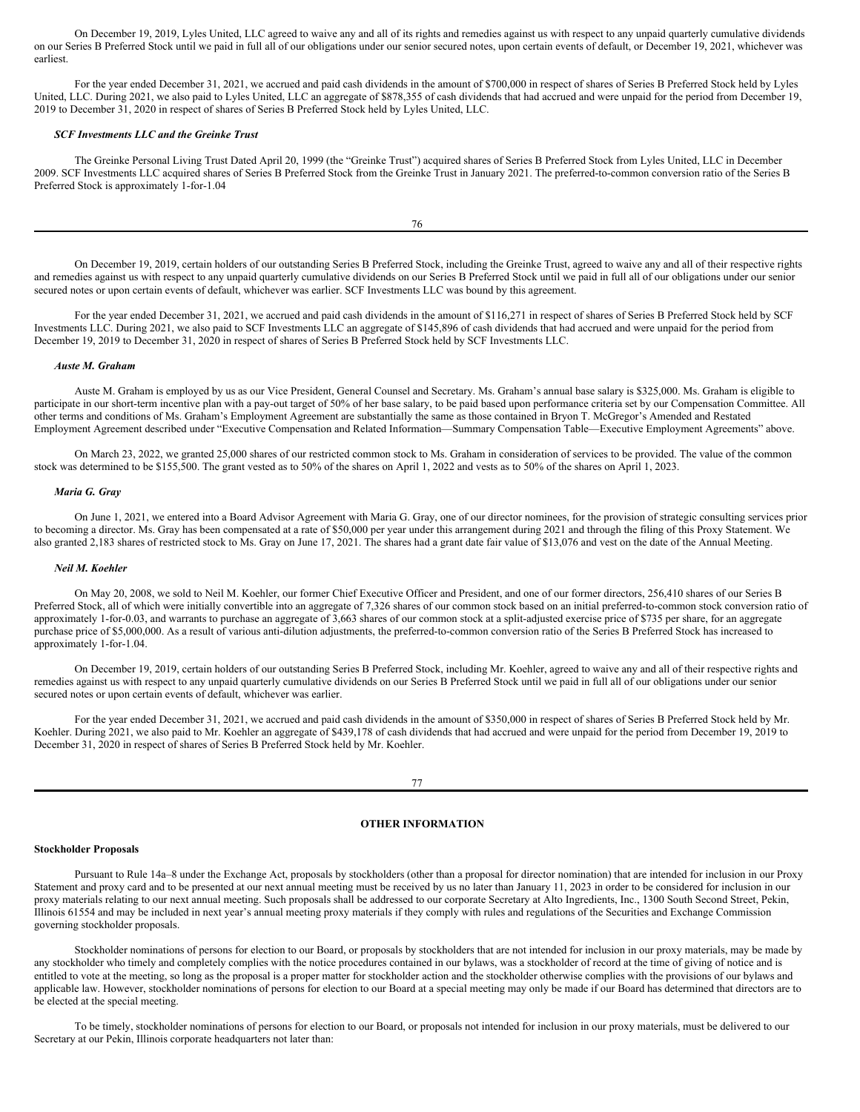On December 19, 2019, Lyles United, LLC agreed to waive any and all of its rights and remedies against us with respect to any unpaid quarterly cumulative dividends on our Series B Preferred Stock until we paid in full all of our obligations under our senior secured notes, upon certain events of default, or December 19, 2021, whichever was earliest.

For the year ended December 31, 2021, we accrued and paid cash dividends in the amount of \$700,000 in respect of shares of Series B Preferred Stock held by Lyles United, LLC. During 2021, we also paid to Lyles United, LLC an aggregate of \$878,355 of cash dividends that had accrued and were unpaid for the period from December 19, 2019 to December 31, 2020 in respect of shares of Series B Preferred Stock held by Lyles United, LLC.

### *SCF Investments LLC and the Greinke Trust*

The Greinke Personal Living Trust Dated April 20, 1999 (the "Greinke Trust") acquired shares of Series B Preferred Stock from Lyles United, LLC in December 2009. SCF Investments LLC acquired shares of Series B Preferred Stock from the Greinke Trust in January 2021. The preferred-to-common conversion ratio of the Series B Preferred Stock is approximately 1-for-1.04

On December 19, 2019, certain holders of our outstanding Series B Preferred Stock, including the Greinke Trust, agreed to waive any and all of their respective rights and remedies against us with respect to any unpaid quarterly cumulative dividends on our Series B Preferred Stock until we paid in full all of our obligations under our senior secured notes or upon certain events of default, whichever was earlier. SCF Investments LLC was bound by this agreement.

76

For the year ended December 31, 2021, we accrued and paid cash dividends in the amount of \$116,271 in respect of shares of Series B Preferred Stock held by SCF Investments LLC. During 2021, we also paid to SCF Investments LLC an aggregate of \$145,896 of cash dividends that had accrued and were unpaid for the period from December 19, 2019 to December 31, 2020 in respect of shares of Series B Preferred Stock held by SCF Investments LLC.

### *Auste M. Graham*

Auste M. Graham is employed by us as our Vice President, General Counsel and Secretary. Ms. Graham's annual base salary is \$325,000. Ms. Graham is eligible to participate in our short-term incentive plan with a pay-out target of 50% of her base salary, to be paid based upon performance criteria set by our Compensation Committee. All other terms and conditions of Ms. Graham's Employment Agreement are substantially the same as those contained in Bryon T. McGregor's Amended and Restated Employment Agreement described under "Executive Compensation and Related Information—Summary Compensation Table—Executive Employment Agreements" above.

On March 23, 2022, we granted 25,000 shares of our restricted common stock to Ms. Graham in consideration of services to be provided. The value of the common stock was determined to be \$155,500. The grant vested as to 50% of the shares on April 1, 2022 and vests as to 50% of the shares on April 1, 2023.

## *Maria G. Gray*

On June 1, 2021, we entered into a Board Advisor Agreement with Maria G. Gray, one of our director nominees, for the provision of strategic consulting services prior to becoming a director. Ms. Gray has been compensated at a rate of \$50,000 per year under this arrangement during 2021 and through the filing of this Proxy Statement. We also granted 2,183 shares of restricted stock to Ms. Gray on June 17, 2021. The shares had a grant date fair value of \$13,076 and vest on the date of the Annual Meeting.

### *Neil M. Koehler*

On May 20, 2008, we sold to Neil M. Koehler, our former Chief Executive Officer and President, and one of our former directors, 256,410 shares of our Series B Preferred Stock, all of which were initially convertible into an aggregate of 7,326 shares of our common stock based on an initial preferred-to-common stock conversion ratio of approximately 1-for-0.03, and warrants to purchase an aggregate of 3,663 shares of our common stock at a split-adjusted exercise price of \$735 per share, for an aggregate purchase price of \$5,000,000. As a result of various anti-dilution adjustments, the preferred-to-common conversion ratio of the Series B Preferred Stock has increased to approximately 1-for-1.04.

On December 19, 2019, certain holders of our outstanding Series B Preferred Stock, including Mr. Koehler, agreed to waive any and all of their respective rights and remedies against us with respect to any unpaid quarterly cumulative dividends on our Series B Preferred Stock until we paid in full all of our obligations under our senior secured notes or upon certain events of default, whichever was earlier.

For the year ended December 31, 2021, we accrued and paid cash dividends in the amount of \$350,000 in respect of shares of Series B Preferred Stock held by Mr. Koehler. During 2021, we also paid to Mr. Koehler an aggregate of \$439,178 of cash dividends that had accrued and were unpaid for the period from December 19, 2019 to December 31, 2020 in respect of shares of Series B Preferred Stock held by Mr. Koehler.

### 77

# <span id="page-41-0"></span>**OTHER INFORMATION**

### **Stockholder Proposals**

Pursuant to Rule 14a–8 under the Exchange Act, proposals by stockholders (other than a proposal for director nomination) that are intended for inclusion in our Proxy Statement and proxy card and to be presented at our next annual meeting must be received by us no later than January 11, 2023 in order to be considered for inclusion in our proxy materials relating to our next annual meeting. Such proposals shall be addressed to our corporate Secretary at Alto Ingredients, Inc., 1300 South Second Street, Pekin, Illinois 61554 and may be included in next year's annual meeting proxy materials if they comply with rules and regulations of the Securities and Exchange Commission governing stockholder proposals.

Stockholder nominations of persons for election to our Board, or proposals by stockholders that are not intended for inclusion in our proxy materials, may be made by any stockholder who timely and completely complies with the notice procedures contained in our bylaws, was a stockholder of record at the time of giving of notice and is entitled to vote at the meeting, so long as the proposal is a proper matter for stockholder action and the stockholder otherwise complies with the provisions of our bylaws and applicable law. However, stockholder nominations of persons for election to our Board at a special meeting may only be made if our Board has determined that directors are to be elected at the special meeting.

To be timely, stockholder nominations of persons for election to our Board, or proposals not intended for inclusion in our proxy materials, must be delivered to our Secretary at our Pekin, Illinois corporate headquarters not later than: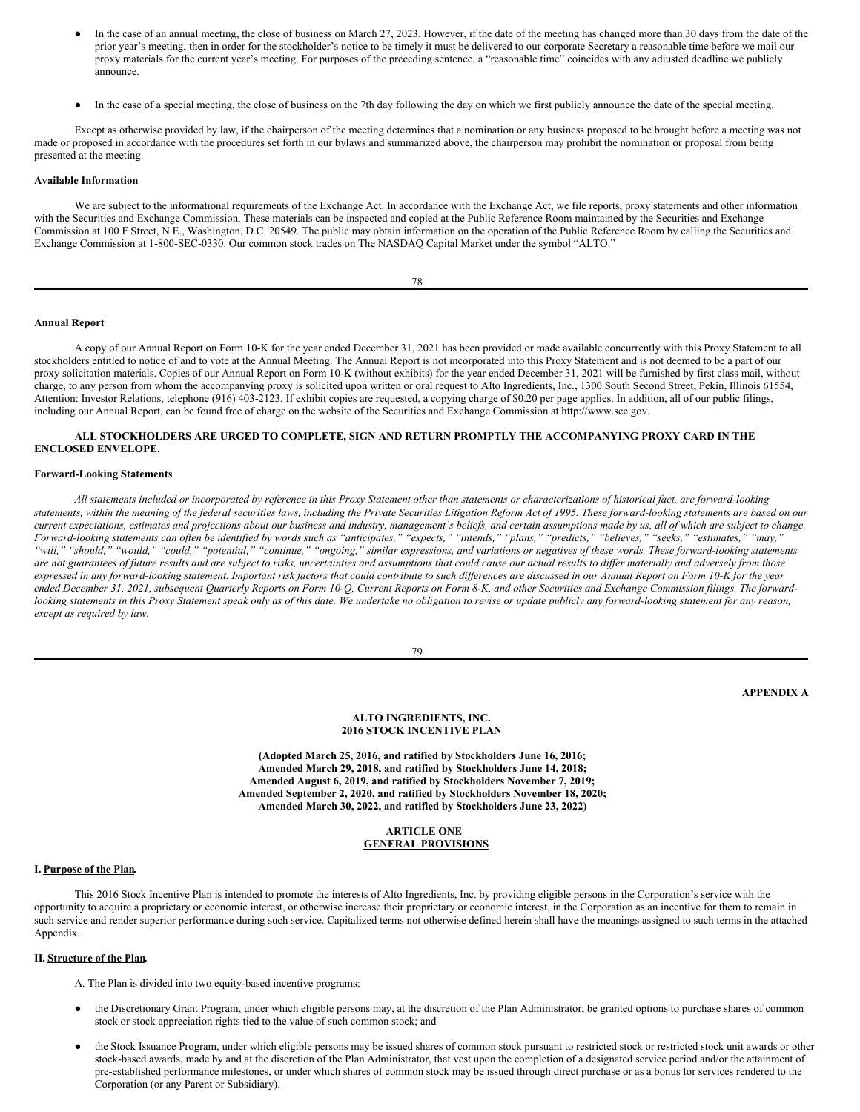- In the case of an annual meeting, the close of business on March 27, 2023. However, if the date of the meeting has changed more than 30 days from the date of the prior year's meeting, then in order for the stockholder's notice to be timely it must be delivered to our corporate Secretary a reasonable time before we mail our proxy materials for the current year's meeting. For purposes of the preceding sentence, a "reasonable time" coincides with any adjusted deadline we publicly announce.
- In the case of a special meeting, the close of business on the 7th day following the day on which we first publicly announce the date of the special meeting.

Except as otherwise provided by law, if the chairperson of the meeting determines that a nomination or any business proposed to be brought before a meeting was not made or proposed in accordance with the procedures set forth in our bylaws and summarized above, the chairperson may prohibit the nomination or proposal from being presented at the meeting.

### **Available Information**

We are subject to the informational requirements of the Exchange Act. In accordance with the Exchange Act, we file reports, proxy statements and other information with the Securities and Exchange Commission. These materials can be inspected and copied at the Public Reference Room maintained by the Securities and Exchange Commission at 100 F Street, N.E., Washington, D.C. 20549. The public may obtain information on the operation of the Public Reference Room by calling the Securities and Exchange Commission at 1-800-SEC-0330. Our common stock trades on The NASDAQ Capital Market under the symbol "ALTO."

| I<br>w<br>۹ |
|-------------|
|-------------|

# **Annual Report**

A copy of our Annual Report on Form 10-K for the year ended December 31, 2021 has been provided or made available concurrently with this Proxy Statement to all stockholders entitled to notice of and to vote at the Annual Meeting. The Annual Report is not incorporated into this Proxy Statement and is not deemed to be a part of our proxy solicitation materials. Copies of our Annual Report on Form 10-K (without exhibits) for the year ended December 31, 2021 will be furnished by first class mail, without charge, to any person from whom the accompanying proxy is solicited upon written or oral request to Alto Ingredients, Inc., 1300 South Second Street, Pekin, Illinois 61554, Attention: Investor Relations, telephone (916) 403-2123. If exhibit copies are requested, a copying charge of \$0.20 per page applies. In addition, all of our public filings, including our Annual Report, can be found free of charge on the website of the Securities and Exchange Commission at http://www.sec.gov.

# **ALL STOCKHOLDERS ARE URGED TO COMPLETE, SIGN AND RETURN PROMPTLY THE ACCOMPANYING PROXY CARD IN THE ENCLOSED ENVELOPE.**

#### **Forward-Looking Statements**

All statements included or incorporated by reference in this Proxy Statement other than statements or characterizations of historical fact, are forward-looking statements, within the meaning of the federal securities laws, including the Private Securities Litigation Reform Act of 1995. These forward-looking statements are based on our current expectations, estimates and projections about our business and industry, management's beliefs, and certain assumptions made by us, all of which are subject to change. Forward-looking statements can often be identified by words such as "anticipates," "expects," "intends," "plans," "predicts," "believes," "seeks," "estimates," "may," "will," "should," "would," "could," "potential," "continue," "ongoing," similar expressions, and variations or negatives of these words. These forward-looking statements are not guarantees of future results and are subject to risks, uncertainties and assumptions that could cause our actual results to differ materially and adversely from those expressed in any forward-looking statement. Important risk factors that could contribute to such differences are discussed in our Annual Report on Form 10-K for the year ended December 31, 2021, subsequent Quarterly Reports on Form 10-Q, Current Reports on Form 8-K, and other Securities and Exchange Commission filings. The forwardlooking statements in this Proxy Statement speak only as of this date. We undertake no obligation to revise or update publicly any forward-looking statement for any reason, *except as required by law.*

79

# <span id="page-42-0"></span>**APPENDIX A**

### **ALTO INGREDIENTS, INC. 2016 STOCK INCENTIVE PLAN**

**(Adopted March 25, 2016, and ratified by Stockholders June 16, 2016; Amended March 29, 2018, and ratified by Stockholders June 14, 2018; Amended August 6, 2019, and ratified by Stockholders November 7, 2019; Amended September 2, 2020, and ratified by Stockholders November 18, 2020; Amended March 30, 2022, and ratified by Stockholders June 23, 2022)**

# **ARTICLE ONE GENERAL PROVISIONS**

## **I. Purpose of the Plan.**

This 2016 Stock Incentive Plan is intended to promote the interests of Alto Ingredients, Inc. by providing eligible persons in the Corporation's service with the opportunity to acquire a proprietary or economic interest, or otherwise increase their proprietary or economic interest, in the Corporation as an incentive for them to remain in such service and render superior performance during such service. Capitalized terms not otherwise defined herein shall have the meanings assigned to such terms in the attached Appendix.

## **II. Structure of the Plan.**

A. The Plan is divided into two equity-based incentive programs:

- the Discretionary Grant Program, under which eligible persons may, at the discretion of the Plan Administrator, be granted options to purchase shares of common stock or stock appreciation rights tied to the value of such common stock; and
- the Stock Issuance Program, under which eligible persons may be issued shares of common stock pursuant to restricted stock or restricted stock unit awards or other stock-based awards, made by and at the discretion of the Plan Administrator, that vest upon the completion of a designated service period and/or the attainment of pre-established performance milestones, or under which shares of common stock may be issued through direct purchase or as a bonus for services rendered to the Corporation (or any Parent or Subsidiary).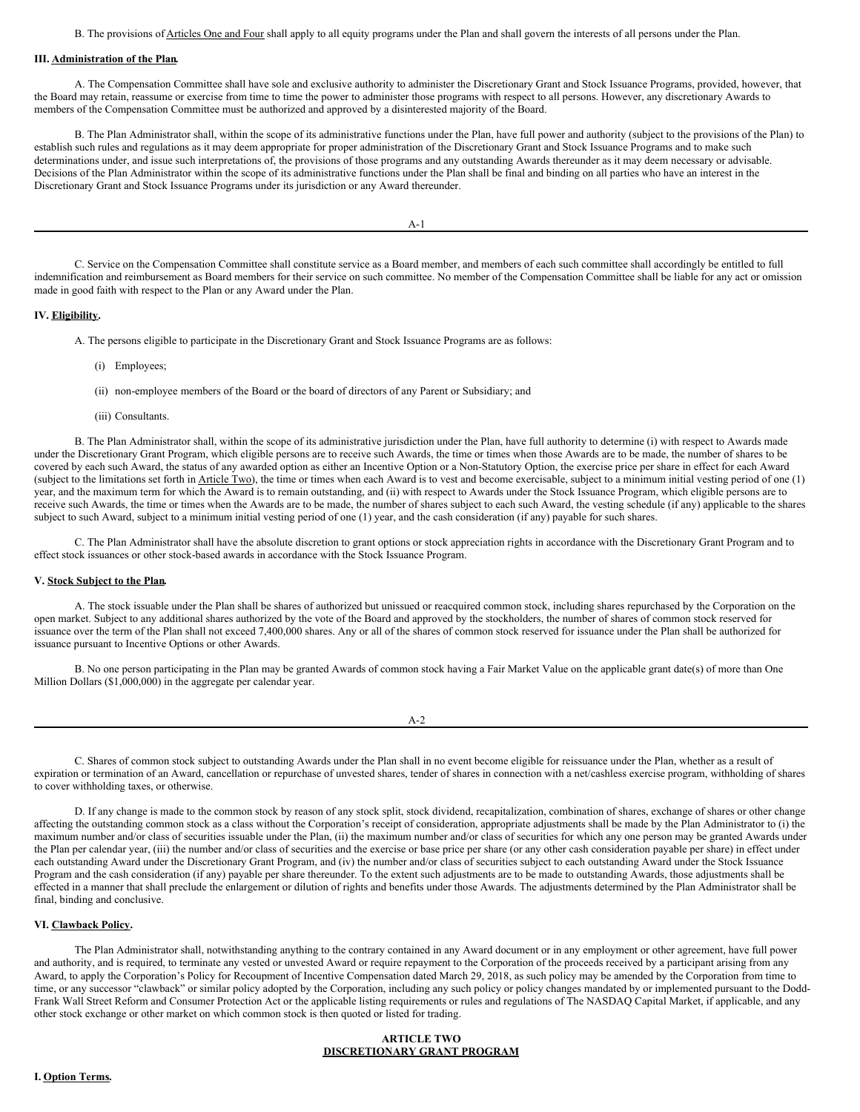B. The provisions of Articles One and Four shall apply to all equity programs under the Plan and shall govern the interests of all persons under the Plan.

# **III. Administration of the Plan.**

A. The Compensation Committee shall have sole and exclusive authority to administer the Discretionary Grant and Stock Issuance Programs, provided, however, that the Board may retain, reassume or exercise from time to time the power to administer those programs with respect to all persons. However, any discretionary Awards to members of the Compensation Committee must be authorized and approved by a disinterested majority of the Board.

B. The Plan Administrator shall, within the scope of its administrative functions under the Plan, have full power and authority (subject to the provisions of the Plan) to establish such rules and regulations as it may deem appropriate for proper administration of the Discretionary Grant and Stock Issuance Programs and to make such determinations under, and issue such interpretations of, the provisions of those programs and any outstanding Awards thereunder as it may deem necessary or advisable. Decisions of the Plan Administrator within the scope of its administrative functions under the Plan shall be final and binding on all parties who have an interest in the Discretionary Grant and Stock Issuance Programs under its jurisdiction or any Award thereunder.

 $A-1$ 

C. Service on the Compensation Committee shall constitute service as a Board member, and members of each such committee shall accordingly be entitled to full indemnification and reimbursement as Board members for their service on such committee. No member of the Compensation Committee shall be liable for any act or omission made in good faith with respect to the Plan or any Award under the Plan.

# **IV. Eligibility.**

A. The persons eligible to participate in the Discretionary Grant and Stock Issuance Programs are as follows:

(i) Employees;

(ii) non-employee members of the Board or the board of directors of any Parent or Subsidiary; and

(iii) Consultants.

B. The Plan Administrator shall, within the scope of its administrative jurisdiction under the Plan, have full authority to determine (i) with respect to Awards made under the Discretionary Grant Program, which eligible persons are to receive such Awards, the time or times when those Awards are to be made, the number of shares to be covered by each such Award, the status of any awarded option as either an Incentive Option or a Non-Statutory Option, the exercise price per share in effect for each Award (subject to the limitations set forth in Article Two), the time or times when each Award is to vest and become exercisable, subject to a minimum initial vesting period of one (1) year, and the maximum term for which the Award is to remain outstanding, and (ii) with respect to Awards under the Stock Issuance Program, which eligible persons are to receive such Awards, the time or times when the Awards are to be made, the number of shares subject to each such Award, the vesting schedule (if any) applicable to the shares subject to such Award, subject to a minimum initial vesting period of one (1) year, and the cash consideration (if any) payable for such shares.

C. The Plan Administrator shall have the absolute discretion to grant options or stock appreciation rights in accordance with the Discretionary Grant Program and to effect stock issuances or other stock-based awards in accordance with the Stock Issuance Program.

## **V. Stock Subject to the Plan.**

A. The stock issuable under the Plan shall be shares of authorized but unissued or reacquired common stock, including shares repurchased by the Corporation on the open market. Subject to any additional shares authorized by the vote of the Board and approved by the stockholders, the number of shares of common stock reserved for issuance over the term of the Plan shall not exceed 7,400,000 shares. Any or all of the shares of common stock reserved for issuance under the Plan shall be authorized for issuance pursuant to Incentive Options or other Awards.

B. No one person participating in the Plan may be granted Awards of common stock having a Fair Market Value on the applicable grant date(s) of more than One Million Dollars (\$1,000,000) in the aggregate per calendar year.

C. Shares of common stock subject to outstanding Awards under the Plan shall in no event become eligible for reissuance under the Plan, whether as a result of expiration or termination of an Award, cancellation or repurchase of unvested shares, tender of shares in connection with a net/cashless exercise program, withholding of shares to cover withholding taxes, or otherwise.

D. If any change is made to the common stock by reason of any stock split, stock dividend, recapitalization, combination of shares, exchange of shares or other change affecting the outstanding common stock as a class without the Corporation's receipt of consideration, appropriate adjustments shall be made by the Plan Administrator to (i) the maximum number and/or class of securities issuable under the Plan, (ii) the maximum number and/or class of securities for which any one person may be granted Awards under the Plan per calendar year, (iii) the number and/or class of securities and the exercise or base price per share (or any other cash consideration payable per share) in effect under each outstanding Award under the Discretionary Grant Program, and (iv) the number and/or class of securities subject to each outstanding Award under the Stock Issuance Program and the cash consideration (if any) payable per share thereunder. To the extent such adjustments are to be made to outstanding Awards, those adjustments shall be effected in a manner that shall preclude the enlargement or dilution of rights and benefits under those Awards. The adjustments determined by the Plan Administrator shall be final, binding and conclusive.

# **VI. Clawback Policy.**

The Plan Administrator shall, notwithstanding anything to the contrary contained in any Award document or in any employment or other agreement, have full power and authority, and is required, to terminate any vested or unvested Award or require repayment to the Corporation of the proceeds received by a participant arising from any Award, to apply the Corporation's Policy for Recoupment of Incentive Compensation dated March 29, 2018, as such policy may be amended by the Corporation from time to time, or any successor "clawback" or similar policy adopted by the Corporation, including any such policy or policy changes mandated by or implemented pursuant to the Dodd-Frank Wall Street Reform and Consumer Protection Act or the applicable listing requirements or rules and regulations of The NASDAQ Capital Market, if applicable, and any other stock exchange or other market on which common stock is then quoted or listed for trading.

## **ARTICLE TWO DISCRETIONARY GRANT PROGRAM**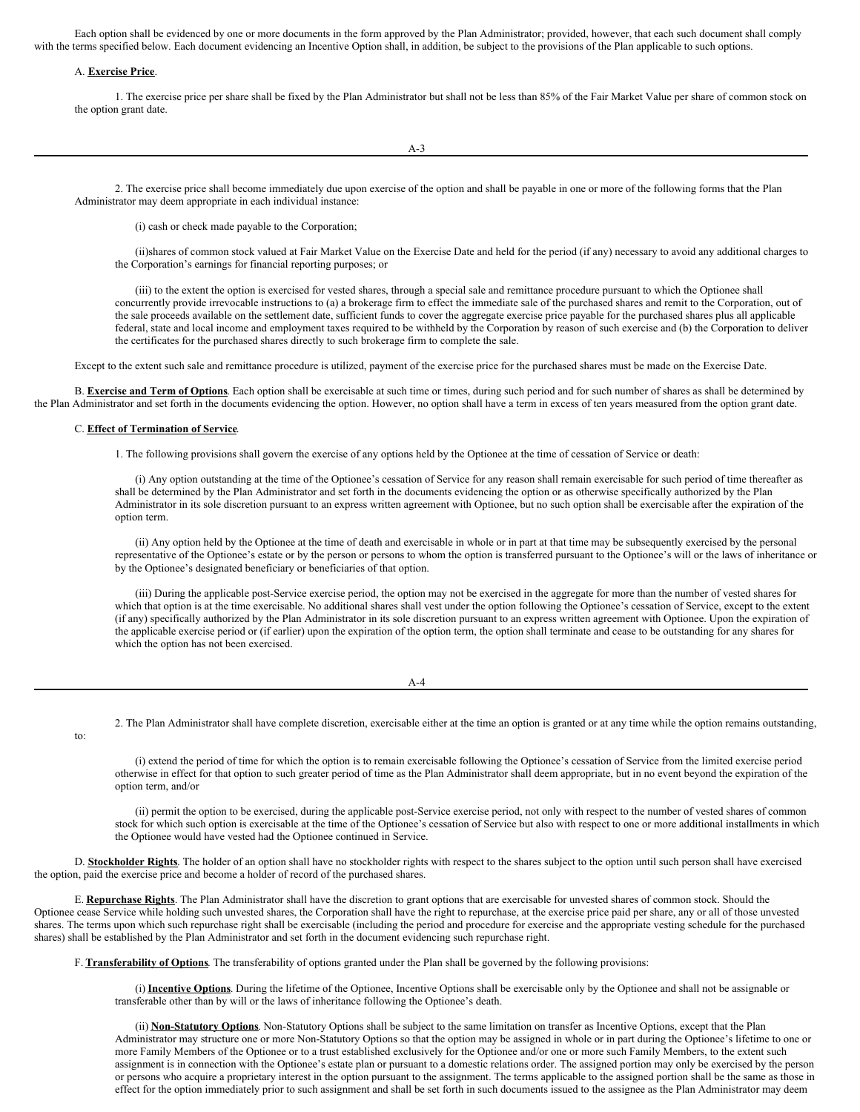Each option shall be evidenced by one or more documents in the form approved by the Plan Administrator; provided, however, that each such document shall comply with the terms specified below. Each document evidencing an Incentive Option shall, in addition, be subject to the provisions of the Plan applicable to such options.

## A. **Exercise Price**.

1. The exercise price per share shall be fixed by the Plan Administrator but shall not be less than 85% of the Fair Market Value per share of common stock on the option grant date.

2. The exercise price shall become immediately due upon exercise of the option and shall be payable in one or more of the following forms that the Plan Administrator may deem appropriate in each individual instance:

(i) cash or check made payable to the Corporation;

(ii)shares of common stock valued at Fair Market Value on the Exercise Date and held for the period (if any) necessary to avoid any additional charges to the Corporation's earnings for financial reporting purposes; or

(iii) to the extent the option is exercised for vested shares, through a special sale and remittance procedure pursuant to which the Optionee shall concurrently provide irrevocable instructions to (a) a brokerage firm to effect the immediate sale of the purchased shares and remit to the Corporation, out of the sale proceeds available on the settlement date, sufficient funds to cover the aggregate exercise price payable for the purchased shares plus all applicable federal, state and local income and employment taxes required to be withheld by the Corporation by reason of such exercise and (b) the Corporation to deliver the certificates for the purchased shares directly to such brokerage firm to complete the sale.

Except to the extent such sale and remittance procedure is utilized, payment of the exercise price for the purchased shares must be made on the Exercise Date.

B. **Exercise and Term of Options**. Each option shall be exercisable at such time or times, during such period and for such number of shares as shall be determined by the Plan Administrator and set forth in the documents evidencing the option. However, no option shall have a term in excess of ten years measured from the option grant date.

### C. **Effect of Termination of Service**.

1. The following provisions shall govern the exercise of any options held by the Optionee at the time of cessation of Service or death:

(i) Any option outstanding at the time of the Optionee's cessation of Service for any reason shall remain exercisable for such period of time thereafter as shall be determined by the Plan Administrator and set forth in the documents evidencing the option or as otherwise specifically authorized by the Plan Administrator in its sole discretion pursuant to an express written agreement with Optionee, but no such option shall be exercisable after the expiration of the option term.

(ii) Any option held by the Optionee at the time of death and exercisable in whole or in part at that time may be subsequently exercised by the personal representative of the Optionee's estate or by the person or persons to whom the option is transferred pursuant to the Optionee's will or the laws of inheritance or by the Optionee's designated beneficiary or beneficiaries of that option.

(iii) During the applicable post-Service exercise period, the option may not be exercised in the aggregate for more than the number of vested shares for which that option is at the time exercisable. No additional shares shall vest under the option following the Optionee's cessation of Service, except to the extent (if any) specifically authorized by the Plan Administrator in its sole discretion pursuant to an express written agreement with Optionee. Upon the expiration of the applicable exercise period or (if earlier) upon the expiration of the option term, the option shall terminate and cease to be outstanding for any shares for which the option has not been exercised.

A-4

2. The Plan Administrator shall have complete discretion, exercisable either at the time an option is granted or at any time while the option remains outstanding,

(i) extend the period of time for which the option is to remain exercisable following the Optionee's cessation of Service from the limited exercise period otherwise in effect for that option to such greater period of time as the Plan Administrator shall deem appropriate, but in no event beyond the expiration of the option term, and/or

(ii) permit the option to be exercised, during the applicable post-Service exercise period, not only with respect to the number of vested shares of common stock for which such option is exercisable at the time of the Optionee's cessation of Service but also with respect to one or more additional installments in which the Optionee would have vested had the Optionee continued in Service.

D. **Stockholder Rights**. The holder of an option shall have no stockholder rights with respect to the shares subject to the option until such person shall have exercised the option, paid the exercise price and become a holder of record of the purchased shares.

E. **Repurchase Rights**. The Plan Administrator shall have the discretion to grant options that are exercisable for unvested shares of common stock. Should the Optionee cease Service while holding such unvested shares, the Corporation shall have the right to repurchase, at the exercise price paid per share, any or all of those unvested shares. The terms upon which such repurchase right shall be exercisable (including the period and procedure for exercise and the appropriate vesting schedule for the purchased shares) shall be established by the Plan Administrator and set forth in the document evidencing such repurchase right.

F. **Transferability of Options**. The transferability of options granted under the Plan shall be governed by the following provisions:

(i) **Incentive Options**. During the lifetime of the Optionee, Incentive Options shall be exercisable only by the Optionee and shall not be assignable or transferable other than by will or the laws of inheritance following the Optionee's death.

(ii) **Non-Statutory Options**. Non-Statutory Options shall be subject to the same limitation on transfer as Incentive Options, except that the Plan Administrator may structure one or more Non-Statutory Options so that the option may be assigned in whole or in part during the Optionee's lifetime to one or more Family Members of the Optionee or to a trust established exclusively for the Optionee and/or one or more such Family Members, to the extent such assignment is in connection with the Optionee's estate plan or pursuant to a domestic relations order. The assigned portion may only be exercised by the person or persons who acquire a proprietary interest in the option pursuant to the assignment. The terms applicable to the assigned portion shall be the same as those in effect for the option immediately prior to such assignment and shall be set forth in such documents issued to the assignee as the Plan Administrator may deem

to: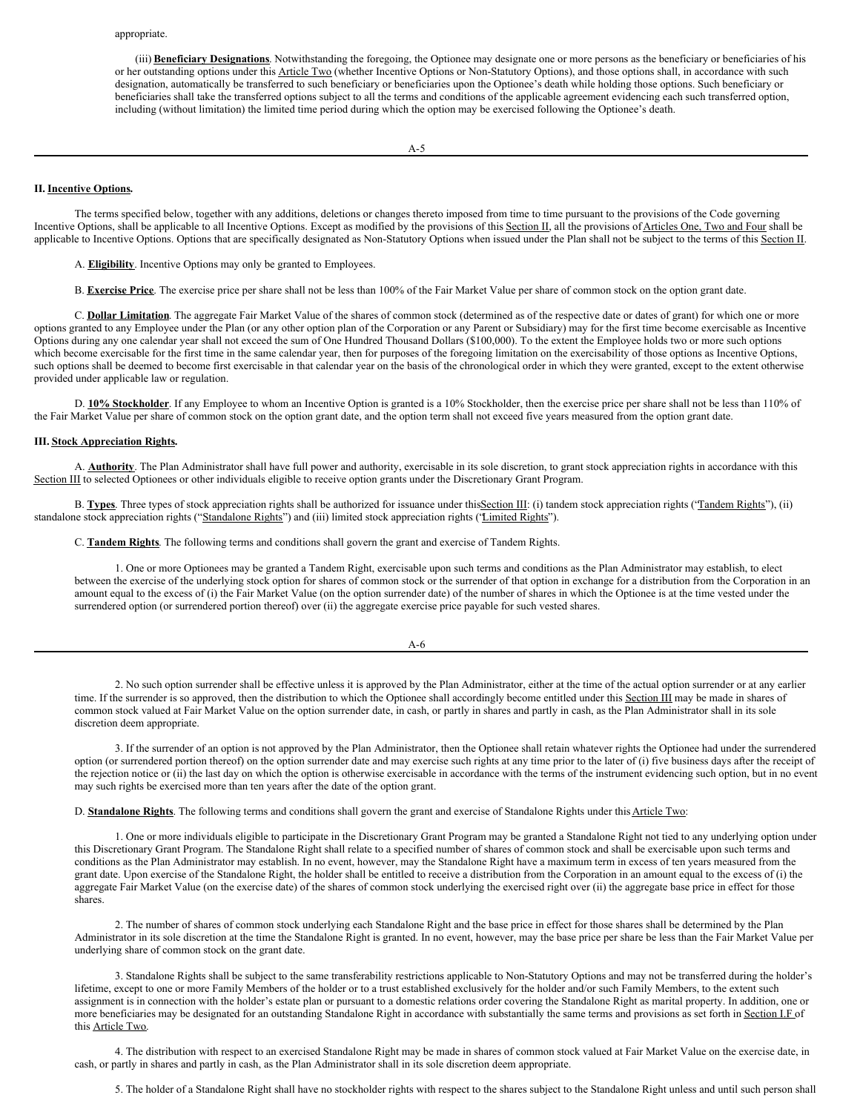(iii) **Beneficiary Designations**. Notwithstanding the foregoing, the Optionee may designate one or more persons as the beneficiary or beneficiaries of his or her outstanding options under this Article Two (whether Incentive Options or Non-Statutory Options), and those options shall, in accordance with such designation, automatically be transferred to such beneficiary or beneficiaries upon the Optionee's death while holding those options. Such beneficiary or beneficiaries shall take the transferred options subject to all the terms and conditions of the applicable agreement evidencing each such transferred option, including (without limitation) the limited time period during which the option may be exercised following the Optionee's death.

### **II. Incentive Options.**

The terms specified below, together with any additions, deletions or changes thereto imposed from time to time pursuant to the provisions of the Code governing Incentive Options, shall be applicable to all Incentive Options. Except as modified by the provisions of this Section II, all the provisions of Articles One, Two and Four shall be applicable to Incentive Options. Options that are specifically designated as Non-Statutory Options when issued under the Plan shall not be subject to the terms of this Section II.

A. **Eligibility**. Incentive Options may only be granted to Employees.

B. **Exercise Price**. The exercise price per share shall not be less than 100% of the Fair Market Value per share of common stock on the option grant date.

C. **Dollar Limitation**. The aggregate Fair Market Value of the shares of common stock (determined as of the respective date or dates of grant) for which one or more options granted to any Employee under the Plan (or any other option plan of the Corporation or any Parent or Subsidiary) may for the first time become exercisable as Incentive Options during any one calendar year shall not exceed the sum of One Hundred Thousand Dollars (\$100,000). To the extent the Employee holds two or more such options which become exercisable for the first time in the same calendar year, then for purposes of the foregoing limitation on the exercisability of those options as Incentive Options, such options shall be deemed to become first exercisable in that calendar year on the basis of the chronological order in which they were granted, except to the extent otherwise provided under applicable law or regulation.

D. **10% Stockholder**. If any Employee to whom an Incentive Option is granted is a 10% Stockholder, then the exercise price per share shall not be less than 110% of the Fair Market Value per share of common stock on the option grant date, and the option term shall not exceed five years measured from the option grant date.

#### **III. Stock Appreciation Rights.**

A. **Authority**. The Plan Administrator shall have full power and authority, exercisable in its sole discretion, to grant stock appreciation rights in accordance with this Section III to selected Optionees or other individuals eligible to receive option grants under the Discretionary Grant Program.

B. **Types**. Three types of stock appreciation rights shall be authorized for issuance under this**Section III:** (i) tandem stock appreciation rights ('Tandem Rights''), (ii) standalone stock appreciation rights ("Standalone Rights") and (iii) limited stock appreciation rights ('Limited Rights").

C. **Tandem Rights**. The following terms and conditions shall govern the grant and exercise of Tandem Rights.

1. One or more Optionees may be granted a Tandem Right, exercisable upon such terms and conditions as the Plan Administrator may establish, to elect between the exercise of the underlying stock option for shares of common stock or the surrender of that option in exchange for a distribution from the Corporation in an amount equal to the excess of (i) the Fair Market Value (on the option surrender date) of the number of shares in which the Optionee is at the time vested under the surrendered option (or surrendered portion thereof) over (ii) the aggregate exercise price payable for such vested shares.

| 2. No such option surrender shall be effective unless it is approved by the Plan Administrator, either at the time of the actual option surrender or at any earlier |
|---------------------------------------------------------------------------------------------------------------------------------------------------------------------|

time. If the surrender is so approved, then the distribution to which the Optionee shall accordingly become entitled under this Section III may be made in shares of common stock valued at Fair Market Value on the option surrender date, in cash, or partly in shares and partly in cash, as the Plan Administrator shall in its sole discretion deem appropriate.

3. If the surrender of an option is not approved by the Plan Administrator, then the Optionee shall retain whatever rights the Optionee had under the surrendered option (or surrendered portion thereof) on the option surrender date and may exercise such rights at any time prior to the later of (i) five business days after the receipt of the rejection notice or (ii) the last day on which the option is otherwise exercisable in accordance with the terms of the instrument evidencing such option, but in no event may such rights be exercised more than ten years after the date of the option grant.

D. **Standalone Rights**. The following terms and conditions shall govern the grant and exercise of Standalone Rights under this Article Two:

1. One or more individuals eligible to participate in the Discretionary Grant Program may be granted a Standalone Right not tied to any underlying option under this Discretionary Grant Program. The Standalone Right shall relate to a specified number of shares of common stock and shall be exercisable upon such terms and conditions as the Plan Administrator may establish. In no event, however, may the Standalone Right have a maximum term in excess of ten years measured from the grant date. Upon exercise of the Standalone Right, the holder shall be entitled to receive a distribution from the Corporation in an amount equal to the excess of (i) the aggregate Fair Market Value (on the exercise date) of the shares of common stock underlying the exercised right over (ii) the aggregate base price in effect for those shares.

2. The number of shares of common stock underlying each Standalone Right and the base price in effect for those shares shall be determined by the Plan Administrator in its sole discretion at the time the Standalone Right is granted. In no event, however, may the base price per share be less than the Fair Market Value per underlying share of common stock on the grant date.

3. Standalone Rights shall be subject to the same transferability restrictions applicable to Non-Statutory Options and may not be transferred during the holder's lifetime, except to one or more Family Members of the holder or to a trust established exclusively for the holder and/or such Family Members, to the extent such assignment is in connection with the holder's estate plan or pursuant to a domestic relations order covering the Standalone Right as marital property. In addition, one or more beneficiaries may be designated for an outstanding Standalone Right in accordance with substantially the same terms and provisions as set forth in Section I.F of this Article Two.

4. The distribution with respect to an exercised Standalone Right may be made in shares of common stock valued at Fair Market Value on the exercise date, in cash, or partly in shares and partly in cash, as the Plan Administrator shall in its sole discretion deem appropriate.

5. The holder of a Standalone Right shall have no stockholder rights with respect to the shares subject to the Standalone Right unless and until such person shall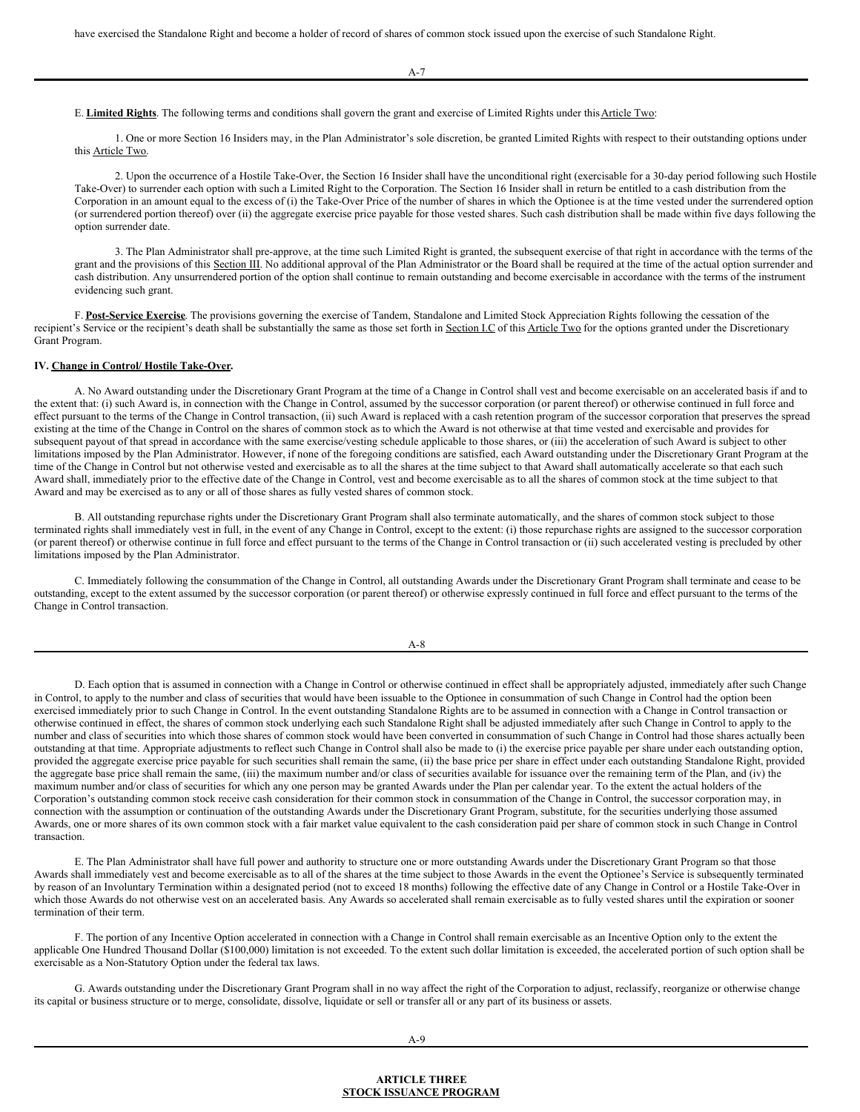A-7

E. Limited Rights. The following terms and conditions shall govern the grant and exercise of Limited Rights under this Article Two:

1. One or more Section 16 Insiders may, in the Plan Administrator's sole discretion, be granted Limited Rights with respect to their outstanding options under this Article Two.

2. Upon the occurrence of a Hostile Take-Over, the Section 16 Insider shall have the unconditional right (exercisable for a 30-day period following such Hostile Take-Over) to surrender each option with such a Limited Right to the Corporation. The Section 16 Insider shall in return be entitled to a cash distribution from the Corporation in an amount equal to the excess of (i) the Take-Over Price of the number of shares in which the Optionee is at the time vested under the surrendered option (or surrendered portion thereof) over (ii) the aggregate exercise price payable for those vested shares. Such cash distribution shall be made within five days following the option surrender date.

3. The Plan Administrator shall pre-approve, at the time such Limited Right is granted, the subsequent exercise of that right in accordance with the terms of the grant and the provisions of this Section III. No additional approval of the Plan Administrator or the Board shall be required at the time of the actual option surrender and cash distribution. Any unsurrendered portion of the option shall continue to remain outstanding and become exercisable in accordance with the terms of the instrument evidencing such grant.

F. **Post-Service Exercise**. The provisions governing the exercise of Tandem, Standalone and Limited Stock Appreciation Rights following the cessation of the recipient's Service or the recipient's death shall be substantially the same as those set forth in Section I.C of this Article Two for the options granted under the Discretionary Grant Program.

## **IV. Change in Control/ Hostile Take-Over.**

A. No Award outstanding under the Discretionary Grant Program at the time of a Change in Control shall vest and become exercisable on an accelerated basis if and to the extent that: (i) such Award is, in connection with the Change in Control, assumed by the successor corporation (or parent thereof) or otherwise continued in full force and effect pursuant to the terms of the Change in Control transaction, (ii) such Award is replaced with a cash retention program of the successor corporation that preserves the spread existing at the time of the Change in Control on the shares of common stock as to which the Award is not otherwise at that time vested and exercisable and provides for subsequent payout of that spread in accordance with the same exercise/vesting schedule applicable to those shares, or (iii) the acceleration of such Award is subject to other limitations imposed by the Plan Administrator. However, if none of the foregoing conditions are satisfied, each Award outstanding under the Discretionary Grant Program at the time of the Change in Control but not otherwise vested and exercisable as to all the shares at the time subject to that Award shall automatically accelerate so that each such Award shall, immediately prior to the effective date of the Change in Control, vest and become exercisable as to all the shares of common stock at the time subject to that Award and may be exercised as to any or all of those shares as fully vested shares of common stock.

B. All outstanding repurchase rights under the Discretionary Grant Program shall also terminate automatically, and the shares of common stock subject to those terminated rights shall immediately vest in full, in the event of any Change in Control, except to the extent: (i) those repurchase rights are assigned to the successor corporation (or parent thereof) or otherwise continue in full force and effect pursuant to the terms of the Change in Control transaction or (ii) such accelerated vesting is precluded by other limitations imposed by the Plan Administrator.

C. Immediately following the consummation of the Change in Control, all outstanding Awards under the Discretionary Grant Program shall terminate and cease to be outstanding, except to the extent assumed by the successor corporation (or parent thereof) or otherwise expressly continued in full force and effect pursuant to the terms of the Change in Control transaction.

| --<br>۰. |  |
|----------|--|
| ×<br>۰,  |  |

D. Each option that is assumed in connection with a Change in Control or otherwise continued in effect shall be appropriately adjusted, immediately after such Change in Control, to apply to the number and class of securities that would have been issuable to the Optionee in consummation of such Change in Control had the option been exercised immediately prior to such Change in Control. In the event outstanding Standalone Rights are to be assumed in connection with a Change in Control transaction or otherwise continued in effect, the shares of common stock underlying each such Standalone Right shall be adjusted immediately after such Change in Control to apply to the number and class of securities into which those shares of common stock would have been converted in consummation of such Change in Control had those shares actually been outstanding at that time. Appropriate adjustments to reflect such Change in Control shall also be made to (i) the exercise price payable per share under each outstanding option, provided the aggregate exercise price payable for such securities shall remain the same, (ii) the base price per share in effect under each outstanding Standalone Right, provided the aggregate base price shall remain the same, (iii) the maximum number and/or class of securities available for issuance over the remaining term of the Plan, and (iv) the maximum number and/or class of securities for which any one person may be granted Awards under the Plan per calendar year. To the extent the actual holders of the Corporation's outstanding common stock receive cash consideration for their common stock in consummation of the Change in Control, the successor corporation may, in connection with the assumption or continuation of the outstanding Awards under the Discretionary Grant Program, substitute, for the securities underlying those assumed Awards, one or more shares of its own common stock with a fair market value equivalent to the cash consideration paid per share of common stock in such Change in Control transaction.

E. The Plan Administrator shall have full power and authority to structure one or more outstanding Awards under the Discretionary Grant Program so that those Awards shall immediately vest and become exercisable as to all of the shares at the time subject to those Awards in the event the Optionee's Service is subsequently terminated by reason of an Involuntary Termination within a designated period (not to exceed 18 months) following the effective date of any Change in Control or a Hostile Take-Over in which those Awards do not otherwise vest on an accelerated basis. Any Awards so accelerated shall remain exercisable as to fully vested shares until the expiration or sooner termination of their term.

F. The portion of any Incentive Option accelerated in connection with a Change in Control shall remain exercisable as an Incentive Option only to the extent the applicable One Hundred Thousand Dollar (\$100,000) limitation is not exceeded. To the extent such dollar limitation is exceeded, the accelerated portion of such option shall be exercisable as a Non-Statutory Option under the federal tax laws.

G. Awards outstanding under the Discretionary Grant Program shall in no way affect the right of the Corporation to adjust, reclassify, reorganize or otherwise change its capital or business structure or to merge, consolidate, dissolve, liquidate or sell or transfer all or any part of its business or assets.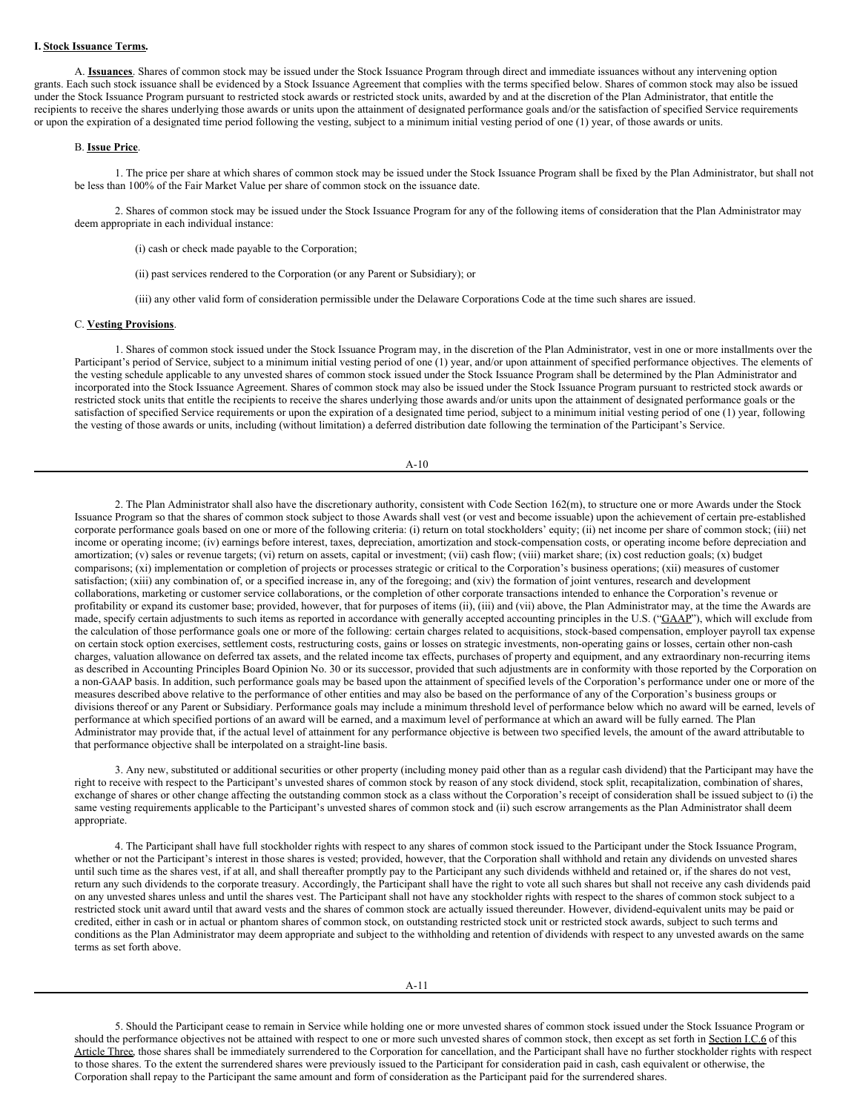# **I. Stock Issuance Terms.**

A. **Issuances**. Shares of common stock may be issued under the Stock Issuance Program through direct and immediate issuances without any intervening option grants. Each such stock issuance shall be evidenced by a Stock Issuance Agreement that complies with the terms specified below. Shares of common stock may also be issued under the Stock Issuance Program pursuant to restricted stock awards or restricted stock units, awarded by and at the discretion of the Plan Administrator, that entitle the recipients to receive the shares underlying those awards or units upon the attainment of designated performance goals and/or the satisfaction of specified Service requirements or upon the expiration of a designated time period following the vesting, subject to a minimum initial vesting period of one (1) year, of those awards or units.

### B. **Issue Price**.

1. The price per share at which shares of common stock may be issued under the Stock Issuance Program shall be fixed by the Plan Administrator, but shall not be less than 100% of the Fair Market Value per share of common stock on the issuance date.

2. Shares of common stock may be issued under the Stock Issuance Program for any of the following items of consideration that the Plan Administrator may deem appropriate in each individual instance:

(i) cash or check made payable to the Corporation;

(ii) past services rendered to the Corporation (or any Parent or Subsidiary); or

(iii) any other valid form of consideration permissible under the Delaware Corporations Code at the time such shares are issued.

### C. **Vesting Provisions**.

1. Shares of common stock issued under the Stock Issuance Program may, in the discretion of the Plan Administrator, vest in one or more installments over the Participant's period of Service, subject to a minimum initial vesting period of one (1) year, and/or upon attainment of specified performance objectives. The elements of the vesting schedule applicable to any unvested shares of common stock issued under the Stock Issuance Program shall be determined by the Plan Administrator and incorporated into the Stock Issuance Agreement. Shares of common stock may also be issued under the Stock Issuance Program pursuant to restricted stock awards or restricted stock units that entitle the recipients to receive the shares underlying those awards and/or units upon the attainment of designated performance goals or the satisfaction of specified Service requirements or upon the expiration of a designated time period, subject to a minimum initial vesting period of one (1) year, following the vesting of those awards or units, including (without limitation) a deferred distribution date following the termination of the Participant's Service.

A-10

2. The Plan Administrator shall also have the discretionary authority, consistent with Code Section 162(m), to structure one or more Awards under the Stock Issuance Program so that the shares of common stock subject to those Awards shall vest (or vest and become issuable) upon the achievement of certain pre-established corporate performance goals based on one or more of the following criteria: (i) return on total stockholders' equity; (ii) net income per share of common stock; (iii) net income or operating income; (iv) earnings before interest, taxes, depreciation, amortization and stock-compensation costs, or operating income before depreciation and amortization; (v) sales or revenue targets; (vi) return on assets, capital or investment; (vii) cash flow; (viii) market share; (ix) cost reduction goals; (x) budget comparisons; (xi) implementation or completion of projects or processes strategic or critical to the Corporation's business operations; (xii) measures of customer satisfaction; (xiii) any combination of, or a specified increase in, any of the foregoing; and (xiv) the formation of joint ventures, research and development collaborations, marketing or customer service collaborations, or the completion of other corporate transactions intended to enhance the Corporation's revenue or profitability or expand its customer base; provided, however, that for purposes of items (ii), (iii) and (vii) above, the Plan Administrator may, at the time the Awards are made, specify certain adjustments to such items as reported in accordance with generally accepted accounting principles in the U.S. ("GAAP"), which will exclude from the calculation of those performance goals one or more of the following: certain charges related to acquisitions, stock-based compensation, employer payroll tax expense on certain stock option exercises, settlement costs, restructuring costs, gains or losses on strategic investments, non-operating gains or losses, certain other non-cash charges, valuation allowance on deferred tax assets, and the related income tax effects, purchases of property and equipment, and any extraordinary non-recurring items as described in Accounting Principles Board Opinion No. 30 or its successor, provided that such adjustments are in conformity with those reported by the Corporation on a non-GAAP basis. In addition, such performance goals may be based upon the attainment of specified levels of the Corporation's performance under one or more of the measures described above relative to the performance of other entities and may also be based on the performance of any of the Corporation's business groups or divisions thereof or any Parent or Subsidiary. Performance goals may include a minimum threshold level of performance below which no award will be earned, levels of performance at which specified portions of an award will be earned, and a maximum level of performance at which an award will be fully earned. The Plan Administrator may provide that, if the actual level of attainment for any performance objective is between two specified levels, the amount of the award attributable to that performance objective shall be interpolated on a straight-line basis.

3. Any new, substituted or additional securities or other property (including money paid other than as a regular cash dividend) that the Participant may have the right to receive with respect to the Participant's unvested shares of common stock by reason of any stock dividend, stock split, recapitalization, combination of shares, exchange of shares or other change affecting the outstanding common stock as a class without the Corporation's receipt of consideration shall be issued subject to (i) the same vesting requirements applicable to the Participant's unvested shares of common stock and (ii) such escrow arrangements as the Plan Administrator shall deem appropriate.

4. The Participant shall have full stockholder rights with respect to any shares of common stock issued to the Participant under the Stock Issuance Program, whether or not the Participant's interest in those shares is vested; provided, however, that the Corporation shall withhold and retain any dividends on unvested shares until such time as the shares vest, if at all, and shall thereafter promptly pay to the Participant any such dividends withheld and retained or, if the shares do not vest, return any such dividends to the corporate treasury. Accordingly, the Participant shall have the right to vote all such shares but shall not receive any cash dividends paid on any unvested shares unless and until the shares vest. The Participant shall not have any stockholder rights with respect to the shares of common stock subject to a restricted stock unit award until that award vests and the shares of common stock are actually issued thereunder. However, dividend-equivalent units may be paid or credited, either in cash or in actual or phantom shares of common stock, on outstanding restricted stock unit or restricted stock awards, subject to such terms and conditions as the Plan Administrator may deem appropriate and subject to the withholding and retention of dividends with respect to any unvested awards on the same terms as set forth above.

5. Should the Participant cease to remain in Service while holding one or more unvested shares of common stock issued under the Stock Issuance Program or should the performance objectives not be attained with respect to one or more such unvested shares of common stock, then except as set forth in Section I.C.6 of this Article Three, those shares shall be immediately surrendered to the Corporation for cancellation, and the Participant shall have no further stockholder rights with respect to those shares. To the extent the surrendered shares were previously issued to the Participant for consideration paid in cash, cash equivalent or otherwise, the Corporation shall repay to the Participant the same amount and form of consideration as the Participant paid for the surrendered shares.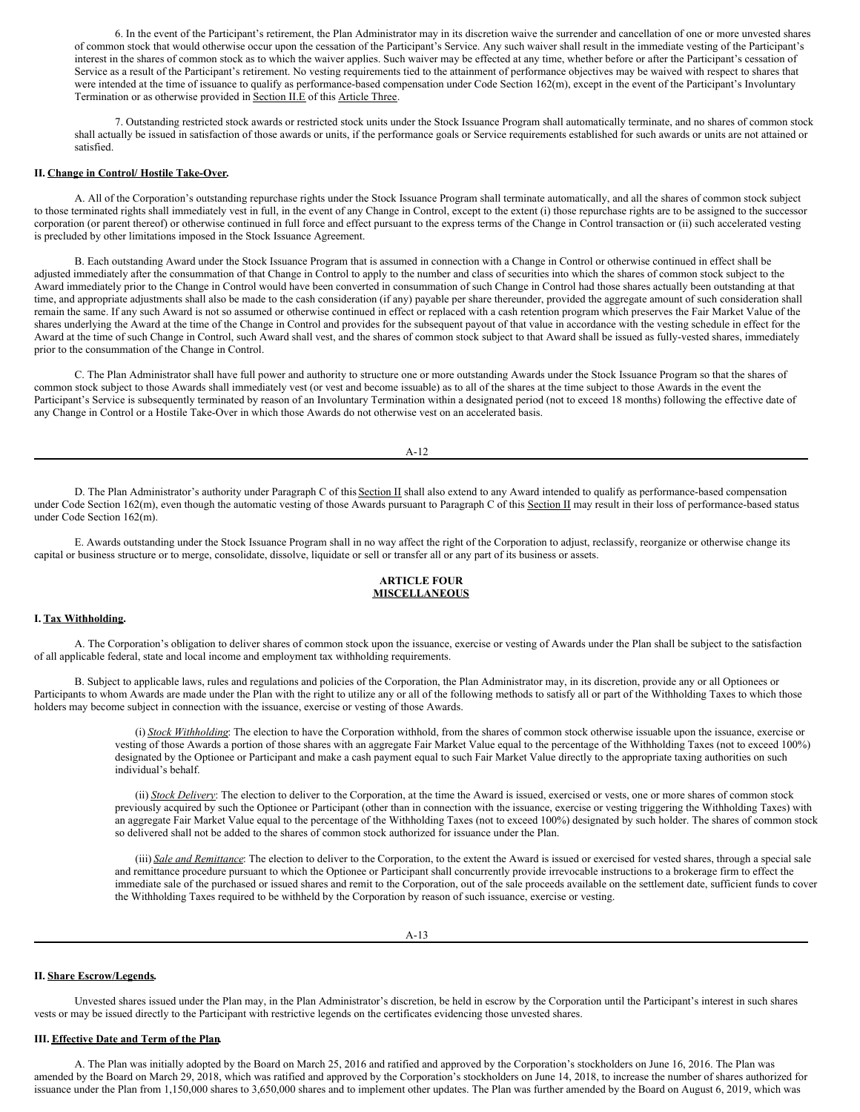6. In the event of the Participant's retirement, the Plan Administrator may in its discretion waive the surrender and cancellation of one or more unvested shares of common stock that would otherwise occur upon the cessation of the Participant's Service. Any such waiver shall result in the immediate vesting of the Participant's interest in the shares of common stock as to which the waiver applies. Such waiver may be effected at any time, whether before or after the Participant's cessation of Service as a result of the Participant's retirement. No vesting requirements tied to the attainment of performance objectives may be waived with respect to shares that were intended at the time of issuance to qualify as performance-based compensation under Code Section 162(m), except in the event of the Participant's Involuntary Termination or as otherwise provided in **Section II.E** of this **Article Three**.

7. Outstanding restricted stock awards or restricted stock units under the Stock Issuance Program shall automatically terminate, and no shares of common stock shall actually be issued in satisfaction of those awards or units, if the performance goals or Service requirements established for such awards or units are not attained or satisfied.

### **II. Change in Control/ Hostile Take-Over.**

A. All of the Corporation's outstanding repurchase rights under the Stock Issuance Program shall terminate automatically, and all the shares of common stock subject to those terminated rights shall immediately vest in full, in the event of any Change in Control, except to the extent (i) those repurchase rights are to be assigned to the successor corporation (or parent thereof) or otherwise continued in full force and effect pursuant to the express terms of the Change in Control transaction or (ii) such accelerated vesting is precluded by other limitations imposed in the Stock Issuance Agreement.

B. Each outstanding Award under the Stock Issuance Program that is assumed in connection with a Change in Control or otherwise continued in effect shall be adjusted immediately after the consummation of that Change in Control to apply to the number and class of securities into which the shares of common stock subject to the Award immediately prior to the Change in Control would have been converted in consummation of such Change in Control had those shares actually been outstanding at that time, and appropriate adjustments shall also be made to the cash consideration (if any) payable per share thereunder, provided the aggregate amount of such consideration shall remain the same. If any such Award is not so assumed or otherwise continued in effect or replaced with a cash retention program which preserves the Fair Market Value of the shares underlying the Award at the time of the Change in Control and provides for the subsequent payout of that value in accordance with the vesting schedule in effect for the Award at the time of such Change in Control, such Award shall vest, and the shares of common stock subject to that Award shall be issued as fully-vested shares, immediately prior to the consummation of the Change in Control.

C. The Plan Administrator shall have full power and authority to structure one or more outstanding Awards under the Stock Issuance Program so that the shares of common stock subject to those Awards shall immediately vest (or vest and become issuable) as to all of the shares at the time subject to those Awards in the event the Participant's Service is subsequently terminated by reason of an Involuntary Termination within a designated period (not to exceed 18 months) following the effective date of any Change in Control or a Hostile Take-Over in which those Awards do not otherwise vest on an accelerated basis.

A-12

D. The Plan Administrator's authority under Paragraph C of this Section II shall also extend to any Award intended to qualify as performance-based compensation under Code Section 162(m), even though the automatic vesting of those Awards pursuant to Paragraph C of this Section II may result in their loss of performance-based status under Code Section 162(m).

E. Awards outstanding under the Stock Issuance Program shall in no way affect the right of the Corporation to adjust, reclassify, reorganize or otherwise change its capital or business structure or to merge, consolidate, dissolve, liquidate or sell or transfer all or any part of its business or assets.

# **ARTICLE FOUR MISCELLANEOUS**

### **I. Tax Withholding.**

A. The Corporation's obligation to deliver shares of common stock upon the issuance, exercise or vesting of Awards under the Plan shall be subject to the satisfaction of all applicable federal, state and local income and employment tax withholding requirements.

B. Subject to applicable laws, rules and regulations and policies of the Corporation, the Plan Administrator may, in its discretion, provide any or all Optionees or Participants to whom Awards are made under the Plan with the right to utilize any or all of the following methods to satisfy all or part of the Withholding Taxes to which those holders may become subject in connection with the issuance, exercise or vesting of those Awards.

> (i) *Stock Withholding*: The election to have the Corporation withhold, from the shares of common stock otherwise issuable upon the issuance, exercise or vesting of those Awards a portion of those shares with an aggregate Fair Market Value equal to the percentage of the Withholding Taxes (not to exceed 100%) designated by the Optionee or Participant and make a cash payment equal to such Fair Market Value directly to the appropriate taxing authorities on such individual's behalf.

> (ii) *Stock Delivery*: The election to deliver to the Corporation, at the time the Award is issued, exercised or vests, one or more shares of common stock previously acquired by such the Optionee or Participant (other than in connection with the issuance, exercise or vesting triggering the Withholding Taxes) with an aggregate Fair Market Value equal to the percentage of the Withholding Taxes (not to exceed 100%) designated by such holder. The shares of common stock so delivered shall not be added to the shares of common stock authorized for issuance under the Plan.

> (iii) *Sale and Remittance*: The election to deliver to the Corporation, to the extent the Award is issued or exercised for vested shares, through a special sale and remittance procedure pursuant to which the Optionee or Participant shall concurrently provide irrevocable instructions to a brokerage firm to effect the immediate sale of the purchased or issued shares and remit to the Corporation, out of the sale proceeds available on the settlement date, sufficient funds to cover the Withholding Taxes required to be withheld by the Corporation by reason of such issuance, exercise or vesting.

### **II. Share Escrow/Legends.**

Unvested shares issued under the Plan may, in the Plan Administrator's discretion, be held in escrow by the Corporation until the Participant's interest in such shares vests or may be issued directly to the Participant with restrictive legends on the certificates evidencing those unvested shares.

### **III. Effective Date and Term of the Plan.**

A. The Plan was initially adopted by the Board on March 25, 2016 and ratified and approved by the Corporation's stockholders on June 16, 2016. The Plan was amended by the Board on March 29, 2018, which was ratified and approved by the Corporation's stockholders on June 14, 2018, to increase the number of shares authorized for issuance under the Plan from 1,150,000 shares to 3,650,000 shares and to implement other updates. The Plan was further amended by the Board on August 6, 2019, which was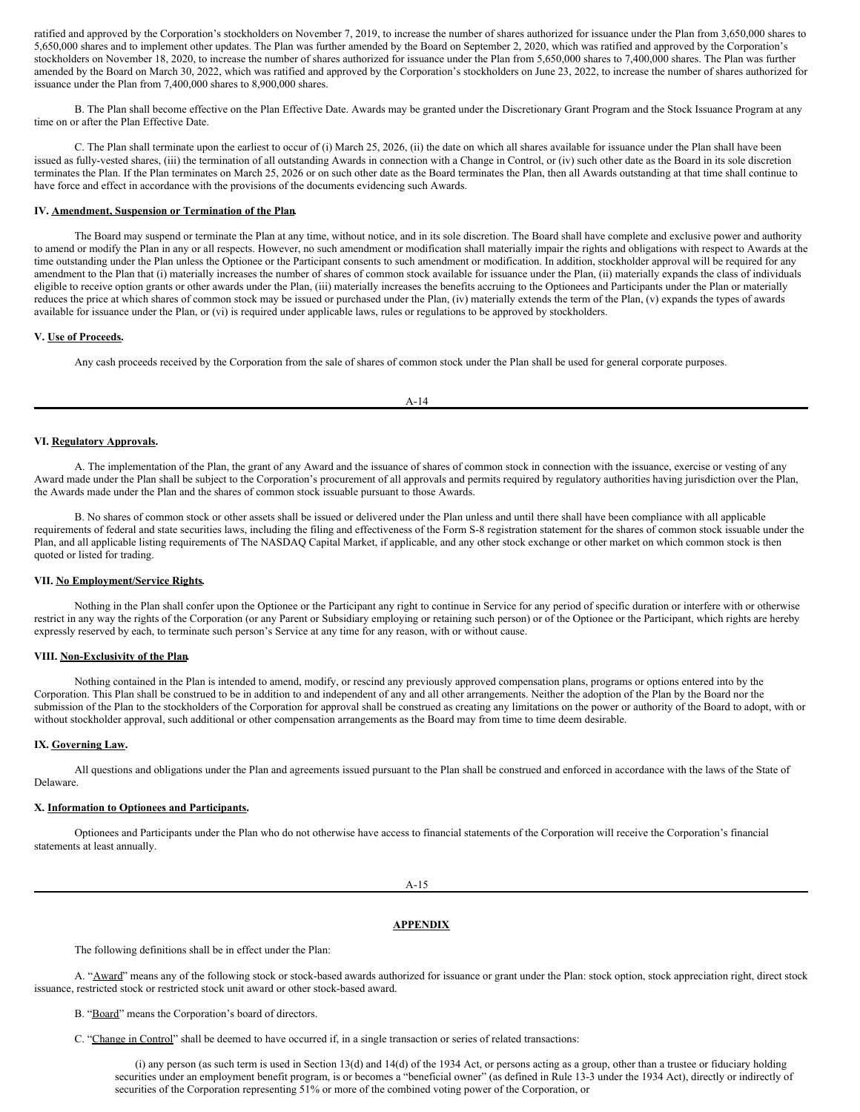ratified and approved by the Corporation's stockholders on November 7, 2019, to increase the number of shares authorized for issuance under the Plan from 3,650,000 shares to 5,650,000 shares and to implement other updates. The Plan was further amended by the Board on September 2, 2020, which was ratified and approved by the Corporation's stockholders on November 18, 2020, to increase the number of shares authorized for issuance under the Plan from 5,650,000 shares to 7,400,000 shares. The Plan was further amended by the Board on March 30, 2022, which was ratified and approved by the Corporation's stockholders on June 23, 2022, to increase the number of shares authorized for issuance under the Plan from 7,400,000 shares to 8,900,000 shares.

B. The Plan shall become effective on the Plan Effective Date. Awards may be granted under the Discretionary Grant Program and the Stock Issuance Program at any time on or after the Plan Effective Date.

C. The Plan shall terminate upon the earliest to occur of (i) March 25, 2026, (ii) the date on which all shares available for issuance under the Plan shall have been issued as fully-vested shares, (iii) the termination of all outstanding Awards in connection with a Change in Control, or (iv) such other date as the Board in its sole discretion terminates the Plan. If the Plan terminates on March 25, 2026 or on such other date as the Board terminates the Plan, then all Awards outstanding at that time shall continue to have force and effect in accordance with the provisions of the documents evidencing such Awards.

# **IV. Amendment, Suspension or Termination of the Plan.**

The Board may suspend or terminate the Plan at any time, without notice, and in its sole discretion. The Board shall have complete and exclusive power and authority to amend or modify the Plan in any or all respects. However, no such amendment or modification shall materially impair the rights and obligations with respect to Awards at the time outstanding under the Plan unless the Optionee or the Participant consents to such amendment or modification. In addition, stockholder approval will be required for any amendment to the Plan that (i) materially increases the number of shares of common stock available for issuance under the Plan, (ii) materially expands the class of individuals eligible to receive option grants or other awards under the Plan, (iii) materially increases the benefits accruing to the Optionees and Participants under the Plan or materially reduces the price at which shares of common stock may be issued or purchased under the Plan, (iv) materially extends the term of the Plan, (v) expands the types of awards available for issuance under the Plan, or (vi) is required under applicable laws, rules or regulations to be approved by stockholders.

# **V. Use of Proceeds.**

Any cash proceeds received by the Corporation from the sale of shares of common stock under the Plan shall be used for general corporate purposes.

# **VI. Regulatory Approvals.**

A. The implementation of the Plan, the grant of any Award and the issuance of shares of common stock in connection with the issuance, exercise or vesting of any Award made under the Plan shall be subject to the Corporation's procurement of all approvals and permits required by regulatory authorities having jurisdiction over the Plan, the Awards made under the Plan and the shares of common stock issuable pursuant to those Awards.

B. No shares of common stock or other assets shall be issued or delivered under the Plan unless and until there shall have been compliance with all applicable requirements of federal and state securities laws, including the filing and effectiveness of the Form S-8 registration statement for the shares of common stock issuable under the Plan, and all applicable listing requirements of The NASDAQ Capital Market, if applicable, and any other stock exchange or other market on which common stock is then quoted or listed for trading.

### **VII. No Employment/Service Rights.**

Nothing in the Plan shall confer upon the Optionee or the Participant any right to continue in Service for any period of specific duration or interfere with or otherwise restrict in any way the rights of the Corporation (or any Parent or Subsidiary employing or retaining such person) or of the Optionee or the Participant, which rights are hereby expressly reserved by each, to terminate such person's Service at any time for any reason, with or without cause.

# **VIII. Non-Exclusivity of the Plan.**

Nothing contained in the Plan is intended to amend, modify, or rescind any previously approved compensation plans, programs or options entered into by the Corporation. This Plan shall be construed to be in addition to and independent of any and all other arrangements. Neither the adoption of the Plan by the Board nor the submission of the Plan to the stockholders of the Corporation for approval shall be construed as creating any limitations on the power or authority of the Board to adopt, with or without stockholder approval, such additional or other compensation arrangements as the Board may from time to time deem desirable.

# **IX. Governing Law.**

All questions and obligations under the Plan and agreements issued pursuant to the Plan shall be construed and enforced in accordance with the laws of the State of Delaware.

# **X. Information to Optionees and Participants.**

Optionees and Participants under the Plan who do not otherwise have access to financial statements of the Corporation will receive the Corporation's financial statements at least annually.

A-15

## **APPENDIX**

The following definitions shall be in effect under the Plan:

A. "Award" means any of the following stock or stock-based awards authorized for issuance or grant under the Plan: stock option, stock appreciation right, direct stock issuance, restricted stock or restricted stock unit award or other stock-based award.

B. "Board" means the Corporation's board of directors.

C. "Change in Control" shall be deemed to have occurred if, in a single transaction or series of related transactions:

(i) any person (as such term is used in Section 13(d) and 14(d) of the 1934 Act, or persons acting as a group, other than a trustee or fiduciary holding securities under an employment benefit program, is or becomes a "beneficial owner" (as defined in Rule 13-3 under the 1934 Act), directly or indirectly of securities of the Corporation representing 51% or more of the combined voting power of the Corporation, or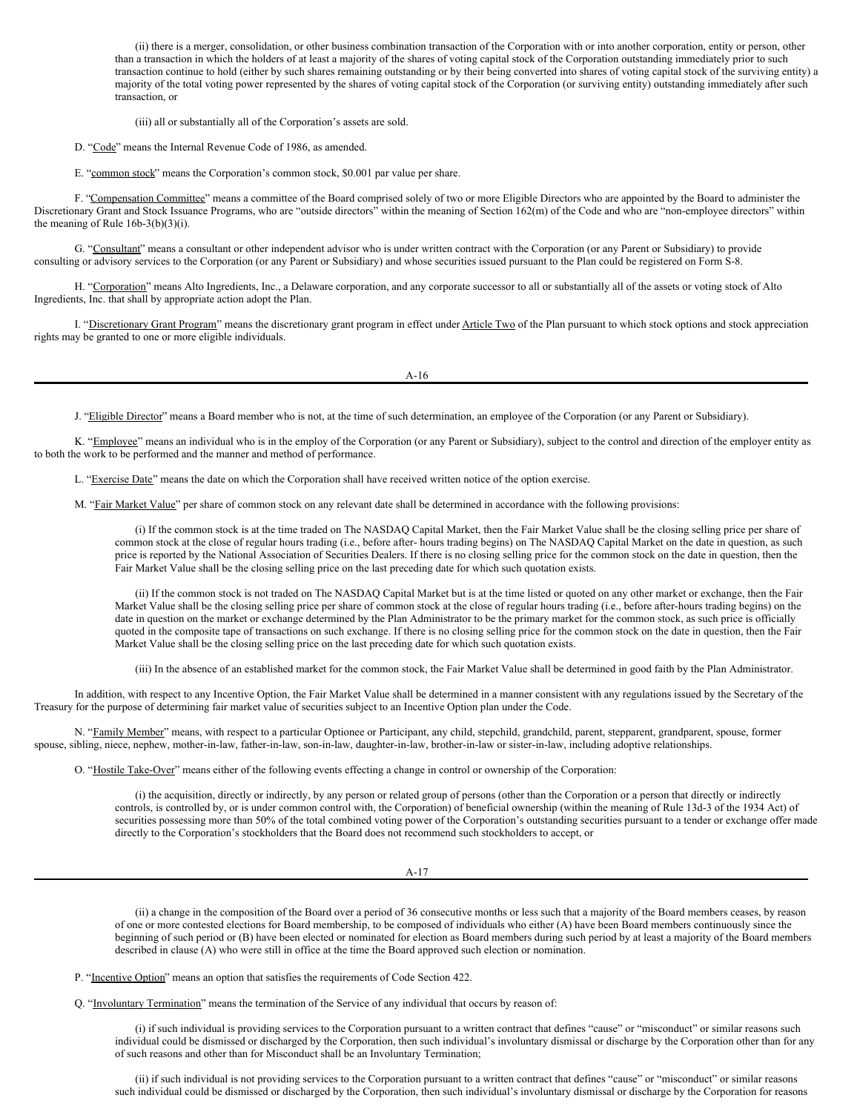(ii) there is a merger, consolidation, or other business combination transaction of the Corporation with or into another corporation, entity or person, other than a transaction in which the holders of at least a majority of the shares of voting capital stock of the Corporation outstanding immediately prior to such transaction continue to hold (either by such shares remaining outstanding or by their being converted into shares of voting capital stock of the surviving entity) a majority of the total voting power represented by the shares of voting capital stock of the Corporation (or surviving entity) outstanding immediately after such transaction, or

(iii) all or substantially all of the Corporation's assets are sold.

D. "Code" means the Internal Revenue Code of 1986, as amended.

E. "common stock" means the Corporation's common stock, \$0.001 par value per share.

F. "Compensation Committee" means a committee of the Board comprised solely of two or more Eligible Directors who are appointed by the Board to administer the Discretionary Grant and Stock Issuance Programs, who are "outside directors" within the meaning of Section 162(m) of the Code and who are "non-employee directors" within the meaning of Rule 16b-3(b)(3)(i).

G. "Consultant" means a consultant or other independent advisor who is under written contract with the Corporation (or any Parent or Subsidiary) to provide consulting or advisory services to the Corporation (or any Parent or Subsidiary) and whose securities issued pursuant to the Plan could be registered on Form S-8.

H. "Corporation" means Alto Ingredients, Inc., a Delaware corporation, and any corporate successor to all or substantially all of the assets or voting stock of Alto Ingredients, Inc. that shall by appropriate action adopt the Plan.

I. "Discretionary Grant Program" means the discretionary grant program in effect under Article Two of the Plan pursuant to which stock options and stock appreciation rights may be granted to one or more eligible individuals.

A-16

J. "Eligible Director" means a Board member who is not, at the time of such determination, an employee of the Corporation (or any Parent or Subsidiary).

K. "Employee" means an individual who is in the employ of the Corporation (or any Parent or Subsidiary), subject to the control and direction of the employer entity as to both the work to be performed and the manner and method of performance.

L. "Exercise Date" means the date on which the Corporation shall have received written notice of the option exercise.

M. "Fair Market Value" per share of common stock on any relevant date shall be determined in accordance with the following provisions:

(i) If the common stock is at the time traded on The NASDAQ Capital Market, then the Fair Market Value shall be the closing selling price per share of common stock at the close of regular hours trading (i.e., before after- hours trading begins) on The NASDAQ Capital Market on the date in question, as such price is reported by the National Association of Securities Dealers. If there is no closing selling price for the common stock on the date in question, then the Fair Market Value shall be the closing selling price on the last preceding date for which such quotation exists.

(ii) If the common stock is not traded on The NASDAQ Capital Market but is at the time listed or quoted on any other market or exchange, then the Fair Market Value shall be the closing selling price per share of common stock at the close of regular hours trading (i.e., before after-hours trading begins) on the date in question on the market or exchange determined by the Plan Administrator to be the primary market for the common stock, as such price is officially quoted in the composite tape of transactions on such exchange. If there is no closing selling price for the common stock on the date in question, then the Fair Market Value shall be the closing selling price on the last preceding date for which such quotation exists.

(iii) In the absence of an established market for the common stock, the Fair Market Value shall be determined in good faith by the Plan Administrator.

In addition, with respect to any Incentive Option, the Fair Market Value shall be determined in a manner consistent with any regulations issued by the Secretary of the Treasury for the purpose of determining fair market value of securities subject to an Incentive Option plan under the Code.

N. "Family Member" means, with respect to a particular Optionee or Participant, any child, stepchild, grandchild, parent, stepparent, grandparent, spouse, former spouse, sibling, niece, nephew, mother-in-law, father-in-law, son-in-law, daughter-in-law, brother-in-law or sister-in-law, including adoptive relationships.

O. "Hostile Take-Over" means either of the following events effecting a change in control or ownership of the Corporation:

(i) the acquisition, directly or indirectly, by any person or related group of persons (other than the Corporation or a person that directly or indirectly controls, is controlled by, or is under common control with, the Corporation) of beneficial ownership (within the meaning of Rule 13d-3 of the 1934 Act) of securities possessing more than 50% of the total combined voting power of the Corporation's outstanding securities pursuant to a tender or exchange offer made directly to the Corporation's stockholders that the Board does not recommend such stockholders to accept, or

A-17

(ii) a change in the composition of the Board over a period of 36 consecutive months or less such that a majority of the Board members ceases, by reason of one or more contested elections for Board membership, to be composed of individuals who either (A) have been Board members continuously since the beginning of such period or (B) have been elected or nominated for election as Board members during such period by at least a majority of the Board members described in clause (A) who were still in office at the time the Board approved such election or nomination.

P. "Incentive Option" means an option that satisfies the requirements of Code Section 422.

Q. "Involuntary Termination" means the termination of the Service of any individual that occurs by reason of:

(i) if such individual is providing services to the Corporation pursuant to a written contract that defines "cause" or "misconduct" or similar reasons such individual could be dismissed or discharged by the Corporation, then such individual's involuntary dismissal or discharge by the Corporation other than for any of such reasons and other than for Misconduct shall be an Involuntary Termination;

(ii) if such individual is not providing services to the Corporation pursuant to a written contract that defines "cause" or "misconduct" or similar reasons such individual could be dismissed or discharged by the Corporation, then such individual's involuntary dismissal or discharge by the Corporation for reasons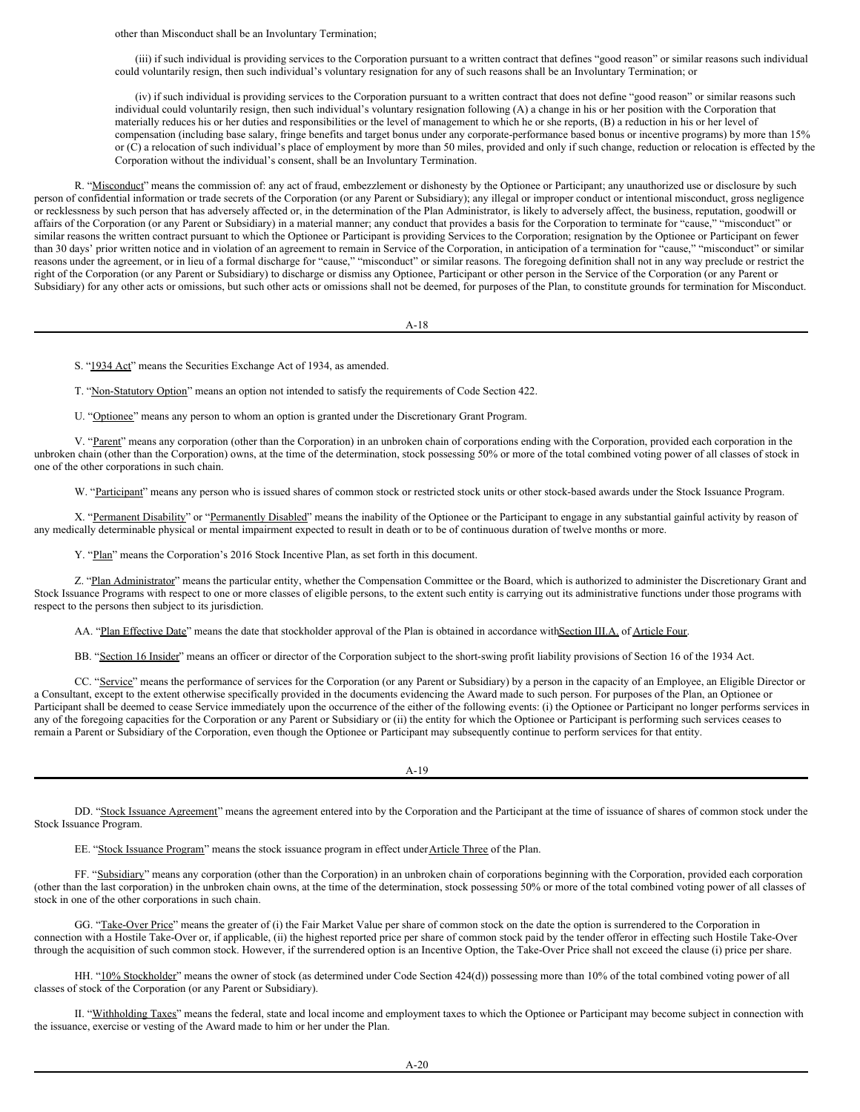other than Misconduct shall be an Involuntary Termination;

(iii) if such individual is providing services to the Corporation pursuant to a written contract that defines "good reason" or similar reasons such individual could voluntarily resign, then such individual's voluntary resignation for any of such reasons shall be an Involuntary Termination; or

(iv) if such individual is providing services to the Corporation pursuant to a written contract that does not define "good reason" or similar reasons such individual could voluntarily resign, then such individual's voluntary resignation following (A) a change in his or her position with the Corporation that materially reduces his or her duties and responsibilities or the level of management to which he or she reports, (B) a reduction in his or her level of compensation (including base salary, fringe benefits and target bonus under any corporate-performance based bonus or incentive programs) by more than 15% or (C) a relocation of such individual's place of employment by more than 50 miles, provided and only if such change, reduction or relocation is effected by the Corporation without the individual's consent, shall be an Involuntary Termination.

R. "Misconduct" means the commission of: any act of fraud, embezzlement or dishonesty by the Optionee or Participant; any unauthorized use or disclosure by such person of confidential information or trade secrets of the Corporation (or any Parent or Subsidiary); any illegal or improper conduct or intentional misconduct, gross negligence or recklessness by such person that has adversely affected or, in the determination of the Plan Administrator, is likely to adversely affect, the business, reputation, goodwill or affairs of the Corporation (or any Parent or Subsidiary) in a material manner; any conduct that provides a basis for the Corporation to terminate for "cause," "misconduct" or similar reasons the written contract pursuant to which the Optionee or Participant is providing Services to the Corporation; resignation by the Optionee or Participant on fewer than 30 days' prior written notice and in violation of an agreement to remain in Service of the Corporation, in anticipation of a termination for "cause," "misconduct" or similar reasons under the agreement, or in lieu of a formal discharge for "cause," "misconduct" or similar reasons. The foregoing definition shall not in any way preclude or restrict the right of the Corporation (or any Parent or Subsidiary) to discharge or dismiss any Optionee, Participant or other person in the Service of the Corporation (or any Parent or Subsidiary) for any other acts or omissions, but such other acts or omissions shall not be deemed, for purposes of the Plan, to constitute grounds for termination for Misconduct.

A-18

S. "1934 Act" means the Securities Exchange Act of 1934, as amended.

T. "Non-Statutory Option" means an option not intended to satisfy the requirements of Code Section 422.

U. "Optionee" means any person to whom an option is granted under the Discretionary Grant Program.

V. "Parent" means any corporation (other than the Corporation) in an unbroken chain of corporations ending with the Corporation, provided each corporation in the unbroken chain (other than the Corporation) owns, at the time of the determination, stock possessing 50% or more of the total combined voting power of all classes of stock in one of the other corporations in such chain.

W. "Participant" means any person who is issued shares of common stock or restricted stock units or other stock-based awards under the Stock Issuance Program.

X. "Permanent Disability" or "Permanently Disabled" means the inability of the Optionee or the Participant to engage in any substantial gainful activity by reason of any medically determinable physical or mental impairment expected to result in death or to be of continuous duration of twelve months or more.

Y. "Plan" means the Corporation's 2016 Stock Incentive Plan, as set forth in this document.

Z. "Plan Administrator" means the particular entity, whether the Compensation Committee or the Board, which is authorized to administer the Discretionary Grant and Stock Issuance Programs with respect to one or more classes of eligible persons, to the extent such entity is carrying out its administrative functions under those programs with respect to the persons then subject to its jurisdiction.

AA. "Plan Effective Date" means the date that stockholder approval of the Plan is obtained in accordance withSection III.A. of Article Four.

BB. "Section 16 Insider" means an officer or director of the Corporation subject to the short-swing profit liability provisions of Section 16 of the 1934 Act.

CC. "Service" means the performance of services for the Corporation (or any Parent or Subsidiary) by a person in the capacity of an Employee, an Eligible Director or a Consultant, except to the extent otherwise specifically provided in the documents evidencing the Award made to such person. For purposes of the Plan, an Optionee or Participant shall be deemed to cease Service immediately upon the occurrence of the either of the following events: (i) the Optionee or Participant no longer performs services in any of the foregoing capacities for the Corporation or any Parent or Subsidiary or (ii) the entity for which the Optionee or Participant is performing such services ceases to remain a Parent or Subsidiary of the Corporation, even though the Optionee or Participant may subsequently continue to perform services for that entity.

A-19

DD. "Stock Issuance Agreement" means the agreement entered into by the Corporation and the Participant at the time of issuance of shares of common stock under the Stock Issuance Program.

EE. "Stock Issuance Program" means the stock issuance program in effect under Article Three of the Plan.

FF. "Subsidiary" means any corporation (other than the Corporation) in an unbroken chain of corporations beginning with the Corporation, provided each corporation (other than the last corporation) in the unbroken chain owns, at the time of the determination, stock possessing 50% or more of the total combined voting power of all classes of stock in one of the other corporations in such chain.

GG. "Take-Over Price" means the greater of (i) the Fair Market Value per share of common stock on the date the option is surrendered to the Corporation in connection with a Hostile Take-Over or, if applicable, (ii) the highest reported price per share of common stock paid by the tender offeror in effecting such Hostile Take-Over through the acquisition of such common stock. However, if the surrendered option is an Incentive Option, the Take-Over Price shall not exceed the clause (i) price per share.

HH. "10% Stockholder" means the owner of stock (as determined under Code Section 424(d)) possessing more than 10% of the total combined voting power of all classes of stock of the Corporation (or any Parent or Subsidiary).

II. "Withholding Taxes" means the federal, state and local income and employment taxes to which the Optionee or Participant may become subject in connection with the issuance, exercise or vesting of the Award made to him or her under the Plan.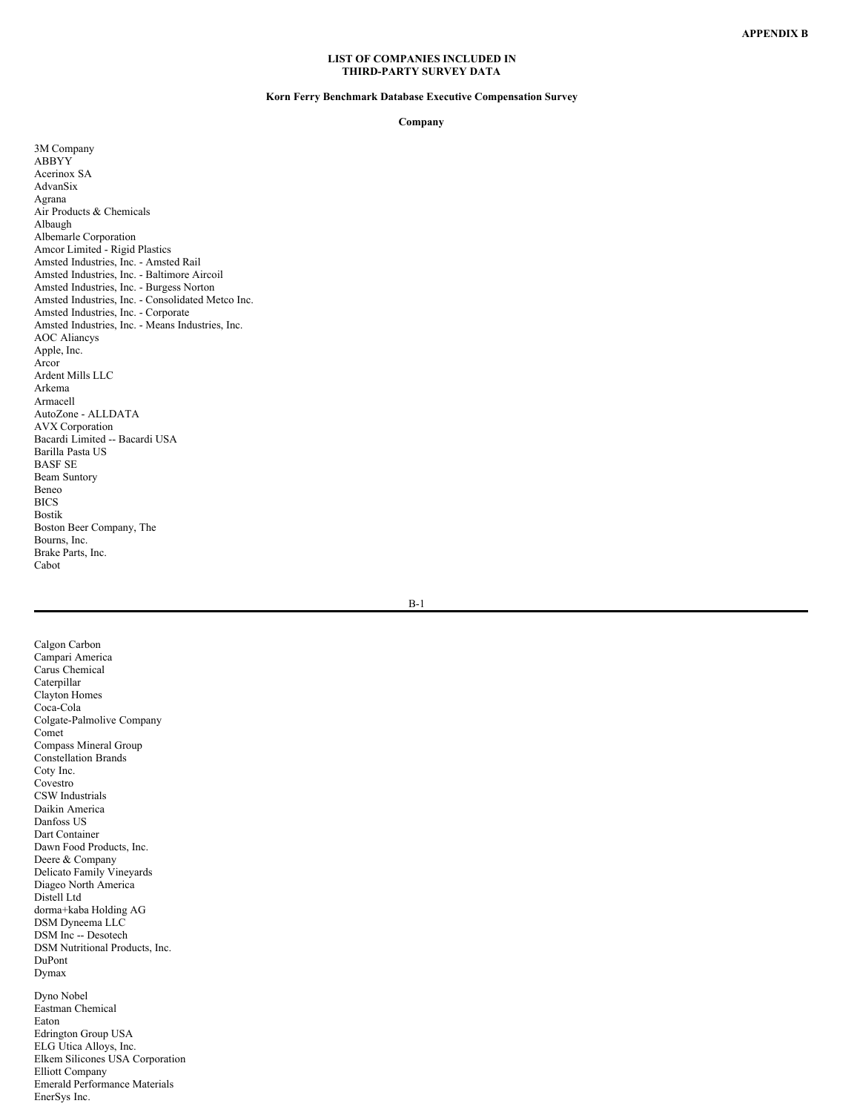## **LIST OF COMPANIES INCLUDED IN THIRD-PARTY SURVEY DATA**

# **Korn Ferry Benchmark Database Executive Compensation Survey**

<span id="page-52-0"></span>**Company**

3M Company ABBYY Acerinox SA AdvanSix Agrana Air Products & Chemicals Albaugh Albemarle Corporation Amcor Limited - Rigid Plastics Amsted Industries, Inc. - Amsted Rail Amsted Industries, Inc. - Baltimore Aircoil Amsted Industries, Inc. - Burgess Norton Amsted Industries, Inc. - Consolidated Metco Inc. Amsted Industries, Inc. - Corporate Amsted Industries, Inc. - Means Industries, Inc. AOC Aliancys Apple, Inc. Arcor Ardent Mills LLC Arkema Armacell AutoZone - ALLDATA AVX Corporation Bacardi Limited -- Bacardi USA Barilla Pasta US BASF SE Beam Suntory Beneo **BICS** Bostik Boston Beer Company, The Bourns, Inc. Brake Parts, Inc. Cabot

B-1

Calgon Carbon Campari America Carus Chemical Caterpillar Clayton Homes Coca-Cola Colgate-Palmolive Company Comet Compass Mineral Group Constellation Brands Coty Inc. Covestro CSW Industrials Daikin America Danfoss US Dart Container Dawn Food Products, Inc. Deere & Company Delicato Family Vineyards Diageo North America Distell Ltd dorma+kaba Holding AG DSM Dyneema LLC DSM Inc -- Desotech DSM Nutritional Products, Inc. DuPont Dymax Dyno Nobel Eastman Chemical Eaton Edrington Group USA ELG Utica Alloys, Inc. Elkem Silicones USA Corporation Elliott Company Emerald Performance Materials

EnerSys Inc.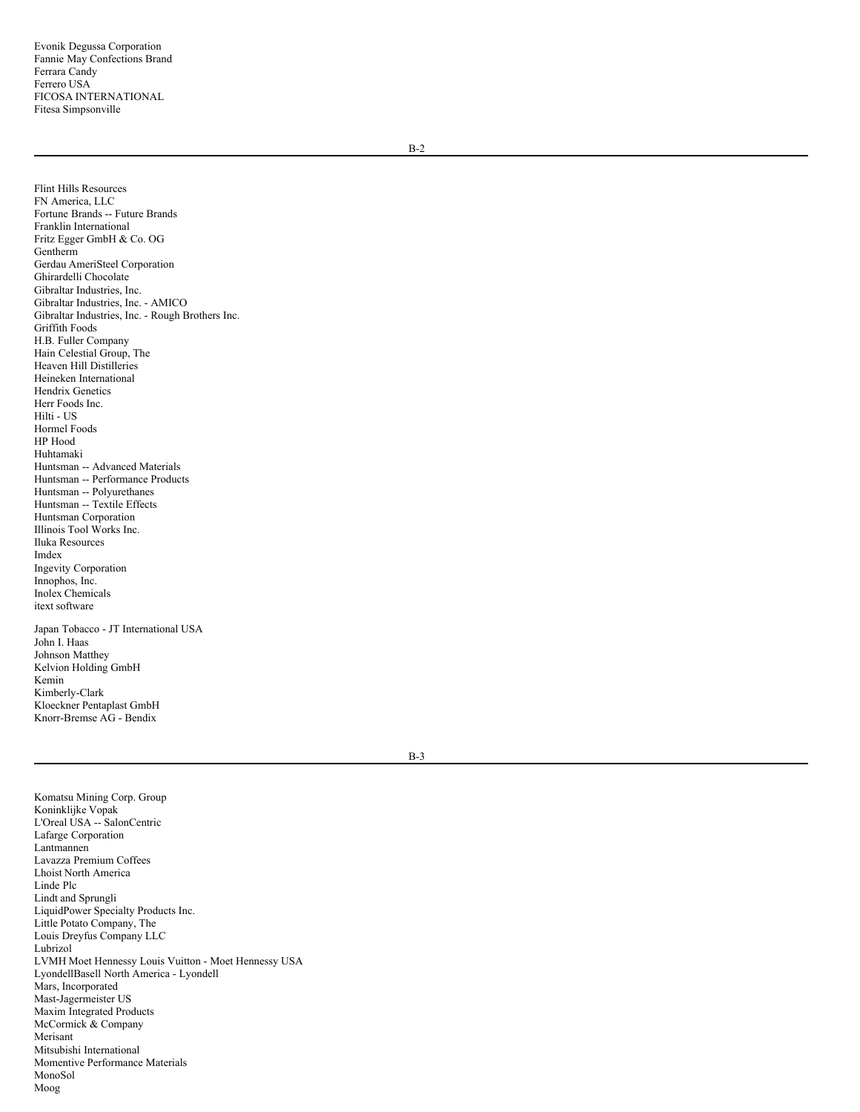B-2

Flint Hills Resources FN America, LLC Fortune Brands -- Future Brands Franklin International Fritz Egger GmbH & Co. OG Gentherm Gerdau AmeriSteel Corporation Ghirardelli Chocolate Gibraltar Industries, Inc. Gibraltar Industries, Inc. - AMICO Gibraltar Industries, Inc. - Rough Brothers Inc. Griffith Foods H.B. Fuller Company Hain Celestial Group, The Heaven Hill Distilleries Heineken International Hendrix Genetics Herr Foods Inc. Hilti - US Hormel Foods HP Hood Huhtamaki Huntsman -- Advanced Materials Huntsman -- Performance Products Huntsman -- Polyurethanes Huntsman -- Textile Effects Huntsman Corporation Illinois Tool Works Inc. Iluka Resources Imdex Ingevity Corporation Innophos, Inc. Inolex Chemicals itext software

Japan Tobacco - JT International USA John I. Haas Johnson Matthey Kelvion Holding GmbH Kemin Kimberly-Clark Kloeckner Pentaplast GmbH Knorr-Bremse AG - Bendix

B-3

Komatsu Mining Corp. Group Koninklijke Vopak L'Oreal USA -- SalonCentric Lafarge Corporation Lantmannen Lavazza Premium Coffees Lhoist North America Linde Plc Lindt and Sprungli LiquidPower Specialty Products Inc. Little Potato Company, The Louis Dreyfus Company LLC Lubrizol LVMH Moet Hennessy Louis Vuitton - Moet Hennessy USA LyondellBasell North America - Lyondell Mars, Incorporated Mast-Jagermeister US Maxim Integrated Products McCormick & Company Merisant Mitsubishi International Momentive Performance Materials MonoSol Moog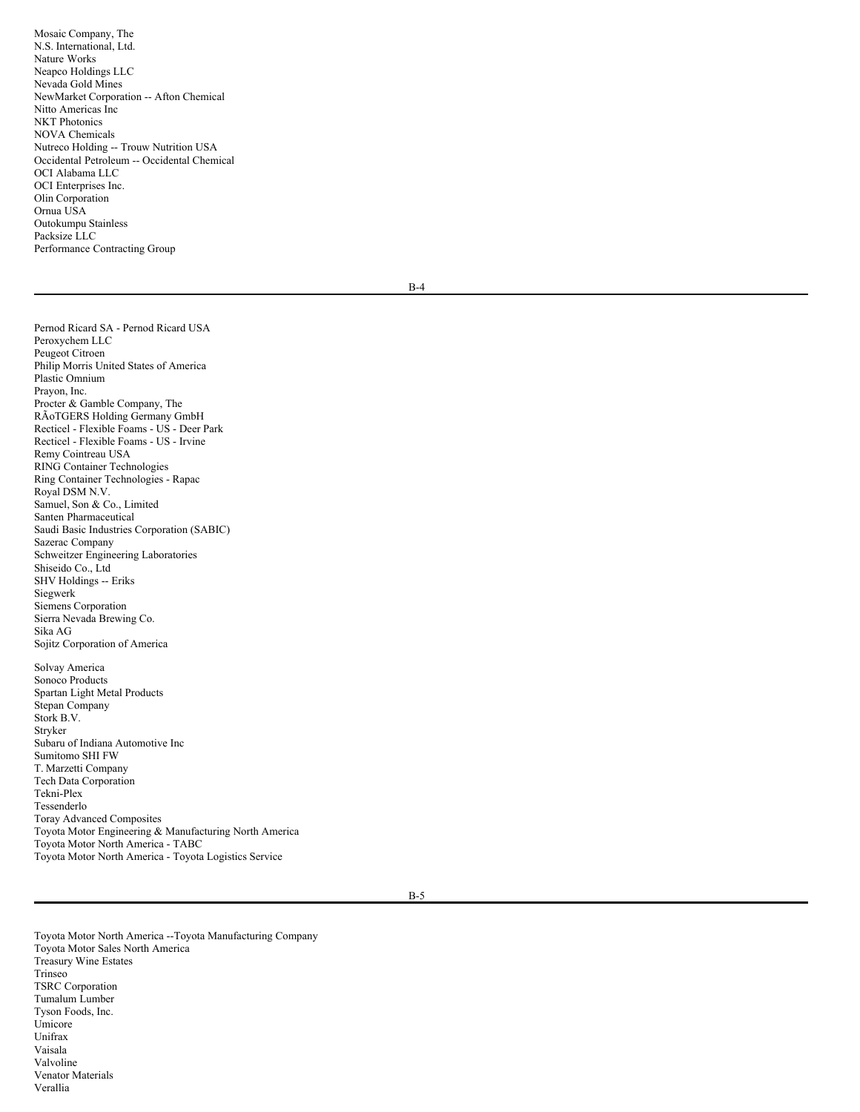Mosaic Company, The N.S. International, Ltd. Nature Works Neapco Holdings LLC Nevada Gold Mines NewMarket Corporation -- Afton Chemical Nitto Americas Inc NKT Photonics NOVA Chemicals Nutreco Holding -- Trouw Nutrition USA Occidental Petroleum -- Occidental Chemical OCI Alabama LLC OCI Enterprises Inc. Olin Corporation Ornua USA Outokumpu Stainless Packsize LLC Performance Contracting Group

B-4

Pernod Ricard SA - Pernod Ricard USA Peroxychem LLC Peugeot Citroen Philip Morris United States of America Plastic Omnium Prayon, Inc. Procter & Gamble Company, The RÃoTGERS Holding Germany GmbH Recticel - Flexible Foams - US - Deer Park Recticel - Flexible Foams - US - Irvine Remy Cointreau USA RING Container Technologies Ring Container Technologies - Rapac Royal DSM N.V. Samuel, Son & Co., Limited Santen Pharmaceutical Saudi Basic Industries Corporation (SABIC) Sazerac Company Schweitzer Engineering Laboratories Shiseido Co., Ltd SHV Holdings -- Eriks Siegwerk Siemens Corporation Sierra Nevada Brewing Co. Sika AG Sojitz Corporation of America

Solvay America Sonoco Products Spartan Light Metal Products Stepan Company Stork B.V. Stryker Subaru of Indiana Automotive Inc Sumitomo SHI FW T. Marzetti Company Tech Data Corporation Tekni-Plex Tessenderlo Toray Advanced Composites Toyota Motor Engineering & Manufacturing North America Toyota Motor North America - TABC Toyota Motor North America - Toyota Logistics Service

B-5

Toyota Motor North America --Toyota Manufacturing Company Toyota Motor Sales North America Treasury Wine Estates Trinseo TSRC Corporation Tumalum Lumber Tyson Foods, Inc. Umicore Unifrax Vaisala Valvoline Venator Materials Verallia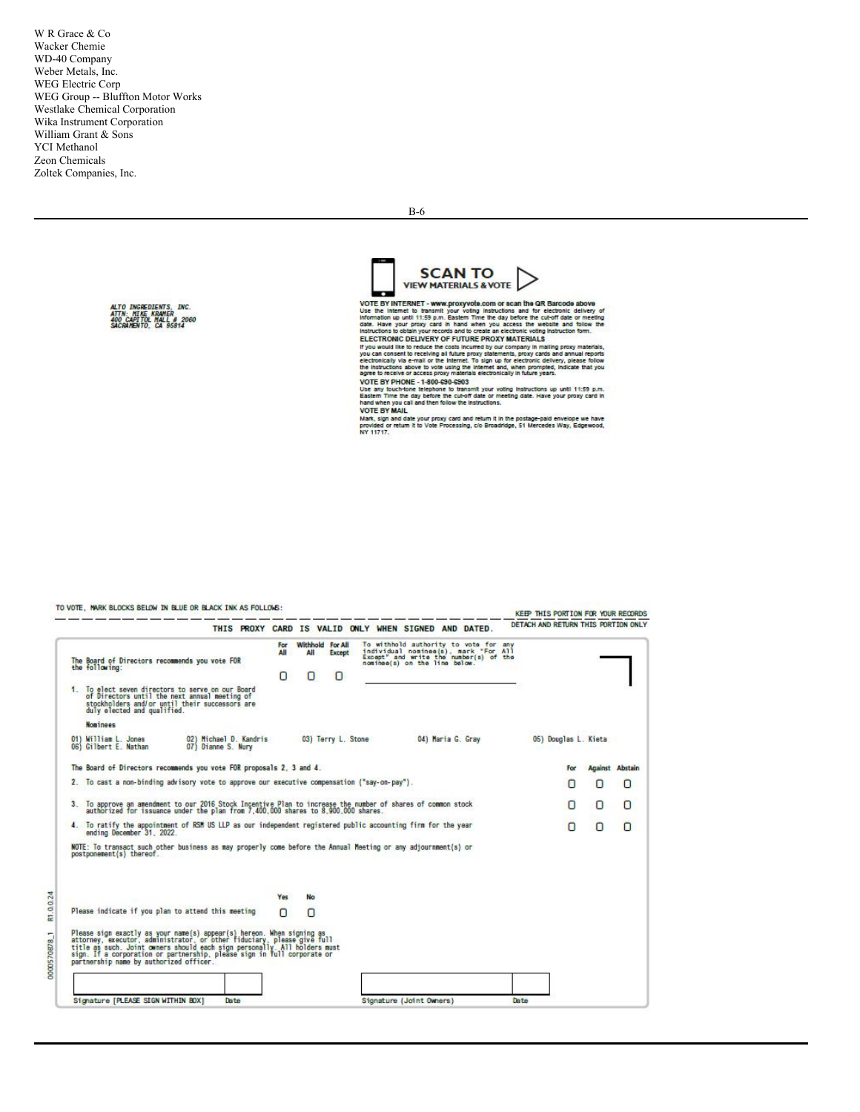W R Grace & Co Wacker Chemie WD-40 Company Weber Metals, Inc. WEG Electric Corp WEG Group -- Bluffton Motor Works Westlake Chemical Corporation Wika Instrument Corporation William Grant & Sons YCI Methanol Zeon Chemicals Zoltek Companies, Inc.



B -6

VOTE BY INTERNET - www.proxyvote.com or scan the GR Barcode above<br>use the internet to transmit your voting instructions and for electronic delivery of<br>information up until it:59 p.m. Eastern Time the day before the cut-off C.C. The world like to reduce the costs incurred by our company in mailing proxy materials, the of the costs incurred by our company in mailing proxy categorials, the effection of the mail of the line of the effection of t

system the concess provinces and concern in music years.<br>UOTE BY PHONE - 1-800-690-6903<br>Use any buch-lone telephone to transmit your voting instructions up until 11:59 p.m.<br>Eastern Time the day before the cut-off date or m **VOTE BY MAIL** 

VOIE DT MAIL<br>Mark, sign and date your proxy card and return it in the postage-paid envelope we have<br>provided or return it to Vote Processing, cio Broadridge, 51 Mercedes Way, Edgewood,<br>NY 11717.

TO VOTE, MARK BLOCKS BELOW IN BLUE OR BLACK INK AS FOLLOWS: KEEP THIS PORTION FOR YOUR RECORDS DETACH AND RETURN THIS PORTION ONLY THIS PROXY CARD IS VALID ONLY WHEN SIGNED AND DATED. To withhold authority to vota for any<br>individual nominae(s), mark "For All<br>Except" and write the number(s) of the<br>nominae(s) on the line below. Withhold For All The Board of Directors recommends you vote FOR<br>the following:  $\Omega$  $\Box$ 1. To elect seven directors to serve on our Board<br>of Directors until the next annual meeting of<br>stockholders and/or until their successors are<br>duly elected and qualified. **Nominees** 02) Michael D. Kandris<br>07) Dianne S. Nury 01) William L. Jones<br>06) Gilbert E. Nathan 04) Maria G. Gray 03) Terry L. Stone 05) Douglas L. Kieta The Board of Directors recommends you vote FOR proposals 2, 3 and 4. **Against Abstain** For 2. To cast a non-binding advisory vote to approve our executive compensation ("say-on-pay"). 0  $\Box$ O 3. To approve an amendment to our 2016 Stock Incentive Plan to increase the number of shares of common stock<br>authorized for issuance under the plan from 7,400,000 shares to 8,900,000 shares.  $\Box$  $\begin{array}{c} 0 \\ 0 \end{array}$ O 4. To ratify the appointment of RSM US LLP as our independent registered public accounting firm for the year ending December 31, 2022.  $\overline{O}$  $\cup$ O NOTE: To transact such other business as may properly come before the Annual Meeting or any adjournment(s) or<br>postponement(s) thereof. No R1.0.0.24 Yes Please indicate if you plan to attend this meeting  $\Box$  $\Omega$ Please sign exactly as your name(s) appear(s) hereon. When signing as<br>attorney, executor, administrator, or other fiduciary, please give full<br>title as such. Joint owners should each sign personally. All holders mus<br>sign. I 0000570878.1 Signature [PLEASE SIGN WITHIN BOX] Date Signature (Joint Owners) Date

**ALTO INGREDIENTS, INC.<br>ATTN: MIKE KRAMER<br>400 CAPITOL MALL # 2060<br>SACRAMENTO, CA 95814**